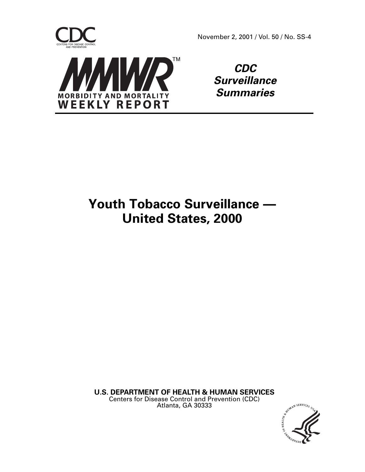

**CDC Surveillance Summaries**

# **Youth Tobacco Surveillance — United States, 2000**

**U.S. DEPARTMENT OF HEALTH & HUMAN SERVICES** Centers for Disease Control and Prevention (CDC) Atlanta, GA 30333

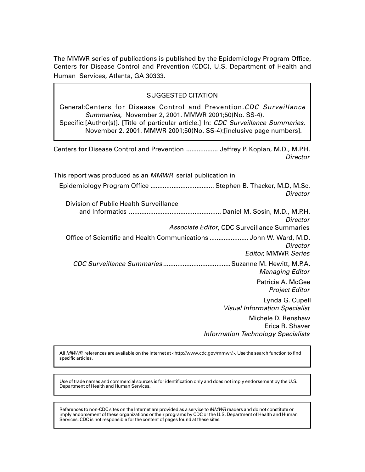The MMWR series of publications is published by the Epidemiology Program Office, Centers for Disease Control and Prevention (CDC), U.S. Department of Health and Human Services, Atlanta, GA 30333.

# SUGGESTED CITATION

General:Centers for Disease Control and Prevention.CDC Surveillance Summaries, November 2, 2001. MMWR 2001;50(No. SS-4). Specific:[Author(s)]. [Title of particular article.] In: CDC Surveillance Summaries, November 2, 2001. MMWR 2001;50(No. SS-4):[inclusive page numbers].

Centers for Disease Control and Prevention .................. Jeffrey P. Koplan, M.D., M.P.H. **Director** 

This report was produced as an MMWR serial publication in Epidemiology Program Office .................................... Stephen B. Thacker, M.D, M.Sc. **Director** Division of Public Health Surveillance and Informatics .................................................... Daniel M. Sosin, M.D., M.P.H. **Director** Associate Editor, CDC Surveillance Summaries Office of Scientific and Health Communications ...................... John W. Ward, M.D. **Director** Editor, MMWR Series CDC Surveillance Summaries ......................................Suzanne M. Hewitt, M.P.A. Managing Editor Patricia A. McGee Project Editor Lynda G. Cupell Visual Information Specialist Michele D. Renshaw Erica R. Shaver Information Technology Specialists

All MMWR references are available on the Internet at [<http://www.cdc.gov/mmwr/>.](http://www.cdc.gov/mmwr/) Use the search function to find specific articles.

Use of trade names and commercial sources is for identification only and does not imply endorsement by the U.S. Department of Health and Human Services.

References to non-CDC sites on the Internet are provided as a service to MMWR readers and do not constitute or imply endorsement of these organizations or their programs by CDC or the U.S. Department of Health and Human Services. CDC is not responsible for the content of pages found at these sites.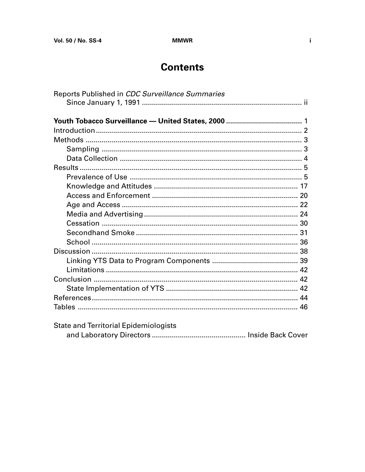$\mathbf i$ 

# **Contents**

| Reports Published in CDC Surveillance Summaries |  |
|-------------------------------------------------|--|
|                                                 |  |
|                                                 |  |
|                                                 |  |
|                                                 |  |
|                                                 |  |
|                                                 |  |
|                                                 |  |
|                                                 |  |
|                                                 |  |
|                                                 |  |
|                                                 |  |
|                                                 |  |
|                                                 |  |
|                                                 |  |
|                                                 |  |
|                                                 |  |
|                                                 |  |
|                                                 |  |
|                                                 |  |
|                                                 |  |
|                                                 |  |
|                                                 |  |
|                                                 |  |
| <b>State and Territorial Epidemiologists</b>    |  |
|                                                 |  |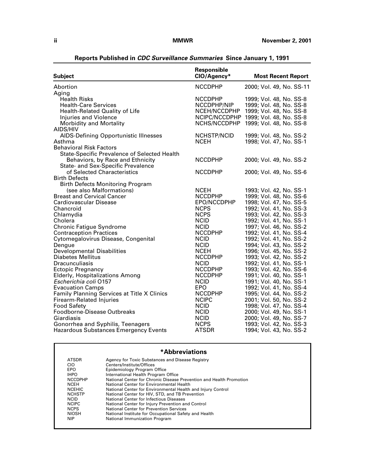<span id="page-3-0"></span>

| Responsible<br>CIO/Agency*<br><b>Most Recent Report</b><br><b>Subject</b>                                 |  |
|-----------------------------------------------------------------------------------------------------------|--|
| Abortion<br><b>NCCDPHP</b><br>2000; Vol. 49, No. SS-11                                                    |  |
| Aging                                                                                                     |  |
| <b>Health Risks</b><br><b>NCCDPHP</b><br>1999; Vol. 48, No. SS-8                                          |  |
| <b>Health-Care Services</b><br>NCCDPHP/NIP<br>1999; Vol. 48, No. SS-8                                     |  |
| Health-Related Quality of Life<br>NCEH/NCCDPHP<br>1999; Vol. 48, No. SS-8                                 |  |
| <b>Injuries and Violence</b><br>NCIPC/NCCDPHP<br>1999; Vol. 48, No. SS-8                                  |  |
| <b>Morbidity and Mortality</b><br>NCHS/NCCDPHP<br>1999; Vol. 48, No. SS-8                                 |  |
| AIDS/HIV                                                                                                  |  |
| <b>NCHSTP/NCID</b><br><b>AIDS-Defining Opportunistic Illnesses</b><br>1999; Vol. 48, No. SS-2             |  |
| Asthma<br><b>NCEH</b><br>1998; Vol. 47, No. SS-1                                                          |  |
| <b>Behavioral Risk Factors</b>                                                                            |  |
| <b>State-Specific Prevalence of Selected Health</b>                                                       |  |
| <b>NCCDPHP</b><br>Behaviors, by Race and Ethnicity<br>2000; Vol. 49, No. SS-2                             |  |
| State- and Sex-Specific Prevalence                                                                        |  |
| of Selected Characteristics<br><b>NCCDPHP</b><br>2000; Vol. 49, No. SS-6                                  |  |
| <b>Birth Defects</b>                                                                                      |  |
| <b>Birth Defects Monitoring Program</b>                                                                   |  |
| (see also Malformations)<br><b>NCEH</b><br>1993; Vol. 42, No. SS-1                                        |  |
| <b>Breast and Cervical Cancer</b><br><b>NCCDPHP</b><br>1999; Vol. 48, No. SS-6                            |  |
| Cardiovascular Disease<br>EPO/NCCDPHP<br>1998; Vol. 47, No. SS-5                                          |  |
| <b>NCPS</b><br>1992; Vol. 41, No. SS-3<br>Chancroid                                                       |  |
| <b>NCPS</b><br>1993; Vol. 42, No. SS-3<br>Chlamydia                                                       |  |
| Cholera<br><b>NCID</b><br>1992; Vol. 41, No. SS-1                                                         |  |
| <b>Chronic Fatigue Syndrome</b><br><b>NCID</b><br>1997; Vol. 46, No. SS-2                                 |  |
| <b>Contraception Practices</b><br><b>NCCDPHP</b><br>1992; Vol. 41, No. SS-4                               |  |
| Cytomegalovirus Disease, Congenital<br>1992; Vol. 41, No. SS-2<br><b>NCID</b>                             |  |
| <b>NCID</b><br>1994; Vol. 43, No. SS-2<br>Dengue                                                          |  |
| <b>Developmental Disabilities</b><br><b>NCEH</b><br>1996; Vol. 45, No. SS-2                               |  |
| <b>Diabetes Mellitus</b><br><b>NCCDPHP</b><br>1993; Vol. 42, No. SS-2                                     |  |
| <b>NCID</b><br><b>Dracunculiasis</b><br>1992; Vol. 41, No. SS-1<br><b>NCCDPHP</b>                         |  |
| <b>Ectopic Pregnancy</b><br>1993; Vol. 42, No. SS-6<br><b>NCCDPHP</b>                                     |  |
| <b>Elderly, Hospitalizations Among</b><br>1991; Vol. 40, No. SS-1<br>Escherichia coli 0157<br><b>NCID</b> |  |
| 1991; Vol. 40, No. SS-1<br><b>Evacuation Camps</b><br>EPO<br>1992; Vol. 41, No. SS-4                      |  |
| Family Planning Services at Title X Clinics<br><b>NCCDPHP</b><br>1995; Vol. 44, No. SS-2                  |  |
| <b>NCIPC</b><br><b>Firearm-Related Injuries</b><br>2001; Vol. 50, No. SS-2                                |  |
| <b>NCID</b><br><b>Food Safety</b><br>1998; Vol. 47, No. SS-4                                              |  |
| Foodborne-Disease Outbreaks<br><b>NCID</b><br>2000; Vol. 49, No. SS-1                                     |  |
| Giardiasis<br><b>NCID</b><br>2000; Vol. 49, No. SS-7                                                      |  |
| <b>NCPS</b><br>Gonorrhea and Syphilis, Teenagers<br>1993; Vol. 42, No. SS-3                               |  |
| <b>ATSDR</b><br>1994; Vol. 43, No. SS-2<br><b>Hazardous Substances Emergency Events</b>                   |  |

**Reports Published in CDC Surveillance Summaries Since January 1, 1991**

# **\*Abbreviations**

| <b>ATSDR</b>   | Agency for Toxic Substances and Disease Registry                    |
|----------------|---------------------------------------------------------------------|
| CIO            | Centers/Institute/Offices                                           |
| EPO            | Epidemiology Program Office                                         |
| <b>IHPO</b>    | International Health Program Office                                 |
| <b>NCCDPHP</b> | National Center for Chronic Disease Prevention and Health Promotion |
| <b>NCEH</b>    | National Center for Environmental Health                            |
| <b>NCEHIC</b>  | National Center for Environmental Health and Injury Control         |
| <b>NCHSTP</b>  | National Center for HIV, STD, and TB Prevention                     |
| <b>NCID</b>    | National Center for Infectious Diseases                             |
| <b>NCIPC</b>   | National Center for Injury Prevention and Control                   |
| <b>NCPS</b>    | National Center for Prevention Services                             |
| <b>NIOSH</b>   | National Institute for Occupational Safety and Health               |
| <b>NIP</b>     | National Immunization Program                                       |
|                |                                                                     |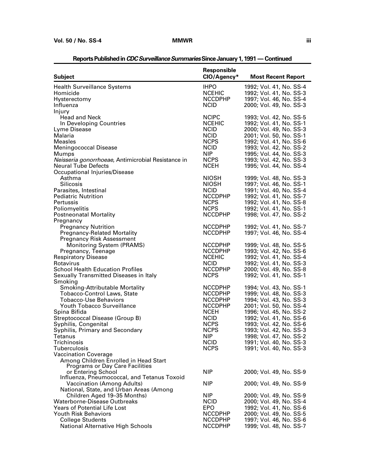|                                                                                                                                                                                                                                                                                                                                                    | Responsible                                                                                                                                                                                     |                                                                                                                                                                                                                                                                                                                                                             |
|----------------------------------------------------------------------------------------------------------------------------------------------------------------------------------------------------------------------------------------------------------------------------------------------------------------------------------------------------|-------------------------------------------------------------------------------------------------------------------------------------------------------------------------------------------------|-------------------------------------------------------------------------------------------------------------------------------------------------------------------------------------------------------------------------------------------------------------------------------------------------------------------------------------------------------------|
| <b>Subject</b>                                                                                                                                                                                                                                                                                                                                     | CIO/Agency*                                                                                                                                                                                     | <b>Most Recent Report</b>                                                                                                                                                                                                                                                                                                                                   |
| <b>Health Surveillance Systems</b><br>Homicide<br>Hysterectomy<br>Influenza                                                                                                                                                                                                                                                                        | <b>IHPO</b><br><b>NCEHIC</b><br><b>NCCDPHP</b><br><b>NCID</b>                                                                                                                                   | 1992; Vol. 41, No. SS-4<br>1992; Vol. 41, No. SS-3<br>1997; Vol. 46, No. SS-4<br>2000; Vol. 49, No. SS-3                                                                                                                                                                                                                                                    |
| Injury<br><b>Head and Neck</b><br>In Developing Countries<br>Lyme Disease<br>Malaria<br>Measles<br><b>Meningococcal Disease</b><br>Mumps<br>Neisseria gonorrhoeae, Antimicrobial Resistance in<br><b>Neural Tube Defects</b><br>Occupational Injuries/Disease<br>Asthma<br><b>Silicosis</b><br>Parasites, Intestinal<br><b>Pediatric Nutrition</b> | <b>NCIPC</b><br><b>NCEHIC</b><br><b>NCID</b><br><b>NCID</b><br><b>NCPS</b><br><b>NCID</b><br><b>NIP</b><br><b>NCPS</b><br><b>NCEH</b><br><b>NIOSH</b><br>NIOSH<br><b>NCID</b><br><b>NCCDPHP</b> | 1993; Vol. 42, No. SS-5<br>1992; Vol. 41, No. SS-1<br>2000; Vol. 49, No. SS-3<br>2001; Vol. 50, No. SS-1<br>1992; Vol. 41, No. SS-6<br>1993; Vol. 42, No. SS-2<br>1995; Vol. 44, No. SS-3<br>1993; Vol. 42, No. SS-3<br>1995; Vol. 44, No. SS-4<br>1999; Vol. 48, No. SS-3<br>1997; Vol. 46, No. SS-1<br>1991; Vol. 40, No. SS-4<br>1992; Vol. 41, No. SS-7 |
| Pertussis<br>Poliomyelitis<br><b>Postneonatal Mortality</b><br>Pregnancy                                                                                                                                                                                                                                                                           | <b>NCPS</b><br><b>NCPS</b><br><b>NCCDPHP</b>                                                                                                                                                    | 1992; Vol. 41, No. SS-8<br>1992; Vol. 41, No. SS-1<br>1998; Vol. 47, No. SS-2                                                                                                                                                                                                                                                                               |
| <b>Pregnancy Nutrition</b><br><b>Pregnancy-Related Mortality</b><br><b>Pregnancy Risk Assessment</b>                                                                                                                                                                                                                                               | <b>NCCDPHP</b><br><b>NCCDPHP</b>                                                                                                                                                                | 1992; Vol. 41, No. SS-7<br>1997; Vol. 46, No. SS-4                                                                                                                                                                                                                                                                                                          |
| <b>Monitoring System (PRAMS)</b><br>Pregnancy, Teenage<br><b>Respiratory Disease</b><br>Rotavirus<br><b>School Health Education Profiles</b><br>Sexually Transmitted Diseases in Italy                                                                                                                                                             | <b>NCCDPHP</b><br><b>NCCDPHP</b><br><b>NCEHIC</b><br><b>NCID</b><br><b>NCCDPHP</b><br><b>NCPS</b>                                                                                               | 1999; Vol. 48, No. SS-5<br>1993; Vol. 42, No. SS-6<br>1992; Vol. 41, No. SS-4<br>1992; Vol. 41, No. SS-3<br>2000; Vol. 49, No. SS-8<br>1992; Vol. 41, No. SS-1                                                                                                                                                                                              |
| Smoking<br><b>Smoking-Attributable Mortality</b><br>Tobacco-Control Laws, State<br><b>Tobacco-Use Behaviors</b><br><b>Youth Tobacco Surveillance</b><br>Spina Bifida                                                                                                                                                                               | <b>NCCDPHP</b><br><b>NCCDPHP</b><br><b>NCCDPHP</b><br><b>NCCDPHP</b><br><b>NCEH</b>                                                                                                             | 1994; Vol. 43, No. SS-1<br>1999; Vol. 48, No. SS-3<br>1994; Vol. 43, No. SS-3<br>2001; Vol. 50, No. SS-4<br>1996; Vol. 45, No. SS-2                                                                                                                                                                                                                         |
| Streptococcal Disease (Group B)<br>Syphilis, Congenital<br>Syphilis, Primary and Secondary<br>Tetanus<br>Trichinosis<br>Tuberculosis                                                                                                                                                                                                               | <b>NCID</b><br><b>NCPS</b><br><b>NCPS</b><br>NIP.<br><b>NCID</b><br><b>NCPS</b>                                                                                                                 | 1992; Vol. 41, No. SS-6<br>1993; Vol. 42, No. SS-6<br>1993; Vol. 42, No. SS-3<br>1998; Vol. 47, No. SS-2<br>1991; Vol. 40, No. SS-3<br>1991; Vol. 40, No. SS-3                                                                                                                                                                                              |
| <b>Vaccination Coverage</b><br>Among Children Enrolled in Head Start<br><b>Programs or Day Care Facilities</b><br>or Entering School                                                                                                                                                                                                               | <b>NIP</b>                                                                                                                                                                                      | 2000; Vol. 49, No. SS-9                                                                                                                                                                                                                                                                                                                                     |
| Influenza, Pneumococcal, and Tetanus Toxoid<br><b>Vaccination (Among Adults)</b><br>National, State, and Urban Areas (Among                                                                                                                                                                                                                        | <b>NIP</b>                                                                                                                                                                                      | 2000; Vol. 49, No. SS-9                                                                                                                                                                                                                                                                                                                                     |
| Children Aged 19-35 Months)<br>Waterborne-Disease Outbreaks<br><b>Years of Potential Life Lost</b><br><b>Youth Risk Behaviors</b>                                                                                                                                                                                                                  | <b>NIP</b><br><b>NCID</b><br><b>EPO</b>                                                                                                                                                         | 2000; Vol. 49, No. SS-9<br>2000; Vol. 49, No. SS-4<br>1992; Vol. 41, No. SS-6                                                                                                                                                                                                                                                                               |
| <b>College Students</b><br><b>National Alternative High Schools</b>                                                                                                                                                                                                                                                                                | <b>NCCDPHP</b><br><b>NCCDPHP</b><br><b>NCCDPHP</b>                                                                                                                                              | 2000; Vol. 49, No. SS-5<br>1997; Vol. 46, No. SS-6<br>1999; Vol. 48, No. SS-7                                                                                                                                                                                                                                                                               |

# **Reports Published in CDC Surveillance Summaries Since January 1, 1991 — Continued**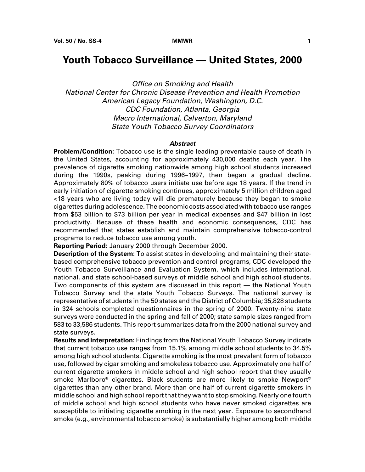# <span id="page-6-0"></span>**Youth Tobacco Surveillance — United States, 2000**

Office on Smoking and Health National Center for Chronic Disease Prevention and Health Promotion American Legacy Foundation, Washington, D.C. CDC Foundation, Atlanta, Georgia Macro International, Calverton, Maryland State Youth Tobacco Survey Coordinators

### **Abstract**

**Problem/Condition:** Tobacco use is the single leading preventable cause of death in the United States, accounting for approximately 430,000 deaths each year. The prevalence of cigarette smoking nationwide among high school students increased during the 1990s, peaking during 1996–1997, then began a gradual decline. Approximately 80% of tobacco users initiate use before age 18 years. If the trend in early initiation of cigarette smoking continues, approximately 5 million children aged <18 years who are living today will die prematurely because they began to smoke cigarettes during adolescence. The economic costs associated with tobacco use ranges from \$53 billion to \$73 billion per year in medical expenses and \$47 billion in lost productivity. Because of these health and economic consequences, CDC has recommended that states establish and maintain comprehensive tobacco-control programs to reduce tobacco use among youth.

**Reporting Period:** January 2000 through December 2000.

**Description of the System:** To assist states in developing and maintaining their statebased comprehensive tobacco prevention and control programs, CDC developed the Youth Tobacco Surveillance and Evaluation System, which includes international, national, and state school-based surveys of middle school and high school students. Two components of this system are discussed in this report — the National Youth Tobacco Survey and the state Youth Tobacco Surveys. The national survey is representative of students in the 50 states and the District of Columbia; 35,828 students in 324 schools completed questionnaires in the spring of 2000. Twenty-nine state surveys were conducted in the spring and fall of 2000; state sample sizes ranged from 583 to 33,586 students. This report summarizes data from the 2000 national survey and state surveys.

**Results and Interpretation:** Findings from the National Youth Tobacco Survey indicate that current tobacco use ranges from 15.1% among middle school students to 34.5% among high school students. Cigarette smoking is the most prevalent form of tobacco use, followed by cigar smoking and smokeless tobacco use. Approximately one half of current cigarette smokers in middle school and high school report that they usually smoke Marlboro® cigarettes. Black students are more likely to smoke Newport® cigarettes than any other brand. More than one half of current cigarette smokers in middle school and high school report that they want to stop smoking. Nearly one fourth of middle school and high school students who have never smoked cigarettes are susceptible to initiating cigarette smoking in the next year. Exposure to secondhand smoke (e.g., environmental tobacco smoke) is substantially higher among both middle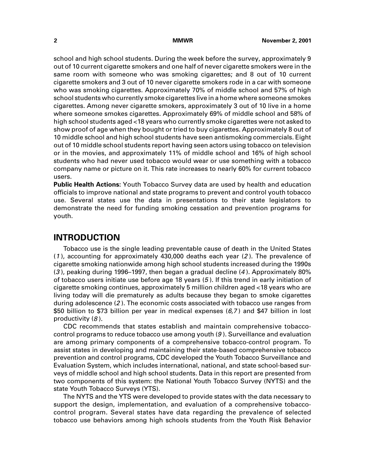<span id="page-7-0"></span>school and high school students. During the week before the survey, approximately 9 out of 10 current cigarette smokers and one half of never cigarette smokers were in the same room with someone who was smoking cigarettes; and 8 out of 10 current cigarette smokers and 3 out of 10 never cigarette smokers rode in a car with someone who was smoking cigarettes. Approximately 70% of middle school and 57% of high school students who currently smoke cigarettes live in a home where someone smokes cigarettes. Among never cigarette smokers, approximately 3 out of 10 live in a home where someone smokes cigarettes. Approximately 69% of middle school and 58% of high school students aged <18 years who currently smoke cigarettes were not asked to show proof of age when they bought or tried to buy cigarettes. Approximately 8 out of 10 middle school and high school students have seen antismoking commercials. Eight out of 10 middle school students report having seen actors using tobacco on television or in the movies, and approximately 11% of middle school and 16% of high school students who had never used tobacco would wear or use something with a tobacco company name or picture on it. This rate increases to nearly 60% for current tobacco users.

**Public Health Actions:** Youth Tobacco Survey data are used by health and education officials to improve national and state programs to prevent and control youth tobacco use. Several states use the data in presentations to their state legislators to demonstrate the need for funding smoking cessation and prevention programs for youth.

# **INTRODUCTION**

Tobacco use is the single leading preventable cause of death in the United States  $(1)$ , accounting for approximately 430,000 deaths each year  $(2)$ . The prevalence of cigarette smoking nationwide among high school students increased during the 1990s (3 ), peaking during 1996–1997, then began a gradual decline (<sup>4</sup> ). Approximately 80% of tobacco users initiate use before age 18 years (5 ). If this trend in early initiation of cigarette smoking continues, approximately 5 million children aged <18 years who are living today will die prematurely as adults because they began to smoke cigarettes during adolescence (2 ). The economic costs associated with tobacco use ranges from \$50 billion to \$73 billion per year in medical expenses  $(6,7)$  and \$47 billion in lost productivity  $(8)$ .

CDC recommends that states establish and maintain comprehensive tobaccocontrol programs to reduce tobacco use among youth (9 ). Surveillance and evaluation are among primary components of a comprehensive tobacco-control program. To assist states in developing and maintaining their state-based comprehensive tobacco prevention and control programs, CDC developed the Youth Tobacco Surveillance and Evaluation System, which includes international, national, and state school-based surveys of middle school and high school students. Data in this report are presented from two components of this system: the National Youth Tobacco Survey (NYTS) and the state Youth Tobacco Surveys (YTS).

The NYTS and the YTS were developed to provide states with the data necessary to support the design, implementation, and evaluation of a comprehensive tobaccocontrol program. Several states have data regarding the prevalence of selected tobacco use behaviors among high schools students from the Youth Risk Behavior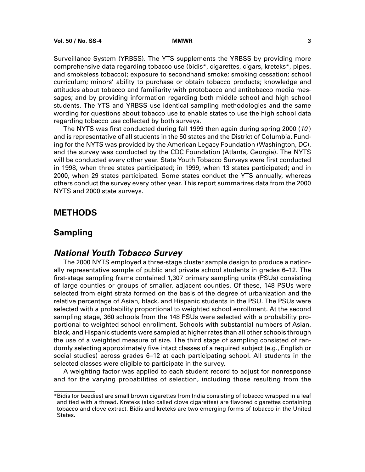<span id="page-8-0"></span>Surveillance System (YRBSS). The YTS supplements the YRBSS by providing more comprehensive data regarding tobacco use (bidis\*, cigarettes, cigars, kreteks\*, pipes, and smokeless tobacco); exposure to secondhand smoke; smoking cessation; school curriculum; minors' ability to purchase or obtain tobacco products; knowledge and attitudes about tobacco and familiarity with protobacco and antitobacco media messages; and by providing information regarding both middle school and high school students. The YTS and YRBSS use identical sampling methodologies and the same wording for questions about tobacco use to enable states to use the high school data regarding tobacco use collected by both surveys.

The NYTS was first conducted during fall 1999 then again during spring 2000 (10 ) and is representative of all students in the 50 states and the District of Columbia. Funding for the NYTS was provided by the American Legacy Foundation (Washington, DC), and the survey was conducted by the CDC Foundation (Atlanta, Georgia). The NYTS will be conducted every other year. State Youth Tobacco Surveys were first conducted in 1998, when three states participated; in 1999, when 13 states participated; and in 2000, when 29 states participated. Some states conduct the YTS annually, whereas others conduct the survey every other year. This report summarizes data from the 2000 NYTS and 2000 state surveys.

# **METHODS**

# **Sampling**

# **National Youth Tobacco Survey**

The 2000 NYTS employed a three-stage cluster sample design to produce a nationally representative sample of public and private school students in grades 6–12. The first-stage sampling frame contained 1,307 primary sampling units (PSUs) consisting of large counties or groups of smaller, adjacent counties. Of these, 148 PSUs were selected from eight strata formed on the basis of the degree of urbanization and the relative percentage of Asian, black, and Hispanic students in the PSU. The PSUs were selected with a probability proportional to weighted school enrollment. At the second sampling stage, 360 schools from the 148 PSUs were selected with a probability proportional to weighted school enrollment. Schools with substantial numbers of Asian, black, and Hispanic students were sampled at higher rates than all other schools through the use of a weighted measure of size. The third stage of sampling consisted of randomly selecting approximately five intact classes of a required subject (e.g., English or social studies) across grades 6–12 at each participating school. All students in the selected classes were eligible to participate in the survey.

A weighting factor was applied to each student record to adjust for nonresponse and for the varying probabilities of selection, including those resulting from the

<sup>\*</sup>Bidis (or beedies) are small brown cigarettes from India consisting of tobacco wrapped in a leaf and tied with a thread. Kreteks (also called clove cigarettes) are flavored cigarettes containing tobacco and clove extract. Bidis and kreteks are two emerging forms of tobacco in the United States.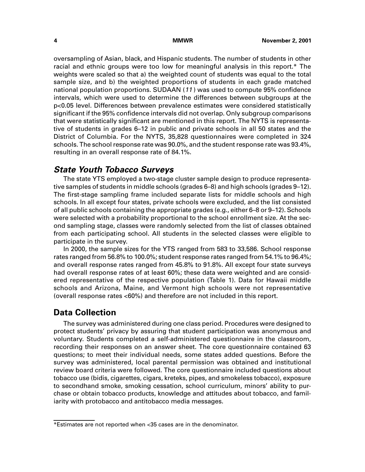oversampling of Asian, black, and Hispanic students. The number of students in other racial and ethnic groups were too low for meaningful analysis in this report.\* The weights were scaled so that a) the weighted count of students was equal to the total sample size, and b) the weighted proportions of students in each grade matched national population proportions. SUDAAN (<sup>11</sup> ) was used to compute 95% confidence intervals, which were used to determine the differences between subgroups at the p<0.05 level. Differences between prevalence estimates were considered statistically significant if the 95% confidence intervals did not overlap. Only subgroup comparisons that were statistically significant are mentioned in this report. The NYTS is representative of students in grades 6–12 in public and private schools in all 50 states and the District of Columbia. For the NYTS, 35,828 questionnaires were completed in 324 schools. The school response rate was 90.0%, and the student response rate was 93.4%, resulting in an overall response rate of 84.1%.

# <span id="page-9-0"></span>**State Youth Tobacco Surveys**

The state YTS employed a two-stage cluster sample design to produce representative samples of students in middle schools (grades 6–8) and high schools (grades 9–12). The first-stage sampling frame included separate lists for middle schools and high schools. In all except four states, private schools were excluded, and the list consisted of all public schools containing the appropriate grades (e.g., either 6–8 or 9–12). Schools were selected with a probability proportional to the school enrollment size. At the second sampling stage, classes were randomly selected from the list of classes obtained from each participating school. All students in the selected classes were eligible to participate in the survey.

In 2000, the sample sizes for the YTS ranged from 583 to 33,586. School response rates ranged from 56.8% to 100.0%; student response rates ranged from 54.1% to 96.4%; and overall response rates ranged from 45.8% to 91.8%. All except four state surveys had overall response rates of at least 60%; these data were weighted and are considered representative of the respective population (Table 1). Data for Hawaii middle schools and Arizona, Maine, and Vermont high schools were not representative (overall response rates <60%) and therefore are not included in this report.

# **Data Collection**

The survey was administered during one class period. Procedures were designed to protect students' privacy by assuring that student participation was anonymous and voluntary. Students completed a self-administered questionnaire in the classroom, recording their responses on an answer sheet. The core questionnaire contained 63 questions; to meet their individual needs, some states added questions. Before the survey was administered, local parental permission was obtained and institutional review board criteria were followed. The core questionnaire included questions about tobacco use (bidis, cigarettes, cigars, kreteks, pipes, and smokeless tobacco), exposure to secondhand smoke, smoking cessation, school curriculum, minors' ability to purchase or obtain tobacco products, knowledge and attitudes about tobacco, and familiarity with protobacco and antitobacco media messages.

<sup>\*</sup>Estimates are not reported when <35 cases are in the denominator.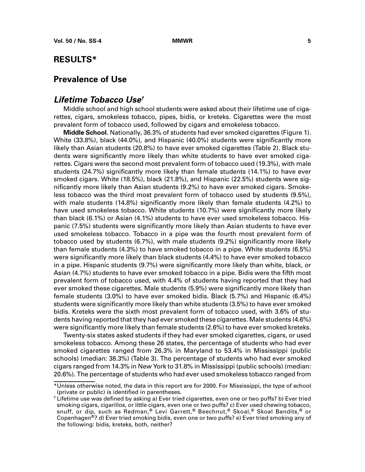# <span id="page-10-0"></span>**RESULTS\***

# **Prevalence of Use**

### **Lifetime Tobacco Use†**

Middle school and high school students were asked about their lifetime use of cigarettes, cigars, smokeless tobacco, pipes, bidis, or kreteks. Cigarettes were the most prevalent form of tobacco used, followed by cigars and smokeless tobacco.

**Middle School.** Nationally, 36.3% of students had ever smoked cigarettes (Figure 1). White (33.8%), black (44.0%), and Hispanic (40.0%) students were significantly more likely than Asian students (20.8%) to have ever smoked cigarettes (Table 2). Black students were significantly more likely than white students to have ever smoked cigarettes. Cigars were the second most prevalent form of tobacco used (19.3%), with male students (24.7%) significantly more likely than female students (14.1%) to have ever smoked cigars. White (18.5%), black (21.8%), and Hispanic (22.5%) students were significantly more likely than Asian students (9.2%) to have ever smoked cigars. Smokeless tobacco was the third most prevalent form of tobacco used by students (9.5%), with male students (14.8%) significantly more likely than female students (4.2%) to have used smokeless tobacco. White students (10.7%) were significantly more likely than black (6.1%) or Asian (4.1%) students to have ever used smokeless tobacco. Hispanic (7.5%) students were significantly more likely than Asian students to have ever used smokeless tobacco. Tobacco in a pipe was the fourth most prevalent form of tobacco used by students (6.7%), with male students (9.2%) significantly more likely than female students (4.3%) to have smoked tobacco in a pipe. White students (6.5%) were significantly more likely than black students (4.4%) to have ever smoked tobacco in a pipe. Hispanic students (9.7%) were significantly more likely than white, black, or Asian (4.7%) students to have ever smoked tobacco in a pipe. Bidis were the fifth most prevalent form of tobacco used, with 4.4% of students having reported that they had ever smoked these cigarettes. Male students (5.9%) were significantly more likely than female students (3.0%) to have ever smoked bidis. Black (5.7%) and Hispanic (6.4%) students were significantly more likely than white students (3.5%) to have ever smoked bidis. Kreteks were the sixth most prevalent form of tobacco used, with 3.6% of students having reported that they had ever smoked these cigarettes. Male students (4.6%) were significantly more likely than female students (2.6%) to have ever smoked kreteks.

Twenty-six states asked students if they had ever smoked cigarettes, cigars, or used smokeless tobacco. Among these 26 states, the percentage of students who had ever smoked cigarettes ranged from 26.3% in Maryland to 53.4% in Mississippi (public schools) (median: 38.3%) (Table 3). The percentage of students who had ever smoked cigars ranged from 14.3% in New York to 31.8% in Mississippi (public schools) (median: 20.6%). The percentage of students who had ever used smokeless tobacco ranged from

<sup>\*</sup>Unless otherwise noted, the data in this report are for 2000. For Mississippi, the type of school (private or public) is identified in parentheses.

<sup>†</sup> Lifetime use was defined by asking a) Ever tried cigarettes, even one or two puffs? b) Ever tried smoking cigars, cigarillos, or little cigars, even one or two puffs? c) Ever used chewing tobacco, snuff, or dip, such as Redman,® Levi Garrett,® Beechnut,® Skoal,® Skoal Bandits,® or Copenhagen®? d) Ever tried smoking bidis, even one or two puffs? e) Ever tried smoking any of the following: bidis, kreteks, both, neither?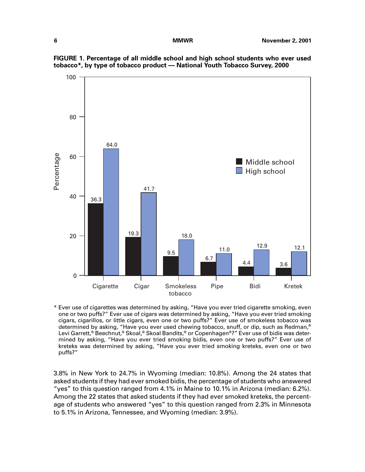

**FIGURE 1. Percentage of all middle school and high school students who ever used tobacco\*, by type of tobacco product — National Youth Tobacco Survey, 2000**

\* Ever use of cigarettes was determined by asking, "Have you ever tried cigarette smoking, even one or two puffs?" Ever use of cigars was determined by asking, "Have you ever tried smoking cigars, cigarillos, or little cigars, even one or two puffs?" Ever use of smokeless tobacco was determined by asking, "Have you ever used chewing tobacco, snuff, or dip, such as Redman,® Levi Garrett,® Beechnut,® Skoal,® Skoal Bandits,® or Copenhagen®?" Ever use of bidis was determined by asking, "Have you ever tried smoking bidis, even one or two puffs?" Ever use of kreteks was determined by asking, "Have you ever tried smoking kreteks, even one or two puffs?"

3.8% in New York to 24.7% in Wyoming (median: 10.8%). Among the 24 states that asked students if they had ever smoked bidis, the percentage of students who answered "yes" to this question ranged from 4.1% in Maine to 10.1% in Arizona (median: 6.2%). Among the 22 states that asked students if they had ever smoked kreteks, the percentage of students who answered "yes" to this question ranged from 2.3% in Minnesota to 5.1% in Arizona, Tennessee, and Wyoming (median: 3.9%).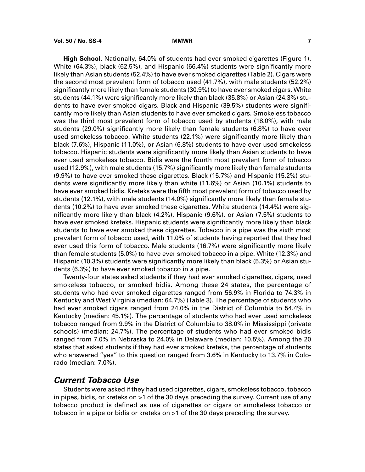**High School.** Nationally, 64.0% of students had ever smoked cigarettes (Figure 1). White (64.3%), black (62.5%), and Hispanic (66.4%) students were significantly more likely than Asian students (52.4%) to have ever smoked cigarettes (Table 2). Cigars were the second most prevalent form of tobacco used (41.7%), with male students (52.2%) significantly more likely than female students (30.9%) to have ever smoked cigars. White students (44.1%) were significantly more likely than black (35.8%) or Asian (24.3%) students to have ever smoked cigars. Black and Hispanic (39.5%) students were significantly more likely than Asian students to have ever smoked cigars. Smokeless tobacco was the third most prevalent form of tobacco used by students (18.0%), with male students (29.0%) significantly more likely than female students (6.8%) to have ever used smokeless tobacco. White students (22.1%) were significantly more likely than black (7.6%), Hispanic (11.0%), or Asian (6.8%) students to have ever used smokeless tobacco. Hispanic students were significantly more likely than Asian students to have ever used smokeless tobacco. Bidis were the fourth most prevalent form of tobacco used (12.9%), with male students (15.7%) significantly more likely than female students (9.9%) to have ever smoked these cigarettes. Black (15.7%) and Hispanic (15.2%) students were significantly more likely than white (11.6%) or Asian (10.1%) students to have ever smoked bidis. Kreteks were the fifth most prevalent form of tobacco used by students (12.1%), with male students (14.0%) significantly more likely than female students (10.2%) to have ever smoked these cigarettes. White students (14.4%) were significantly more likely than black (4.2%), Hispanic (9.6%), or Asian (7.5%) students to have ever smoked kreteks. Hispanic students were significantly more likely than black students to have ever smoked these cigarettes. Tobacco in a pipe was the sixth most prevalent form of tobacco used, with 11.0% of students having reported that they had ever used this form of tobacco. Male students (16.7%) were significantly more likely than female students (5.0%) to have ever smoked tobacco in a pipe. White (12.3%) and Hispanic (10.3%) students were significantly more likely than black (5.3%) or Asian students (6.3%) to have ever smoked tobacco in a pipe.

Twenty-four states asked students if they had ever smoked cigarettes, cigars, used smokeless tobacco, or smoked bidis. Among these 24 states, the percentage of students who had ever smoked cigarettes ranged from 56.9% in Florida to 74.3% in Kentucky and West Virginia (median: 64.7%) (Table 3). The percentage of students who had ever smoked cigars ranged from 24.0% in the District of Columbia to 54.4% in Kentucky (median: 45.1%). The percentage of students who had ever used smokeless tobacco ranged from 9.9% in the District of Columbia to 38.0% in Mississippi (private schools) (median: 24.7%). The percentage of students who had ever smoked bidis ranged from 7.0% in Nebraska to 24.0% in Delaware (median: 10.5%). Among the 20 states that asked students if they had ever smoked kreteks, the percentage of students who answered "yes" to this question ranged from 3.6% in Kentucky to 13.7% in Colorado (median: 7.0%).

# **Current Tobacco Use**

Students were asked if they had used cigarettes, cigars, smokeless tobacco, tobacco in pipes, bidis, or kreteks on  $\geq 1$  of the 30 days preceding the survey. Current use of any tobacco product is defined as use of cigarettes or cigars or smokeless tobacco or tobacco in a pipe or bidis or kreteks on  $\geq 1$  of the 30 days preceding the survey.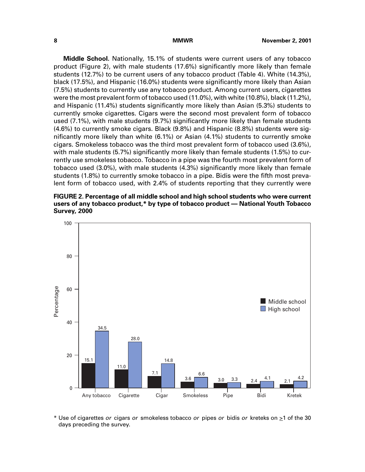**Middle School.** Nationally, 15.1% of students were current users of any tobacco product (Figure 2), with male students (17.6%) significantly more likely than female students (12.7%) to be current users of any tobacco product (Table 4). White (14.3%), black (17.5%), and Hispanic (16.0%) students were significantly more likely than Asian (7.5%) students to currently use any tobacco product. Among current users, cigarettes were the most prevalent form of tobacco used (11.0%), with white (10.8%), black (11.2%), and Hispanic (11.4%) students significantly more likely than Asian (5.3%) students to currently smoke cigarettes. Cigars were the second most prevalent form of tobacco used (7.1%), with male students (9.7%) significantly more likely than female students (4.6%) to currently smoke cigars. Black (9.8%) and Hispanic (8.8%) students were significantly more likely than white (6.1%) or Asian (4.1%) students to currently smoke cigars. Smokeless tobacco was the third most prevalent form of tobacco used (3.6%), with male students (5.7%) significantly more likely than female students (1.5%) to currently use smokeless tobacco. Tobacco in a pipe was the fourth most prevalent form of tobacco used (3.0%), with male students (4.3%) significantly more likely than female students (1.8%) to currently smoke tobacco in a pipe. Bidis were the fifth most prevalent form of tobacco used, with 2.4% of students reporting that they currently were

**FIGURE 2. Percentage of all middle school and high school students who were current users of any tobacco product,\* by type of tobacco product — National Youth Tobacco Survey, 2000**



\* Use of cigarettes or cigars or smokeless tobacco or pipes or bidis or kreteks on  $\geq 1$  of the 30 days preceding the survey.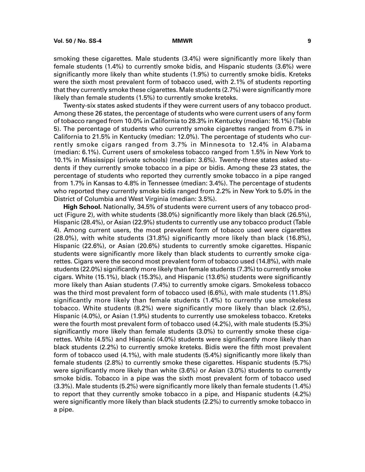smoking these cigarettes. Male students (3.4%) were significantly more likely than female students (1.4%) to currently smoke bidis, and Hispanic students (3.6%) were significantly more likely than white students (1.9%) to currently smoke bidis. Kreteks were the sixth most prevalent form of tobacco used, with 2.1% of students reporting that they currently smoke these cigarettes. Male students (2.7%) were significantly more likely than female students (1.5%) to currently smoke kreteks.

Twenty-six states asked students if they were current users of any tobacco product. Among these 26 states, the percentage of students who were current users of any form of tobacco ranged from 10.0% in California to 28.3% in Kentucky (median: 16.1%) (Table 5). The percentage of students who currently smoke cigarettes ranged from 6.7% in California to 21.5% in Kentucky (median: 12.0%). The percentage of students who currently smoke cigars ranged from 3.7% in Minnesota to 12.4% in Alabama (median: 6.1%). Current users of smokeless tobacco ranged from 1.5% in New York to 10.1% in Mississippi (private schools) (median: 3.6%). Twenty-three states asked students if they currently smoke tobacco in a pipe or bidis. Among these 23 states, the percentage of students who reported they currently smoke tobacco in a pipe ranged from 1.7% in Kansas to 4.8% in Tennessee (median: 3.4%). The percentage of students who reported they currently smoke bidis ranged from 2.2% in New York to 5.0% in the District of Columbia and West Virginia (median: 3.5%).

**High School.** Nationally, 34.5% of students were current users of any tobacco product (Figure 2), with white students (38.0%) significantly more likely than black (26.5%), Hispanic (28.4%), or Asian (22.9%) students to currently use any tobacco product (Table 4). Among current users, the most prevalent form of tobacco used were cigarettes (28.0%), with white students (31.8%) significantly more likely than black (16.8%), Hispanic (22.6%), or Asian (20.6%) students to currently smoke cigarettes. Hispanic students were significantly more likely than black students to currently smoke cigarettes. Cigars were the second most prevalent form of tobacco used (14.8%), with male students (22.0%) significantly more likely than female students (7.3%) to currently smoke cigars. White (15.1%), black (15.3%), and Hispanic (13.6%) students were significantly more likely than Asian students (7.4%) to currently smoke cigars. Smokeless tobacco was the third most prevalent form of tobacco used (6.6%), with male students (11.8%) significantly more likely than female students (1.4%) to currently use smokeless tobacco. White students (8.2%) were significantly more likely than black (2.6%), Hispanic (4.0%), or Asian (1.9%) students to currently use smokeless tobacco. Kreteks were the fourth most prevalent form of tobacco used (4.2%), with male students (5.3%) significantly more likely than female students (3.0%) to currently smoke these cigarettes. White (4.5%) and Hispanic (4.0%) students were significantly more likely than black students (2.2%) to currently smoke kreteks. Bidis were the fifth most prevalent form of tobacco used (4.1%), with male students (5.4%) significantly more likely than female students (2.8%) to currently smoke these cigarettes. Hispanic students (5.7%) were significantly more likely than white (3.6%) or Asian (3.0%) students to currently smoke bidis. Tobacco in a pipe was the sixth most prevalent form of tobacco used (3.3%). Male students (5.2%) were significantly more likely than female students (1.4%) to report that they currently smoke tobacco in a pipe, and Hispanic students (4.2%) were significantly more likely than black students (2.2%) to currently smoke tobacco in a pipe.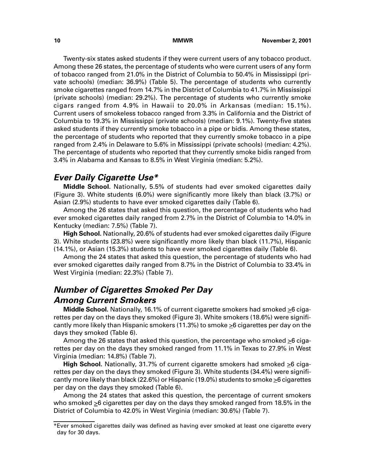Twenty-six states asked students if they were current users of any tobacco product. Among these 26 states, the percentage of students who were current users of any form of tobacco ranged from 21.0% in the District of Columbia to 50.4% in Mississippi (private schools) (median: 36.9%) (Table 5). The percentage of students who currently smoke cigarettes ranged from 14.7% in the District of Columbia to 41.7% in Mississippi (private schools) (median: 29.2%). The percentage of students who currently smoke cigars ranged from 4.9% in Hawaii to 20.0% in Arkansas (median: 15.1%). Current users of smokeless tobacco ranged from 3.3% in California and the District of Columbia to 19.3% in Mississippi (private schools) (median: 9.1%). Twenty-five states asked students if they currently smoke tobacco in a pipe or bidis. Among these states, the percentage of students who reported that they currently smoke tobacco in a pipe ranged from 2.4% in Delaware to 5.6% in Mississippi (private schools) (median: 4.2%). The percentage of students who reported that they currently smoke bidis ranged from 3.4% in Alabama and Kansas to 8.5% in West Virginia (median: 5.2%).

# **Ever Daily Cigarette Use\***

**Middle School.** Nationally, 5.5% of students had ever smoked cigarettes daily (Figure 3). White students (6.0%) were significantly more likely than black (3.7%) or Asian (2.9%) students to have ever smoked cigarettes daily (Table 6).

Among the 26 states that asked this question, the percentage of students who had ever smoked cigarettes daily ranged from 2.7% in the District of Columbia to 14.0% in Kentucky (median: 7.5%) (Table 7).

**High School.** Nationally, 20.6% of students had ever smoked cigarettes daily (Figure 3). White students (23.8%) were significantly more likely than black (11.7%), Hispanic (14.1%), or Asian (15.3%) students to have ever smoked cigarettes daily (Table 6).

Among the 24 states that asked this question, the percentage of students who had ever smoked cigarettes daily ranged from 8.7% in the District of Columbia to 33.4% in West Virginia (median: 22.3%) (Table 7).

# **Number of Cigarettes Smoked Per Day Among Current Smokers**

**Middle School.** Nationally, 16.1% of current cigarette smokers had smoked >6 cigarettes per day on the days they smoked (Figure 3). White smokers (18.6%) were significantly more likely than Hispanic smokers (11.3%) to smoke >6 cigarettes per day on the days they smoked (Table 6).

Among the 26 states that asked this question, the percentage who smoked  $\geq 6$  cigarettes per day on the days they smoked ranged from 11.1% in Texas to 27.9% in West Virginia (median: 14.8%) (Table 7).

**High School.** Nationally, 31.7% of current cigarette smokers had smoked  $\geq 6$  cigarettes per day on the days they smoked (Figure 3). White students (34.4%) were significantly more likely than black (22.6%) or Hispanic (19.0%) students to smoke  $\geq 6$  cigarettes per day on the days they smoked (Table 6).

Among the 24 states that asked this question, the percentage of current smokers who smoked  $\geq$ 6 cigarettes per day on the days they smoked ranged from 18.5% in the District of Columbia to 42.0% in West Virginia (median: 30.6%) (Table 7).

<sup>\*</sup>Ever smoked cigarettes daily was defined as having ever smoked at least one cigarette every day for 30 days.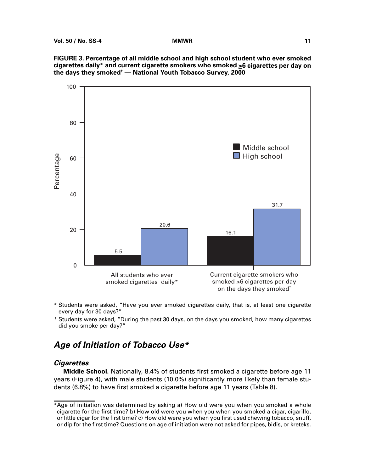**FIGURE 3. Percentage of all middle school and high school student who ever smoked cigarettes daily\* and current cigarette smokers who smoked >6 cigarettes per day on the days they smoked† — National Youth Tobacco Survey, 2000**



- \* Students were asked, "Have you ever smoked cigarettes daily, that is, at least one cigarette every day for 30 days?"
- † Students were asked, "During the past 30 days, on the days you smoked, how many cigarettes did you smoke per day?"

# **Age of Initiation of Tobacco Use\***

### **Cigarettes**

**Middle School.** Nationally, 8.4% of students first smoked a cigarette before age 11 years (Figure 4), with male students (10.0%) significantly more likely than female students (6.8%) to have first smoked a cigarette before age 11 years (Table 8).

<sup>\*</sup>Age of initiation was determined by asking a) How old were you when you smoked a whole cigarette for the first time? b) How old were you when you when you smoked a cigar, cigarillo, or little cigar for the first time? c) How old were you when you first used chewing tobacco, snuff, or dip for the first time? Questions on age of initiation were not asked for pipes, bidis, or kreteks.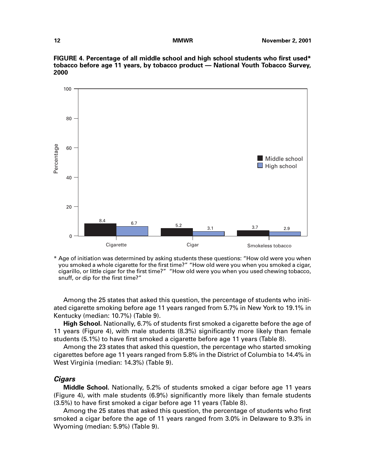

**FIGURE 4. Percentage of all middle school and high school students who first used\* tobacco before age 11 years, by tobacco product — National Youth Tobacco Survey, 2000**

\* Age of initiation was determined by asking students these questions: "How old were you when you smoked a whole cigarette for the first time?" "How old were you when you smoked a cigar, cigarillo, or little cigar for the first time?" "How old were you when you used chewing tobacco, snuff, or dip for the first time?"

Among the 25 states that asked this question, the percentage of students who initiated cigarette smoking before age 11 years ranged from 5.7% in New York to 19.1% in Kentucky (median: 10.7%) (Table 9).

**High School.** Nationally, 6.7% of students first smoked a cigarette before the age of 11 years (Figure 4), with male students (8.3%) significantly more likely than female students (5.1%) to have first smoked a cigarette before age 11 years (Table 8).

Among the 23 states that asked this question, the percentage who started smoking cigarettes before age 11 years ranged from 5.8% in the District of Columbia to 14.4% in West Virginia (median: 14.3%) (Table 9).

### **Cigars**

**Middle School.** Nationally, 5.2% of students smoked a cigar before age 11 years (Figure 4), with male students (6.9%) significantly more likely than female students (3.5%) to have first smoked a cigar before age 11 years (Table 8).

Among the 25 states that asked this question, the percentage of students who first smoked a cigar before the age of 11 years ranged from 3.0% in Delaware to 9.3% in Wyoming (median: 5.9%) (Table 9).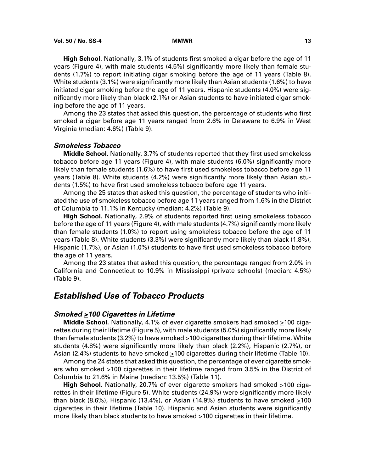**High School.** Nationally, 3.1% of students first smoked a cigar before the age of 11 years (Figure 4), with male students (4.5%) significantly more likely than female students (1.7%) to report initiating cigar smoking before the age of 11 years (Table 8). White students (3.1%) were significantly more likely than Asian students (1.6%) to have initiated cigar smoking before the age of 11 years. Hispanic students (4.0%) were significantly more likely than black (2.1%) or Asian students to have initiated cigar smoking before the age of 11 years.

Among the 23 states that asked this question, the percentage of students who first smoked a cigar before age 11 years ranged from 2.6% in Delaware to 6.9% in West Virginia (median: 4.6%) (Table 9).

### **Smokeless Tobacco**

**Middle School.** Nationally, 3.7% of students reported that they first used smokeless tobacco before age 11 years (Figure 4), with male students (6.0%) significantly more likely than female students (1.6%) to have first used smokeless tobacco before age 11 years (Table 8). White students (4.2%) were significantly more likely than Asian students (1.5%) to have first used smokeless tobacco before age 11 years.

Among the 25 states that asked this question, the percentage of students who initiated the use of smokeless tobacco before age 11 years ranged from 1.6% in the District of Columbia to 11.1% in Kentucky (median: 4.2%) (Table 9).

**High School.** Nationally, 2.9% of students reported first using smokeless tobacco before the age of 11 years (Figure 4), with male students (4.7%) significantly more likely than female students (1.0%) to report using smokeless tobacco before the age of 11 years (Table 8). White students (3.3%) were significantly more likely than black (1.8%), Hispanic (1.7%), or Asian (1.0%) students to have first used smokeless tobacco before the age of 11 years.

Among the 23 states that asked this question, the percentage ranged from 2.0% in California and Connecticut to 10.9% in Mississippi (private schools) (median: 4.5%) (Table 9).

# **Established Use of Tobacco Products**

### **Smoked >100 Cigarettes in Lifetime**

**Middle School.** Nationally, 4.1% of ever cigarette smokers had smoked >100 cigarettes during their lifetime (Figure 5), with male students (5.0%) significantly more likely than female students (3.2%) to have smoked >100 cigarettes during their lifetime. White students (4.8%) were significantly more likely than black (2.2%), Hispanic (2.7%), or Asian (2.4%) students to have smoked  $\geq$ 100 cigarettes during their lifetime (Table 10).

Among the 24 states that asked this question, the percentage of ever cigarette smokers who smoked >100 cigarettes in their lifetime ranged from 3.5% in the District of Columbia to 21.6% in Maine (median: 13.5%) (Table 11).

**High School.** Nationally, 20.7% of ever cigarette smokers had smoked >100 cigarettes in their lifetime (Figure 5). White students (24.9%) were significantly more likely than black (8.6%), Hispanic (13.4%), or Asian (14.9%) students to have smoked  $>100$ cigarettes in their lifetime (Table 10). Hispanic and Asian students were significantly more likely than black students to have smoked  $\geq$ 100 cigarettes in their lifetime.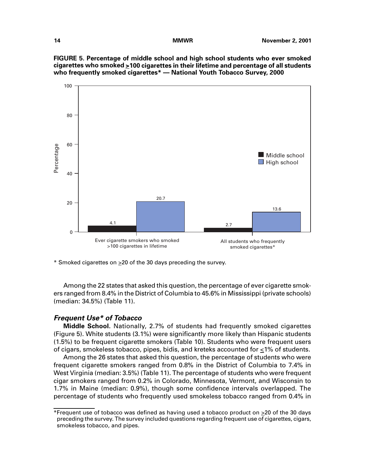**FIGURE 5. Percentage of middle school and high school students who ever smoked cigarettes who smoked >100 cigarettes in their lifetime and percentage of all students who frequently smoked cigarettes\* — National Youth Tobacco Survey, 2000**



 $*$  Smoked cigarettes on  $\geq 20$  of the 30 days preceding the survey.

Among the 22 states that asked this question, the percentage of ever cigarette smokers ranged from 8.4% in the District of Columbia to 45.6% in Mississippi (private schools) (median: 34.5%) (Table 11).

### **Frequent Use\* of Tobacco**

**Middle School.** Nationally, 2.7% of students had frequently smoked cigarettes (Figure 5). White students (3.1%) were significantly more likely than Hispanic students (1.5%) to be frequent cigarette smokers (Table 10). Students who were frequent users of cigars, smokeless tobacco, pipes, bidis, and kreteks accounted for  $\leq$ 1% of students.

Among the 26 states that asked this question, the percentage of students who were frequent cigarette smokers ranged from 0.8% in the District of Columbia to 7.4% in West Virginia (median: 3.5%) (Table 11). The percentage of students who were frequent cigar smokers ranged from 0.2% in Colorado, Minnesota, Vermont, and Wisconsin to 1.7% in Maine (median: 0.9%), though some confidence intervals overlapped. The percentage of students who frequently used smokeless tobacco ranged from 0.4% in

<sup>\*</sup>Frequent use of tobacco was defined as having used a tobacco product on  $\geq 20$  of the 30 days preceding the survey. The survey included questions regarding frequent use of cigarettes, cigars, smokeless tobacco, and pipes.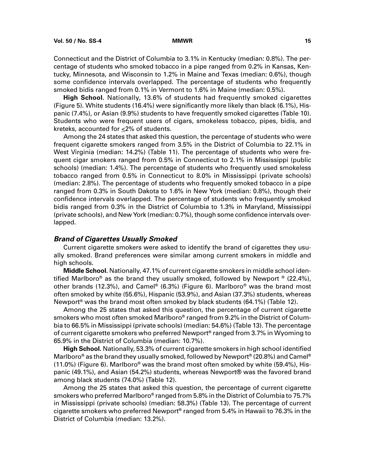Connecticut and the District of Columbia to 3.1% in Kentucky (median: 0.8%). The percentage of students who smoked tobacco in a pipe ranged from 0.2% in Kansas, Kentucky, Minnesota, and Wisconsin to 1.2% in Maine and Texas (median: 0.6%), though some confidence intervals overlapped. The percentage of students who frequently smoked bidis ranged from 0.1% in Vermont to 1.6% in Maine (median: 0.5%).

**High School.** Nationally, 13.6% of students had frequently smoked cigarettes (Figure 5). White students (16.4%) were significantly more likely than black (6.1%), Hispanic (7.4%), or Asian (9.9%) students to have frequently smoked cigarettes (Table 10). Students who were frequent users of cigars, smokeless tobacco, pipes, bidis, and kreteks, accounted for <2% of students.

Among the 24 states that asked this question, the percentage of students who were frequent cigarette smokers ranged from 3.5% in the District of Columbia to 22.1% in West Virginia (median: 14.2%) (Table 11). The percentage of students who were frequent cigar smokers ranged from 0.5% in Connecticut to 2.1% in Mississippi (public schools) (median: 1.4%). The percentage of students who frequently used smokeless tobacco ranged from 0.5% in Connecticut to 8.0% in Mississippi (private schools) (median: 2.8%). The percentage of students who frequently smoked tobacco in a pipe ranged from 0.3% in South Dakota to 1.6% in New York (median: 0.8%), though their confidence intervals overlapped. The percentage of students who frequently smoked bidis ranged from 0.3% in the District of Columbia to 1.3% in Maryland, Mississippi (private schools), and New York (median: 0.7%), though some confidence intervals overlapped.

### **Brand of Cigarettes Usually Smoked**

Current cigarette smokers were asked to identify the brand of cigarettes they usually smoked. Brand preferences were similar among current smokers in middle and high schools.

**Middle School.** Nationally, 47.1% of current cigarette smokers in middle school identified Marlboro® as the brand they usually smoked, followed by Newport ® (22.4%), other brands (12.3%), and Camel<sup>®</sup> (6.3%) (Figure 6). Marlboro<sup>®</sup> was the brand most often smoked by white (55.6%), Hispanic (53.9%), and Asian (37.3%) students, whereas Newport<sup>®</sup> was the brand most often smoked by black students (64.1%) (Table 12).

Among the 25 states that asked this question, the percentage of current cigarette smokers who most often smoked Marlboro® ranged from 9.2% in the District of Columbia to 66.5% in Mississippi (private schools) (median: 54.6%) (Table 13). The percentage of current cigarette smokers who preferred Newport® ranged from 3.7% in Wyoming to 65.9% in the District of Columbia (median: 10.7%).

**High School.** Nationally, 53.3% of current cigarette smokers in high school identified Marlboro® as the brand they usually smoked, followed by Newport® (20.8%) and Camel®  $(11.0%)$  (Figure 6). Marlboro<sup>®</sup> was the brand most often smoked by white (59.4%), Hispanic (49.1%), and Asian (54.2%) students, whereas Newport® was the favored brand among black students (74.0%) (Table 12).

Among the 25 states that asked this question, the percentage of current cigarette smokers who preferred Marlboro® ranged from 5.8% in the District of Columbia to 75.7% in Mississippi (private schools) (median: 58.3%) (Table 13). The percentage of current cigarette smokers who preferred Newport® ranged from 5.4% in Hawaii to 76.3% in the District of Columbia (median: 13.2%).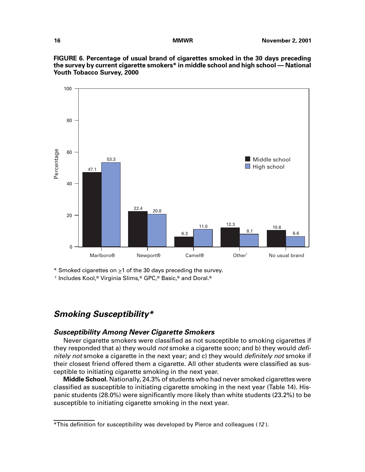

**FIGURE 6. Percentage of usual brand of cigarettes smoked in the 30 days preceding the survey by current cigarette smokers\* in middle school and high school — National Youth Tobacco Survey, 2000**

\* Smoked cigarettes on  $\geq 1$  of the 30 days preceding the survey.

† Includes Kool,® Virginia Slims,® GPC,® Basic,® and Doral.®

# **Smoking Susceptibility\***

### **Susceptibility Among Never Cigarette Smokers**

Never cigarette smokers were classified as not susceptible to smoking cigarettes if they responded that a) they would not smoke a cigarette soon; and b) they would definitely not smoke a cigarette in the next year; and c) they would *definitely not* smoke if their closest friend offered them a cigarette. All other students were classified as susceptible to initiating cigarette smoking in the next year.

**Middle School.** Nationally, 24.3% of students who had never smoked cigarettes were classified as susceptible to initiating cigarette smoking in the next year (Table 14). Hispanic students (28.0%) were significantly more likely than white students (23.2%) to be susceptible to initiating cigarette smoking in the next year.

 $*$ This definition for susceptibility was developed by Pierce and colleagues (12).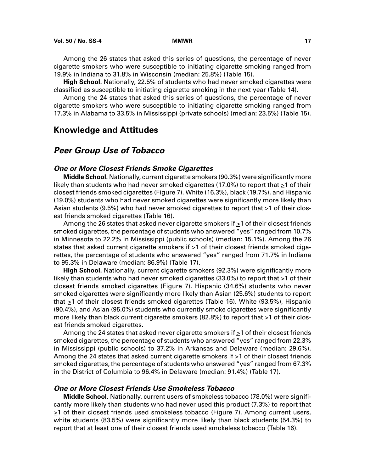<span id="page-22-0"></span>Among the 26 states that asked this series of questions, the percentage of never cigarette smokers who were susceptible to initiating cigarette smoking ranged from 19.9% in Indiana to 31.8% in Wisconsin (median: 25.8%) (Table 15).

**High School.** Nationally, 22.5% of students who had never smoked cigarettes were classified as susceptible to initiating cigarette smoking in the next year (Table 14).

Among the 24 states that asked this series of questions, the percentage of never cigarette smokers who were susceptible to initiating cigarette smoking ranged from 17.3% in Alabama to 33.5% in Mississippi (private schools) (median: 23.5%) (Table 15).

### **Knowledge and Attitudes**

# **Peer Group Use of Tobacco**

### **One or More Closest Friends Smoke Cigarettes**

**Middle School.** Nationally, current cigarette smokers (90.3%) were significantly more likely than students who had never smoked cigarettes (17.0%) to report that  $\geq 1$  of their closest friends smoked cigarettes (Figure 7). White (16.3%), black (19.7%), and Hispanic (19.0%) students who had never smoked cigarettes were significantly more likely than Asian students (9.5%) who had never smoked cigarettes to report that  $\geq 1$  of their closest friends smoked cigarettes (Table 16).

Among the 26 states that asked never cigarette smokers if  $\geq 1$  of their closest friends smoked cigarettes, the percentage of students who answered "yes" ranged from 10.7% in Minnesota to 22.2% in Mississippi (public schools) (median: 15.1%). Among the 26 states that asked current cigarette smokers if  $\geq 1$  of their closest friends smoked cigarettes, the percentage of students who answered "yes" ranged from 71.7% in Indiana to 95.3% in Delaware (median: 86.9%) (Table 17).

**High School.** Nationally, current cigarette smokers (92.3%) were significantly more likely than students who had never smoked cigarettes (33.0%) to report that  $\geq$ 1 of their closest friends smoked cigarettes (Figure 7). Hispanic (34.6%) students who never smoked cigarettes were significantly more likely than Asian (25.6%) students to report that  $\geq$ 1 of their closest friends smoked cigarettes (Table 16). White (93.5%), Hispanic (90.4%), and Asian (95.0%) students who currently smoke cigarettes were significantly more likely than black current cigarette smokers (82.8%) to report that  $\geq$ 1 of their closest friends smoked cigarettes.

Among the 24 states that asked never cigarette smokers if  $\geq 1$  of their closest friends smoked cigarettes, the percentage of students who answered "yes" ranged from 22.3% in Mississippi (public schools) to 37.2% in Arkansas and Delaware (median: 29.6%). Among the 24 states that asked current cigarette smokers if >1 of their closest friends smoked cigarettes, the percentage of students who answered "yes" ranged from 67.3% in the District of Columbia to 96.4% in Delaware (median: 91.4%) (Table 17).

### **One or More Closest Friends Use Smokeless Tobacco**

**Middle School.** Nationally, current users of smokeless tobacco (78.0%) were significantly more likely than students who had never used this product (7.3%) to report that  $\geq$ 1 of their closest friends used smokeless tobacco (Figure 7). Among current users, white students (83.5%) were significantly more likely than black students (54.3%) to report that at least one of their closest friends used smokeless tobacco (Table 16).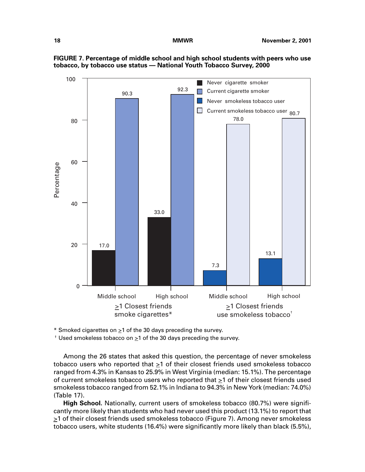

**FIGURE 7. Percentage of middle school and high school students with peers who use tobacco, by tobacco use status — National Youth Tobacco Survey, 2000**

\* Smoked cigarettes on  $\geq 1$  of the 30 days preceding the survey.

 $\dagger$  Used smokeless tobacco on  $\geq 1$  of the 30 days preceding the survey.

Among the 26 states that asked this question, the percentage of never smokeless tobacco users who reported that >1 of their closest friends used smokeless tobacco ranged from 4.3% in Kansas to 25.9% in West Virginia (median: 15.1%). The percentage of current smokeless tobacco users who reported that  $\geq 1$  of their closest friends used smokeless tobacco ranged from 52.1% in Indiana to 94.3% in New York (median: 74.0%) (Table 17).

**High School.** Nationally, current users of smokeless tobacco (80.7%) were significantly more likely than students who had never used this product (13.1%) to report that  $\geq$ 1 of their closest friends used smokeless tobacco (Figure 7). Among never smokeless tobacco users, white students (16.4%) were significantly more likely than black (5.5%),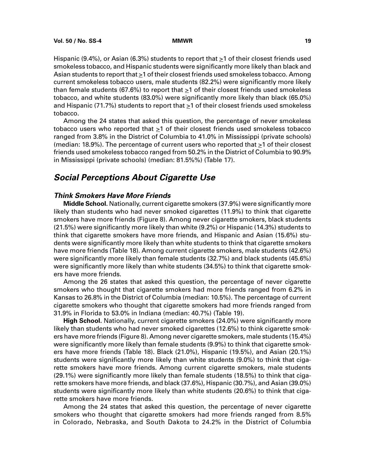Hispanic (9.4%), or Asian (6.3%) students to report that  $\geq 1$  of their closest friends used smokeless tobacco, and Hispanic students were significantly more likely than black and Asian students to report that  $\geq 1$  of their closest friends used smokeless tobacco. Among current smokeless tobacco users, male students (82.2%) were significantly more likely than female students (67.6%) to report that  $\geq$ 1 of their closest friends used smokeless tobacco, and white students (83.0%) were significantly more likely than black (65.0%) and Hispanic (71.7%) students to report that >1 of their closest friends used smokeless tobacco.

Among the 24 states that asked this question, the percentage of never smokeless tobacco users who reported that >1 of their closest friends used smokeless tobacco ranged from 3.8% in the District of Columbia to 41.0% in Mississippi (private schools) (median: 18.9%). The percentage of current users who reported that  $\geq 1$  of their closest friends used smokeless tobacco ranged from 50.2% in the District of Columbia to 90.9% in Mississippi (private schools) (median: 81.5%%) (Table 17).

# **Social Perceptions About Cigarette Use**

### **Think Smokers Have More Friends**

**Middle School.** Nationally, current cigarette smokers (37.9%) were significantly more likely than students who had never smoked cigarettes (11.9%) to think that cigarette smokers have more friends (Figure 8). Among never cigarette smokers, black students (21.5%) were significantly more likely than white (9.2%) or Hispanic (14.3%) students to think that cigarette smokers have more friends, and Hispanic and Asian (15.6%) students were significantly more likely than white students to think that cigarette smokers have more friends (Table 18). Among current cigarette smokers, male students (42.6%) were significantly more likely than female students (32.7%) and black students (45.6%) were significantly more likely than white students (34.5%) to think that cigarette smokers have more friends.

Among the 26 states that asked this question, the percentage of never cigarette smokers who thought that cigarette smokers had more friends ranged from 6.2% in Kansas to 26.8% in the District of Columbia (median: 10.5%). The percentage of current cigarette smokers who thought that cigarette smokers had more friends ranged from 31.9% in Florida to 53.0% in Indiana (median: 40.7%) (Table 19).

**High School.** Nationally, current cigarette smokers (24.0%) were significantly more likely than students who had never smoked cigarettes (12.6%) to think cigarette smokers have more friends (Figure 8). Among never cigarette smokers, male students (15.4%) were significantly more likely than female students (9.9%) to think that cigarette smokers have more friends (Table 18). Black (21.0%), Hispanic (19.5%), and Asian (20.1%) students were significantly more likely than white students (9.0%) to think that cigarette smokers have more friends. Among current cigarette smokers, male students (29.1%) were significantly more likely than female students (18.5%) to think that cigarette smokers have more friends, and black (37.6%), Hispanic (30.7%), and Asian (39.0%) students were significantly more likely than white students (20.6%) to think that cigarette smokers have more friends.

Among the 24 states that asked this question, the percentage of never cigarette smokers who thought that cigarette smokers had more friends ranged from 8.5% in Colorado, Nebraska, and South Dakota to 24.2% in the District of Columbia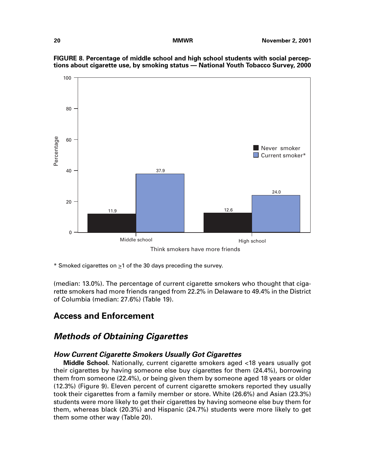<span id="page-25-0"></span>

**FIGURE 8. Percentage of middle school and high school students with social perceptions about cigarette use, by smoking status — National Youth Tobacco Survey, 2000**

Think smokers have more friends

\* Smoked cigarettes on  $\geq 1$  of the 30 days preceding the survey.

(median: 13.0%). The percentage of current cigarette smokers who thought that cigarette smokers had more friends ranged from 22.2% in Delaware to 49.4% in the District of Columbia (median: 27.6%) (Table 19).

# **Access and Enforcement**

# **Methods of Obtaining Cigarettes**

### **How Current Cigarette Smokers Usually Got Cigarettes**

**Middle School.** Nationally, current cigarette smokers aged <18 years usually got their cigarettes by having someone else buy cigarettes for them (24.4%), borrowing them from someone (22.4%), or being given them by someone aged 18 years or older (12.3%) (Figure 9). Eleven percent of current cigarette smokers reported they usually took their cigarettes from a family member or store. White (26.6%) and Asian (23.3%) students were more likely to get their cigarettes by having someone else buy them for them, whereas black (20.3%) and Hispanic (24.7%) students were more likely to get them some other way (Table 20).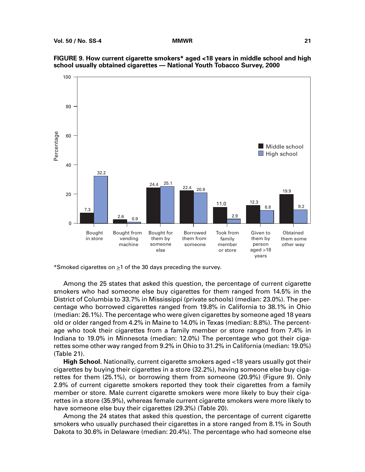



Among the 25 states that asked this question, the percentage of current cigarette smokers who had someone else buy cigarettes for them ranged from 14.5% in the District of Columbia to 33.7% in Mississippi (private schools) (median: 23.0%). The percentage who borrowed cigarettes ranged from 19.8% in California to 38.1% in Ohio (median: 26.1%). The percentage who were given cigarettes by someone aged 18 years old or older ranged from 4.2% in Maine to 14.0% in Texas (median: 8.8%). The percentage who took their cigarettes from a family member or store ranged from 7.4% in Indiana to 19.0% in Minnesota (median: 12.0%) The percentage who got their cigarettes some other way ranged from 9.2% in Ohio to 31.2% in California (median: 19.0%) (Table 21).

**High School.** Nationally, current cigarette smokers aged <18 years usually got their cigarettes by buying their cigarettes in a store (32.2%), having someone else buy cigarettes for them (25.1%), or borrowing them from someone (20.9%) (Figure 9). Only 2.9% of current cigarette smokers reported they took their cigarettes from a family member or store. Male current cigarette smokers were more likely to buy their cigarettes in a store (35.9%), whereas female current cigarette smokers were more likely to have someone else buy their cigarettes (29.3%) (Table 20).

Among the 24 states that asked this question, the percentage of current cigarette smokers who usually purchased their cigarettes in a store ranged from 8.1% in South Dakota to 30.6% in Delaware (median: 20.4%). The percentage who had someone else

<sup>\*</sup>Smoked cigarettes on  $\geq 1$  of the 30 days preceding the survey.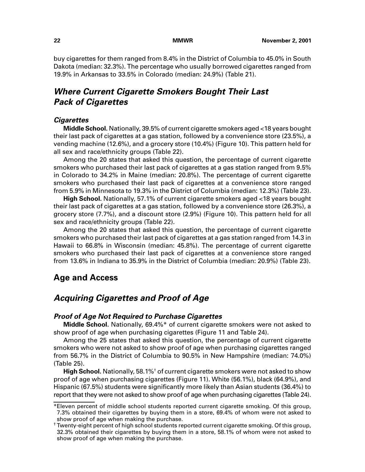buy cigarettes for them ranged from 8.4% in the District of Columbia to 45.0% in South Dakota (median: 32.3%). The percentage who usually borrowed cigarettes ranged from 19.9% in Arkansas to 33.5% in Colorado (median: 24.9%) (Table 21).

# **Where Current Cigarette Smokers Bought Their Last Pack of Cigarettes**

### **Cigarettes**

**Middle School.** Nationally, 39.5% of current cigarette smokers aged <18 years bought their last pack of cigarettes at a gas station, followed by a convenience store (23.5%), a vending machine (12.6%), and a grocery store (10.4%) (Figure 10). This pattern held for all sex and race/ethnicity groups (Table 22).

<span id="page-27-0"></span>Among the 20 states that asked this question, the percentage of current cigarette smokers who purchased their last pack of cigarettes at a gas station ranged from 9.5% in Colorado to 34.2% in Maine (median: 20.8%). The percentage of current cigarette smokers who purchased their last pack of cigarettes at a convenience store ranged from 5.9% in Minnesota to 19.3% in the District of Columbia (median: 12.3%) (Table 23).

**High School.** Nationally, 57.1% of current cigarette smokers aged <18 years bought their last pack of cigarettes at a gas station, followed by a convenience store (26.3%), a grocery store (7.7%), and a discount store (2.9%) (Figure 10). This pattern held for all sex and race/ethnicity groups (Table 22).

Among the 20 states that asked this question, the percentage of current cigarette smokers who purchased their last pack of cigarettes at a gas station ranged from 14.3 in Hawaii to 66.8% in Wisconsin (median: 45.8%). The percentage of current cigarette smokers who purchased their last pack of cigarettes at a convenience store ranged from 13.6% in Indiana to 35.9% in the District of Columbia (median: 20.9%) (Table 23).

# **Age and Access**

# **Acquiring Cigarettes and Proof of Age**

### **Proof of Age Not Required to Purchase Cigarettes**

**Middle School.** Nationally, 69.4%\* of current cigarette smokers were not asked to show proof of age when purchasing cigarettes (Figure 11 and Table 24).

Among the 25 states that asked this question, the percentage of current cigarette smokers who were not asked to show proof of age when purchasing cigarettes ranged from 56.7% in the District of Columbia to 90.5% in New Hampshire (median: 74.0%) (Table 25).

**High School.** Nationally, 58.1%<sup>†</sup> of current cigarette smokers were not asked to show proof of age when purchasing cigarettes (Figure 11). White (56.1%), black (64.9%), and Hispanic (67.5%) students were significantly more likely than Asian students (36.4%) to report that they were not asked to show proof of age when purchasing cigarettes (Table 24).

<sup>\*</sup>Eleven percent of middle school students reported current cigarette smoking. Of this group, 7.3% obtained their cigarettes by buying them in a store, 69.4% of whom were not asked to show proof of age when making the purchase.

<sup>†</sup> Twenty-eight percent of high school students reported current cigarette smoking. Of this group, 32.3% obtained their cigarettes by buying them in a store, 58.1% of whom were not asked to show proof of age when making the purchase.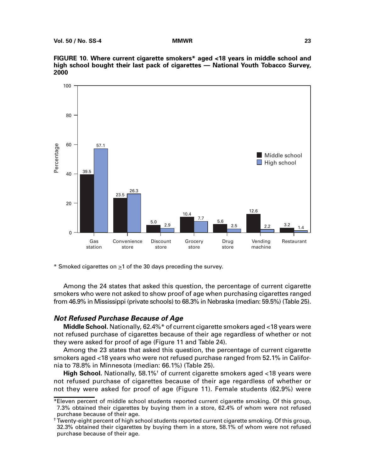

**FIGURE 10. Where current cigarette smokers\* aged <18 years in middle school and high school bought their last pack of cigarettes — National Youth Tobacco Survey, 2000**

\* Smoked cigarettes on  $\geq 1$  of the 30 days preceding the survey.

Among the 24 states that asked this question, the percentage of current cigarette smokers who were not asked to show proof of age when purchasing cigarettes ranged from 46.9% in Mississippi (private schools) to 68.3% in Nebraska (median: 59.5%) (Table 25).

### **Not Refused Purchase Because of Age**

**Middle School.** Nationally, 62.4%\* of current cigarette smokers aged <18 years were not refused purchase of cigarettes because of their age regardless of whether or not they were asked for proof of age (Figure 11 and Table 24).

Among the 23 states that asked this question, the percentage of current cigarette smokers aged <18 years who were not refused purchase ranged from 52.1% in California to 78.8% in Minnesota (median: 66.1%) (Table 25).

High School. Nationally, 58.1%<sup>†</sup> of current cigarette smokers aged <18 years were not refused purchase of cigarettes because of their age regardless of whether or not they were asked for proof of age (Figure 11). Female students (62.9%) were

<sup>\*</sup>Eleven percent of middle school students reported current cigarette smoking. Of this group, 7.3% obtained their cigarettes by buying them in a store, 62.4% of whom were not refused purchase because of their age.

<sup>†</sup> Twenty-eight percent of high school students reported current cigarette smoking. Of this group, 32.3% obtained their cigarettes by buying them in a store, 58.1% of whom were not refused purchase because of their age.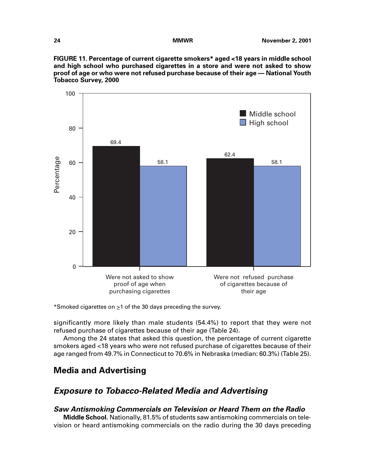

<span id="page-29-0"></span>

\*Smoked cigarettes on  $\geq 1$  of the 30 days preceding the survey.

significantly more likely than male students (54.4%) to report that they were not refused purchase of cigarettes because of their age (Table 24).

Among the 24 states that asked this question, the percentage of current cigarette smokers aged <18 years who were not refused purchase of cigarettes because of their age ranged from 49.7% in Connecticut to 70.6% in Nebraska (median: 60.3%) (Table 25).

# **Media and Advertising**

# **Exposure to Tobacco-Related Media and Advertising**

### **Saw Antismoking Commercials on Television or Heard Them on the Radio**

**Middle School.** Nationally, 81.5% of students saw antismoking commercials on television or heard antismoking commercials on the radio during the 30 days preceding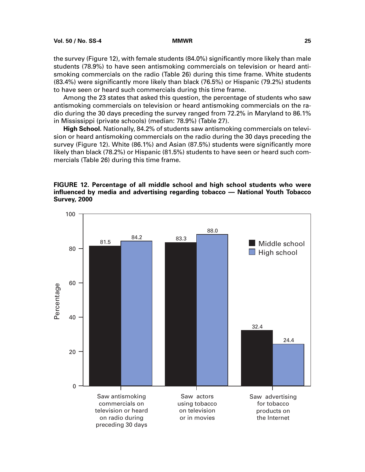the survey (Figure 12), with female students (84.0%) significantly more likely than male students (78.9%) to have seen antismoking commercials on television or heard antismoking commercials on the radio (Table 26) during this time frame. White students (83.4%) were significantly more likely than black (76.5%) or Hispanic (79.2%) students to have seen or heard such commercials during this time frame.

Among the 23 states that asked this question, the percentage of students who saw antismoking commercials on television or heard antismoking commercials on the radio during the 30 days preceding the survey ranged from 72.2% in Maryland to 86.1% in Mississippi (private schools) (median: 78.9%) (Table 27).

**High School.** Nationally, 84.2% of students saw antismoking commercials on television or heard antismoking commercials on the radio during the 30 days preceding the survey (Figure 12). White (86.1%) and Asian (87.5%) students were significantly more likely than black (78.2%) or Hispanic (81.5%) students to have seen or heard such commercials (Table 26) during this time frame.

### **FIGURE 12. Percentage of all middle school and high school students who were influenced by media and advertising regarding tobacco — National Youth Tobacco Survey, 2000**

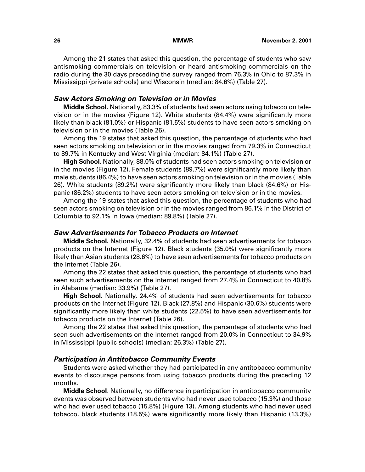Among the 21 states that asked this question, the percentage of students who saw antismoking commercials on television or heard antismoking commercials on the radio during the 30 days preceding the survey ranged from 76.3% in Ohio to 87.3% in Mississippi (private schools) and Wisconsin (median: 84.6%) (Table 27).

### **Saw Actors Smoking on Television or in Movies**

**Middle School.** Nationally, 83.3% of students had seen actors using tobacco on television or in the movies (Figure 12). White students (84.4%) were significantly more likely than black (81.0%) or Hispanic (81.5%) students to have seen actors smoking on television or in the movies (Table 26).

Among the 19 states that asked this question, the percentage of students who had seen actors smoking on television or in the movies ranged from 79.3% in Connecticut to 89.7% in Kentucky and West Virginia (median: 84.1%) (Table 27).

**High School.** Nationally, 88.0% of students had seen actors smoking on television or in the movies (Figure 12). Female students (89.7%) were significantly more likely than male students (86.4%) to have seen actors smoking on television or in the movies (Table 26). White students (89.2%) were significantly more likely than black (84.6%) or Hispanic (86.2%) students to have seen actors smoking on television or in the movies.

Among the 19 states that asked this question, the percentage of students who had seen actors smoking on television or in the movies ranged from 86.1% in the District of Columbia to 92.1% in Iowa (median: 89.8%) (Table 27).

### **Saw Advertisements for Tobacco Products on Internet**

**Middle School.** Nationally, 32.4% of students had seen advertisements for tobacco products on the Internet (Figure 12). Black students (35.0%) were significantly more likely than Asian students (28.6%) to have seen advertisements for tobacco products on the Internet (Table 26).

Among the 22 states that asked this question, the percentage of students who had seen such advertisements on the Internet ranged from 27.4% in Connecticut to 40.8% in Alabama (median: 33.9%) (Table 27).

**High School.** Nationally, 24.4% of students had seen advertisements for tobacco products on the Internet (Figure 12). Black (27.8%) and Hispanic (30.6%) students were significantly more likely than white students (22.5%) to have seen advertisements for tobacco products on the Internet (Table 26).

Among the 22 states that asked this question, the percentage of students who had seen such advertisements on the Internet ranged from 20.0% in Connecticut to 34.9% in Mississippi (public schools) (median: 26.3%) (Table 27).

### **Participation in Antitobacco Community Events**

Students were asked whether they had participated in any antitobacco community events to discourage persons from using tobacco products during the preceding 12 months.

**Middle School**. Nationally, no difference in participation in antitobacco community events was observed between students who had never used tobacco (15.3%) and those who had ever used tobacco (15.8%) (Figure 13). Among students who had never used tobacco, black students (18.5%) were significantly more likely than Hispanic (13.3%)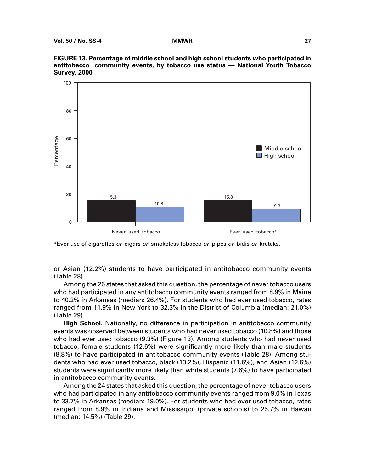

**FIGURE 13. Percentage of middle school and high school students who participated in antitobacco community events, by tobacco use status — National Youth Tobacco Survey, 2000**

\*Ever use of cigarettes or cigars or smokeless tobacco or pipes or bidis or kreteks.

or Asian (12.2%) students to have participated in antitobacco community events (Table 28).

Among the 26 states that asked this question, the percentage of never tobacco users who had participated in any antitobacco community events ranged from 8.9% in Maine to 40.2% in Arkansas (median: 26.4%). For students who had ever used tobacco, rates ranged from 11.9% in New York to 32.3% in the District of Columbia (median: 21.0%) (Table 29).

**High School.** Nationally, no difference in participation in antitobacco community events was observed between students who had never used tobacco (10.8%) and those who had ever used tobacco (9.3%) (Figure 13). Among students who had never used tobacco, female students (12.6%) were significantly more likely than male students (8.8%) to have participated in antitobacco community events (Table 28). Among students who had ever used tobacco, black (13.2%), Hispanic (11.6%), and Asian (12.6%) students were significantly more likely than white students (7.6%) to have participated in antitobacco community events.

Among the 24 states that asked this question, the percentage of never tobacco users who had participated in any antitobacco community events ranged from 9.0% in Texas to 33.7% in Arkansas (median: 19.0%). For students who had ever used tobacco, rates ranged from 8.9% in Indiana and Mississippi (private schools) to 25.7% in Hawaii (median: 14.5%) (Table 29).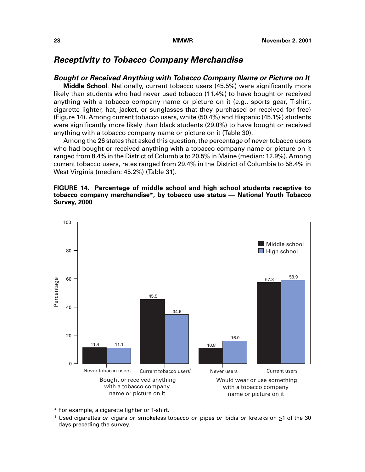# **Receptivity to Tobacco Company Merchandise**

### **Bought or Received Anything with Tobacco Company Name or Picture on It**

**Middle School**. Nationally, current tobacco users (45.5%) were significantly more likely than students who had never used tobacco (11.4%) to have bought or received anything with a tobacco company name or picture on it (e.g., sports gear, T-shirt, cigarette lighter, hat, jacket, or sunglasses that they purchased or received for free) (Figure 14). Among current tobacco users, white (50.4%) and Hispanic (45.1%) students were significantly more likely than black students (29.0%) to have bought or received anything with a tobacco company name or picture on it (Table 30).

Among the 26 states that asked this question, the percentage of never tobacco users who had bought or received anything with a tobacco company name or picture on it ranged from 8.4% in the District of Columbia to 20.5% in Maine (median: 12.9%). Among current tobacco users, rates ranged from 29.4% in the District of Columbia to 58.4% in West Virginia (median: 45.2%) (Table 31).

### **FIGURE 14. Percentage of middle school and high school students receptive to tobacco company merchandise\*, by tobacco use status — National Youth Tobacco Survey, 2000**



\* For example, a cigarette lighter or T-shirt.

<sup>†</sup> Used cigarettes or cigars or smokeless tobacco or pipes or bidis or kreteks on  $\geq 1$  of the 30 days preceding the survey.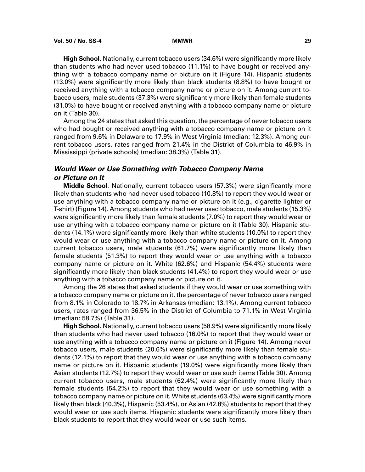**High School.** Nationally, current tobacco users (34.6%) were significantly more likely than students who had never used tobacco (11.1%) to have bought or received anything with a tobacco company name or picture on it (Figure 14). Hispanic students (13.0%) were significantly more likely than black students (8.8%) to have bought or received anything with a tobacco company name or picture on it. Among current tobacco users, male students (37.3%) were significantly more likely than female students (31.0%) to have bought or received anything with a tobacco company name or picture on it (Table 30).

Among the 24 states that asked this question, the percentage of never tobacco users who had bought or received anything with a tobacco company name or picture on it ranged from 9.6% in Delaware to 17.9% in West Virginia (median: 12.3%). Among current tobacco users, rates ranged from 21.4% in the District of Columbia to 46.9% in Mississippi (private schools) (median: 38.3%) (Table 31).

### **Would Wear or Use Something with Tobacco Company Name or Picture on It**

**Middle School**. Nationally, current tobacco users (57.3%) were significantly more likely than students who had never used tobacco (10.8%) to report they would wear or use anything with a tobacco company name or picture on it (e.g., cigarette lighter or T-shirt) (Figure 14). Among students who had never used tobacco, male students (15.3%) were significantly more likely than female students (7.0%) to report they would wear or use anything with a tobacco company name or picture on it (Table 30). Hispanic students (14.1%) were significantly more likely than white students (10.0%) to report they would wear or use anything with a tobacco company name or picture on it. Among current tobacco users, male students (61.7%) were significantly more likely than female students (51.3%) to report they would wear or use anything with a tobacco company name or picture on it. White (62.6%) and Hispanic (54.4%) students were significantly more likely than black students (41.4%) to report they would wear or use anything with a tobacco company name or picture on it.

Among the 26 states that asked students if they would wear or use something with a tobacco company name or picture on it, the percentage of never tobacco users ranged from 8.1% in Colorado to 18.7% in Arkansas (median: 13.1%). Among current tobacco users, rates ranged from 36.5% in the District of Columbia to 71.1% in West Virginia (median: 58.7%) (Table 31).

**High School.** Nationally, current tobacco users (58.9%) were significantly more likely than students who had never used tobacco (16.0%) to report that they would wear or use anything with a tobacco company name or picture on it (Figure 14). Among never tobacco users, male students (20.6%) were significantly more likely than female students (12.1%) to report that they would wear or use anything with a tobacco company name or picture on it. Hispanic students (19.0%) were significantly more likely than Asian students (12.7%) to report they would wear or use such items (Table 30). Among current tobacco users, male students (62.4%) were significantly more likely than female students (54.2%) to report that they would wear or use something with a tobacco company name or picture on it. White students (63.4%) were significantly more likely than black (40.3%), Hispanic (53.4%), or Asian (42.8%) students to report that they would wear or use such items. Hispanic students were significantly more likely than black students to report that they would wear or use such items.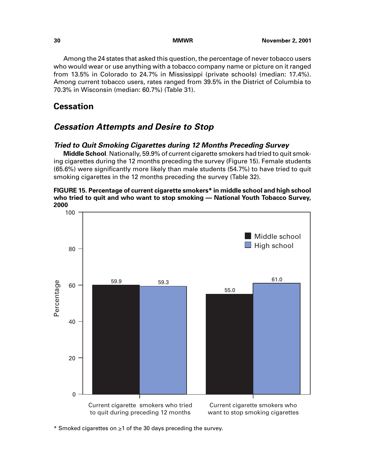<span id="page-35-0"></span>Among the 24 states that asked this question, the percentage of never tobacco users who would wear or use anything with a tobacco company name or picture on it ranged from 13.5% in Colorado to 24.7% in Mississippi (private schools) (median: 17.4%). Among current tobacco users, rates ranged from 39.5% in the District of Columbia to 70.3% in Wisconsin (median: 60.7%) (Table 31).

# **Cessation**

# **Cessation Attempts and Desire to Stop**

# **Tried to Quit Smoking Cigarettes during 12 Months Preceding Survey**

**Middle School**. Nationally, 59.9% of current cigarette smokers had tried to quit smoking cigarettes during the 12 months preceding the survey (Figure 15). Female students (65.6%) were significantly more likely than male students (54.7%) to have tried to quit smoking cigarettes in the 12 months preceding the survey (Table 32).

### **FIGURE 15. Percentage of current cigarette smokers\* in middle school and high school who tried to quit and who want to stop smoking — National Youth Tobacco Survey, 2000**



\* Smoked cigarettes on >1 of the 30 days preceding the survey.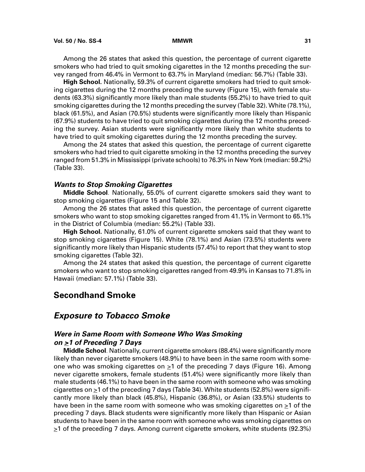Among the 26 states that asked this question, the percentage of current cigarette smokers who had tried to quit smoking cigarettes in the 12 months preceding the survey ranged from 46.4% in Vermont to 63.7% in Maryland (median: 56.7%) (Table 33).

**High School.** Nationally, 59.3% of current cigarette smokers had tried to quit smoking cigarettes during the 12 months preceding the survey (Figure 15), with female students (63.3%) significantly more likely than male students (55.2%) to have tried to quit smoking cigarettes during the 12 months preceding the survey (Table 32). White (78.1%), black (61.5%), and Asian (70.5%) students were significantly more likely than Hispanic (67.9%) students to have tried to quit smoking cigarettes during the 12 months preceding the survey. Asian students were significantly more likely than white students to have tried to quit smoking cigarettes during the 12 months preceding the survey.

Among the 24 states that asked this question, the percentage of current cigarette smokers who had tried to quit cigarette smoking in the 12 months preceding the survey ranged from 51.3% in Mississippi (private schools) to 76.3% in New York (median: 59.2%) (Table 33).

## **Wants to Stop Smoking Cigarettes**

**Middle School**. Nationally, 55.0% of current cigarette smokers said they want to stop smoking cigarettes (Figure 15 and Table 32).

Among the 26 states that asked this question, the percentage of current cigarette smokers who want to stop smoking cigarettes ranged from 41.1% in Vermont to 65.1% in the District of Columbia (median: 55.2%) (Table 33).

**High School.** Nationally, 61.0% of current cigarette smokers said that they want to stop smoking cigarettes (Figure 15). White (78.1%) and Asian (73.5%) students were significantly more likely than Hispanic students (57.4%) to report that they want to stop smoking cigarettes (Table 32).

Among the 24 states that asked this question, the percentage of current cigarette smokers who want to stop smoking cigarettes ranged from 49.9% in Kansas to 71.8% in Hawaii (median: 57.1%) (Table 33).

# **Secondhand Smoke**

## **Exposure to Tobacco Smoke**

## **Were in Same Room with Someone Who Was Smoking on >1 of Preceding 7 Days**

**Middle School**. Nationally, current cigarette smokers (88.4%) were significantly more likely than never cigarette smokers (48.9%) to have been in the same room with someone who was smoking cigarettes on  $\geq 1$  of the preceding 7 days (Figure 16). Among never cigarette smokers, female students (51.4%) were significantly more likely than male students (46.1%) to have been in the same room with someone who was smoking cigarettes on  $\geq$ 1 of the preceding 7 days (Table 34). White students (52.8%) were significantly more likely than black (45.8%), Hispanic (36.8%), or Asian (33.5%) students to have been in the same room with someone who was smoking cigarettes on >1 of the preceding 7 days. Black students were significantly more likely than Hispanic or Asian students to have been in the same room with someone who was smoking cigarettes on  $\geq$ 1 of the preceding 7 days. Among current cigarette smokers, white students (92.3%)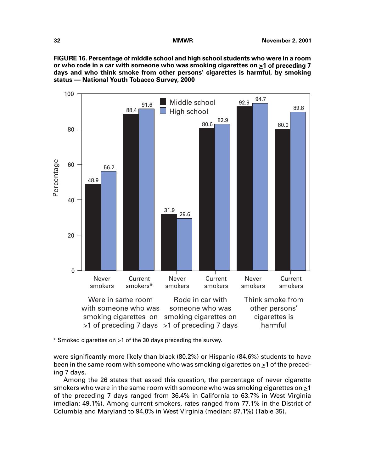**FIGURE 16. Percentage of middle school and high school students who were in a room or who rode in a car with someone who was smoking cigarettes on >1 of preceding 7 days and who think smoke from other persons' cigarettes is harmful, by smoking status — National Youth Tobacco Survey, 2000**



\* Smoked cigarettes on  $\geq 1$  of the 30 days preceding the survey.

were significantly more likely than black (80.2%) or Hispanic (84.6%) students to have been in the same room with someone who was smoking cigarettes on >1 of the preceding 7 days.

Among the 26 states that asked this question, the percentage of never cigarette smokers who were in the same room with someone who was smoking cigarettes on  $\geq 1$ of the preceding 7 days ranged from 36.4% in California to 63.7% in West Virginia (median: 49.1%). Among current smokers, rates ranged from 77.1% in the District of Columbia and Maryland to 94.0% in West Virginia (median: 87.1%) (Table 35).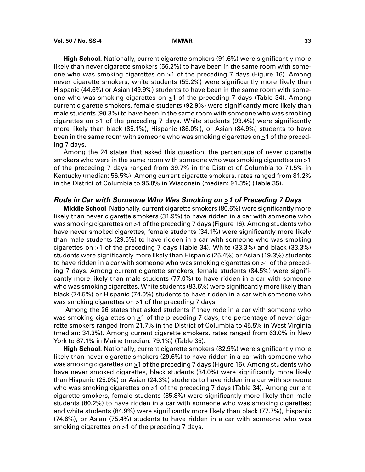**High School.** Nationally, current cigarette smokers (91.6%) were significantly more likely than never cigarette smokers (56.2%) to have been in the same room with someone who was smoking cigarettes on  $\geq 1$  of the preceding 7 days (Figure 16). Among never cigarette smokers, white students (59.2%) were significantly more likely than Hispanic (44.6%) or Asian (49.9%) students to have been in the same room with someone who was smoking cigarettes on  $\geq 1$  of the preceding 7 days (Table 34). Among current cigarette smokers, female students (92.9%) were significantly more likely than male students (90.3%) to have been in the same room with someone who was smoking cigarettes on  $\geq 1$  of the preceding 7 days. White students (93.4%) were significantly more likely than black (85.1%), Hispanic (86.0%), or Asian (84.9%) students to have been in the same room with someone who was smoking cigarettes on  $\geq 1$  of the preceding 7 days.

Among the 24 states that asked this question, the percentage of never cigarette smokers who were in the same room with someone who was smoking cigarettes on >1 of the preceding 7 days ranged from 39.7% in the District of Columbia to 71.5% in Kentucky (median: 56.5%). Among current cigarette smokers, rates ranged from 81.2% in the District of Columbia to 95.0% in Wisconsin (median: 91.3%) (Table 35).

## **Rode in Car with Someone Who Was Smoking on >1 of Preceding 7 Days**

**Middle School**. Nationally, current cigarette smokers (80.6%) were significantly more likely than never cigarette smokers (31.9%) to have ridden in a car with someone who was smoking cigarettes on  $\geq 1$  of the preceding 7 days (Figure 16). Among students who have never smoked cigarettes, female students (34.1%) were significantly more likely than male students (29.5%) to have ridden in a car with someone who was smoking cigarettes on  $\geq 1$  of the preceding 7 days (Table 34). White (33.3%) and black (33.3%) students were significantly more likely than Hispanic (25.4%) or Asian (19.3%) students to have ridden in a car with someone who was smoking cigarettes on  $\geq 1$  of the preceding 7 days. Among current cigarette smokers, female students (84.5%) were significantly more likely than male students (77.0%) to have ridden in a car with someone who was smoking cigarettes. White students (83.6%) were significantly more likely than black (74.5%) or Hispanic (74.0%) students to have ridden in a car with someone who was smoking cigarettes on  $\geq 1$  of the preceding 7 days.

 Among the 26 states that asked students if they rode in a car with someone who was smoking cigarettes on  $\geq 1$  of the preceding 7 days, the percentage of never cigarette smokers ranged from 21.7% in the District of Columbia to 45.5% in West Virginia (median: 34.3%). Among current cigarette smokers, rates ranged from 63.0% in New York to 87.1% in Maine (median: 79.1%) (Table 35).

**High School.** Nationally, current cigarette smokers (82.9%) were significantly more likely than never cigarette smokers (29.6%) to have ridden in a car with someone who was smoking cigarettes on >1 of the preceding 7 days (Figure 16). Among students who have never smoked cigarettes, black students (34.0%) were significantly more likely than Hispanic (25.0%) or Asian (24.3%) students to have ridden in a car with someone who was smoking cigarettes on  $\geq 1$  of the preceding 7 days (Table 34). Among current cigarette smokers, female students (85.8%) were significantly more likely than male students (80.2%) to have ridden in a car with someone who was smoking cigarettes; and white students (84.9%) were significantly more likely than black (77.7%), Hispanic (74.6%), or Asian (75.4%) students to have ridden in a car with someone who was smoking cigarettes on  $\geq 1$  of the preceding 7 days.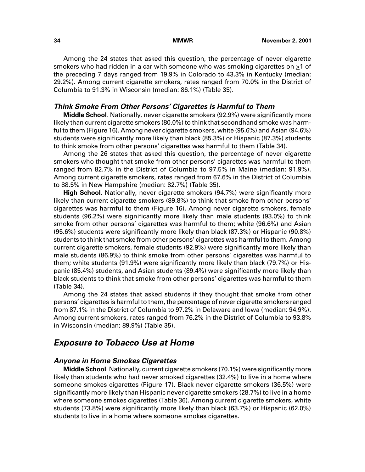Among the 24 states that asked this question, the percentage of never cigarette smokers who had ridden in a car with someone who was smoking cigarettes on  $\geq 1$  of the preceding 7 days ranged from 19.9% in Colorado to 43.3% in Kentucky (median: 29.2%). Among current cigarette smokers, rates ranged from 70.0% in the District of Columbia to 91.3% in Wisconsin (median: 86.1%) (Table 35).

## **Think Smoke From Other Persons' Cigarettes is Harmful to Them**

**Middle School**. Nationally, never cigarette smokers (92.9%) were significantly more likely than current cigarette smokers (80.0%) to think that secondhand smoke was harmful to them (Figure 16). Among never cigarette smokers, white (95.6%) and Asian (94.6%) students were significantly more likely than black (85.3%) or Hispanic (87.3%) students to think smoke from other persons' cigarettes was harmful to them (Table 34).

Among the 26 states that asked this question, the percentage of never cigarette smokers who thought that smoke from other persons' cigarettes was harmful to them ranged from 82.7% in the District of Columbia to 97.5% in Maine (median: 91.9%). Among current cigarette smokers, rates ranged from 67.6% in the District of Columbia to 88.5% in New Hampshire (median: 82.7%) (Table 35).

**High School.** Nationally, never cigarette smokers (94.7%) were significantly more likely than current cigarette smokers (89.8%) to think that smoke from other persons' cigarettes was harmful to them (Figure 16). Among never cigarette smokers, female students (96.2%) were significantly more likely than male students (93.0%) to think smoke from other persons' cigarettes was harmful to them; white (96.6%) and Asian (95.6%) students were significantly more likely than black (87.3%) or Hispanic (90.8%) students to think that smoke from other persons' cigarettes was harmful to them. Among current cigarette smokers, female students (92.9%) were significantly more likely than male students (86.9%) to think smoke from other persons' cigarettes was harmful to them; white students (91.9%) were significantly more likely than black (79.7%) or Hispanic (85.4%) students, and Asian students (89.4%) were significantly more likely than black students to think that smoke from other persons' cigarettes was harmful to them (Table 34).

Among the 24 states that asked students if they thought that smoke from other persons' cigarettes is harmful to them, the percentage of never cigarette smokers ranged from 87.1% in the District of Columbia to 97.2% in Delaware and Iowa (median: 94.9%). Among current smokers, rates ranged from 76.2% in the District of Columbia to 93.8% in Wisconsin (median: 89.9%) (Table 35).

## **Exposure to Tobacco Use at Home**

## **Anyone in Home Smokes Cigarettes**

**Middle School**. Nationally, current cigarette smokers (70.1%) were significantly more likely than students who had never smoked cigarettes (32.4%) to live in a home where someone smokes cigarettes (Figure 17). Black never cigarette smokers (36.5%) were significantly more likely than Hispanic never cigarette smokers (28.7%) to live in a home where someone smokes cigarettes (Table 36). Among current cigarette smokers, white students (73.8%) were significantly more likely than black (63.7%) or Hispanic (62.0%) students to live in a home where someone smokes cigarettes.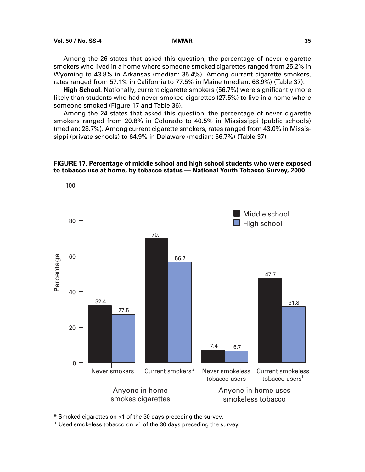Among the 26 states that asked this question, the percentage of never cigarette smokers who lived in a home where someone smoked cigarettes ranged from 25.2% in Wyoming to 43.8% in Arkansas (median: 35.4%). Among current cigarette smokers, rates ranged from 57.1% in California to 77.5% in Maine (median: 68.9%) (Table 37).

**High School.** Nationally, current cigarette smokers (56.7%) were significantly more likely than students who had never smoked cigarettes (27.5%) to live in a home where someone smoked (Figure 17 and Table 36).

Among the 24 states that asked this question, the percentage of never cigarette smokers ranged from 20.8% in Colorado to 40.5% in Mississippi (public schools) (median: 28.7%). Among current cigarette smokers, rates ranged from 43.0% in Mississippi (private schools) to 64.9% in Delaware (median: 56.7%) (Table 37).

**FIGURE 17. Percentage of middle school and high school students who were exposed to tobacco use at home, by tobacco status — National Youth Tobacco Survey, 2000**



\* Smoked cigarettes on  $\geq 1$  of the 30 days preceding the survey.

† Used smokeless tobacco on >1 of the 30 days preceding the survey.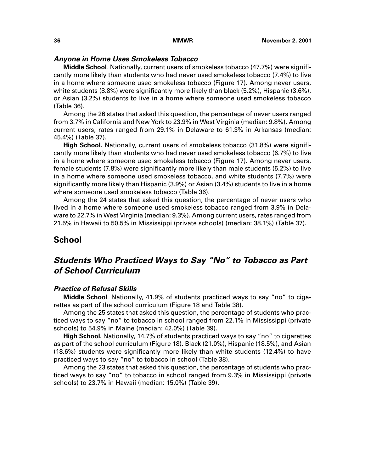## **Anyone in Home Uses Smokeless Tobacco**

**Middle School**. Nationally, current users of smokeless tobacco (47.7%) were significantly more likely than students who had never used smokeless tobacco (7.4%) to live in a home where someone used smokeless tobacco (Figure 17). Among never users, white students (8.8%) were significantly more likely than black (5.2%), Hispanic (3.6%), or Asian (3.2%) students to live in a home where someone used smokeless tobacco (Table 36).

Among the 26 states that asked this question, the percentage of never users ranged from 3.7% in California and New York to 23.9% in West Virginia (median: 9.8%). Among current users, rates ranged from 29.1% in Delaware to 61.3% in Arkansas (median: 45.4%) (Table 37).

**High School.** Nationally, current users of smokeless tobacco (31.8%) were significantly more likely than students who had never used smokeless tobacco (6.7%) to live in a home where someone used smokeless tobacco (Figure 17). Among never users, female students (7.8%) were significantly more likely than male students (5.2%) to live in a home where someone used smokeless tobacco, and white students (7.7%) were significantly more likely than Hispanic (3.9%) or Asian (3.4%) students to live in a home where someone used smokeless tobacco (Table 36).

Among the 24 states that asked this question, the percentage of never users who lived in a home where someone used smokeless tobacco ranged from 3.9% in Delaware to 22.7% in West Virginia (median: 9.3%). Among current users, rates ranged from 21.5% in Hawaii to 50.5% in Mississippi (private schools) (median: 38.1%) (Table 37).

## **School**

# **Students Who Practiced Ways to Say "No" to Tobacco as Part of School Curriculum**

## **Practice of Refusal Skills**

**Middle School**. Nationally, 41.9% of students practiced ways to say "no" to cigarettes as part of the school curriculum (Figure 18 and Table 38).

Among the 25 states that asked this question, the percentage of students who practiced ways to say "no" to tobacco in school ranged from 22.1% in Mississippi (private schools) to 54.9% in Maine (median: 42.0%) (Table 39).

**High School.** Nationally, 14.7% of students practiced ways to say "no" to cigarettes as part of the school curriculum (Figure 18). Black (21.0%), Hispanic (18.5%), and Asian (18.6%) students were significantly more likely than white students (12.4%) to have practiced ways to say "no" to tobacco in school (Table 38).

Among the 23 states that asked this question, the percentage of students who practiced ways to say "no" to tobacco in school ranged from 9.3% in Mississippi (private schools) to 23.7% in Hawaii (median: 15.0%) (Table 39).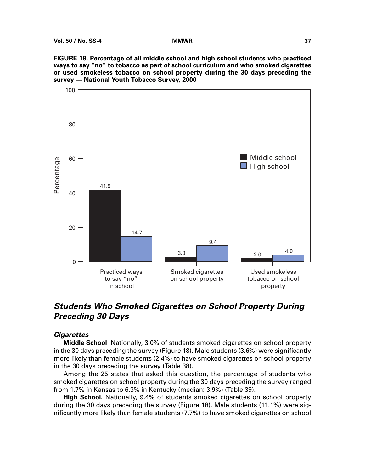**FIGURE 18. Percentage of all middle school and high school students who practiced ways to say "no" to tobacco as part of school curriculum and who smoked cigarettes or used smokeless tobacco on school property during the 30 days preceding the survey — National Youth Tobacco Survey, 2000**



# **Students Who Smoked Cigarettes on School Property During Preceding 30 Days**

## **Cigarettes**

**Middle School**. Nationally, 3.0% of students smoked cigarettes on school property in the 30 days preceding the survey (Figure 18). Male students (3.6%) were significantly more likely than female students (2.4%) to have smoked cigarettes on school property in the 30 days preceding the survey (Table 38).

Among the 25 states that asked this question, the percentage of students who smoked cigarettes on school property during the 30 days preceding the survey ranged from 1.7% in Kansas to 6.3% in Kentucky (median: 3.9%) (Table 39).

**High School.** Nationally, 9.4% of students smoked cigarettes on school property during the 30 days preceding the survey (Figure 18). Male students (11.1%) were significantly more likely than female students (7.7%) to have smoked cigarettes on school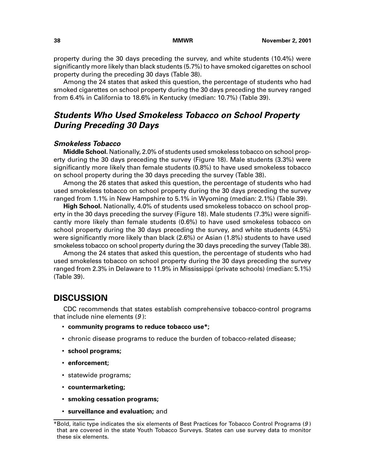property during the 30 days preceding the survey, and white students (10.4%) were significantly more likely than black students (5.7%) to have smoked cigarettes on school property during the preceding 30 days (Table 38).

Among the 24 states that asked this question, the percentage of students who had smoked cigarettes on school property during the 30 days preceding the survey ranged from 6.4% in California to 18.6% in Kentucky (median: 10.7%) (Table 39).

# **Students Who Used Smokeless Tobacco on School Property During Preceding 30 Days**

## **Smokeless Tobacco**

**Middle School.** Nationally, 2.0% of students used smokeless tobacco on school property during the 30 days preceding the survey (Figure 18). Male students (3.3%) were significantly more likely than female students (0.8%) to have used smokeless tobacco on school property during the 30 days preceding the survey (Table 38).

Among the 26 states that asked this question, the percentage of students who had used smokeless tobacco on school property during the 30 days preceding the survey ranged from 1.1% in New Hampshire to 5.1% in Wyoming (median: 2.1%) (Table 39).

**High School.** Nationally, 4.0% of students used smokeless tobacco on school property in the 30 days preceding the survey (Figure 18). Male students (7.3%) were significantly more likely than female students (0.6%) to have used smokeless tobacco on school property during the 30 days preceding the survey, and white students (4.5%) were significantly more likely than black (2.6%) or Asian (1.8%) students to have used smokeless tobacco on school property during the 30 days preceding the survey (Table 38).

Among the 24 states that asked this question, the percentage of students who had used smokeless tobacco on school property during the 30 days preceding the survey ranged from 2.3% in Delaware to 11.9% in Mississippi (private schools) (median: 5.1%) (Table 39).

# **DISCUSSION**

CDC recommends that states establish comprehensive tobacco-control programs that include nine elements  $(9)$ :

- **community programs to reduce tobacco use\*;**
- chronic disease programs to reduce the burden of tobacco-related disease;
- **school programs;**
- **enforcement;**
- statewide programs;
- **countermarketing;**
- **smoking cessation programs;**
- **surveillance and evaluation;** and

<sup>\*</sup>Bold, italic type indicates the six elements of Best Practices for Tobacco Control Programs (9 ) that are covered in the state Youth Tobacco Surveys. States can use survey data to monitor these six elements.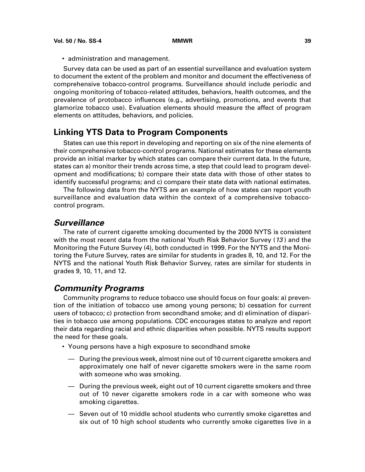• administration and management.

Survey data can be used as part of an essential surveillance and evaluation system to document the extent of the problem and monitor and document the effectiveness of comprehensive tobacco-control programs. Surveillance should include periodic and ongoing monitoring of tobacco-related attitudes, behaviors, health outcomes, and the prevalence of protobacco influences (e.g., advertising, promotions, and events that glamorize tobacco use). Evaluation elements should measure the affect of program elements on attitudes, behaviors, and policies.

## **Linking YTS Data to Program Components**

States can use this report in developing and reporting on six of the nine elements of their comprehensive tobacco-control programs. National estimates for these elements provide an initial marker by which states can compare their current data. In the future, states can a) monitor their trends across time, a step that could lead to program development and modifications; b) compare their state data with those of other states to identify successful programs; and c) compare their state data with national estimates.

The following data from the NYTS are an example of how states can report youth surveillance and evaluation data within the context of a comprehensive tobaccocontrol program.

# **Surveillance**

The rate of current cigarette smoking documented by the 2000 NYTS is consistent with the most recent data from the national Youth Risk Behavior Survey  $(13)$  and the Monitoring the Future Survey (4), both conducted in 1999. For the NYTS and the Monitoring the Future Survey, rates are similar for students in grades 8, 10, and 12. For the NYTS and the national Youth Risk Behavior Survey, rates are similar for students in grades 9, 10, 11, and 12.

## **Community Programs**

Community programs to reduce tobacco use should focus on four goals: a) prevention of the initiation of tobacco use among young persons; b) cessation for current users of tobacco; c) protection from secondhand smoke; and d) elimination of disparities in tobacco use among populations. CDC encourages states to analyze and report their data regarding racial and ethnic disparities when possible. NYTS results support the need for these goals.

- Young persons have a high exposure to secondhand smoke
	- During the previous week, almost nine out of 10 current cigarette smokers and approximately one half of never cigarette smokers were in the same room with someone who was smoking.
	- During the previous week, eight out of 10 current cigarette smokers and three out of 10 never cigarette smokers rode in a car with someone who was smoking cigarettes.
	- Seven out of 10 middle school students who currently smoke cigarettes and six out of 10 high school students who currently smoke cigarettes live in a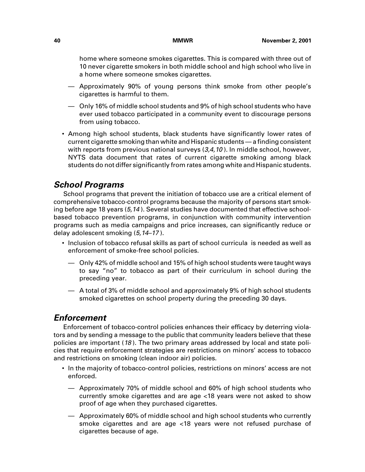home where someone smokes cigarettes. This is compared with three out of 10 never cigarette smokers in both middle school and high school who live in a home where someone smokes cigarettes.

- Approximately 90% of young persons think smoke from other people's cigarettes is harmful to them.
- Only 16% of middle school students and 9% of high school students who have ever used tobacco participated in a community event to discourage persons from using tobacco.
- Among high school students, black students have significantly lower rates of current cigarette smoking than white and Hispanic students — a finding consistent with reports from previous national surveys  $(3,4,10)$ . In middle school, however, NYTS data document that rates of current cigarette smoking among black students do not differ significantly from rates among white and Hispanic students.

# **School Programs**

School programs that prevent the initiation of tobacco use are a critical element of comprehensive tobacco-control programs because the majority of persons start smoking before age 18 years (5,14). Several studies have documented that effective schoolbased tobacco prevention programs, in conjunction with community intervention programs such as media campaigns and price increases, can significantly reduce or delay adolescent smoking (5,14–17 ).

- Inclusion of tobacco refusal skills as part of school curricula is needed as well as enforcement of smoke-free school policies.
	- Only 42% of middle school and 15% of high school students were taught ways to say "no" to tobacco as part of their curriculum in school during the preceding year.
	- A total of 3% of middle school and approximately 9% of high school students smoked cigarettes on school property during the preceding 30 days.

# **Enforcement**

Enforcement of tobacco-control policies enhances their efficacy by deterring violators and by sending a message to the public that community leaders believe that these policies are important  $(18)$ . The two primary areas addressed by local and state policies that require enforcement strategies are restrictions on minors' access to tobacco and restrictions on smoking (clean indoor air) policies.

- In the majority of tobacco-control policies, restrictions on minors' access are not enforced.
	- Approximately 70% of middle school and 60% of high school students who currently smoke cigarettes and are age <18 years were not asked to show proof of age when they purchased cigarettes.
	- Approximately 60% of middle school and high school students who currently smoke cigarettes and are age <18 years were not refused purchase of cigarettes because of age.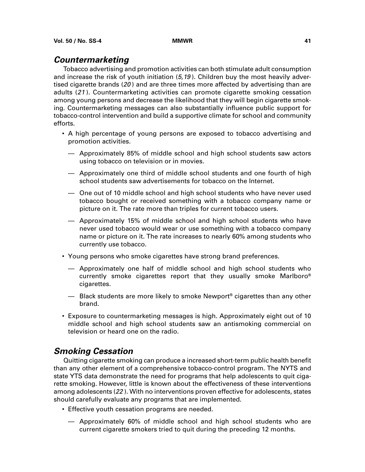# **Countermarketing**

Tobacco advertising and promotion activities can both stimulate adult consumption and increase the risk of youth initiation  $(5.19)$ . Children buy the most heavily advertised cigarette brands  $(20)$  and are three times more affected by advertising than are adults (21 ). Countermarketing activities can promote cigarette smoking cessation among young persons and decrease the likelihood that they will begin cigarette smoking. Countermarketing messages can also substantially influence public support for tobacco-control intervention and build a supportive climate for school and community efforts.

- A high percentage of young persons are exposed to tobacco advertising and promotion activities.
	- Approximately 85% of middle school and high school students saw actors using tobacco on television or in movies.
	- Approximately one third of middle school students and one fourth of high school students saw advertisements for tobacco on the Internet.
	- One out of 10 middle school and high school students who have never used tobacco bought or received something with a tobacco company name or picture on it. The rate more than triples for current tobacco users.
	- Approximately 15% of middle school and high school students who have never used tobacco would wear or use something with a tobacco company name or picture on it. The rate increases to nearly 60% among students who currently use tobacco.
- Young persons who smoke cigarettes have strong brand preferences.
	- Approximately one half of middle school and high school students who currently smoke cigarettes report that they usually smoke Marlboro® cigarettes.
	- Black students are more likely to smoke Newport<sup>®</sup> cigarettes than any other brand.
- Exposure to countermarketing messages is high. Approximately eight out of 10 middle school and high school students saw an antismoking commercial on television or heard one on the radio.

# **Smoking Cessation**

Quitting cigarette smoking can produce a increased short-term public health benefit than any other element of a comprehensive tobacco-control program. The NYTS and state YTS data demonstrate the need for programs that help adolescents to quit cigarette smoking. However, little is known about the effectiveness of these interventions among adolescents (22 ). With no interventions proven effective for adolescents, states should carefully evaluate any programs that are implemented.

- Effective youth cessation programs are needed.
	- Approximately 60% of middle school and high school students who are current cigarette smokers tried to quit during the preceding 12 months.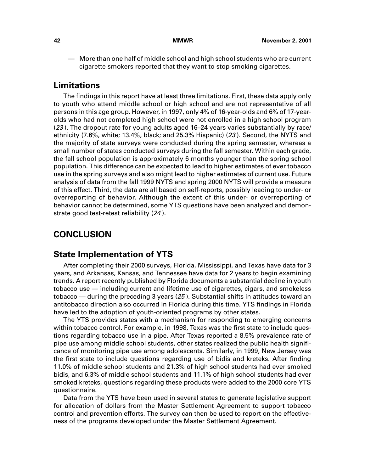— More than one half of middle school and high school students who are current cigarette smokers reported that they want to stop smoking cigarettes.

# **Limitations**

The findings in this report have at least three limitations. First, these data apply only to youth who attend middle school or high school and are not representative of all persons in this age group. However, in 1997, only 4% of 16-year-olds and 6% of 17-yearolds who had not completed high school were not enrolled in a high school program (23 ). The dropout rate for young adults aged 16–24 years varies substantially by race/ ethnicity (7.6%, white; 13.4%, black; and 25.3% Hispanic) (23 ). Second, the NYTS and the majority of state surveys were conducted during the spring semester, whereas a small number of states conducted surveys during the fall semester. Within each grade, the fall school population is approximately 6 months younger than the spring school population. This difference can be expected to lead to higher estimates of ever tobacco use in the spring surveys and also might lead to higher estimates of current use. Future analysis of data from the fall 1999 NYTS and spring 2000 NYTS will provide a measure of this effect. Third, the data are all based on self-reports, possibly leading to under- or overreporting of behavior. Although the extent of this under- or overreporting of behavior cannot be determined, some YTS questions have been analyzed and demonstrate good test-retest reliability (24).

# **CONCLUSION**

## **State Implementation of YTS**

After completing their 2000 surveys, Florida, Mississippi, and Texas have data for 3 years, and Arkansas, Kansas, and Tennessee have data for 2 years to begin examining trends. A report recently published by Florida documents a substantial decline in youth tobacco use — including current and lifetime use of cigarettes, cigars, and smokeless tobacco — during the preceding 3 years (25 ). Substantial shifts in attitudes toward an antitobacco direction also occurred in Florida during this time. YTS findings in Florida have led to the adoption of youth-oriented programs by other states.

The YTS provides states with a mechanism for responding to emerging concerns within tobacco control. For example, in 1998, Texas was the first state to include questions regarding tobacco use in a pipe. After Texas reported a 8.5% prevalence rate of pipe use among middle school students, other states realized the public health significance of monitoring pipe use among adolescents. Similarly, in 1999, New Jersey was the first state to include questions regarding use of bidis and kreteks. After finding 11.0% of middle school students and 21.3% of high school students had ever smoked bidis, and 6.3% of middle school students and 11.1% of high school students had ever smoked kreteks, questions regarding these products were added to the 2000 core YTS questionnaire.

Data from the YTS have been used in several states to generate legislative support for allocation of dollars from the Master Settlement Agreement to support tobacco control and prevention efforts. The survey can then be used to report on the effectiveness of the programs developed under the Master Settlement Agreement.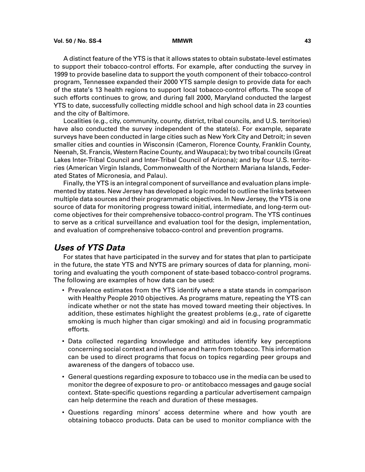A distinct feature of the YTS is that it allows states to obtain substate-level estimates to support their tobacco-control efforts. For example, after conducting the survey in 1999 to provide baseline data to support the youth component of their tobacco-control program, Tennessee expanded their 2000 YTS sample design to provide data for each of the state's 13 health regions to support local tobacco-control efforts. The scope of such efforts continues to grow, and during fall 2000, Maryland conducted the largest YTS to date, successfully collecting middle school and high school data in 23 counties and the city of Baltimore.

Localities (e.g., city, community, county, district, tribal councils, and U.S. territories) have also conducted the survey independent of the state(s). For example, separate surveys have been conducted in large cities such as New York City and Detroit; in seven smaller cities and counties in Wisconsin (Cameron, Florence County, Franklin County, Neenah, St. Francis, Western Racine County, and Waupaca); by two tribal councils (Great Lakes Inter-Tribal Council and Inter-Tribal Council of Arizona); and by four U.S. territories (American Virgin Islands, Commonwealth of the Northern Mariana Islands, Federated States of Micronesia, and Palau).

Finally, the YTS is an integral component of surveillance and evaluation plans implemented by states. New Jersey has developed a logic model to outline the links between multiple data sources and their programmatic objectives. In New Jersey, the YTS is one source of data for monitoring progress toward initial, intermediate, and long-term outcome objectives for their comprehensive tobacco-control program. The YTS continues to serve as a critical surveillance and evaluation tool for the design, implementation, and evaluation of comprehensive tobacco-control and prevention programs.

## **Uses of YTS Data**

For states that have participated in the survey and for states that plan to participate in the future, the state YTS and NYTS are primary sources of data for planning, monitoring and evaluating the youth component of state-based tobacco-control programs. The following are examples of how data can be used:

- Prevalence estimates from the YTS identify where a state stands in comparison with Healthy People 2010 objectives. As programs mature, repeating the YTS can indicate whether or not the state has moved toward meeting their objectives. In addition, these estimates highlight the greatest problems (e.g., rate of cigarette smoking is much higher than cigar smoking) and aid in focusing programmatic efforts.
- Data collected regarding knowledge and attitudes identify key perceptions concerning social context and influence and harm from tobacco. This information can be used to direct programs that focus on topics regarding peer groups and awareness of the dangers of tobacco use.
- General questions regarding exposure to tobacco use in the media can be used to monitor the degree of exposure to pro- or antitobacco messages and gauge social context. State-specific questions regarding a particular advertisement campaign can help determine the reach and duration of these messages.
- Questions regarding minors' access determine where and how youth are obtaining tobacco products. Data can be used to monitor compliance with the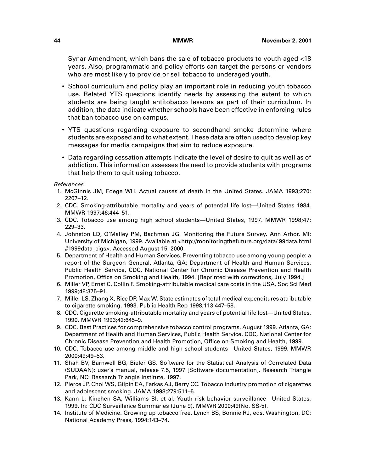Synar Amendment, which bans the sale of tobacco products to youth aged <18 years. Also, programmatic and policy efforts can target the persons or vendors who are most likely to provide or sell tobacco to underaged youth.

- School curriculum and policy play an important role in reducing youth tobacco use. Related YTS questions identify needs by assessing the extent to which students are being taught antitobacco lessons as part of their curriculum. In addition, the data indicate whether schools have been effective in enforcing rules that ban tobacco use on campus.
- YTS questions regarding exposure to secondhand smoke determine where students are exposed and to what extent. These data are often used to develop key messages for media campaigns that aim to reduce exposure.
- Data regarding cessation attempts indicate the level of desire to quit as well as of addiction. This information assesses the need to provide students with programs that help them to quit using tobacco.

References

- 1. McGinnis JM, Foege WH. Actual causes of death in the United States. JAMA 1993;270: 2207–12.
- 2. CDC. Smoking-attributable mortality and years of potential life lost—United States 1984. MMWR 1997;46:444–51.
- 3. CDC. Tobacco use among high school students—United States, 1997. MMWR 1998;47: 229–33.
- 4. Johnston LD, O'Malley PM, Bachman JG. Monitoring the Future Survey. Ann Arbor, MI: University of Michigan, 1999. Available a[t <http://monitoringthefuture.org/data/ 99data.html](http://monitoringthefuture.org/data/ 99data.html#1999data_cigs) [#1999data\\_cigs>. A](http://monitoringthefuture.org/data/ 99data.html#1999data_cigs)ccessed August 15, 2000.
- 5. Department of Health and Human Services. Preventing tobacco use among young people: a report of the Surgeon General. Atlanta, GA: Department of Health and Human Services, Public Health Service, CDC, National Center for Chronic Disease Prevention and Health Promotion, Office on Smoking and Health, 1994. [Reprinted with corrections, July 1994.]
- 6. Miller VP, Ernst C, Collin F. Smoking-attributable medical care costs in the USA. Soc Sci Med 1999;48:375–91.
- 7. Miller LS, Zhang X, Rice DP, Max W. State estimates of total medical expenditures attributable to cigarette smoking, 1993. Public Health Rep 1998;113:447–58.
- 8. CDC. Cigarette smoking-attributable mortality and years of potential life lost—United States, 1990. MMWR 1993;42:645–9.
- 9. CDC. Best Practices for comprehensive tobacco control programs, August 1999. Atlanta, GA: Department of Health and Human Services, Public Health Service, CDC, National Center for Chronic Disease Prevention and Health Promotion, Office on Smoking and Health, 1999.
- 10. CDC. Tobacco use among middle and high school students—United States, 1999. MMWR 2000;49:49–53.
- 11. Shah BV, Barnwell BG, Bieler GS. Software for the Statistical Analysis of Correlated Data (SUDAAN): user's manual, release 7.5, 1997 [Software documentation]. Research Triangle Park, NC: Research Triangle Institute, 1997.
- 12. Pierce JP, Choi WS, Gilpin EA, Farkas AJ, Berry CC. Tobacco industry promotion of cigarettes and adolescent smoking. JAMA 1998;279:511–5.
- 13. Kann L, Kinchen SA, Williams BI, et al. Youth risk behavior surveillance—United States, 1999. In: CDC Surveillance Summaries (June 9). MMWR 2000;49(No. SS-5).
- 14. Institute of Medicine. Growing up tobacco free. Lynch BS, Bonnie RJ, eds. Washington, DC: National Academy Press, 1994:143–74.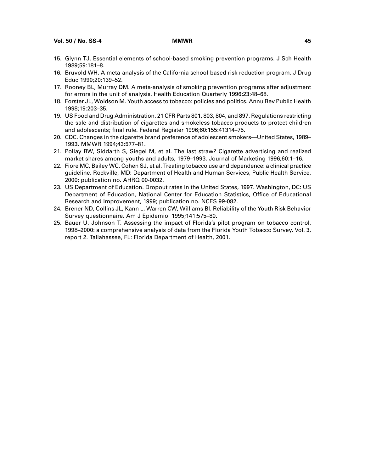**Vol. 50 / No. SS-4 MMWR 45**

- 15. Glynn TJ. Essential elements of school-based smoking prevention programs. J Sch Health 1989;59:181–8.
- 16. Bruvold WH. A meta-analysis of the California school-based risk reduction program. J Drug Educ 1990;20:139–52.
- 17. Rooney BL, Murray DM. A meta-analysis of smoking prevention programs after adjustment for errors in the unit of analysis. Health Education Quarterly 1996;23:48–68.
- 18. Forster JL, Woldson M. Youth access to tobacco: policies and politics. Annu Rev Public Health 1998;19:203–35.
- 19. US Food and Drug Administration. 21 CFR Parts 801, 803, 804, and 897. Regulations restricting the sale and distribution of cigarettes and smokeless tobacco products to protect children and adolescents; final rule. Federal Register 1996;60:155:41314–75.
- 20. CDC. Changes in the cigarette brand preference of adolescent smokers—United States, 1989– 1993. MMWR 1994;43:577–81.
- 21. Pollay RW, Siddarth S, Siegel M, et al. The last straw? Cigarette advertising and realized market shares among youths and adults, 1979–1993. Journal of Marketing 1996;60:1–16.
- 22. Fiore MC, Bailey WC, Cohen SJ, et al. Treating tobacco use and dependence: a clinical practice guideline. Rockville, MD: Department of Health and Human Services, Public Health Service, 2000; publication no. AHRQ 00-0032.
- 23. US Department of Education. Dropout rates in the United States, 1997. Washington, DC: US Department of Education, National Center for Education Statistics, Office of Educational Research and Improvement, 1999; publication no. NCES 99-082.
- 24. Brener ND, Collins JL, Kann L, Warren CW, Williams BI. Reliability of the Youth Risk Behavior Survey questionnaire. Am J Epidemiol 1995;141:575–80.
- 25. Bauer U, Johnson T. Assessing the impact of Florida's pilot program on tobacco control, 1998–2000: a comprehensive analysis of data from the Florida Youth Tobacco Survey. Vol. 3, report 2. Tallahassee, FL: Florida Department of Health, 2001.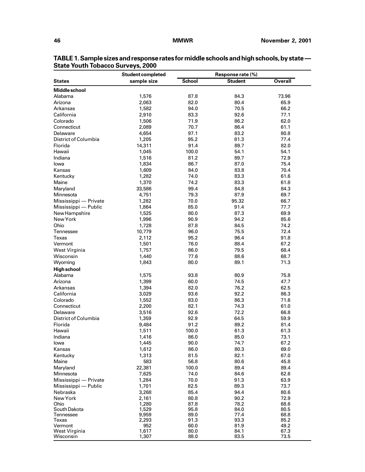|                             | <b>Student completed</b> |               | Response rate (%) |                |
|-----------------------------|--------------------------|---------------|-------------------|----------------|
| <b>States</b>               | sample size              | <b>School</b> | <b>Student</b>    | <b>Overall</b> |
| <b>Middle school</b>        |                          |               |                   |                |
| Alabama                     | 1,576                    | 87.8          | 84.3              | 73.96          |
| Arizona                     | 2,063                    | 82.0          | 80.4              | 65.9           |
| Arkansas                    | 1,582                    | 94.0          | 70.5              | 66.2           |
| California                  | 2,910                    | 83.3          | 92.6              | 77.1           |
| Colorado                    | 1,506                    | 71.9          | 86.2              | 62.0           |
| Connecticut                 | 2,089                    | 70.7          | 86.4              | 61.1           |
| Delaware                    | 4,654                    | 97.1          | 83.2              | 80.8           |
| <b>District of Columbia</b> | 1,205                    | 95.2          | 81.3              | 77.4           |
| Florida                     | 14,311                   | 91.4          | 89.7              | 82.0           |
| Hawaii                      | 1,045                    | 100.0         | 54.1              | 54.1           |
| Indiana                     | 1,516                    | 81.2          | 89.7              | 72.9           |
| lowa                        | 1,834                    | 86.7          | 87.0              | 75.4           |
| Kansas                      | 1,609                    | 84.0          | 83.8              | 70.4           |
| Kentucky                    | 1,282                    | 74.0          | 83.3              | 61.6           |
| Maine                       | 1,370                    | 74.2          | 83.3              | 61.8           |
| Maryland                    | 33,586                   | 99.4          | 84.8              | 84.3           |
| Minnesota                   | 4,751                    | 79.3          | 87.9              | 69.7           |
| Mississippi - Private       | 1,282                    | 70.0          | 95.32             | 66.7           |
| Mississippi — Public        | 1,864                    | 85.0          | 91.4              | 77.7           |
| New Hampshire               | 1,525                    | 80.0          | 87.3              | 69.9           |
| New York                    | 1,996                    | 90.9          | 94.2              | 85.6           |
| Ohio                        | 1,728                    | 87.8          | 84.5              | 74.2           |
| Tennessee                   | 10,779                   | 96.0          | 75.5              | 72.4           |
| Texas                       | 2,112                    | 95.2          | 96.4              | 91.8           |
| Vermont                     |                          | 76.0          | 88.4              | 67.2           |
|                             | 1,501<br>1,757           | 86.0          | 79.5              | 68.4           |
| West Virginia<br>Wisconsin  | 1,440                    | 77.6          | 88.6              | 68.7           |
| Wyoming                     | 1,843                    | 80.0          | 89.1              | 71.3           |
|                             |                          |               |                   |                |
| <b>High school</b>          |                          |               |                   |                |
| Alabama                     | 1,575                    | 93.8          | 80.9              | 75.8           |
| Arizona                     | 1,399                    | 60.0          | 74.5<br>76.2      | 47.7<br>62.5   |
| Arkansas                    | 1,394                    | 82.0          |                   |                |
| California                  | 3,029                    | 93.6          | 92.2              | 86.3           |
| Colorado                    | 1,552                    | 83.0          | 86.3              | 71.6           |
| Connecticut                 | 2,200                    | 82.1          | 74.3<br>72.2      | 61.0           |
| Delaware                    | 3,516                    | 92.6          |                   | 66.8           |
| District of Columbia        | 1,359                    | 92.9          | 64.5              | 59.9           |
| Florida                     | 9,484                    | 91.2          | 89.2              | 81.4           |
| Hawaii                      | 1,511                    | 100.0         | 61.3              | 61.3           |
| Indiana                     | 1,416                    | 86.0          | 85.0              | 73.1           |
| lowa                        | 1,445                    | 90.0          | 74.7              | 67.2           |
| Kansas                      | 1,612                    | 86.0          | 80.3              | 69.0           |
| Kentucky                    | 1,313                    | 81.5          | 82.1              | 67.0           |
| Maine                       | 583                      | 56.8          | 80.6              | 45.8           |
| Maryland                    | 22,381                   | 100.0         | 89.4              | 89.4           |
| Minnesota                   | 7,625                    | 74.0          | 84.6              | 62.6           |
| Mississippi - Private       | 1,284                    | 70.0          | 91.3              | 63.9           |
| Mississippi — Public        | 1,701                    | 82.5          | 89.3              | 73.7           |
| Nebraska                    | 3,268                    | 85.4          | 94.4              | 80.6           |
| New York                    | 2,161                    | 80.8          | 90.2              | 72.9           |
| Ohio<br>South Dakota        | 1,280<br>1,529           | 87.8<br>95.8  | 78.2<br>84.0      | 68.6<br>80.5   |
| Tennessee                   | 9,959                    | 89.0          | 77.4              | 68.8           |
| Texas                       | 2,293                    | 91.3          | 93.3              | 85.2           |
| Vermont                     | 952                      | 60.0          | 81.9              | 49.2           |
| West Virginia               | 1,617                    | 80.0          | 84.1              | 67.3           |
| Wisconsin                   | 1,307                    | 88.0          | 83.5              | 73.5           |

**TABLE 1. Sample sizes and response rates for middle schools and high schools, by state — State Youth Tobacco Surveys, 2000**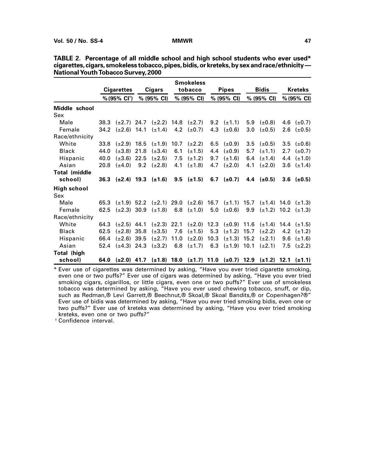|                      |      |                                                                              |      |                  |     | <b>Smokeless</b>                                                                |      |                  |     |                       |                       |                              |
|----------------------|------|------------------------------------------------------------------------------|------|------------------|-----|---------------------------------------------------------------------------------|------|------------------|-----|-----------------------|-----------------------|------------------------------|
|                      |      | <b>Cigarettes</b>                                                            |      | <b>Cigars</b>    |     | tobacco                                                                         |      | <b>Pipes</b>     |     | <b>Bidis</b>          |                       | Kreteks                      |
|                      |      | % (95% CI <sup>t</sup> )                                                     |      | % (95% CI)       |     | % (95% CI)                                                                      |      | % (95% CI)       |     | $% (95\% \text{ Cl})$ | $% (95\% \text{ Cl})$ |                              |
| Middle school        |      |                                                                              |      |                  |     |                                                                                 |      |                  |     |                       |                       |                              |
| Sex                  |      |                                                                              |      |                  |     |                                                                                 |      |                  |     |                       |                       |                              |
| Male                 |      | 38.3 $(\pm 2.7)$ 24.7 $(\pm 2.2)$ 14.8 $(\pm 2.7)$                           |      |                  |     |                                                                                 |      | 9.2 $(\pm 1.1)$  |     | 5.9 $(\pm 0.8)$       |                       | 4.6 $(\pm 0.7)$              |
| Female               |      | 34.2 $(\pm 2.6)$ 14.1 $(\pm 1.4)$ 4.2 $(\pm 0.7)$                            |      |                  |     |                                                                                 |      | 4.3 $(\pm 0.6)$  | 3.0 | $(\pm 0.5)$           | 2.6                   | $(\pm 0.5)$                  |
| Race/ethnicity       |      |                                                                              |      |                  |     |                                                                                 |      |                  |     |                       |                       |                              |
| White                | 33.8 | $(\pm 2.9)$ 18.5 $(\pm 1.9)$ 10.7 $(\pm 2.2)$                                |      |                  |     |                                                                                 |      | 6.5 $(\pm 0.9)$  |     | $3.5$ ( $\pm 0.5$ )   |                       | $3.5 \left( \pm 0.6 \right)$ |
| <b>Black</b>         | 44.0 | $(\pm 3.8)$ 21.8                                                             |      | $(\pm 3.4)$      | 6.1 | $(\pm 1.5)$                                                                     | 4.4  | $(\pm 0.9)$      | 5.7 | $(\pm 1.1)$           |                       | 2.7 $(\pm 0.7)$              |
| Hispanic             | 40.0 | $(\pm 3.6)$                                                                  | 22.5 | $(\pm 2.5)$      | 7.5 | $(\pm 1.2)$                                                                     | 9.7  | $(\pm 1.6)$      | 6.4 | $(\pm 1.4)$           | 4.4                   | $(\pm 1.0)$                  |
| Asian                | 20.8 | $(\pm 4.0)$                                                                  | 9.2  | $(\pm 2.8)$      | 4.1 | $(\pm 1.8)$                                                                     | 4.7  | $(\pm 2.0)$      | 4.1 | $(\pm 2.0)$           |                       | 3.6 $(\pm 1.4)$              |
| <b>Total (middle</b> |      |                                                                              |      |                  |     |                                                                                 |      |                  |     |                       |                       |                              |
| school)              |      | 36.3 ( $\pm$ 2.4) 19.3 ( $\pm$ 1.6) 9.5 ( $\pm$ 1.5)                         |      |                  |     |                                                                                 |      | 6.7 $(\pm 0.7)$  |     | 4.4 $(\pm 0.5)$       |                       | $3.6 \text{ } (\pm 0.5)$     |
| <b>High school</b>   |      |                                                                              |      |                  |     |                                                                                 |      |                  |     |                       |                       |                              |
| Sex                  |      |                                                                              |      |                  |     |                                                                                 |      |                  |     |                       |                       |                              |
| Male                 |      | 65.3 ( $\pm$ 1.9) 52.2 ( $\pm$ 2.1) 29.0 ( $\pm$ 2.6) 16.7 ( $\pm$ 1.1) 15.7 |      |                  |     |                                                                                 |      |                  |     |                       |                       | $(\pm 1.4)$ 14.0 $(\pm 1.3)$ |
| Female               | 62.5 | $(\pm 2.3)$ 30.9                                                             |      | $(\pm 1.8)$      |     | 6.8 $(\pm 1.0)$                                                                 | 5.0  | $(\pm 0.6)$      | 9.9 |                       |                       | $(\pm 1.2)$ 10.2 $(\pm 1.3)$ |
| Race/ethnicity       |      |                                                                              |      |                  |     |                                                                                 |      |                  |     |                       |                       |                              |
| White                |      | 64.3 $(\pm 2.5)$ 44.1                                                        |      |                  |     | $(\pm 2.3)$ 22.1 $(\pm 2.0)$ 12.3 $(\pm 0.9)$ 11.6 $(\pm 1.4)$ 14.4 $(\pm 1.5)$ |      |                  |     |                       |                       |                              |
| <b>Black</b>         | 62.5 | $(\pm 2.8)$ 35.8                                                             |      | $(\pm 3.5)$      | 7.6 | $(\pm 1.5)$                                                                     | 5.3  | $(\pm 1.2)$ 15.7 |     | $(\pm 2.2)$           |                       | 4.2 $(\pm 1.2)$              |
| Hispanic             | 66.4 | $(\pm 2.6)$ 39.5                                                             |      | $(\pm 2.7)$ 11.0 |     | $(\pm 2.0)$                                                                     | 10.3 | $(\pm 1.3)$ 15.2 |     | $(\pm 2.1)$           | 9.6                   | $(\pm 1.6)$                  |
| Asian                | 52.4 | $(\pm 4.3)$ 24.3                                                             |      | $(\pm 3.2)$      | 6.8 | $(\pm 1.7)$                                                                     | 6.3  | $(\pm 1.9)$ 10.1 |     | $(\pm 2.1)$           | 7.5                   | $(\pm 2.2)$                  |
| Total (high          |      |                                                                              |      |                  |     |                                                                                 |      |                  |     |                       |                       |                              |
| school)              |      | 64.0 (±2.0) 41.7 (±1.8) 18.0 (±1.7) 11.0 (±0.7) 12.9 (±1.2) 12.1 (±1.1)      |      |                  |     |                                                                                 |      |                  |     |                       |                       |                              |

| TABLE 2. Percentage of all middle school and high school students who ever used*             |
|----------------------------------------------------------------------------------------------|
| cigarettes, cigars, smokeless tobacco, pipes, bidis, or kreteks, by sex and race/ethnicity — |
| <b>National Youth Tobacco Survey, 2000</b>                                                   |

\* Ever use of cigarettes was determined by asking, "Have you ever tried cigarette smoking, even one or two puffs?" Ever use of cigars was determined by asking, "Have you ever tried smoking cigars, cigarillos, or little cigars, even one or two puffs?" Ever use of smokeless tobacco was determined by asking, "Have you ever used chewing tobacco, snuff, or dip, such as Redman,® Levi Garrett,® Beechnut,® Skoal,® Skoal Bandits,® or Copenhagen?®" Ever use of bidis was determined by asking, "Have you ever tried smoking bidis, even one or two puffs?" Ever use of kreteks was determined by asking, "Have you ever tried smoking kreteks, even one or two puffs?"

† Confidence interval.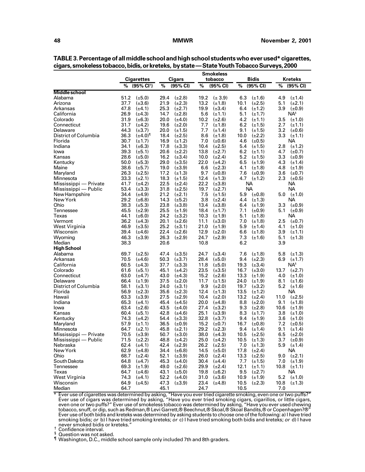|                        |                                            |                                            | <b>Smokeless</b>                           |                                    |                              |
|------------------------|--------------------------------------------|--------------------------------------------|--------------------------------------------|------------------------------------|------------------------------|
|                        | Cigarettes                                 | <b>Cigars</b>                              | tobacco                                    | <b>Bidis</b>                       | Kreteks                      |
|                        | (95% CI <sup>t</sup> )                     | %                                          | %                                          | %                                  | %                            |
|                        | %                                          | (95% CI)                                   | (95% CI)                                   | (95% CI)                           | (95% CI)                     |
| <b>Middle school</b>   |                                            |                                            |                                            |                                    |                              |
| Alabama                | 51.2                                       | $(\pm 2.8)$                                | $(\pm 3.9)$                                | 6.3                                | 4.9                          |
|                        | $(\pm 5.0)$                                | 29.4                                       | 19.2                                       | $(\pm 1.6)$                        | $(\pm 1.4)$                  |
| Arizona                | 37.7                                       | 21.9                                       | 13.2                                       | $(\pm 2.5)$                        | 5.1                          |
|                        | $(\pm 3.6)$                                | $(\pm 2.3)$                                | $(\pm 1.8)$                                | 10.1                               | $(\pm 2.1)$                  |
| Arkansas               | 47.8                                       | $(\pm 2.7)$                                | 19.9                                       | 6.4                                | 3.9                          |
|                        | $(\pm 4.1)$                                | 25.3                                       | $(\pm 3.4)$                                | $(\pm 1.2)$                        | $(\pm 0.9)$                  |
| California             | 26.9<br>$(\pm 4.3)$                        | 14.7<br>$(\pm 2.8)$                        | 5.6<br>$(\pm 1.1)$                         | 5.1<br>$(\pm 1.7)$                 | NA <sup>§</sup>              |
| Colorado               | 31.9                                       | 20.0                                       | 10.2                                       | 4.2                                | 3.5                          |
|                        | $(\pm 6.3)$                                | $(\pm 4.0)$                                | $(\pm 2.6)$                                | $(\pm 1.1)$                        | $(\pm 1.0)$                  |
| Connecticut            | 31.7                                       | 19.6                                       | 7.7                                        | 6.2                                | 2.7                          |
|                        | $(\pm 4.2)$                                | $(\pm 2.0)$                                | $(\pm 1.8)$                                | $(\pm 1.5)$                        | $(\pm 1.1)$                  |
| Delaware               | 44.3                                       | 20.0                                       | 7.7                                        | 9.1                                | 3.2                          |
|                        | $(\pm 3.7)$                                | $(\pm 1.5)$                                | $(\pm 1.4)$                                | $(\pm 1.5)$                        | $(\pm 0.6)$                  |
| District of Columbia   | 36.3                                       | $(\pm 2.5)$                                | 8.6                                        | 10.0                               | 3.3                          |
|                        | (±4.0)¶                                    | 18.4                                       | $(\pm 1.8)$                                | $(\pm 2.2)$                        | $(\pm 1.1)$                  |
| Florida                | 30.7<br>$(\pm 1.7)$                        | 16.9<br>$(\pm 1.2)$                        | 7.0<br>$(\pm 0.6)$                         | 4.6<br>$(\pm 0.5)$                 | NА                           |
| Indiana                | 34.1                                       | 17.8                                       | 10.4                                       | 5.4                                | 2.8                          |
|                        | $(\pm 6.3)$                                | $(\pm 3.3)$                                | $(\pm 2.5)$                                | $(\pm 1.5)$                        | $(\pm 1.2)$                  |
| lowa                   | 39.3                                       | $(\pm 2.2)$                                | 13.8                                       | 6.2                                | 4.7                          |
|                        | $(\pm 5.1)$                                | 20.6                                       | $(\pm 2.7)$                                | $(\pm 1.1)$                        | $(\pm 0.7)$                  |
| Kansas                 | 28.6                                       | 16.2                                       | 10.0                                       | 5.2                                | 3.3                          |
|                        | $(\pm 5.0)$                                | $(\pm 3.4)$                                | $(\pm 2.4)$                                | $(\pm 1.5)$                        | $(\pm 0.9)$                  |
| Kentucky               | 50.0                                       | $(\pm 3.5)$                                | 22.0                                       | 6.5                                | 4.3                          |
|                        | $(\pm 5.3)$                                | 29.0                                       | $(\pm 4.2)$                                | $(\pm 1.9)$                        | $(\pm 1.4)$                  |
| Maine                  | 38.6                                       | 19.0                                       | 6.6                                        | 4.1                                | 4.8                          |
|                        | $(\pm 5.7)$                                | $(\pm 3.9)$                                | $(\pm 2.3)$                                | $(\pm 1.8)$                        | $(\pm 1.9)$                  |
| Maryland               | 26.3                                       | 17.2                                       | 9.7                                        | 7.6                                | 3.6                          |
|                        | $(\pm 2.5)$                                | $(\pm 1.3)$                                | $(\pm 0.8)$                                | $(\pm 0.9)$                        | $(\pm 0.7)$                  |
| Minnesota              | 33.3                                       | 18.3                                       | 12.4                                       | 4.7                                | 2.3                          |
|                        | $(\pm 2.1)$                                | $(\pm 1.5)$                                | $(\pm 1.3)$                                | $(\pm 1.2)$                        | $(\pm 0.5)$                  |
| Mississippi - Private  | 41.7<br>$(\pm 4.2)$                        | 22.5<br>$(\pm 2.4)$                        | 22.2<br>$(\pm 3.8)$                        | NА                                 | NА                           |
| Mississippi - Public   | 53.4<br>$(\pm 3.3)$                        | 31.8<br>$(\pm 2.5)$                        | 19.7<br>$(\pm 2.7)$                        | NA.                                | NА                           |
| New Hampshire          | 34.4                                       | 21.2                                       | 7.5                                        | 5.9                                | 5.0                          |
|                        | $(\pm 4.9)$                                | $(\pm 2.1)$                                | $(\pm 1.5)$                                | $(\pm 0.8)$                        | $(\pm 1.0)$                  |
| New York               | 29.2<br>$(\pm 6.8)$                        | 14.3<br>$(\pm 5.2)$                        | 3.8<br>$(\pm 2.4)$                         | 4.4<br>$(\pm 1.3)$                 | ΝA                           |
| Ohio                   | 38.3                                       | 23.8                                       | 13.4                                       | 6.4                                | 3.3                          |
|                        | $(\pm 5.3)$                                | $(\pm 3.8)$                                | $(\pm 3.8)$                                | $(\pm 1.9)$                        | $(\pm 0.9)$                  |
| Tennessee              | 45.5                                       | 25.5                                       | 18.4                                       | 7.1                                | 5.1                          |
|                        | $(\pm 2.9)$                                | $(\pm 1.9)$                                | $(\pm 1.7)$                                | $(\pm 0.9)$                        | (±0.9)                       |
| Texas                  | 44.1<br>$(\pm 6.0)$                        | $(\pm 3.2)$<br>24.2                        | 10.3<br>$(\pm 1.9)$                        | 5.1<br>$(\pm 1.8)$                 | NА                           |
| Vermont                | 36.2                                       | 20.1                                       | 11.1                                       | 7.0                                | 2.5                          |
|                        | $(\pm 4.3)$                                | $(\pm 2.6)$                                | $(\pm 3.0)$                                | $(\pm 1.8)$                        | $(\pm 0.7)$                  |
| West Virginia          | 46.9                                       | 25.2                                       | 21.0                                       | 5.9                                | 4.1                          |
|                        | $(\pm 3.5)$                                | $(\pm 3.1)$                                | $(\pm 1.9)$                                | $(\pm 1.4)$                        | $(\pm 1.0)$                  |
| Wisconsin              | 39.4                                       | 22.4                                       | 12.9                                       | 6.6                                | 3.9                          |
|                        | $(\pm 4.6)$                                | $(\pm 2.6)$                                | $(\pm 2.0)$                                | $(\pm 1.8)$                        | $(\pm 1.1)$                  |
| Wyoming                | 46.3                                       | 26.3                                       | 24.7                                       | 7.3                                | 5.1                          |
|                        | $(\pm 3.9)$                                | $(\pm 2.9)$                                | $(\pm 2.9)$                                | $(\pm 1.6)$                        | $(\pm 1.3)$                  |
| Median                 | 38.3                                       | 20.6                                       | 10.8                                       | 6.2                                | 3.9                          |
| High School            |                                            |                                            |                                            |                                    |                              |
| Alabama                | 69.7                                       | 47.4                                       | $(\pm 3.4)$                                | 7.6                                | 5.8                          |
|                        | $(\pm 2.5)$                                | $(\pm 3.5)$                                | 24.7                                       | $(\pm 1.8)$                        | $(\pm 1.3)$                  |
| Arkansas<br>California | 70.5<br>$(\pm 4.6)$<br>60.5<br>$(\pm 4.3)$ | 50.3<br>$(\pm 3.7)$                        | $(\pm 5.0)$<br>28.4<br>11.8<br>$(\pm 5.0)$ | 9.4<br>$(\pm 2.3)$                 | 6.9<br>$(\pm 1.7)$<br>$NA^s$ |
| Colorado               | 61.6<br>$(\pm 5.1)$                        | 37.7<br>$(\pm 3.3)$<br>45.1<br>$(\pm 4.2)$ | 23.5<br>$(\pm 3.5)$                        | 19.3<br>$(\pm 3.4)$<br>16.7        | 13.7<br>$(\pm 2.7)$          |
| Connecticut            | 63.0<br>$(\pm 4.7)$                        | 43.0<br>$(\pm 4.3)$                        | 15.2<br>$(\pm 2.6)$                        | $(\pm 3.0)$<br>13.3<br>$(\pm 1.9)$ | 4.0<br>$(\pm 1.0)$           |
| Delaware               | 66.4                                       | 37.5                                       | 11.7                                       | 24.0                               | 8.1                          |
|                        | $(\pm 1.9)$                                | $(\pm 2.0)$                                | $(\pm 1.5)$                                | $(\pm 1.9)$                        | $(\pm 1.6)$                  |
| District of Columbia   | 58.1                                       | 24.0                                       | $(\pm 2.0)$                                | 19.7                               | 5.2                          |
|                        | $(\pm 3.1)$                                | $(\pm 3.1)$                                | 9.9                                        | $(\pm 3.2)$                        | $(\pm 1.6)$                  |
| Florida                | 56.9<br>$(\pm 2.3)$                        | 35.6<br>$(\pm 2.3)$                        | 12.4<br>$(\pm 1.3)$                        | 13.5<br>$(\pm 1.2)$                | NА                           |
| Hawaii                 | 63.3                                       | 27.5                                       | $(\pm 2.0)$                                | 13.2                               | 11.0                         |
|                        | $(\pm 3.9)$                                | $(\pm 2.9)$                                | 10.4                                       | $(\pm 2.4)$                        | $(\pm 2.5)$                  |
| Indiana                | 65.3                                       | 45.4                                       | 20.0                                       | 8.8                                | 9.1                          |
|                        | $(\pm 4.1)$                                | $(\pm 4.5)$                                | $(\pm 4.8)$                                | $(\pm 2.0)$                        | $(\pm 1.8)$                  |
| lowa                   | 63.4                                       | 43.5                                       | 27.4                                       | 9.3                                | 10.6                         |
|                        | $(\pm 2.6)$                                | $(\pm 4.0)$                                | $(\pm 3.2)$                                | $(\pm 2.8)$                        | $(\pm 1.9)$                  |
| Kansas                 | 60.4                                       | 42.8                                       | 25.1                                       | 8.3                                | 3.8                          |
|                        | $(\pm 5.1)$                                | $(\pm 4.6)$                                | $(\pm 3.9)$                                | $(\pm 1.7)$                        | $(\pm 1.0)$                  |
| Kentucky               | 74.3                                       | 54.4                                       | 32.8                                       | 9.4                                | 3.6                          |
|                        | $(\pm 4.2)$                                | $(\pm 3.3)$                                | $(\pm 3.7)$                                | $(\pm 1.9)$                        | $(\pm 1.0)$                  |
| Maryland               | 57.9                                       | 36.5                                       | 15.2                                       | 16.7                               | 7.2                          |
|                        | $(\pm 1.1)$                                | $(\pm 0.9)$                                | $(\pm 0.7)$                                | $(\pm 0.8)$                        | $(\pm 0.5)$                  |
| Minnesota              | 64.7                                       | 45.8                                       | 29.2                                       | 9.4                                | 9.1                          |
|                        | $(\pm 2.1)$                                | $(\pm 2.1)$                                | $(\pm 2.3)$                                | $(\pm 1.4)$                        | $(\pm 1.4)$                  |
| Mississippi - Private  | 70.5                                       | 50.7                                       | 38.0                                       | 10.5                               | 6.5                          |
|                        | $(\pm 3.9)$                                | $(\pm 3.0)$                                | $(\pm 4.3)$                                | $(\pm 2.5)$                        | $(\pm 2.0)$                  |
| Mississippi - Public   | $71.5$ ( $\pm 2.2$ )                       | 48.8 (±4.2)                                | $25.0$ (±4.2)                              | 10.5 $(\pm 1.3)$                   | 3.7 $(\pm 0.9)$              |
| Nebraska               | 62.4<br>$(\pm 4.1)$                        | 42.4 $(\pm 2.9)$                           | 26.2<br>$(\pm 2.5)$                        | 7.0<br>$(\pm 1.3)$                 | $5.9$ $(\pm 1.4)$            |
| New York               | $(\pm 4.8)$<br>62.9                        | 34.4<br>$(\pm 6.8)$                        | $(\pm 5.0)$<br>14.5                        | 17.8<br>$(\pm 2.4)$                | NА                           |
| Ohio                   | 68.7                                       | 52.1                                       | 26.0                                       | 13.3                               | $(\pm 2.1)$                  |
|                        | $(\pm 2.4)$                                | $(\pm 3.9)$                                | $(\pm 2.4)$                                | $(\pm 2.5)$                        | 9.0                          |
| South Dakota           | 64.8<br>$(\pm 4.7)$                        | 45.3<br>$(\pm 4.0)$                        | 30.4<br>$(\pm 4.4)$                        | 7.7<br>$(\pm 1.5)$                 | 7.0 $(\pm 1.9)$              |
| Tennessee              | 69.3<br>$(\pm 1.9)$                        | 49.0<br>$(\pm 2.6)$                        | 29.9<br>$(\pm 2.4)$                        | 12.1<br>$(\pm 1.1)$                | 10.8 $(\pm 1.1)$             |
| Texas                  | 64.7<br>$(\pm 4.6)$                        | 43.1<br>$(\pm 5.0)$                        | 19.8<br>$(\pm 6.2)$                        | 9.5<br>$(\pm 2.7)$                 | NА                           |
| West Virginia          | 74.3<br>$(\pm 4.1)$                        | 52.2<br>$(\pm 4.0)$                        | 31.0<br>$(\pm 3.6)$                        | 10.9<br>$(\pm 1.9)$                | 5.2 $(\pm 1.0)$              |
| Wisconsin              | 64.9                                       | 47.3                                       | 23.4                                       | 10.5                               | 10.8                         |
|                        | $(\pm 4.5)$                                | $(\pm 3.9)$                                | $(\pm 4.8)$                                | $(\pm 2.3)$                        | $(\pm 1.3)$                  |
| Median                 | 64.7                                       | 45.1                                       | 24.7                                       | 10.5                               | 7.0                          |

| TABLE 3. Percentage of all middle school and high school students who ever used* cigarettes, |
|----------------------------------------------------------------------------------------------|
| cigars, smokeless tobacco, bidis, or kreteks, by state - State Youth Tobacco Surveys, 2000   |

\* Ever use of cigarettes was determined by asking, "Have you ever tried cigarette smoking, even one or two puffs?" Ever use of cigars was determined by asking, "Have you ever tried smoking cigars, cigarillos, or little cigars, even one or two puffs?" Ever use of smokeless tobacco was determined by asking, "Have you ever used chewing tobacco, snuff, or dip, such as Redman,® Levi Garrett,® Beechnut,® Skoal,® Skoal Bandits,® or Copenhagen?®" Ever use of both bidis and kreteks was determined by asking students to choose one of the following: a) I have tried smoking bidis; or b) I have tried smoking kreteks; or c) I have tried smoking both bidis and kreteks; or d) I have<br>never smoked bidis or kreteks."

never smoked bidis or kreteks." † Confidence interval.

§ Question was not asked.

<sup>¶</sup> Washington, D.C., middle school sample only included 7th and 8th graders.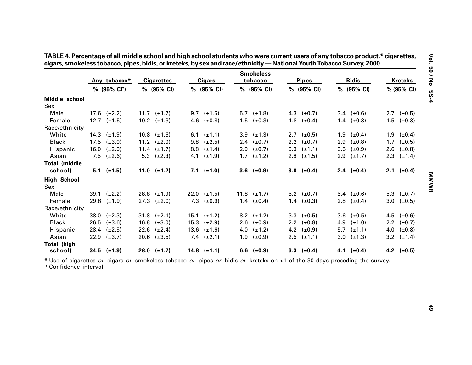|                           |      |                          |                   |     |                    |     | <b>Smokeless</b> |     |                     |              |                 |                |                 |
|---------------------------|------|--------------------------|-------------------|-----|--------------------|-----|------------------|-----|---------------------|--------------|-----------------|----------------|-----------------|
|                           |      | Any tobacco*             | <b>Cigarettes</b> |     | <b>Cigars</b>      |     | tobacco          |     | <b>Pipes</b>        | <b>Bidis</b> |                 | <b>Kreteks</b> |                 |
|                           |      | % (95% CI <sup>t</sup> ) | % (95% CI)        |     | % (95% CI)         |     | % (95% CI)       |     | % (95% CI)          |              | % (95% CI)      |                | % (95% CI)      |
| Middle school             |      |                          |                   |     |                    |     |                  |     |                     |              |                 |                |                 |
| Sex                       |      |                          |                   |     |                    |     |                  |     |                     |              |                 |                |                 |
| Male                      |      | 17.6 $(\pm 2.2)$         | 11.7 $(\pm 1.7)$  |     | 9.7 $(\pm 1.5)$    |     | 5.7 $(\pm 1.8)$  |     | 4.3 $(\pm 0.7)$     |              | 3.4 $(\pm 0.6)$ |                | 2.7 $(\pm 0.5)$ |
| Female                    |      | 12.7 $(\pm 1.5)$         | 10.2 $(\pm 1.3)$  | 4.6 | $(\pm 0.8)$        | 1.5 | $(\pm 0.3)$      |     | 1.8 $(\pm 0.4)$     |              | 1.4 $(\pm 0.3)$ | 1.5            | $(\pm 0.3)$     |
| Race/ethnicity            |      |                          |                   |     |                    |     |                  |     |                     |              |                 |                |                 |
| White                     |      | 14.3 $(\pm 1.9)$         | 10.8 $(\pm 1.6)$  |     | 6.1 $(\pm 1.1)$    | 3.9 | $(\pm 1.3)$      |     | 2.7 $(\pm 0.5)$     |              | 1.9 $(\pm 0.4)$ |                | 1.9 $(\pm 0.4)$ |
| <b>Black</b>              | 17.5 | $(\pm 3.0)$              | 11.2 $(\pm 2.0)$  | 9.8 | $(\pm 2.5)$        | 2.4 | $(\pm 0.7)$      | 2.2 | $(\pm 0.7)$         | 2.9          | $(\pm 0.8)$     | 1.7            | $(\pm 0.5)$     |
| Hispanic                  | 16.0 | $(\pm 2.0)$              | 11.4 $(\pm 1.7)$  | 8.8 | $(\pm 1.4)$        | 2.9 | $(\pm 0.7)$      |     | 5.3 $(\pm 1.1)$     | 3.6          | $(\pm 0.9)$     | 2.6            | $(\pm 0.8)$     |
| Asian                     | 7.5  | $(\pm 2.6)$              | 5.3 $(\pm 2.3)$   | 4.1 | $(\pm 1.9)$        | 1.7 | $(\pm 1.2)$      |     | 2.8 $(\pm 1.5)$     | 2.9          | $(\pm 1.7)$     |                | 2.3 $(\pm 1.4)$ |
| <b>Total (middle</b>      |      |                          |                   |     |                    |     |                  |     |                     |              |                 |                |                 |
| school)                   |      | $5.1$ ( $\pm$ 1.5)       | 11.0 $(\pm 1.2)$  |     | $7.1$ ( $\pm$ 1.0) |     | $3.6$ (±0.9)     |     | $3.0$ ( $\pm 0.4$ ) |              | 2.4 $(\pm 0.4)$ |                | 2.1 $(\pm 0.4)$ |
| <b>High School</b><br>Sex |      |                          |                   |     |                    |     |                  |     |                     |              |                 |                |                 |
| Male                      |      | 39.1 $(\pm 2.2)$         | 28.8 $(\pm 1.9)$  |     | 22.0 $(\pm 1.5)$   |     | 11.8 $(\pm 1.7)$ |     | 5.2 $(\pm 0.7)$     |              | 5.4 $(\pm 0.6)$ |                | 5.3 $(\pm 0.7)$ |
| Female                    | 29.8 | $(\pm 1.9)$              | 27.3 $(\pm 2.0)$  | 7.3 | $(\pm 0.9)$        |     | 1.4 $(\pm 0.4)$  |     | 1.4 $(\pm 0.3)$     |              | 2.8 $(\pm 0.4)$ |                | 3.0 $(\pm 0.5)$ |
| Race/ethnicity            |      |                          |                   |     |                    |     |                  |     |                     |              |                 |                |                 |
| White                     | 38.0 | $(\pm 2.3)$              | 31.8 $(\pm 2.1)$  |     | 15.1 $(\pm 1.2)$   |     | 8.2 $(\pm 1.2)$  |     | 3.3 $(\pm 0.5)$     | 3.6          | $(\pm 0.5)$     | 4.5            | $(\pm 0.6)$     |
| <b>Black</b>              | 26.5 | $(\pm 3.6)$              | 16.8 $(\pm 3.0)$  |     | 15.3 $(\pm 2.9)$   |     | 2.6 $(\pm 0.9)$  |     | 2.2 $(\pm 0.8)$     | 4.9          | $(\pm 1.0)$     |                | 2.2 $(\pm 0.7)$ |
| Hispanic                  | 28.4 | $(\pm 2.5)$              | 22.6 $(\pm 2.4)$  |     | 13.6 $(\pm 1.6)$   | 4.0 | $(\pm 1.2)$      |     | 4.2 $(\pm 0.9)$     | 5.7          | $(\pm 1.1)$     |                | 4.0 $(\pm 0.8)$ |
| Asian                     |      | 22.9 $(\pm 3.7)$         | 20.6 $(\pm 3.5)$  |     | 7.4 $(\pm 2.1)$    | 1.9 | $(\pm 0.9)$      |     | $2.5$ ( $\pm$ 1.1)  | 3.0          | $(\pm 1.3)$     |                | 3.2 $(\pm 1.4)$ |
| <b>Total (high</b>        |      |                          |                   |     |                    |     |                  |     |                     |              |                 |                |                 |
| school)                   |      | $34.5$ ( $\pm 1.9$ )     | $28.0$ (±1.7)     |     | 14.8 $(\pm 1.1)$   |     | 6.6 $(\pm 0.9)$  |     | 3.3 $(\pm 0.4)$     |              | 4.1 $(\pm 0.4)$ |                | 4.2 $(\pm 0.5)$ |

| TABLE 4. Percentage of all middle school and high school students who were current users of any tobacco product,* cigarette |  |
|-----------------------------------------------------------------------------------------------------------------------------|--|
| cigars, smokeless tobacco, pipes, bidis, or kreteks, by sex and race/ethnicity — National Youth Tobacco Survey, 2000        |  |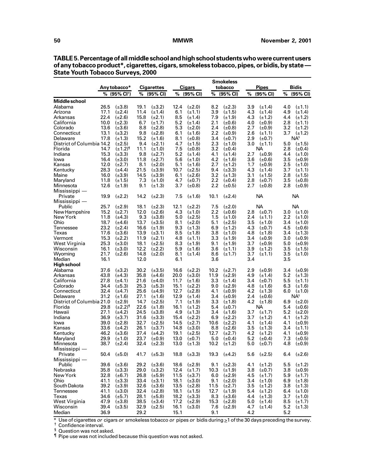|                           |              |                            |              |                            |              |                            |            | <b>Smokeless</b>           |            |                            |            |                                |
|---------------------------|--------------|----------------------------|--------------|----------------------------|--------------|----------------------------|------------|----------------------------|------------|----------------------------|------------|--------------------------------|
|                           |              | Any tobacco*               |              | <b>Cigarettes</b>          |              | Cigars                     |            | tobacco                    |            | <b>Pipes</b>               |            | Bidis                          |
|                           | %            | $(95\% \text{ Cl}^+)$      | %            | (95% CI)                   |              | % (95% CI)                 | %          | (95% CI)                   | %          | (95% CI)                   | %          | (95% CI)                       |
| Middle school             |              |                            |              |                            |              |                            |            |                            |            |                            |            |                                |
| Alabama                   | 26.5         | $(\pm 3.8)$                | 19.1         | $(\pm 3.2)$                | 12.4         | $(\pm 2.0)$                | 8.2        | $(\pm 2.3)$                | 3.9        | $(\pm 1.4)$                | 4.0        | $(\pm 1.1)$                    |
| Arizona                   | 17.1         | $(\pm 2.4)$                | 11.4         | $(\pm 1.4)$                | 6.1          | $(\pm 1.1)$                | 3.9        | $(\pm 1.5)$                | 4.3        | $(\pm 1.4)$                | 4.9        | $(\pm 1.4)$                    |
| Arkansas                  | 22.4         | $(\pm 2.6)$                | 15.8         | $(\pm 2.1)$                | 8.5          | $(\pm 1.4)$                | 7.9        | $(\pm 1.9)$                | 4.3        | $(\pm 1.2)$                | 4.4        | $(\pm 1.2)$                    |
| California                | 10.0         | $(\pm 2.3)$                | 6.7          | $(\pm 1.7)$                | 5.2          | $(\pm 1.4)$                | 2.1        | $(\pm 0.6)$                | 4.0        | $(\pm 0.9)$                | 2.8        | $(\pm 1.1)$                    |
| Colorado                  | 13.6         | $(\pm 3.6)$                | 8.8          | $(\pm 2.8)$                | 5.3          | $(\pm 2.0)$                | 2.4        | $(\pm 0.8)$                | 2.7        | $(\pm 0.9)$                | 3.2        | $(\pm 1.2)$                    |
| Connecticut               | 13.1         | $(\pm 3.2)$                | 9.8          | $(\pm 2.8)$                | 6.1          | $(\pm 1.6)$                | 2.2        | $(\pm 0.9)$                | 2.6        | $(\pm 1.1)$                | 3.7        | $(\pm 1.2)$                    |
| Delaware                  | 17.8         | $(\pm 1.3)$                | 15.2         | $(\pm 1.6)$                | 8.1          | $(\pm 0.8)$                | 3.4        | $(\pm 0.7)$                | 2.9        | $(\pm 0.7)$                |            | NA <sup>§</sup>                |
| District of Columbia 14.2 |              | $(\pm 2.5)$                | 9.4          | $(\pm 2.1)$                | 4.7          | $(\pm 1.5)$                | 2.3        | $(\pm 1.0)$                | 3.0        | $(\pm 1.1)$                | 5.0        | $(\pm 1.5)$                    |
| Florida                   | 14.7         | $(\pm 1.2)^{1}$            | 11.1         | $(\pm 1.0)$                | 7.5          | $(\pm 0.8)$                | 3.2        | $(\pm 0.4)$                |            | ΝA                         | 2.8        | $(\pm 0.4)$                    |
| Indiana                   | 15.3         | $(\pm 3.3)$                | 9.8          | $(\pm 2.7)$                | 5.2          | $(\pm 1.4)$                | 4.1        | $(\pm 1.4)$                | 2.7        | $(\pm 0.9)$                | 4.4        | $(\pm 1.0)$                    |
| lowa                      | 16.4         | $(\pm 3.0)$                | 11.8         | $(\pm 2.7)$<br>$(\pm 2.0)$ | 5.6          | $(\pm 1.0)$                | 4.2<br>2.7 | $(\pm 1.6)$                | 3.6        | $(\pm 0.6)$                | 3.5        | $(\pm 0.9)$<br>$(\pm 1.0)$     |
| Kansas<br>Kentucky        | 12.0<br>28.3 | $(\pm 2.7)$<br>$(\pm 4.4)$ | 8.1<br>21.5  | $(\pm 3.9)$                | 5.1<br>10.7  | $(\pm 1.6)$<br>$(\pm 2.5)$ | 9.4        | $(\pm 1.2)$<br>$(\pm 3.3)$ | 1.7<br>4.3 | $(\pm 0.9)$<br>$(\pm 1.4)$ | 2.5<br>3.7 | $(\pm 1.1)$                    |
| Maine                     | 16.0         | $(\pm 3.9)$                | 14.5         | $(\pm 3.9)$                | 6.1          | $(\pm 2.6)$                | 3.2        | $(\pm 1.3)$                | 3.1        | $(\pm 1.5)$                | 2.8        | $(\pm 1.5)$                    |
| Maryland                  | 11.8         | $(\pm 1.5)$                | 7.3          | $(\pm 1.0)$                | 4.7          | $(\pm 0.7)$                | 2.2        | $(\pm 0.4)$                | 2.8        | $(\pm 0.7)$                | 3.5        | $(\pm 0.8)$                    |
| Minnesota                 | 12.6         | $(\pm 1.9)$                | 9.1          | $(\pm 1.3)$                | 3.7          | $(\pm 0.8)$                | 2.2        | $(\pm 0.5)$                | 2.7        | $(\pm 0.8)$                | 2.8        | $(\pm 0.9)$                    |
| Mississippi -             |              |                            |              |                            |              |                            |            |                            |            |                            |            |                                |
| Private                   | 19.9         | $(\pm 2.2)$                | 14.2         | $(\pm 2.3)$                | 7.5          | $(\pm 1.6)$                | 10.1       | $(\pm 2.4)$                |            | NА                         |            | NА                             |
| Mississippi -             |              |                            |              |                            |              |                            |            |                            |            |                            |            |                                |
| Public                    | 25.7         | $(\pm 2.9)$                | 18.1         | $(\pm 2.3)$                | 12.1         | $(\pm 2.2)$                | 7.5        | $(\pm 2.0)$                |            | NА                         |            | <b>NA</b>                      |
| New Hampshire             | 15.2         | $(\pm 2.7)$                | 12.0         | $(\pm 2.6)$                | 4.3          | $(\pm 1.0)$                | 2.2        | $(\pm 0.6)$                | 2.8        | $(\pm 0.7)$                | 3.0        | $(\pm 1.0)$                    |
| New York                  | 11.8         | $(\pm 4.3)$                | 9.3          | $(\pm 3.8)$                | 5.0          | $(\pm 2.5)$                | 1.5        | $(\pm 1.0)$                | 2.4        | $(\pm 1.1)$                | 2.2        | $(\pm 1.0)$                    |
| Ohio                      | 18.7         | $(\pm 4.6)$                | 13.7         | $(\pm 3.5)$                | 8.1          | $(\pm 2.0)$                | 5.1        | $(\pm 2.5)$                | 3.5        | $(\pm 1.0)$                | 3.4        | $(\pm 1.0)$                    |
| Tennessee                 | 23.2         | $(\pm 2.4)$                | 16.6         | $(\pm 1.9)$                | 9.3          | $(\pm 1.3)$                | 6.9        | $(\pm 1.2)$                | 4.3        | $(\pm 0.7)$                | 4.5        | $(\pm 0.6)$                    |
| Texas                     | 17.6         | $(\pm 3.6)$                | 13.9         | $(\pm 3.1)$                | 8.5          | $(\pm 1.8)$                | 3.8        | $(\pm 1.0)$                | 4.8        | $(\pm 1.8)$                | 3.4        | $(\pm 1.3)$                    |
| Vermont                   | 15.3         | $(\pm 2.2)$                | 11.9         | $(\pm 2.1)$                | 4.8          | $(\pm 1.1)$                | 3.3        | $(\pm 1.9)$                | 3.4        | $(\pm 0.9)$                | 3.0        | $(\pm 0.9)$                    |
| West Virginia             | 25.3         | $(\pm 3.0)$                | 18.1         | $(\pm 2.5)$                | 8.3          | $(\pm 1.9)$                | 9.1        | $(\pm 1.9)$                | 3.7        | $(\pm 0.9)$                | 5.0        | $(\pm 0.9)$                    |
| Wisconsin                 | 16.1         | $(\pm 3.0)$                | 12.2         | $(\pm 2.2)$                | 5.9          | $(\pm 1.6)$                | 3.6        | $(\pm 1.1)$                | 3.9        | $(\pm 1.2)$                | 3.5        | $(\pm 1.5)$                    |
| Wyoming                   | 21.7         | $(\pm 2.6)$                | 14.8         | $(\pm 2.0)$                | 8.1          | $(\pm 1.4)$                | 8.6        | $(\pm 1.7)$                | 3.7        | $(\pm 1.1)$                | 3.5        | $(\pm 1.0)$                    |
| Median                    | 16.1         |                            | 12.0         |                            | 6.1          |                            | 3.6        |                            | 3.4        |                            | 3.5        |                                |
| High school               |              |                            |              |                            |              |                            |            |                            |            |                            |            |                                |
| Alabama                   | 37.6         | $(\pm 3.2)$                | 30.2         | $(\pm 3.5)$                | 16.6         | $(\pm 2.2)$                | 10.2       | $(\pm 2.7)$                | 2.9        | $(\pm 0.9)$                | 3.4        | $(\pm 0.9)$                    |
| Arkansas                  | 43.8         | $(\pm 4.3)$                | 35.8         | $(\pm 4.6)$                | 20.0         | $(\pm 3.0)$                | 11.9       | $(\pm 2.9)$                | 4.9        | $(\pm 1.4)$                | 5.2        | $(\pm 1.3)$                    |
| California                | 27.8         | $(\pm 4.1)$                | 21.6         | $(\pm 4.0)$                | 11.7         | $(\pm 1.6)$                | 3.3        | $(\pm 1.4)$                | 3.4        | $(\pm 0.7)$                | 5.5        | $(\pm 1.1)$                    |
| Colorado                  | 34.4         | $(\pm 5.3)$                | 25.3         | $(\pm 5.3)$                | 15.1         | $(\pm 2.2)$                | 9.0        | $(\pm 2.9)$                | 4.8        | $(\pm 1.6)$                | 6.3        | $(\pm 1.6)$                    |
| Connecticut<br>Delaware   | 32.4<br>31.2 | $(\pm 4.7)$<br>$(\pm 1.6)$ | 25.6<br>27.1 | $(\pm 4.9)$<br>$(\pm 1.6)$ | 12.7<br>12.9 | $(\pm 2.8)$<br>$(\pm 1.4)$ | 4.1<br>3.4 | $(\pm 0.9)$<br>$(\pm 0.9)$ | 4.2<br>2.4 | $(\pm 1.3)$<br>$(\pm 0.6)$ | 6.0        | $(\pm 1.0)$<br>NA <sup>§</sup> |
| District of Columbia 21.0 |              | $(\pm 2.9)$                | 14.7         | $(\pm 2.5)$                | 7.1          | $(\pm 1.9)$                | 3.3        | $(\pm 1.8)$                | 4.2        | $(\pm 1.8)$                | 6.9        | $(\pm 2.0)$                    |
| Florida                   | 29.8         | $(\pm 2.2)^{1}$            | 22.6         | $(\pm 1.8)$                | 16.1         | $(\pm 1.2)$                | 5.4        | $(\pm 0.7)$                |            | NА                         | 5.4        | $(\pm 0.6)$                    |
| Hawaii                    | 27.1         | $(\pm 4.2)$                | 24.5         | $(\pm 3.8)$                | 4.9          | $(\pm 1.3)$                | 3.4        | $(\pm 1.6)$                | 3.7        | $(\pm 1.7)$                | 5.2        | $(\pm 2.0)$                    |
| Indiana                   | 36.9         | $(\pm 3.7)$                | 31.6         | $(\pm 3.3)$                | 15.4         | $(\pm 2.2)$                | 6.9        | $(\pm 2.2)$                | 3.7        | $(\pm 1.2)$                | 4.1        | $(\pm 1.2)$                    |
| lowa                      | 39.0         | $(\pm 2.8)$                | 32.7         | $(\pm 2.5)$                | 14.5         | $(\pm 2.7)$                | 10.6       | $(\pm 2.2)$                | 4.1        | $(\pm 1.4)$                | 4.1        | $(\pm 0.9)$                    |
| Kansas                    | 33.6         | $(\pm 4.2)$                | 26.1         | $(\pm 3.7)$                | 14.8         | $(\pm 3.0)$                | 8.8        | $(\pm 2.6)$                | 3.5        | $(\pm 1.3)$                | 3.4        | $(\pm 1.1)$                    |
| Kentucky                  | 46.2         | $(\pm 3.6)$                | 37.4         | $(\pm 4.2)$                | 19.1         | $(\pm 2.5)$                | 12.7       | $(\pm 2.7)$                | 4.2        | $(\pm 1.2)$                | 4.1        | $(\pm 0.9)$                    |
| Maryland                  | 29.9         | $(\pm 1.0)$                | 23.7         | $(\pm 0.9)$                | 13.0         | $(\pm 0.7)$                | 5.0        | $(\pm 0.4)$                | 5.2        | $(\pm 0.4)$                | 7.3        | $(\pm 0.5)$                    |
| Minnesota                 | 38.7         | $(\pm 2.4)$                | 32.4         | $(\pm 2.3)$                | 13.0         | $(\pm 1.3)$                | 10.2       | $(\pm 1.2)$                | 5.0        | $(\pm 0.7)$                | 4.8        | $(\pm 0.9)$                    |
| Mississippi -             |              |                            |              |                            |              |                            |            |                            |            |                            |            |                                |
| Private                   | 50.4         | $(\pm 5.0)$                | 41.7         | $(\pm 5.3)$                | 18.8         | $(\pm 3.3)$                |            | 19.3 $(\pm 4.2)$           | 5.6        | $(\pm 2.5)$                |            | 6.4 $(\pm 2.6)$                |
| Mississippi —             |              |                            |              |                            |              |                            |            |                            |            |                            |            |                                |
| Public                    | $39.6\,$     | $(\pm 3.6)$                | 29.2         | $(\pm 3.6)$                | 18.6         | $(\pm 2.9)$                | 9.1        | $(\pm 2.3)$                | 4.1        | $(\pm 1.2)$                | 5.5        | $(\pm 1.2)$                    |
| Nebraska                  | 35.8         | $(\pm 3.3)$                | 29.0         | $(\pm 3.2)$                | 12.4         | $(\pm 1.7)$                | 10.3       | $(\pm 1.9)$                | 3.8        | $(\pm 0.7)$                | 3.8        | $(\pm 0.9)$                    |
| New York                  | 32.8         | $(\pm 6.7)$                | 26.8         | $(\pm 5.9)$                | 11.5         | $(\pm 3.7)$                | 6.0        | $(\pm 2.9)$                | 4.5        | $(\pm 1.7)$                | 5.9        | $(\pm 1.7)$                    |
| Ohio                      | 41.1         | $(\pm 3.3)$                | 33.4         | $(\pm 3.1)$                | 18.1         | $(\pm 3.0)$                | 9.1        | $(\pm 2.0)$                | 3.4        | $(\pm 1.0)$                | 6.9        | $(\pm 1.8)$                    |
| South Dakota              | 39.2         | $(\pm 3.9)$                | 32.6         | $(\pm 3.6)$                | 13.5         | $(\pm 2.8)$                | 11.5       | $(\pm 2.7)$                | 3.5        | $(\pm 1.2)$                | 3.8        | $(\pm 1.3)$                    |
| Tennessee                 | 41.1         | $(\pm 3.0)$                | 32.4         | $(\pm 2.8)$                | 18.1         | $(\pm 1.5)$                | 12.7       | $(\pm 1.9)$                | 5.4        | $(\pm 1.2)$                | 6.4        | $(\pm 1.0)$                    |
| Texas                     | 34.6         | $(\pm 5.7)$                | 28.1         | $(\pm 5.8)$                | 18.2         | $(\pm 3.3)$                | 8.3        | $(\pm 3.6)$                | 4.4        | $(\pm 1.3)$                | 3.7        | $(\pm 1.0)$                    |
| West Virginia             | 47.9         | $(\pm 3.8)$                | 38.5         | $(\pm 3.4)$                | 17.2         | $(\pm 2.9)$                | 15.3       | $(\pm 2.8)$                | 5.0        | $(\pm 1.4)$                | 8.5        | $(\pm 1.7)$                    |
| Wisconsin                 | 39.4         | $(\pm 3.5)$                | 32.9         | $(\pm 2.5)$                | 16.1         | $(\pm 3.0)$                | 7.6        | $(\pm 2.9)$                | 4.7        | $(\pm 1.4)$                | 5.2        | $(\pm 1.3)$                    |
| Median                    | 36.9         |                            | 29.2         |                            | 15.1         |                            | 9.1        |                            | 4.2        |                            | 5.2        |                                |

**TABLE 5. Percentage of all middle school and high school students who were current users of any tobacco product\*, cigarettes, cigars, smokeless tobacco, pipes, or bidis, by state — State Youth Tobacco Surveys, 2000**

 $*$  Use of cigarettes *or* cigars *or* smokeless tobacco *or* pipes *or* bidis during  $\geq$ 1 of the 30 days preceding the survey.<br>† Confidence interval.

<sup>§</sup> Question was not asked.

¶ Pipe use was not included because this question was not asked.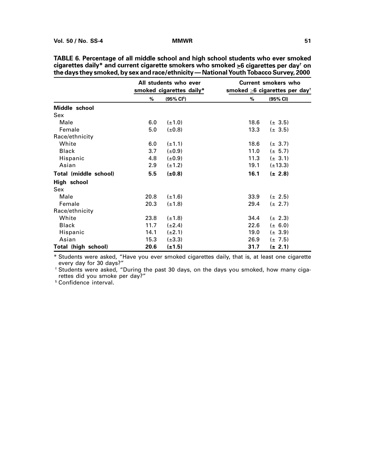|                       |      | All students who ever<br>smoked cigarettes daily* |      | <b>Current smokers who</b><br>smoked $\geq$ 6 cigarettes per day <sup>+</sup> |
|-----------------------|------|---------------------------------------------------|------|-------------------------------------------------------------------------------|
|                       | %    | (95% CI <sup>§</sup> )                            | $\%$ | (95% CI)                                                                      |
| Middle school         |      |                                                   |      |                                                                               |
| Sex                   |      |                                                   |      |                                                                               |
| Male                  | 6.0  | $(\pm 1.0)$                                       | 18.6 | $(\pm 3.5)$                                                                   |
| Female                | 5.0  | $(\pm 0.8)$                                       | 13.3 | $(\pm 3.5)$                                                                   |
| Race/ethnicity        |      |                                                   |      |                                                                               |
| White                 | 6.0  | $(\pm 1.1)$                                       | 18.6 | $(\pm 3.7)$                                                                   |
| <b>Black</b>          | 3.7  | $(\pm 0.9)$                                       | 11.0 | $(\pm 5.7)$                                                                   |
| Hispanic              | 4.8  | $(\pm 0.9)$                                       | 11.3 | $(\pm 3.1)$                                                                   |
| Asian                 | 2.9  | $(\pm 1.2)$                                       | 19.1 | $(\pm 13.3)$                                                                  |
| Total (middle school) | 5.5  | $(\pm 0.8)$                                       | 16.1 | $(\pm 2.8)$                                                                   |
| High school           |      |                                                   |      |                                                                               |
| Sex                   |      |                                                   |      |                                                                               |
| Male                  | 20.8 | $(\pm 1.6)$                                       | 33.9 | $(\pm 2.5)$                                                                   |
| Female                | 20.3 | $(\pm 1.8)$                                       | 29.4 | $(\pm 2.7)$                                                                   |
| Race/ethnicity        |      |                                                   |      |                                                                               |
| White                 | 23.8 | $(\pm 1.8)$                                       | 34.4 | $(\pm 2.3)$                                                                   |
| Black                 | 11.7 | $(\pm 2.4)$                                       | 22.6 | $(\pm 6.0)$                                                                   |
| Hispanic              | 14.1 | $(\pm 2.1)$                                       | 19.0 | $(\pm 3.9)$                                                                   |
| Asian                 | 15.3 | $(\pm 3.3)$                                       | 26.9 | $(\pm 7.5)$                                                                   |
| Total (high school)   | 20.6 | $(\pm 1.5)$                                       | 31.7 | (± 2.1)                                                                       |

**TABLE 6. Percentage of all middle school and high school students who ever smoked cigarettes daily\* and current cigarette smokers who smoked >6 cigarettes per day† on the days they smoked, by sex and race/ethnicity — National Youth Tobacco Survey, 2000**

\* Students were asked, "Have you ever smoked cigarettes daily, that is, at least one cigarette every day for 30 days?"

† Students were asked, "During the past 30 days, on the days you smoked, how many cigarettes did you smoke per day?"

§ Confidence interval.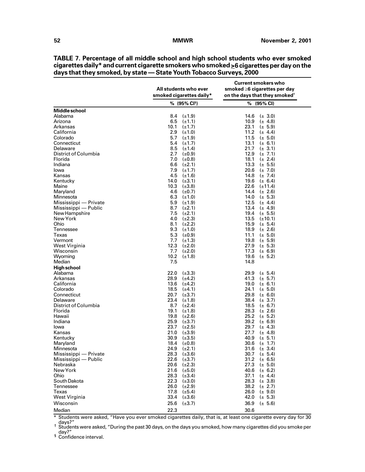|                           | All students who ever<br>smoked cigarettes daily* | <b>Current smokers who</b><br>smoked $\geq 6$ cigarettes per day<br>on the days that they smoked <sup>†</sup> |
|---------------------------|---------------------------------------------------|---------------------------------------------------------------------------------------------------------------|
|                           | % (95% CI <sup>s</sup> )                          | $% (95\% CI)$                                                                                                 |
| Middle school             |                                                   |                                                                                                               |
| Alabama                   | $8.4$ ( $\pm$ 1.9)                                | 14.6<br>$(\pm 3.0)$                                                                                           |
| Arizona                   | 6.5<br>$(\pm 1.1)$                                | 10.9<br>$(\pm 4.8)$                                                                                           |
| Arkansas                  | 10.1<br>$(\pm 1.7)$                               | 23.1<br>$(\pm 5.9)$                                                                                           |
| California<br>Colorado    | 2.9<br>$(\pm 1.0)$<br>5.7                         | 11.2<br>$(\pm 4.4)$                                                                                           |
| Connecticut               | $(\pm 1.9)$<br>5.4<br>$(\pm 1.7)$                 | 11.5<br>$(\pm 5.0)$<br>13.1<br>$(\pm 6.1)$                                                                    |
| Delaware                  | 8.5<br>$(\pm 1.4)$                                | 21.7<br>$(\pm 3.1)$                                                                                           |
| District of Columbia      | 2.7<br>$(\pm 0.9)$                                | 12.9<br>$(\pm 7.1)$                                                                                           |
| Florida                   | 7.0<br>$(\pm 0.8)$                                | 18.1<br>$(\pm 2.4)$                                                                                           |
| Indiana                   | $(\pm 2.1)$<br>6.6                                | 13.3<br>$(\pm 5.5)$                                                                                           |
| lowa                      | 7.9<br>$(\pm 1.7)$                                | 20.6<br>$(\pm 7.0)$                                                                                           |
| Kansas                    | 4.5<br>$(\pm 1.6)$                                | 14.8<br>$(\pm 7.4)$                                                                                           |
| Kentucky                  | $(\pm 3.1)$<br>14.0                               | 19.6<br>$(\pm 6.4)$                                                                                           |
| Maine                     | 10.3<br>$(\pm 3.8)$                               | 22.6<br>$(\pm 11.4)$                                                                                          |
| Maryland                  | 4.6<br>$(\pm 0.7)$                                | 14.4<br>$(\pm 2.6)$                                                                                           |
| Minnesota                 | 6.3<br>$(\pm 1.0)$                                | 14.0<br>$(\pm 5.3)$                                                                                           |
| Mississippi — Private     | 5.9<br>$(\pm 1.9)$                                | 12.5<br>$(\pm 4.4)$                                                                                           |
| Mississippi — Public      | 8.7<br>$(\pm 2.1)$                                | 13.4<br>$(\pm 4.9)$                                                                                           |
| New Hampshire<br>New York | 7.5<br>$(\pm 2.1)$<br>4.0                         | 19.4<br>$(\pm 5.5)$<br>13.5                                                                                   |
| Ohio                      | $(\pm 2.3)$<br>8.1<br>$(\pm 2.2)$                 | $(\pm 10.1)$<br>15.9<br>$(\pm 5.4)$                                                                           |
| Tennessee                 | 9.3<br>$(\pm 1.0)$                                | 18.9<br>$(\pm 2.6)$                                                                                           |
| Texas                     | 5.3<br>$(\pm 0.9)$                                | 11.1<br>$(\pm 5.0)$                                                                                           |
| Vermont                   | 7.7 $(\pm 1.3)$                                   | 19.8<br>$(\pm 5.9)$                                                                                           |
| West Virginia             | 12.3<br>$(\pm 2.0)$                               | 27.9<br>$(\pm 5.3)$                                                                                           |
| Wisconsin                 | 7.7 $(\pm 2.0)$                                   | 17.3<br>$(\pm 6.9)$                                                                                           |
| Wyoming                   | 10.2<br>$(\pm 1.8)$                               | 19.6<br>$(\pm 5.2)$                                                                                           |
| Median                    | 7.5                                               | 14.8                                                                                                          |
| High school               |                                                   |                                                                                                               |
| Alabama                   | 22.0<br>$(\pm 3.3)$                               | 29.9<br>$(\pm 5.4)$                                                                                           |
| Arkansas                  | 28.9<br>$(\pm 4.2)$                               | 41.3<br>$(\pm 5.7)$                                                                                           |
| California                | 13.6 $(\pm 4.2)$                                  | 19.0<br>$(\pm 6.1)$                                                                                           |
| Colorado                  | 18.5<br>$(\pm 4.1)$                               | 24.1<br>$(\pm 5.0)$                                                                                           |
| Connecticut<br>Delaware   | 20.7<br>$(\pm 3.7)$<br>23.4<br>$(\pm 1.8)$        | 29.8<br>$(\pm 6.0)$<br>38.4<br>$(\pm 3.7)$                                                                    |
| District of Columbia      | 8.7<br>$(\pm 2.4)$                                | 18.5<br>$(\pm 6.7)$                                                                                           |
| Florida                   | 19.1<br>$(\pm 1.8)$                               | 28.3<br>$(\pm 2.6)$                                                                                           |
| Hawaii                    | 19.8<br>$(\pm 2.6)$                               | 25.2<br>$(\pm 5.2)$                                                                                           |
| Indiana                   | 25.9<br>$(\pm 3.7)$                               | 39.2<br>$(\pm 6.9)$                                                                                           |
| lowa                      | 23.7<br>$(\pm 2.5)$                               | 29.7<br>$(\pm 4.3)$                                                                                           |
| Kansas                    | 21.0<br>$(\pm 3.9)$                               | 27.7<br>$(\pm 4.8)$                                                                                           |
| Kentucky                  | 30.9<br>$(\pm 3.5)$                               | 40.9<br>$(\pm 5.1)$                                                                                           |
| Maryland                  | 18.4<br>(±0.8)                                    | 30.6<br>$(\pm 1.7)$                                                                                           |
| Minnesota                 | 24.9<br>$(\pm 2.1)$                               | 31.6<br>$(\pm 3.4)$                                                                                           |
| Mississippi - Private     | 28.3<br>$(\pm 3.6)$                               | 30.7<br>$(\pm 5.4)$                                                                                           |
| Mississippi — Public      | 22.6<br>$(\pm 3.7)$                               | 31.2<br>$(\pm 6.5)$<br>27.3<br>$(\pm 5.0)$                                                                    |
| Nebraska<br>New York      | 20.6<br>$(\pm 2.3)$<br>21.6 $(\pm 5.0)$           | 40.6<br>$(\pm 6.2)$                                                                                           |
| Ohio                      | 28.3 $(\pm 3.4)$                                  | 37.1<br>$(\pm 4.4)$                                                                                           |
| South Dakota              | 22.3 $(\pm 3.0)$                                  | 28.3<br>$(\pm 3.8)$                                                                                           |
| Tennessee                 | $26.0$ $(\pm 2.9)$                                | 38.2<br>$(\pm 2.7)$                                                                                           |
| Texas                     | 17.8 $(\pm 5.4)$                                  | 26.0<br>$(\pm 9.0)$                                                                                           |
| West Virginia             | 33.4 $(\pm 3.6)$                                  | 42.0<br>$(\pm 5.3)$                                                                                           |
| Wisconsin                 | 25.6<br>$(\pm 3.7)$                               | 36.9<br>$(\pm 5.6)$                                                                                           |
| Median                    | 22.3                                              | 30.6                                                                                                          |

**TABLE 7. Percentage of all middle school and high school students who ever smoked cigarettes daily\* and current cigarette smokers who smoked >6 cigarettes per day on the days that they smoked, by state — State Youth Tobacco Surveys, 2000**

 $*$  Students were asked, "Have you ever smoked cigarettes daily, that is, at least one cigarette every day for 30 days?" † Students were asked, "During the past 30 days, on the days you smoked, how many cigarettes did you smoke per

day?"<br><sup>§</sup> Confidence interval.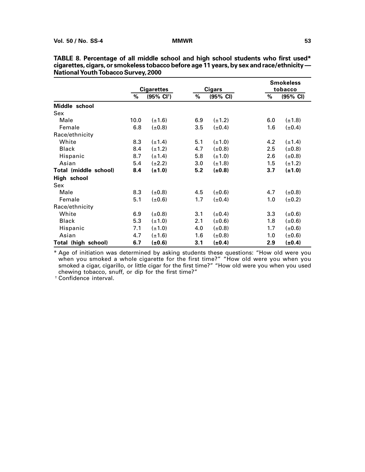|                            |      |                       |     |               |         | <b>Smokeless</b> |  |
|----------------------------|------|-----------------------|-----|---------------|---------|------------------|--|
|                            |      | <b>Cigarettes</b>     |     | <b>Cigars</b> | tobacco |                  |  |
|                            | %    | $(95\% \text{ Cl}^+)$ | %   | (95% CI)      | %       | (95% CI)         |  |
| Middle school              |      |                       |     |               |         |                  |  |
| Sex                        |      |                       |     |               |         |                  |  |
| Male                       | 10.0 | $(\pm 1.6)$           | 6.9 | $(\pm 1.2)$   | 6.0     | (±1.8)           |  |
| Female                     | 6.8  | $(\pm 0.8)$           | 3.5 | $(\pm 0.4)$   | 1.6     | (±0.4)           |  |
| Race/ethnicity             |      |                       |     |               |         |                  |  |
| White                      | 8.3  | $(\pm 1.4)$           | 5.1 | $(\pm 1.0)$   | 4.2     | $(\pm 1.4)$      |  |
| <b>Black</b>               | 8.4  | $(\pm 1.2)$           | 4.7 | $(\pm 0.8)$   | 2.5     | $(\pm 0.8)$      |  |
| Hispanic                   | 8.7  | $(\pm 1.4)$           | 5.8 | $(\pm 1.0)$   | 2.6     | $(\pm 0.8)$      |  |
| Asian                      | 5.4  | $(\pm 2.2)$           | 3.0 | $(\pm 1.8)$   | 1.5     | (±1.2)           |  |
| Total (middle school)      | 8.4  | $(\pm 1.0)$           | 5.2 | $(\pm 0.8)$   | 3.7     | $(\pm 1.0)$      |  |
| High school                |      |                       |     |               |         |                  |  |
| Sex                        |      |                       |     |               |         |                  |  |
| Male                       | 8.3  | $(\pm 0.8)$           | 4.5 | $(\pm 0.6)$   | 4.7     | $(\pm 0.8)$      |  |
| Female                     | 5.1  | $(\pm 0.6)$           | 1.7 | $(\pm 0.4)$   | 1.0     | $(\pm 0.2)$      |  |
| Race/ethnicity             |      |                       |     |               |         |                  |  |
| White                      | 6.9  | $(\pm 0.8)$           | 3.1 | $(\pm 0.4)$   | 3.3     | $(\pm 0.6)$      |  |
| <b>Black</b>               | 5.3  | $(\pm 1.0)$           | 2.1 | $(\pm 0.6)$   | 1.8     | (±0.6)           |  |
| Hispanic                   | 7.1  | $(\pm 1.0)$           | 4.0 | $(\pm 0.8)$   | 1.7     | (±0.6)           |  |
| Asian                      | 4.7  | $(\pm 1.6)$           | 1.6 | $(\pm 0.8)$   | 1.0     | (±0.6)           |  |
| <b>Total (high school)</b> | 6.7  | (±0.6)                | 3.1 | (±0.4)        | 2.9     | (±0.4)           |  |

| TABLE 8. Percentage of all middle school and high school students who first used*           |
|---------------------------------------------------------------------------------------------|
| cigarettes, cigars, or smokeless tobacco before age 11 years, by sex and race/ethnicity $-$ |
| <b>National Youth Tobacco Survey, 2000</b>                                                  |

\* Age of initiation was determined by asking students these questions: "How old were you when you smoked a whole cigarette for the first time?" "How old were you when you smoked a cigar, cigarillo, or little cigar for the first time?" "How old were you when you used chewing tobacco, snuff, or dip for the first time?"

† Confidence interval.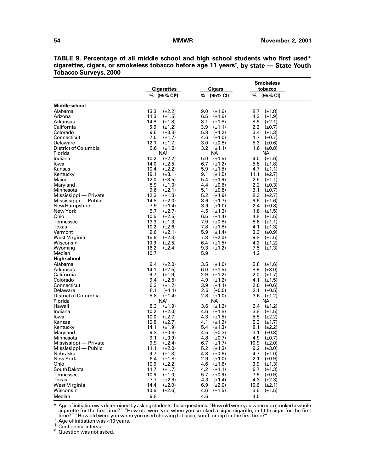|                       |                          |                    | <b>Smokeless</b>       |  |
|-----------------------|--------------------------|--------------------|------------------------|--|
|                       | <b>Cigarettes</b>        | <b>Cigars</b>      | tobacco                |  |
|                       | % (95% CI <sup>s</sup> ) | (95% CI)<br>%      | %<br>(95% CI)          |  |
| Middle school         |                          |                    |                        |  |
| Alabama               | 13.3<br>$(\pm 2.2)$      | $(\pm 1.6)$<br>9.0 | 8.7<br>$(\pm 1.8)$     |  |
| Arizona               | 11.3<br>$(\pm 1.5)$      | 6.5<br>$(\pm 1.6)$ | 4.3<br>$(\pm 1.9)$     |  |
| Arkansas              | 14.8<br>$(\pm 1.8)$      | 8.1<br>$(\pm 1.8)$ | 8.9<br>$(\pm 2.1)$     |  |
| California            | 5.9<br>$(\pm 1.2)$       | 3.9<br>$(\pm 1.1)$ | $2.2\,$<br>$(\pm 0.7)$ |  |
| Colorado              | 9.5<br>$(\pm 3.3)$       | 5.8<br>$(\pm 1.2)$ | 3.4<br>$(\pm 1.3)$     |  |
| Connecticut           | 7.5<br>$(\pm 1.7)$       | 4.6<br>$(\pm 1.0)$ | 1.7<br>$(\pm 0.7)$     |  |
| Delaware              | 12.1<br>$(\pm 1.7)$      | 3.0<br>$(\pm 0.8)$ | 5.3<br>$(\pm 0.6)$     |  |
| District of Columbia  | 6.6<br>$(\pm 1.6)$       | 3.2 $(\pm 1.1)$    | 1.6 $(\pm 0.8)$        |  |
| Florida               | NA <sup>1</sup>          | NА                 | NA.                    |  |
| Indiana               | 10.2<br>$(\pm 2.2)$      | 5.0<br>$(\pm 1.5)$ | 4.0<br>$(\pm 1.6)$     |  |
| lowa                  | 14.0<br>$(\pm 2.5)$      | 6.7<br>$(\pm 1.2)$ | 5.8<br>$(\pm 1.8)$     |  |
| Kansas                | 10.4<br>$(\pm 2.2)$      | 5.9<br>$(\pm 1.5)$ | 4.7<br>$(\pm 1.1)$     |  |
| Kentucky              | 19.1<br>$(\pm 3.1)$      | 9.1<br>$(\pm 1.5)$ | 11.1<br>$(\pm 2.7)$    |  |
| Maine                 | 12.0<br>$(\pm 3.5)$      | 5.4<br>$(\pm 1.9)$ | 2.5<br>$(\pm 1.1)$     |  |
| Maryland              | 8.9<br>$(\pm 1.0)$       | 4.4<br>$(\pm 0.6)$ | 2.2<br>$(\pm 0.3)$     |  |
| Minnesota             | 9.6<br>$(\pm 2.1)$       | 5.1<br>$(\pm 0.8)$ | 3.1<br>$(\pm 0.7)$     |  |
| Mississippi — Private | 12.3<br>$(\pm 1.3)$      | 5.2<br>$(\pm 1.9)$ | 8.3<br>$(\pm 2.7)$     |  |
| Mississippi — Public  | 14.8<br>$(\pm 2.0)$      | 8.6<br>$(\pm 1.7)$ | 9.5<br>$(\pm 1.6)$     |  |
| New Hampshire         | 7.9<br>$(\pm 1.4)$       | 3.9<br>$(\pm 1.0)$ | 2.4<br>$(\pm 0.8)$     |  |
| New York              | 5.7<br>$(\pm 2.7)$       | 4.5<br>$(\pm 1.3)$ | 1.8<br>$(\pm 1.5)$     |  |
| Ohio                  | 10.5<br>$(\pm 2.5)$      | 6.5<br>$(\pm 1.4)$ | 4.8<br>$(\pm 1.5)$     |  |
| Tennessee             | 13.3<br>$(\pm 1.3)$      | 7.9<br>$(\pm 0.8)$ | 8.6<br>$(\pm 1.1)$     |  |
| Texas                 | 10.2<br>$(\pm 2.6)$      | 7.8<br>$(\pm 1.8)$ | 4.1<br>$(\pm 1.3)$     |  |
| Vermont               | 9.6<br>$(\pm 2.1)$       | 5.9<br>$(\pm 1.4)$ | 3.3<br>$(\pm 0.9)$     |  |
| West Virginia         | 15.6<br>$(\pm 2.3)$      | 7.8<br>$(\pm 2.0)$ | 9.8<br>$(\pm 1.5)$     |  |
| Wisconsin             | 10.9<br>$(\pm 2.5)$      | 6.4<br>$(\pm 1.5)$ | 4.2<br>$(\pm 1.2)$     |  |
| Wyoming               | 16.2<br>$(\pm 2.4)$      | 9.3<br>$(\pm 1.2)$ | 7.5<br>$(\pm 1.3)$     |  |
| Median                | 10.7                     | 5.9                | 4.2                    |  |
| High school           |                          |                    |                        |  |
| Alabama               | 9.4<br>$(\pm 2.0)$       | 3.5<br>$(\pm 1.0)$ | 5.8<br>$(\pm 1.6)$     |  |
| Arkansas              | 14.1<br>$(\pm 2.5)$      | $(\pm 1.5)$<br>6.0 | 8.9<br>$(\pm 3.0)$     |  |
| California            | 6.7<br>$(\pm 1.9)$       | 2.9<br>$(\pm 1.2)$ | 2.0<br>$(\pm 1.7)$     |  |
| Colorado              | 9.4<br>$(\pm 2.5)$       | 4.9<br>$(\pm 1.2)$ | 4.1<br>$(\pm 1.5)$     |  |
| Connecticut           | 6.3<br>$(\pm 1.2)$       | 3.9<br>$(\pm 1.1)$ | 2.0<br>$(\pm 0.6)$     |  |
| Delaware              | 8.1<br>$(\pm 1.1)$       | 2.6<br>$(\pm 0.5)$ | 2.1<br>$(\pm 0.5)$     |  |
| District of Columbia  | 5.8<br>$(\pm 1.4)$       | 2.8<br>$(\pm 1.0)$ | 3.6<br>$(\pm 1.2)$     |  |
| Florida               | NA <sup>1</sup>          | NА                 | NА                     |  |
| Hawaii                | 8.3<br>$(\pm 1.9)$       | 3.6<br>$(\pm 1.2)$ | 2.4<br>$(\pm 1.2)$     |  |
| Indiana               | 10.2<br>$(\pm 2.0)$      | 4.6<br>$(\pm 1.8)$ | 3.8<br>$(\pm 1.5)$     |  |
| lowa                  | 10.0<br>$(\pm 2.7)$      | 4.3<br>$(\pm 1.5)$ | 5.5<br>$(\pm 2.2)$     |  |
| Kansas                | 10.8<br>$(\pm 2.7)$      | 4.1<br>$(\pm 1.2)$ | 5.3<br>$(\pm 1.7)$     |  |
| Kentucky              | 14.1<br>$(\pm 1.9)$      | 5.4<br>$(\pm 1.3)$ | 8.1<br>$(\pm 2.2)$     |  |
| Maryland              | 9.3<br>$(\pm 0.6)$       | 4.5<br>$(\pm 0.3)$ | 3.1<br>$(\pm 0.3)$     |  |
| Minnesota             | 9.1<br>$(\pm 0.9)$       | 4.8<br>$(\pm 0.7)$ | 4.9<br>$(\pm 0.7)$     |  |
| Mississippi - Private | 9.9<br>$(\pm 2.4)$       | 6.7 $(\pm 1.7)$    | 10.9 $(\pm 2.0)$       |  |
| Mississippi — Public  | 11.1<br>$(\pm 2.0)$      | $5.2$ ( $\pm$ 1.3) | 9.2<br>$(\pm 3.0)$     |  |
| Nebraska              | 9.7<br>$(\pm 1.3)$       | 4.8<br>$(\pm 0.6)$ | 4.7<br>$(\pm 1.0)$     |  |
| New York              | 6.4<br>$(\pm 1.8)$       | 2.9<br>$(\pm 1.0)$ | 2.1<br>$(\pm 0.9)$     |  |
| Ohio                  | 10.9<br>$(\pm 2.2)$      | 4.6<br>$(\pm 1.6)$ | 3.9<br>$(\pm 1.3)$     |  |
| South Dakota          | 11.7<br>$(\pm 1.7)$      | 4.2<br>$(\pm 1.1)$ | 6.7<br>$(\pm 1.3)$     |  |
| Tennessee             | 10.9<br>$(\pm 1.0)$      | 5.7<br>$(\pm 0.9)$ | 7.9<br>$(\pm 0.9)$     |  |
| Texas                 | 7.7<br>$(\pm 2.9)$       | 4.3<br>$(\pm 1.4)$ | 4.3<br>$(\pm 2.3)$     |  |
| West Virginia         | 14.4<br>$(\pm 2.0)$      | 6.9<br>$(\pm 2.0)$ | 10.6 $(\pm 2.1)$       |  |
| Wisconsin             | 10.6<br>$(\pm 2.6)$      | $(\pm 1.5)$<br>4.6 | 3.5<br>$(\pm 1.5)$     |  |
| Median                | 9.8                      | 4.6                | 4.5                    |  |

**TABLE 9. Percentage of all middle school and high school students who first used\* cigarettes, cigars, or smokeless tobacco before age 11 years† , by state — State Youth Tobacco Surveys, 2000**

\* Age of initiation was determined by asking students these questions: "How old were you when you smoked a whole cigarette for the first time?" "How old were you when you smoked a cigar, cigarillo, or little cigar for the first time?" "How old were you when you used chewing tobacco, snuff, or dip for the first time?"<br>  $\frac{1}{2}$  Age of initiation was <10 years.

¶ Question was not asked.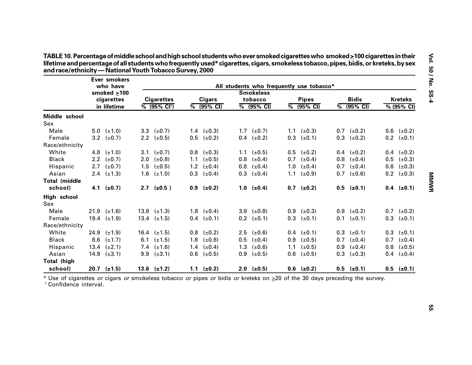|                      |      | <b>Ever smokers</b>           |                                   |     |                        |     |                                                              |     |                        |     |                        |     |                             |
|----------------------|------|-------------------------------|-----------------------------------|-----|------------------------|-----|--------------------------------------------------------------|-----|------------------------|-----|------------------------|-----|-----------------------------|
|                      |      | who have<br>smoked $\geq 100$ |                                   |     |                        |     | All students who frequently use tobacco*<br><b>Smokeless</b> |     |                        |     |                        |     |                             |
|                      |      | cigarettes                    | <b>Cigarettes</b>                 |     | <b>Cigars</b>          |     | tobacco                                                      |     | <b>Pipes</b>           |     | <b>Bidis</b>           |     | <b>Kreteks</b>              |
|                      |      | in lifetime                   | $\sqrt{6}$ (95% CI <sup>†</sup> ) |     | $\frac{1}{6}$ (95% CI) |     | $\frac{1}{6}$ (95% CI)                                       |     | $\frac{1}{6}$ (95% CI) |     | $\frac{1}{6}$ (95% CI) |     | $\sqrt{\frac{6}{95\%}}$ CI) |
| Middle school        |      |                               |                                   |     |                        |     |                                                              |     |                        |     |                        |     |                             |
| Sex                  |      |                               |                                   |     |                        |     |                                                              |     |                        |     |                        |     |                             |
| Male                 |      | 5.0 $(\pm 1.0)$               | 3.3 $(\pm 0.7)$                   |     | 1.4 $(\pm 0.3)$        |     | 1.7 $(\pm 0.7)$                                              |     | 1.1 $(\pm 0.3)$        |     | $0.7$ ( $\pm 0.2$ )    | 0.6 | $(\pm 0.2)$                 |
| Female               |      | 3.2 $(\pm 0.7)$               | 2.2 $(\pm 0.5)$                   |     | $0.5$ ( $\pm 0.2$ )    |     | $0.4$ ( $\pm 0.2$ )                                          |     | $0.3$ ( $\pm 0.1$ )    |     | $0.3$ ( $\pm 0.2$ )    |     | $0.2$ ( $\pm 0.1$ )         |
| Race/ethnicity       |      |                               |                                   |     |                        |     |                                                              |     |                        |     |                        |     |                             |
| White                | 4.8  | $(\pm 1.0)$                   | 3.1 $(\pm 0.7)$                   |     | $0.8$ ( $\pm 0.3$ )    | 1.1 | $(\pm 0.5)$                                                  |     | $0.5$ ( $\pm 0.2$ )    |     | $0.4$ ( $\pm 0.2$ )    | 0.4 | $(\pm 0.2)$                 |
| <b>Black</b>         |      | 2.2 $(\pm 0.7)$               | 2.0 $(\pm 0.8)$                   | 1.1 | $(\pm 0.5)$            | 0.8 | $(\pm 0.4)$                                                  |     | $0.7$ ( $\pm 0.4$ )    |     | $0.8$ ( $\pm 0.4$ )    | 0.5 | $(\pm 0.3)$                 |
| Hispanic             | 2.7  | $(\pm 0.7)$                   | 1.5 $(\pm 0.5)$                   |     | 1.2 $(\pm 0.4)$        | 0.8 | $(\pm 0.4)$                                                  |     | 1.0 $(\pm 0.4)$        |     | $0.7$ ( $\pm 0.4$ )    | 0.6 | $(\pm 0.3)$                 |
| Asian                |      | 2.4 $(\pm 1.3)$               | 1.6 $(\pm 1.0)$                   |     | $0.3$ ( $\pm 0.4$ )    | 0.3 | $(\pm 0.4)$                                                  |     | 1.1 $(\pm 0.9)$        |     | $0.7$ ( $\pm 0.6$ )    |     | $0.2$ ( $\pm 0.3$ )         |
| <b>Total (middle</b> |      |                               |                                   |     |                        |     |                                                              |     |                        |     |                        |     |                             |
| school)              |      | 4.1 $(\pm 0.7)$               | $2.7$ ( $\pm 0.5$ )               |     | $0.9$ ( $\pm 0.2$ )    |     | 1.0 $(\pm 0.4)$                                              |     | $0.7$ ( $\pm 0.2$ )    |     | $0.5$ ( $\pm 0.1$ )    |     | $0.4$ (±0.1)                |
| High school          |      |                               |                                   |     |                        |     |                                                              |     |                        |     |                        |     |                             |
| Sex                  |      |                               |                                   |     |                        |     |                                                              |     |                        |     |                        |     |                             |
| Male                 |      | 21.9 $(\pm 1.6)$              | 13.8 $(\pm 1.3)$                  |     | 1.8 $(\pm 0.4)$        |     | 3.8 $(\pm 0.8)$                                              |     | $0.9$ ( $\pm 0.3$ )    |     | $0.8$ ( $\pm 0.2$ )    |     | $0.7$ ( $\pm 0.2$ )         |
| Female               |      | 19.4 $(\pm 1.9)$              | 13.4 $(\pm 1.5)$                  |     | $0.4$ ( $\pm 0.1$ )    |     | $0.2$ ( $\pm 0.1$ )                                          |     | $0.3$ ( $\pm 0.1$ )    |     | $0.1$ ( $\pm 0.1$ )    | 0.3 | $(\pm 0.1)$                 |
| Race/ethnicity       |      |                               |                                   |     |                        |     |                                                              |     |                        |     |                        |     |                             |
| White                | 24.9 | $(\pm 1.9)$                   | 16.4 $(\pm 1.5)$                  |     | $0.8$ ( $\pm 0.2$ )    | 2.5 | $(\pm 0.6)$                                                  |     | $0.4$ ( $\pm 0.1$ )    |     | $0.3$ ( $\pm 0.1$ )    | 0.3 | $(\pm 0.1)$                 |
| <b>Black</b>         | 8.6  | $(\pm 1.7)$                   | 6.1 $(\pm 1.5)$                   | 1.8 | $(\pm 0.8)$            | 0.5 | $(\pm 0.4)$                                                  |     | $0.9$ ( $\pm 0.5$ )    | 0.7 | $(\pm 0.4)$            | 0.7 | $(\pm 0.4)$                 |
| Hispanic             | 13.4 | $(\pm 2.1)$                   | 7.4 $(\pm 1.6)$                   | 1.4 | $(\pm 0.4)$            | 1.3 | $(\pm 0.6)$                                                  | 1.1 | $(\pm 0.5)$            | 0.9 | $(\pm 0.4)$            | 0.8 | $(\pm 0.5)$                 |
| Asian                |      | 14.9 $(\pm 3.1)$              | 9.9 $(\pm 3.1)$                   |     | $0.6$ ( $\pm 0.5$ )    | 0.9 | $(\pm 0.5)$                                                  |     | $0.6$ ( $\pm 0.5$ )    |     | $0.3$ ( $\pm 0.3$ )    | 0.4 | $(\pm 0.4)$                 |
| Total (high          |      |                               |                                   |     |                        |     |                                                              |     |                        |     |                        |     |                             |
| school)              |      | $20.7$ ( $\pm$ 1.5)           | 13.6 $(\pm 1.2)$                  |     | 1.1 $(\pm 0.2)$        |     | $2.0$ (±0.5)                                                 |     | $0.6$ ( $\pm 0.2$ )    |     | $0.5$ ( $\pm 0.1$ )    |     | $0.5$ (±0.1)                |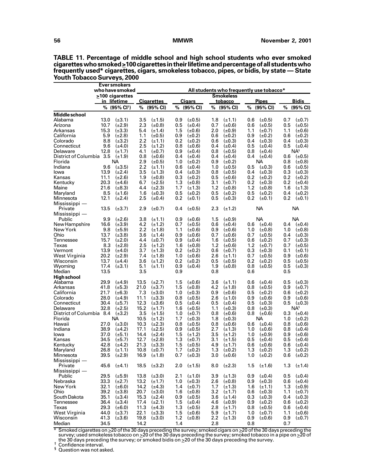| >100 cigarettes<br><b>Smokeless</b><br><b>Bidis</b><br><b>Cigarettes</b><br><b>Cigars</b><br><b>Pipes</b><br><u>in lifetime</u><br>tobacco<br>(95% CI)<br>% (95% CI <sup>+</sup> )<br>%<br>(95% CI)<br>%<br>%<br>(95% CI)<br>%<br>(95% CI)<br>%<br>(95% CI)<br>$(\pm 3.1)$<br>3.5<br>$(\pm 1.5)$<br>0.9<br>$(\pm 0.5)$<br>1.8<br>$(\pm 0.7)$<br>13.0<br>$(\pm 1.1)$<br>0.6<br>$(\pm 0.5)$<br>0.7<br>2.3<br>10.7<br>$(\pm 2.9)$<br>0.5<br>0.6<br>0.5<br>$(\pm 0.5)$<br>Arizona<br>$(\pm 0.8)$<br>$(\pm 0.4)$<br>0.7<br>$(\pm 0.6)$<br>$(\pm 0.5)$<br>15.3<br>$(\pm 3.3)$<br>5.4<br>1.5<br>2.0<br>1.1<br>Arkansas<br>$(\pm 1.4)$<br>$(\pm 0.6)$<br>$(\pm 0.9)$<br>$(\pm 0.7)$<br>1.1<br>$(\pm 0.6)$<br>California<br>5.9<br>$(\pm 2.8)$<br>1.1<br>$(\pm 0.5)$<br>0.9<br>$(\pm 0.2)$<br>0.6<br>$(\pm 0.2)$<br>0.9<br>0.6<br>$(\pm 0.2)$<br>$(\pm 0.2)$<br>Colorado<br>8.8<br>$(\pm 3.2)$<br>2.2<br>$(\pm 1.1)$<br>0.2<br>$(\pm 0.2)$<br>$(\pm 0.3)$<br>0.4<br>$(\pm 0.3)$<br>$(\pm 0.3)$<br>0.6<br>0.4<br>Connecticut<br>9.6<br>2.5<br>$(\pm 1.2)$<br>0.8<br>$(\pm 0.6)$<br>0.5<br>0.5<br>$(\pm 4.0)$<br>0.4<br>$(\pm 0.4)$<br>$(\pm 0.4)$<br>$(\pm 0.4)$<br>Delaware<br>12.8<br>$(\pm 1.7)$<br>$(\pm 0.7)$<br>0.9<br>$(\pm 0.4)$<br>$(\pm 0.5)$<br>0.8<br>$(\pm 0.4)$<br>ΝAª<br>4.1<br>0.8<br>District of Columbia 3.5<br>0.8<br>$(\pm 0.4)$<br>0.4<br>$(\pm 1.9)$<br>$(\pm 0.6)$<br>0.4<br>0.4<br>$(\pm 0.4)$<br>$(\pm 0.4)$<br>0.6<br>$(\pm 0.5)$<br>Florida<br>2.9<br>NА<br>$(\pm 0.5)$<br>1.0<br>$(\pm 0.2)$<br>$(\pm 0.2)$<br>NА<br>0.8<br>0.9<br>$(\pm 0.8)$<br>2.2<br>Indiana<br>9.6<br>$(\pm 3.5)$<br>$(\pm 1.1)$<br>$(\pm 0.4)$<br>1.0<br>$(\pm 0.5)$<br>0.6<br>0.5<br>$(\pm 0.3)$<br>0.6<br>$(\pm 0.5)$<br>13.9<br>$(\pm 2.4)$<br>3.5<br>$(\pm 1.3)$<br>$(\pm 0.3)$<br>$(\pm 0.5)$<br>0.4<br>0.3<br>$(\pm 0.3)$<br>lowa<br>0.4<br>0.8<br>$(\pm 0.3)$<br>Kansas<br>11.1<br>$(\pm 2.6)$<br>1.9<br>$(\pm 0.8)$<br>0.3<br>$(\pm 0.2)$<br>$(\pm 0.6)$<br>0.2<br>$(\pm 0.2)$<br>0.2<br>$(\pm 0.2)$<br>0.5<br>20.3<br>6.7<br>$(\pm 2.5)$<br>1.3<br>$(\pm 0.8)$<br>3.1<br>0.2<br>$(\pm 0.3)$<br>0.2<br>Kentucky<br>$(\pm 4.6)$<br>$(\pm 0.7)$<br>$(\pm 0.4)$<br>21.6<br>$(\pm 2.3)$<br>1.2<br>Maine<br>$(\pm 8.3)$<br>4.4<br>1.7<br>$(\pm 1.3)$<br>$1.2\,$<br>$(\pm 0.8)$<br>$(\pm 0.8)$<br>1.6<br>$(\pm 1.3)$<br>8.5<br>1.6<br>0.5<br>0.5<br>0.5<br>0.4<br>Maryland<br>$(\pm 1.6)$<br>$(\pm 0.3)$<br>$(\pm 0.2)$<br>$(\pm 0.2)$<br>$(\pm 0.2)$<br>$(\pm 0.2)$<br>12.1<br>0.2<br>0.2<br>Minnesota<br>$(\pm 2.4)$<br>2.5<br>$(\pm 0.4)$<br>$(\pm 0.1)$<br>0.5<br>$(\pm 0.3)$<br>$(\pm 0.1)$<br>0.2<br>$(\pm 0.1)$<br><b>NA</b><br><b>NA</b><br>13.5<br>$(\pm 3.7)$<br>2.9<br>$(\pm 0.7)$<br>0.4<br>$(\pm 0.5)$<br>2.3<br>$(\pm 1.2)$<br>Private<br>NA<br><b>NA</b><br>Public<br>9.9<br>3.8<br>$(\pm 0.6)$<br>$(\pm 2.6)$<br>$(\pm 1.1)$<br>0.9<br>1.5<br>$(\pm 0.9)$<br>16.6<br>$(\pm 3.9)$<br>4.2<br>$(\pm 1.2)$<br>0.7<br>$(\pm 0.5)$<br>0.6<br>$(\pm 0.4)$<br>0.6<br>$(\pm 0.4)$<br>0.4<br>$(\pm 0.4)$<br>2.2<br>9.8<br>$(\pm 5.9)$<br>$(\pm 1.8)$<br>1.1<br>1.0<br>$(\pm 0.8)$<br>1.0<br>$(\pm 0.6)$<br>0.9<br>$(\pm 0.6)$<br>$(\pm 0.8)$<br>Ohio<br>13.7<br>$(\pm 3.8)$<br>3.6<br>$(\pm 1.4)$<br>0.9<br>$(\pm 0.6)$<br>0.7<br>$(\pm 0.6)$<br>0.7<br>$(\pm 0.3)$<br>$(\pm 0.5)$<br>0.4<br>Tennessee<br>15.7<br>$(\pm 2.0)$<br>$(\pm 0.7)$<br>0.9<br>$(\pm 0.4)$<br>1.6<br>$(\pm 0.5)$<br>0.6<br>$(\pm 0.2)$<br>$(\pm 0.3)$<br>4.4<br>0.7<br>8.3<br>Texas<br>$(\pm 2.8)$<br>2.5<br>$(\pm 1.2)$<br>$(\pm 0.8)$<br>1.2<br>$(\pm 0.6)$<br>1.2<br>$(\pm 0.7)$<br>0.7<br>$(\pm 0.5)$<br>1.6<br>13.9<br>$(\pm 4.0)$<br>$(\pm 1.3)$<br>0.2<br>$(\pm 0.2)$<br>0.3<br>$(\pm 0.1)$<br>Vermont<br>3.7<br>0.6<br>$(\pm 0.7)$<br>$(\pm 0.3)$<br>0.1<br>West Virginia<br>20.2<br>$(\pm 2.9)$<br>7.4<br>$(\pm 1.8)$<br>1.0<br>$(\pm 0.6)$<br>2.6<br>$(\pm 1.1)$<br>0.7<br>$(\pm 0.5)$<br>0.9<br>$(\pm 0.6)$<br>Wisconsin<br>13.7<br>3.6<br>0.2<br>0.2<br>0.5<br>$(\pm 4.4)$<br>$(\pm 1.2)$<br>$(\pm 0.2)$<br>0.5<br>$(\pm 0.5)$<br>$(\pm 0.2)$<br>$(\pm 0.5)$<br>17.4<br>5.1<br>0.8<br>Wyoming<br>$(\pm 3.1)$<br>$(\pm 1.1)$<br>0.9<br>$(\pm 0.4)$<br>1.9<br>$(\pm 0.8)$<br>$(\pm 0.5)$<br>0.5<br>$(\pm 0.3)$<br>13.5<br>Median<br>3.5<br>0.9<br>0.8<br>0.6<br>0.5<br>High school<br>Alabama<br>29.9<br>$(\pm 4.9)$<br>13.5<br>$(\pm 2.7)$<br>1.5<br>$(\pm 0.6)$<br>3.6<br>0.6<br>$(\pm 0.4)$<br>0.5<br>$(\pm 1.1)$<br>$(\pm 0.3)$<br>$(\pm 3.7)$<br>Arkansas<br>41.8<br>$(\pm 5.3)$<br>21.0<br>1.5<br>$(\pm 0.8)$<br>4.2<br>$(\pm 1.8)$<br>0.8<br>$(\pm 0.5)$<br>0.9<br>$(\pm 0.7)$<br>California<br>21.7<br>7.3<br>$(\pm 3.0)$<br>$(\pm 0.3)$<br>0.9<br>0.5<br>$(\pm 6.3)$<br>1.0<br>$(\pm 0.6)$<br>$(\pm 0.2)$<br>0.6<br>$(\pm 0.2)$<br>Colorado<br>28.0<br>11.1<br>$(\pm 3.3)$<br>$(\pm 0.5)$<br>2.6<br>$(\pm 1.0)$<br>0.9<br>$(\pm 0.6)$<br>0.9<br>$(\pm 4.9)$<br>0.8<br>$(\pm 0.6)$<br>12.3<br>$(\pm 3.6)$<br>$(\pm 0.4)$<br>0.5<br>Connecticut<br>30.4<br>$(\pm 5.7)$<br>0.5<br>0.5<br>$(\pm 0.4)$<br>0.5<br>$(\pm 0.3)$<br>$(\pm 0.3)$<br>Delaware<br>32.8<br>$(\pm 2.5)$<br>15.2<br>$(\pm 1.7)$<br>1.6<br>1.1<br>NA§<br>$(\pm 0.5)$<br>$(\pm 0.3)$<br>0.8<br>$(\pm 0.3)$<br>District of Columbia 8.4<br>3.5<br>$(\pm 1.5)$<br>$(\pm 3.2)$<br>$(\pm 0.7)$<br>(±0.6)<br>0.8<br>0.3<br>1.0<br>0.8<br>$(\pm 0.6)$<br>$(\pm 0.4)$<br>Florida<br>NА<br>10.5<br>$(\pm 1.2)$<br>1.7<br>$(\pm 0.3)$<br>1.8<br>$(\pm 0.3)$<br>NА<br>1.0<br>$(\pm 0.2)$<br>10.3<br>$(\pm 2.3)$<br>$(\pm 0.5)$<br>0.8<br>27.0<br>$(\pm 3.0)$<br>0.8<br>0.8<br>$(\pm 0.6)$<br>0.6<br>$(\pm 0.4)$<br>$(\pm 0.6)$<br>38.9<br>17.1<br>$(\pm 2.5)$<br>0.9<br>$(\pm 0.5)$<br>2.7<br>0.8<br>$(\pm 0.4)$<br>$(\pm 4.2)$<br>$(\pm 1.3)$<br>1.0<br>$(\pm 0.6)$<br>14.4<br>$(\pm 2.4)$<br>3.5<br>37.0<br>$(\pm 5.1)$<br>1.5<br>$(\pm 1.2)$<br>$(\pm 1.2)$<br>1.0<br>$(\pm 0.9)$<br>0.9<br>(±0.6)<br>12.7<br>1.3<br>3.1<br>0.5<br>0.5<br>34.5<br>$(\pm 5.7)$<br>$(\pm 2.8)$<br>$(\pm 0.7)$<br>$(\pm 1.5)$<br>$(\pm 0.4)$<br>$(\pm 0.4)$<br>42.8<br>21.3<br>$(\pm 3.3)$<br>1.5<br>4.9<br>$(\pm 1.7)$<br>0.6<br>0.6<br>$(\pm 0.4)$<br>$(\pm 4.2)$<br>$(\pm 0.5)$<br>$(\pm 0.6)$<br>$(\pm 1.1)$<br>10.8<br>$(\pm 0.7)$<br>1.7<br>$(\pm 0.2)$<br>1.3<br>$(\pm 0.2)$<br>1.3<br>$(\pm 0.2)$<br>1.3<br>$(\pm 0.2)$<br>26.8<br>$(\pm 2.9)$<br>16.9<br>$(\pm 1.8)$<br>$(\pm 0.3)$<br>3.0<br>$(\pm 0.6)$<br>$(\pm 0.2)$<br>$(\pm 0.2)$<br>39.5<br>0.7<br>1.0<br>0.6<br>45.6<br>$(\pm 4.1)$<br>18.5<br>$(\pm 3.2)$<br>$(\pm 1.5)$<br>$(\pm 1.6)$<br>$(\pm 1.4)$<br>Private<br>2.0<br>8.0<br>$(\pm 2.3)$<br>1.5<br>1.3<br>$Mississippi$ —<br>Public<br>29.5<br>$(\pm 5.9)$<br>13.8<br>$(\pm 3.0)$<br>2.1<br>$(\pm 1.0)$<br>3.9<br>$(\pm 1.3)$<br>0.9<br>$(\pm 0.4)$<br>0.5<br>$(\pm 0.4)$<br>33.3<br>2.6<br>Nebraska<br>$(\pm 2.7)$<br>13.2<br>$(\pm 1.7)$<br>1.0<br>$(\pm 0.3)$<br>0.9<br>$(\pm 0.3)$<br>0.6<br>$(\pm 0.4)$<br>$(\pm 0.8)$<br>New York<br>32.1<br>$(\pm 6.0)$<br>14.2<br>$(\pm 4.3)$<br>1.7<br>$(\pm 1.3)$<br>1.6<br>$(\pm 1.1)$<br>1.3<br>$(\pm 0.9)$<br>1.4<br>$(\pm 0.7)$<br>Ohio<br>39.2<br>20.7<br>$(\pm 3.0)$<br>3.2<br>$(\pm 0.7)$<br>$(\pm 3.8)$<br>1.6<br>$(\pm 0.8)$<br>$(\pm 1.7)$<br>0.6<br>$(\pm 0.3)$<br>1.1<br>South Dakota<br>35.1<br>$(\pm 3.4)$<br>15.3<br>$(\pm 2.4)$<br>0.9<br>$(\pm 0.5)$<br>3.6<br>$(\pm 1.4)$<br>0.3<br>$(\pm 0.3)$<br>0.4<br>$(\pm 0.3)$<br>Tennessee<br>36.4<br>$(\pm 3.4)$<br>17.4<br>$(\pm 2.1)$<br>1.5<br>$(\pm 0.4)$<br>4.6<br>$(\pm 0.9)$<br>0.9<br>$(\pm 0.2)$<br>0.6<br>$(\pm 0.2)$<br>Texas<br>29.3<br>$(\pm 6.0)$<br>11.3<br>$(\pm 4.3)$<br>1.3<br>$(\pm 0.5)$<br>2.8<br>$(\pm 1.7)$<br>0.8<br>$(\pm 0.5)$<br>0.6<br>$(\pm 0.4)$<br>West Virginia<br>22.1<br>44.0<br>$(\pm 3.7)$<br>$(\pm 3.3)$<br>1.5<br>$(\pm 0.6)$<br>5.9<br>$(\pm 1.7)$<br>1.0<br>$(\pm 0.7)$<br>1.1<br>$(\pm 0.6)$<br>Wisconsin<br>41.3<br>1.2<br>2.2<br>0.9<br>0.9<br>$(\pm 3.6)$<br>19.8<br>$(\pm 3.0)$<br>$(\pm 0.8)$<br>$(\pm 1.3)$<br>$(\pm 0.6)$<br>$(\pm 0.7)$<br>14.2<br>Median<br>34.5<br>1.4<br>2.8<br>0.8<br>0.7 |                 | <b>Ever smokers</b><br>who have smoked |  |  |  |  | All students who frequently use tobacco* |  |  |  |  |  |  |
|-------------------------------------------------------------------------------------------------------------------------------------------------------------------------------------------------------------------------------------------------------------------------------------------------------------------------------------------------------------------------------------------------------------------------------------------------------------------------------------------------------------------------------------------------------------------------------------------------------------------------------------------------------------------------------------------------------------------------------------------------------------------------------------------------------------------------------------------------------------------------------------------------------------------------------------------------------------------------------------------------------------------------------------------------------------------------------------------------------------------------------------------------------------------------------------------------------------------------------------------------------------------------------------------------------------------------------------------------------------------------------------------------------------------------------------------------------------------------------------------------------------------------------------------------------------------------------------------------------------------------------------------------------------------------------------------------------------------------------------------------------------------------------------------------------------------------------------------------------------------------------------------------------------------------------------------------------------------------------------------------------------------------------------------------------------------------------------------------------------------------------------------------------------------------------------------------------------------------------------------------------------------------------------------------------------------------------------------------------------------------------------------------------------------------------------------------------------------------------------------------------------------------------------------------------------------------------------------------------------------------------------------------------------------------------------------------------------------------------------------------------------------------------------------------------------------------------------------------------------------------------------------------------------------------------------------------------------------------------------------------------------------------------------------------------------------------------------------------------------------------------------------------------------------------------------------------------------------------------------------------------------------------------------------------------------------------------------------------------------------------------------------------------------------------------------------------------------------------------------------------------------------------------------------------------------------------------------------------------------------------------------------------------------------------------------------------------------------------------------------------------------------------------------------------------------------------------------------------------------------------------------------------------------------------------------------------------------------------------------------------------------------------------------------------------------------------------------------------------------------------------------------------------------------------------------------------------------------------------------------------------------------------------------------------------------------------------------------------------------------------------------------------------------------------------------------------------------------------------------------------------------------------------------------------------------------------------------------------------------------------------------------------------------------------------------------------------------------------------------------------------------------------------------------------------------------------------------------------------------------------------------------------------------------------------------------------------------------------------------------------------------------------------------------------------------------------------------------------------------------------------------------------------------------------------------------------------------------------------------------------------------------------------------------------------------------------------------------------------------------------------------------------------------------------------------------------------------------------------------------------------------------------------------------------------------------------------------------------------------------------------------------------------------------------------------------------------------------------------------------------------------------------------------------------------------------------------------------------------------------------------------------------------------------------------------------------------------------------------------------------------------------------------------------------------------------------------------------------------------------------------------------------------------------------------------------------------------------------------------------------------------------------------------------------------------------------------------------------------------------------------------------------------------------------------------------------------------------------------------------------------------------------------------------------------------------------------------------------------------------------------------------------------------------------------------------------------------------------------------------------------------------------------------------------------------------------------------------------------------------------------------------------------------------------------------------------------------------------------------------------------------------------------------------------------------------------------------------------------------------------------------------------------------------------------------------------------------------------------------------------------------------------------------------------------------------------------------------------------------------------------------------------------------------------------------------------------------------------------------------------------------------------------------------------------------------------------------------------------------------------------------------------------------------------------------------------------------------------------------------------------------------------------------------------------------------------------------------------------------------------------------------------------------------------------------------------------------------------------------------------------------|-----------------|----------------------------------------|--|--|--|--|------------------------------------------|--|--|--|--|--|--|
|                                                                                                                                                                                                                                                                                                                                                                                                                                                                                                                                                                                                                                                                                                                                                                                                                                                                                                                                                                                                                                                                                                                                                                                                                                                                                                                                                                                                                                                                                                                                                                                                                                                                                                                                                                                                                                                                                                                                                                                                                                                                                                                                                                                                                                                                                                                                                                                                                                                                                                                                                                                                                                                                                                                                                                                                                                                                                                                                                                                                                                                                                                                                                                                                                                                                                                                                                                                                                                                                                                                                                                                                                                                                                                                                                                                                                                                                                                                                                                                                                                                                                                                                                                                                                                                                                                                                                                                                                                                                                                                                                                                                                                                                                                                                                                                                                                                                                                                                                                                                                                                                                                                                                                                                                                                                                                                                                                                                                                                                                                                                                                                                                                                                                                                                                                                                                                                                                                                                                                                                                                                                                                                                                                                                                                                                                                                                                                                                                                                                                                                                                                                                                                                                                                                                                                                                                                                                                                                                                                                                                                                                                                                                                                                                                                                                                                                                                                                                                                                                                                                                                                                                                                                                                                                                                                                                                                                                                                                                                                                                             |                 |                                        |  |  |  |  |                                          |  |  |  |  |  |  |
|                                                                                                                                                                                                                                                                                                                                                                                                                                                                                                                                                                                                                                                                                                                                                                                                                                                                                                                                                                                                                                                                                                                                                                                                                                                                                                                                                                                                                                                                                                                                                                                                                                                                                                                                                                                                                                                                                                                                                                                                                                                                                                                                                                                                                                                                                                                                                                                                                                                                                                                                                                                                                                                                                                                                                                                                                                                                                                                                                                                                                                                                                                                                                                                                                                                                                                                                                                                                                                                                                                                                                                                                                                                                                                                                                                                                                                                                                                                                                                                                                                                                                                                                                                                                                                                                                                                                                                                                                                                                                                                                                                                                                                                                                                                                                                                                                                                                                                                                                                                                                                                                                                                                                                                                                                                                                                                                                                                                                                                                                                                                                                                                                                                                                                                                                                                                                                                                                                                                                                                                                                                                                                                                                                                                                                                                                                                                                                                                                                                                                                                                                                                                                                                                                                                                                                                                                                                                                                                                                                                                                                                                                                                                                                                                                                                                                                                                                                                                                                                                                                                                                                                                                                                                                                                                                                                                                                                                                                                                                                                                             |                 |                                        |  |  |  |  |                                          |  |  |  |  |  |  |
|                                                                                                                                                                                                                                                                                                                                                                                                                                                                                                                                                                                                                                                                                                                                                                                                                                                                                                                                                                                                                                                                                                                                                                                                                                                                                                                                                                                                                                                                                                                                                                                                                                                                                                                                                                                                                                                                                                                                                                                                                                                                                                                                                                                                                                                                                                                                                                                                                                                                                                                                                                                                                                                                                                                                                                                                                                                                                                                                                                                                                                                                                                                                                                                                                                                                                                                                                                                                                                                                                                                                                                                                                                                                                                                                                                                                                                                                                                                                                                                                                                                                                                                                                                                                                                                                                                                                                                                                                                                                                                                                                                                                                                                                                                                                                                                                                                                                                                                                                                                                                                                                                                                                                                                                                                                                                                                                                                                                                                                                                                                                                                                                                                                                                                                                                                                                                                                                                                                                                                                                                                                                                                                                                                                                                                                                                                                                                                                                                                                                                                                                                                                                                                                                                                                                                                                                                                                                                                                                                                                                                                                                                                                                                                                                                                                                                                                                                                                                                                                                                                                                                                                                                                                                                                                                                                                                                                                                                                                                                                                                             |                 |                                        |  |  |  |  |                                          |  |  |  |  |  |  |
|                                                                                                                                                                                                                                                                                                                                                                                                                                                                                                                                                                                                                                                                                                                                                                                                                                                                                                                                                                                                                                                                                                                                                                                                                                                                                                                                                                                                                                                                                                                                                                                                                                                                                                                                                                                                                                                                                                                                                                                                                                                                                                                                                                                                                                                                                                                                                                                                                                                                                                                                                                                                                                                                                                                                                                                                                                                                                                                                                                                                                                                                                                                                                                                                                                                                                                                                                                                                                                                                                                                                                                                                                                                                                                                                                                                                                                                                                                                                                                                                                                                                                                                                                                                                                                                                                                                                                                                                                                                                                                                                                                                                                                                                                                                                                                                                                                                                                                                                                                                                                                                                                                                                                                                                                                                                                                                                                                                                                                                                                                                                                                                                                                                                                                                                                                                                                                                                                                                                                                                                                                                                                                                                                                                                                                                                                                                                                                                                                                                                                                                                                                                                                                                                                                                                                                                                                                                                                                                                                                                                                                                                                                                                                                                                                                                                                                                                                                                                                                                                                                                                                                                                                                                                                                                                                                                                                                                                                                                                                                                                             | Middle school   |                                        |  |  |  |  |                                          |  |  |  |  |  |  |
|                                                                                                                                                                                                                                                                                                                                                                                                                                                                                                                                                                                                                                                                                                                                                                                                                                                                                                                                                                                                                                                                                                                                                                                                                                                                                                                                                                                                                                                                                                                                                                                                                                                                                                                                                                                                                                                                                                                                                                                                                                                                                                                                                                                                                                                                                                                                                                                                                                                                                                                                                                                                                                                                                                                                                                                                                                                                                                                                                                                                                                                                                                                                                                                                                                                                                                                                                                                                                                                                                                                                                                                                                                                                                                                                                                                                                                                                                                                                                                                                                                                                                                                                                                                                                                                                                                                                                                                                                                                                                                                                                                                                                                                                                                                                                                                                                                                                                                                                                                                                                                                                                                                                                                                                                                                                                                                                                                                                                                                                                                                                                                                                                                                                                                                                                                                                                                                                                                                                                                                                                                                                                                                                                                                                                                                                                                                                                                                                                                                                                                                                                                                                                                                                                                                                                                                                                                                                                                                                                                                                                                                                                                                                                                                                                                                                                                                                                                                                                                                                                                                                                                                                                                                                                                                                                                                                                                                                                                                                                                                                             | Alabama         |                                        |  |  |  |  |                                          |  |  |  |  |  |  |
|                                                                                                                                                                                                                                                                                                                                                                                                                                                                                                                                                                                                                                                                                                                                                                                                                                                                                                                                                                                                                                                                                                                                                                                                                                                                                                                                                                                                                                                                                                                                                                                                                                                                                                                                                                                                                                                                                                                                                                                                                                                                                                                                                                                                                                                                                                                                                                                                                                                                                                                                                                                                                                                                                                                                                                                                                                                                                                                                                                                                                                                                                                                                                                                                                                                                                                                                                                                                                                                                                                                                                                                                                                                                                                                                                                                                                                                                                                                                                                                                                                                                                                                                                                                                                                                                                                                                                                                                                                                                                                                                                                                                                                                                                                                                                                                                                                                                                                                                                                                                                                                                                                                                                                                                                                                                                                                                                                                                                                                                                                                                                                                                                                                                                                                                                                                                                                                                                                                                                                                                                                                                                                                                                                                                                                                                                                                                                                                                                                                                                                                                                                                                                                                                                                                                                                                                                                                                                                                                                                                                                                                                                                                                                                                                                                                                                                                                                                                                                                                                                                                                                                                                                                                                                                                                                                                                                                                                                                                                                                                                             |                 |                                        |  |  |  |  |                                          |  |  |  |  |  |  |
|                                                                                                                                                                                                                                                                                                                                                                                                                                                                                                                                                                                                                                                                                                                                                                                                                                                                                                                                                                                                                                                                                                                                                                                                                                                                                                                                                                                                                                                                                                                                                                                                                                                                                                                                                                                                                                                                                                                                                                                                                                                                                                                                                                                                                                                                                                                                                                                                                                                                                                                                                                                                                                                                                                                                                                                                                                                                                                                                                                                                                                                                                                                                                                                                                                                                                                                                                                                                                                                                                                                                                                                                                                                                                                                                                                                                                                                                                                                                                                                                                                                                                                                                                                                                                                                                                                                                                                                                                                                                                                                                                                                                                                                                                                                                                                                                                                                                                                                                                                                                                                                                                                                                                                                                                                                                                                                                                                                                                                                                                                                                                                                                                                                                                                                                                                                                                                                                                                                                                                                                                                                                                                                                                                                                                                                                                                                                                                                                                                                                                                                                                                                                                                                                                                                                                                                                                                                                                                                                                                                                                                                                                                                                                                                                                                                                                                                                                                                                                                                                                                                                                                                                                                                                                                                                                                                                                                                                                                                                                                                                             |                 |                                        |  |  |  |  |                                          |  |  |  |  |  |  |
|                                                                                                                                                                                                                                                                                                                                                                                                                                                                                                                                                                                                                                                                                                                                                                                                                                                                                                                                                                                                                                                                                                                                                                                                                                                                                                                                                                                                                                                                                                                                                                                                                                                                                                                                                                                                                                                                                                                                                                                                                                                                                                                                                                                                                                                                                                                                                                                                                                                                                                                                                                                                                                                                                                                                                                                                                                                                                                                                                                                                                                                                                                                                                                                                                                                                                                                                                                                                                                                                                                                                                                                                                                                                                                                                                                                                                                                                                                                                                                                                                                                                                                                                                                                                                                                                                                                                                                                                                                                                                                                                                                                                                                                                                                                                                                                                                                                                                                                                                                                                                                                                                                                                                                                                                                                                                                                                                                                                                                                                                                                                                                                                                                                                                                                                                                                                                                                                                                                                                                                                                                                                                                                                                                                                                                                                                                                                                                                                                                                                                                                                                                                                                                                                                                                                                                                                                                                                                                                                                                                                                                                                                                                                                                                                                                                                                                                                                                                                                                                                                                                                                                                                                                                                                                                                                                                                                                                                                                                                                                                                             |                 |                                        |  |  |  |  |                                          |  |  |  |  |  |  |
|                                                                                                                                                                                                                                                                                                                                                                                                                                                                                                                                                                                                                                                                                                                                                                                                                                                                                                                                                                                                                                                                                                                                                                                                                                                                                                                                                                                                                                                                                                                                                                                                                                                                                                                                                                                                                                                                                                                                                                                                                                                                                                                                                                                                                                                                                                                                                                                                                                                                                                                                                                                                                                                                                                                                                                                                                                                                                                                                                                                                                                                                                                                                                                                                                                                                                                                                                                                                                                                                                                                                                                                                                                                                                                                                                                                                                                                                                                                                                                                                                                                                                                                                                                                                                                                                                                                                                                                                                                                                                                                                                                                                                                                                                                                                                                                                                                                                                                                                                                                                                                                                                                                                                                                                                                                                                                                                                                                                                                                                                                                                                                                                                                                                                                                                                                                                                                                                                                                                                                                                                                                                                                                                                                                                                                                                                                                                                                                                                                                                                                                                                                                                                                                                                                                                                                                                                                                                                                                                                                                                                                                                                                                                                                                                                                                                                                                                                                                                                                                                                                                                                                                                                                                                                                                                                                                                                                                                                                                                                                                                             |                 |                                        |  |  |  |  |                                          |  |  |  |  |  |  |
|                                                                                                                                                                                                                                                                                                                                                                                                                                                                                                                                                                                                                                                                                                                                                                                                                                                                                                                                                                                                                                                                                                                                                                                                                                                                                                                                                                                                                                                                                                                                                                                                                                                                                                                                                                                                                                                                                                                                                                                                                                                                                                                                                                                                                                                                                                                                                                                                                                                                                                                                                                                                                                                                                                                                                                                                                                                                                                                                                                                                                                                                                                                                                                                                                                                                                                                                                                                                                                                                                                                                                                                                                                                                                                                                                                                                                                                                                                                                                                                                                                                                                                                                                                                                                                                                                                                                                                                                                                                                                                                                                                                                                                                                                                                                                                                                                                                                                                                                                                                                                                                                                                                                                                                                                                                                                                                                                                                                                                                                                                                                                                                                                                                                                                                                                                                                                                                                                                                                                                                                                                                                                                                                                                                                                                                                                                                                                                                                                                                                                                                                                                                                                                                                                                                                                                                                                                                                                                                                                                                                                                                                                                                                                                                                                                                                                                                                                                                                                                                                                                                                                                                                                                                                                                                                                                                                                                                                                                                                                                                                             |                 |                                        |  |  |  |  |                                          |  |  |  |  |  |  |
|                                                                                                                                                                                                                                                                                                                                                                                                                                                                                                                                                                                                                                                                                                                                                                                                                                                                                                                                                                                                                                                                                                                                                                                                                                                                                                                                                                                                                                                                                                                                                                                                                                                                                                                                                                                                                                                                                                                                                                                                                                                                                                                                                                                                                                                                                                                                                                                                                                                                                                                                                                                                                                                                                                                                                                                                                                                                                                                                                                                                                                                                                                                                                                                                                                                                                                                                                                                                                                                                                                                                                                                                                                                                                                                                                                                                                                                                                                                                                                                                                                                                                                                                                                                                                                                                                                                                                                                                                                                                                                                                                                                                                                                                                                                                                                                                                                                                                                                                                                                                                                                                                                                                                                                                                                                                                                                                                                                                                                                                                                                                                                                                                                                                                                                                                                                                                                                                                                                                                                                                                                                                                                                                                                                                                                                                                                                                                                                                                                                                                                                                                                                                                                                                                                                                                                                                                                                                                                                                                                                                                                                                                                                                                                                                                                                                                                                                                                                                                                                                                                                                                                                                                                                                                                                                                                                                                                                                                                                                                                                                             |                 |                                        |  |  |  |  |                                          |  |  |  |  |  |  |
|                                                                                                                                                                                                                                                                                                                                                                                                                                                                                                                                                                                                                                                                                                                                                                                                                                                                                                                                                                                                                                                                                                                                                                                                                                                                                                                                                                                                                                                                                                                                                                                                                                                                                                                                                                                                                                                                                                                                                                                                                                                                                                                                                                                                                                                                                                                                                                                                                                                                                                                                                                                                                                                                                                                                                                                                                                                                                                                                                                                                                                                                                                                                                                                                                                                                                                                                                                                                                                                                                                                                                                                                                                                                                                                                                                                                                                                                                                                                                                                                                                                                                                                                                                                                                                                                                                                                                                                                                                                                                                                                                                                                                                                                                                                                                                                                                                                                                                                                                                                                                                                                                                                                                                                                                                                                                                                                                                                                                                                                                                                                                                                                                                                                                                                                                                                                                                                                                                                                                                                                                                                                                                                                                                                                                                                                                                                                                                                                                                                                                                                                                                                                                                                                                                                                                                                                                                                                                                                                                                                                                                                                                                                                                                                                                                                                                                                                                                                                                                                                                                                                                                                                                                                                                                                                                                                                                                                                                                                                                                                                             |                 |                                        |  |  |  |  |                                          |  |  |  |  |  |  |
|                                                                                                                                                                                                                                                                                                                                                                                                                                                                                                                                                                                                                                                                                                                                                                                                                                                                                                                                                                                                                                                                                                                                                                                                                                                                                                                                                                                                                                                                                                                                                                                                                                                                                                                                                                                                                                                                                                                                                                                                                                                                                                                                                                                                                                                                                                                                                                                                                                                                                                                                                                                                                                                                                                                                                                                                                                                                                                                                                                                                                                                                                                                                                                                                                                                                                                                                                                                                                                                                                                                                                                                                                                                                                                                                                                                                                                                                                                                                                                                                                                                                                                                                                                                                                                                                                                                                                                                                                                                                                                                                                                                                                                                                                                                                                                                                                                                                                                                                                                                                                                                                                                                                                                                                                                                                                                                                                                                                                                                                                                                                                                                                                                                                                                                                                                                                                                                                                                                                                                                                                                                                                                                                                                                                                                                                                                                                                                                                                                                                                                                                                                                                                                                                                                                                                                                                                                                                                                                                                                                                                                                                                                                                                                                                                                                                                                                                                                                                                                                                                                                                                                                                                                                                                                                                                                                                                                                                                                                                                                                                             |                 |                                        |  |  |  |  |                                          |  |  |  |  |  |  |
|                                                                                                                                                                                                                                                                                                                                                                                                                                                                                                                                                                                                                                                                                                                                                                                                                                                                                                                                                                                                                                                                                                                                                                                                                                                                                                                                                                                                                                                                                                                                                                                                                                                                                                                                                                                                                                                                                                                                                                                                                                                                                                                                                                                                                                                                                                                                                                                                                                                                                                                                                                                                                                                                                                                                                                                                                                                                                                                                                                                                                                                                                                                                                                                                                                                                                                                                                                                                                                                                                                                                                                                                                                                                                                                                                                                                                                                                                                                                                                                                                                                                                                                                                                                                                                                                                                                                                                                                                                                                                                                                                                                                                                                                                                                                                                                                                                                                                                                                                                                                                                                                                                                                                                                                                                                                                                                                                                                                                                                                                                                                                                                                                                                                                                                                                                                                                                                                                                                                                                                                                                                                                                                                                                                                                                                                                                                                                                                                                                                                                                                                                                                                                                                                                                                                                                                                                                                                                                                                                                                                                                                                                                                                                                                                                                                                                                                                                                                                                                                                                                                                                                                                                                                                                                                                                                                                                                                                                                                                                                                                             |                 |                                        |  |  |  |  |                                          |  |  |  |  |  |  |
|                                                                                                                                                                                                                                                                                                                                                                                                                                                                                                                                                                                                                                                                                                                                                                                                                                                                                                                                                                                                                                                                                                                                                                                                                                                                                                                                                                                                                                                                                                                                                                                                                                                                                                                                                                                                                                                                                                                                                                                                                                                                                                                                                                                                                                                                                                                                                                                                                                                                                                                                                                                                                                                                                                                                                                                                                                                                                                                                                                                                                                                                                                                                                                                                                                                                                                                                                                                                                                                                                                                                                                                                                                                                                                                                                                                                                                                                                                                                                                                                                                                                                                                                                                                                                                                                                                                                                                                                                                                                                                                                                                                                                                                                                                                                                                                                                                                                                                                                                                                                                                                                                                                                                                                                                                                                                                                                                                                                                                                                                                                                                                                                                                                                                                                                                                                                                                                                                                                                                                                                                                                                                                                                                                                                                                                                                                                                                                                                                                                                                                                                                                                                                                                                                                                                                                                                                                                                                                                                                                                                                                                                                                                                                                                                                                                                                                                                                                                                                                                                                                                                                                                                                                                                                                                                                                                                                                                                                                                                                                                                             |                 |                                        |  |  |  |  |                                          |  |  |  |  |  |  |
|                                                                                                                                                                                                                                                                                                                                                                                                                                                                                                                                                                                                                                                                                                                                                                                                                                                                                                                                                                                                                                                                                                                                                                                                                                                                                                                                                                                                                                                                                                                                                                                                                                                                                                                                                                                                                                                                                                                                                                                                                                                                                                                                                                                                                                                                                                                                                                                                                                                                                                                                                                                                                                                                                                                                                                                                                                                                                                                                                                                                                                                                                                                                                                                                                                                                                                                                                                                                                                                                                                                                                                                                                                                                                                                                                                                                                                                                                                                                                                                                                                                                                                                                                                                                                                                                                                                                                                                                                                                                                                                                                                                                                                                                                                                                                                                                                                                                                                                                                                                                                                                                                                                                                                                                                                                                                                                                                                                                                                                                                                                                                                                                                                                                                                                                                                                                                                                                                                                                                                                                                                                                                                                                                                                                                                                                                                                                                                                                                                                                                                                                                                                                                                                                                                                                                                                                                                                                                                                                                                                                                                                                                                                                                                                                                                                                                                                                                                                                                                                                                                                                                                                                                                                                                                                                                                                                                                                                                                                                                                                                             |                 |                                        |  |  |  |  |                                          |  |  |  |  |  |  |
|                                                                                                                                                                                                                                                                                                                                                                                                                                                                                                                                                                                                                                                                                                                                                                                                                                                                                                                                                                                                                                                                                                                                                                                                                                                                                                                                                                                                                                                                                                                                                                                                                                                                                                                                                                                                                                                                                                                                                                                                                                                                                                                                                                                                                                                                                                                                                                                                                                                                                                                                                                                                                                                                                                                                                                                                                                                                                                                                                                                                                                                                                                                                                                                                                                                                                                                                                                                                                                                                                                                                                                                                                                                                                                                                                                                                                                                                                                                                                                                                                                                                                                                                                                                                                                                                                                                                                                                                                                                                                                                                                                                                                                                                                                                                                                                                                                                                                                                                                                                                                                                                                                                                                                                                                                                                                                                                                                                                                                                                                                                                                                                                                                                                                                                                                                                                                                                                                                                                                                                                                                                                                                                                                                                                                                                                                                                                                                                                                                                                                                                                                                                                                                                                                                                                                                                                                                                                                                                                                                                                                                                                                                                                                                                                                                                                                                                                                                                                                                                                                                                                                                                                                                                                                                                                                                                                                                                                                                                                                                                                             |                 |                                        |  |  |  |  |                                          |  |  |  |  |  |  |
|                                                                                                                                                                                                                                                                                                                                                                                                                                                                                                                                                                                                                                                                                                                                                                                                                                                                                                                                                                                                                                                                                                                                                                                                                                                                                                                                                                                                                                                                                                                                                                                                                                                                                                                                                                                                                                                                                                                                                                                                                                                                                                                                                                                                                                                                                                                                                                                                                                                                                                                                                                                                                                                                                                                                                                                                                                                                                                                                                                                                                                                                                                                                                                                                                                                                                                                                                                                                                                                                                                                                                                                                                                                                                                                                                                                                                                                                                                                                                                                                                                                                                                                                                                                                                                                                                                                                                                                                                                                                                                                                                                                                                                                                                                                                                                                                                                                                                                                                                                                                                                                                                                                                                                                                                                                                                                                                                                                                                                                                                                                                                                                                                                                                                                                                                                                                                                                                                                                                                                                                                                                                                                                                                                                                                                                                                                                                                                                                                                                                                                                                                                                                                                                                                                                                                                                                                                                                                                                                                                                                                                                                                                                                                                                                                                                                                                                                                                                                                                                                                                                                                                                                                                                                                                                                                                                                                                                                                                                                                                                                             |                 |                                        |  |  |  |  |                                          |  |  |  |  |  |  |
|                                                                                                                                                                                                                                                                                                                                                                                                                                                                                                                                                                                                                                                                                                                                                                                                                                                                                                                                                                                                                                                                                                                                                                                                                                                                                                                                                                                                                                                                                                                                                                                                                                                                                                                                                                                                                                                                                                                                                                                                                                                                                                                                                                                                                                                                                                                                                                                                                                                                                                                                                                                                                                                                                                                                                                                                                                                                                                                                                                                                                                                                                                                                                                                                                                                                                                                                                                                                                                                                                                                                                                                                                                                                                                                                                                                                                                                                                                                                                                                                                                                                                                                                                                                                                                                                                                                                                                                                                                                                                                                                                                                                                                                                                                                                                                                                                                                                                                                                                                                                                                                                                                                                                                                                                                                                                                                                                                                                                                                                                                                                                                                                                                                                                                                                                                                                                                                                                                                                                                                                                                                                                                                                                                                                                                                                                                                                                                                                                                                                                                                                                                                                                                                                                                                                                                                                                                                                                                                                                                                                                                                                                                                                                                                                                                                                                                                                                                                                                                                                                                                                                                                                                                                                                                                                                                                                                                                                                                                                                                                                             |                 |                                        |  |  |  |  |                                          |  |  |  |  |  |  |
|                                                                                                                                                                                                                                                                                                                                                                                                                                                                                                                                                                                                                                                                                                                                                                                                                                                                                                                                                                                                                                                                                                                                                                                                                                                                                                                                                                                                                                                                                                                                                                                                                                                                                                                                                                                                                                                                                                                                                                                                                                                                                                                                                                                                                                                                                                                                                                                                                                                                                                                                                                                                                                                                                                                                                                                                                                                                                                                                                                                                                                                                                                                                                                                                                                                                                                                                                                                                                                                                                                                                                                                                                                                                                                                                                                                                                                                                                                                                                                                                                                                                                                                                                                                                                                                                                                                                                                                                                                                                                                                                                                                                                                                                                                                                                                                                                                                                                                                                                                                                                                                                                                                                                                                                                                                                                                                                                                                                                                                                                                                                                                                                                                                                                                                                                                                                                                                                                                                                                                                                                                                                                                                                                                                                                                                                                                                                                                                                                                                                                                                                                                                                                                                                                                                                                                                                                                                                                                                                                                                                                                                                                                                                                                                                                                                                                                                                                                                                                                                                                                                                                                                                                                                                                                                                                                                                                                                                                                                                                                                                             | Mississippi —   |                                        |  |  |  |  |                                          |  |  |  |  |  |  |
|                                                                                                                                                                                                                                                                                                                                                                                                                                                                                                                                                                                                                                                                                                                                                                                                                                                                                                                                                                                                                                                                                                                                                                                                                                                                                                                                                                                                                                                                                                                                                                                                                                                                                                                                                                                                                                                                                                                                                                                                                                                                                                                                                                                                                                                                                                                                                                                                                                                                                                                                                                                                                                                                                                                                                                                                                                                                                                                                                                                                                                                                                                                                                                                                                                                                                                                                                                                                                                                                                                                                                                                                                                                                                                                                                                                                                                                                                                                                                                                                                                                                                                                                                                                                                                                                                                                                                                                                                                                                                                                                                                                                                                                                                                                                                                                                                                                                                                                                                                                                                                                                                                                                                                                                                                                                                                                                                                                                                                                                                                                                                                                                                                                                                                                                                                                                                                                                                                                                                                                                                                                                                                                                                                                                                                                                                                                                                                                                                                                                                                                                                                                                                                                                                                                                                                                                                                                                                                                                                                                                                                                                                                                                                                                                                                                                                                                                                                                                                                                                                                                                                                                                                                                                                                                                                                                                                                                                                                                                                                                                             |                 |                                        |  |  |  |  |                                          |  |  |  |  |  |  |
|                                                                                                                                                                                                                                                                                                                                                                                                                                                                                                                                                                                                                                                                                                                                                                                                                                                                                                                                                                                                                                                                                                                                                                                                                                                                                                                                                                                                                                                                                                                                                                                                                                                                                                                                                                                                                                                                                                                                                                                                                                                                                                                                                                                                                                                                                                                                                                                                                                                                                                                                                                                                                                                                                                                                                                                                                                                                                                                                                                                                                                                                                                                                                                                                                                                                                                                                                                                                                                                                                                                                                                                                                                                                                                                                                                                                                                                                                                                                                                                                                                                                                                                                                                                                                                                                                                                                                                                                                                                                                                                                                                                                                                                                                                                                                                                                                                                                                                                                                                                                                                                                                                                                                                                                                                                                                                                                                                                                                                                                                                                                                                                                                                                                                                                                                                                                                                                                                                                                                                                                                                                                                                                                                                                                                                                                                                                                                                                                                                                                                                                                                                                                                                                                                                                                                                                                                                                                                                                                                                                                                                                                                                                                                                                                                                                                                                                                                                                                                                                                                                                                                                                                                                                                                                                                                                                                                                                                                                                                                                                                             | Mississippi —   |                                        |  |  |  |  |                                          |  |  |  |  |  |  |
|                                                                                                                                                                                                                                                                                                                                                                                                                                                                                                                                                                                                                                                                                                                                                                                                                                                                                                                                                                                                                                                                                                                                                                                                                                                                                                                                                                                                                                                                                                                                                                                                                                                                                                                                                                                                                                                                                                                                                                                                                                                                                                                                                                                                                                                                                                                                                                                                                                                                                                                                                                                                                                                                                                                                                                                                                                                                                                                                                                                                                                                                                                                                                                                                                                                                                                                                                                                                                                                                                                                                                                                                                                                                                                                                                                                                                                                                                                                                                                                                                                                                                                                                                                                                                                                                                                                                                                                                                                                                                                                                                                                                                                                                                                                                                                                                                                                                                                                                                                                                                                                                                                                                                                                                                                                                                                                                                                                                                                                                                                                                                                                                                                                                                                                                                                                                                                                                                                                                                                                                                                                                                                                                                                                                                                                                                                                                                                                                                                                                                                                                                                                                                                                                                                                                                                                                                                                                                                                                                                                                                                                                                                                                                                                                                                                                                                                                                                                                                                                                                                                                                                                                                                                                                                                                                                                                                                                                                                                                                                                                             |                 |                                        |  |  |  |  |                                          |  |  |  |  |  |  |
|                                                                                                                                                                                                                                                                                                                                                                                                                                                                                                                                                                                                                                                                                                                                                                                                                                                                                                                                                                                                                                                                                                                                                                                                                                                                                                                                                                                                                                                                                                                                                                                                                                                                                                                                                                                                                                                                                                                                                                                                                                                                                                                                                                                                                                                                                                                                                                                                                                                                                                                                                                                                                                                                                                                                                                                                                                                                                                                                                                                                                                                                                                                                                                                                                                                                                                                                                                                                                                                                                                                                                                                                                                                                                                                                                                                                                                                                                                                                                                                                                                                                                                                                                                                                                                                                                                                                                                                                                                                                                                                                                                                                                                                                                                                                                                                                                                                                                                                                                                                                                                                                                                                                                                                                                                                                                                                                                                                                                                                                                                                                                                                                                                                                                                                                                                                                                                                                                                                                                                                                                                                                                                                                                                                                                                                                                                                                                                                                                                                                                                                                                                                                                                                                                                                                                                                                                                                                                                                                                                                                                                                                                                                                                                                                                                                                                                                                                                                                                                                                                                                                                                                                                                                                                                                                                                                                                                                                                                                                                                                                             | New Hampshire   |                                        |  |  |  |  |                                          |  |  |  |  |  |  |
|                                                                                                                                                                                                                                                                                                                                                                                                                                                                                                                                                                                                                                                                                                                                                                                                                                                                                                                                                                                                                                                                                                                                                                                                                                                                                                                                                                                                                                                                                                                                                                                                                                                                                                                                                                                                                                                                                                                                                                                                                                                                                                                                                                                                                                                                                                                                                                                                                                                                                                                                                                                                                                                                                                                                                                                                                                                                                                                                                                                                                                                                                                                                                                                                                                                                                                                                                                                                                                                                                                                                                                                                                                                                                                                                                                                                                                                                                                                                                                                                                                                                                                                                                                                                                                                                                                                                                                                                                                                                                                                                                                                                                                                                                                                                                                                                                                                                                                                                                                                                                                                                                                                                                                                                                                                                                                                                                                                                                                                                                                                                                                                                                                                                                                                                                                                                                                                                                                                                                                                                                                                                                                                                                                                                                                                                                                                                                                                                                                                                                                                                                                                                                                                                                                                                                                                                                                                                                                                                                                                                                                                                                                                                                                                                                                                                                                                                                                                                                                                                                                                                                                                                                                                                                                                                                                                                                                                                                                                                                                                                             | New York        |                                        |  |  |  |  |                                          |  |  |  |  |  |  |
|                                                                                                                                                                                                                                                                                                                                                                                                                                                                                                                                                                                                                                                                                                                                                                                                                                                                                                                                                                                                                                                                                                                                                                                                                                                                                                                                                                                                                                                                                                                                                                                                                                                                                                                                                                                                                                                                                                                                                                                                                                                                                                                                                                                                                                                                                                                                                                                                                                                                                                                                                                                                                                                                                                                                                                                                                                                                                                                                                                                                                                                                                                                                                                                                                                                                                                                                                                                                                                                                                                                                                                                                                                                                                                                                                                                                                                                                                                                                                                                                                                                                                                                                                                                                                                                                                                                                                                                                                                                                                                                                                                                                                                                                                                                                                                                                                                                                                                                                                                                                                                                                                                                                                                                                                                                                                                                                                                                                                                                                                                                                                                                                                                                                                                                                                                                                                                                                                                                                                                                                                                                                                                                                                                                                                                                                                                                                                                                                                                                                                                                                                                                                                                                                                                                                                                                                                                                                                                                                                                                                                                                                                                                                                                                                                                                                                                                                                                                                                                                                                                                                                                                                                                                                                                                                                                                                                                                                                                                                                                                                             |                 |                                        |  |  |  |  |                                          |  |  |  |  |  |  |
|                                                                                                                                                                                                                                                                                                                                                                                                                                                                                                                                                                                                                                                                                                                                                                                                                                                                                                                                                                                                                                                                                                                                                                                                                                                                                                                                                                                                                                                                                                                                                                                                                                                                                                                                                                                                                                                                                                                                                                                                                                                                                                                                                                                                                                                                                                                                                                                                                                                                                                                                                                                                                                                                                                                                                                                                                                                                                                                                                                                                                                                                                                                                                                                                                                                                                                                                                                                                                                                                                                                                                                                                                                                                                                                                                                                                                                                                                                                                                                                                                                                                                                                                                                                                                                                                                                                                                                                                                                                                                                                                                                                                                                                                                                                                                                                                                                                                                                                                                                                                                                                                                                                                                                                                                                                                                                                                                                                                                                                                                                                                                                                                                                                                                                                                                                                                                                                                                                                                                                                                                                                                                                                                                                                                                                                                                                                                                                                                                                                                                                                                                                                                                                                                                                                                                                                                                                                                                                                                                                                                                                                                                                                                                                                                                                                                                                                                                                                                                                                                                                                                                                                                                                                                                                                                                                                                                                                                                                                                                                                                             |                 |                                        |  |  |  |  |                                          |  |  |  |  |  |  |
|                                                                                                                                                                                                                                                                                                                                                                                                                                                                                                                                                                                                                                                                                                                                                                                                                                                                                                                                                                                                                                                                                                                                                                                                                                                                                                                                                                                                                                                                                                                                                                                                                                                                                                                                                                                                                                                                                                                                                                                                                                                                                                                                                                                                                                                                                                                                                                                                                                                                                                                                                                                                                                                                                                                                                                                                                                                                                                                                                                                                                                                                                                                                                                                                                                                                                                                                                                                                                                                                                                                                                                                                                                                                                                                                                                                                                                                                                                                                                                                                                                                                                                                                                                                                                                                                                                                                                                                                                                                                                                                                                                                                                                                                                                                                                                                                                                                                                                                                                                                                                                                                                                                                                                                                                                                                                                                                                                                                                                                                                                                                                                                                                                                                                                                                                                                                                                                                                                                                                                                                                                                                                                                                                                                                                                                                                                                                                                                                                                                                                                                                                                                                                                                                                                                                                                                                                                                                                                                                                                                                                                                                                                                                                                                                                                                                                                                                                                                                                                                                                                                                                                                                                                                                                                                                                                                                                                                                                                                                                                                                             |                 |                                        |  |  |  |  |                                          |  |  |  |  |  |  |
|                                                                                                                                                                                                                                                                                                                                                                                                                                                                                                                                                                                                                                                                                                                                                                                                                                                                                                                                                                                                                                                                                                                                                                                                                                                                                                                                                                                                                                                                                                                                                                                                                                                                                                                                                                                                                                                                                                                                                                                                                                                                                                                                                                                                                                                                                                                                                                                                                                                                                                                                                                                                                                                                                                                                                                                                                                                                                                                                                                                                                                                                                                                                                                                                                                                                                                                                                                                                                                                                                                                                                                                                                                                                                                                                                                                                                                                                                                                                                                                                                                                                                                                                                                                                                                                                                                                                                                                                                                                                                                                                                                                                                                                                                                                                                                                                                                                                                                                                                                                                                                                                                                                                                                                                                                                                                                                                                                                                                                                                                                                                                                                                                                                                                                                                                                                                                                                                                                                                                                                                                                                                                                                                                                                                                                                                                                                                                                                                                                                                                                                                                                                                                                                                                                                                                                                                                                                                                                                                                                                                                                                                                                                                                                                                                                                                                                                                                                                                                                                                                                                                                                                                                                                                                                                                                                                                                                                                                                                                                                                                             |                 |                                        |  |  |  |  |                                          |  |  |  |  |  |  |
|                                                                                                                                                                                                                                                                                                                                                                                                                                                                                                                                                                                                                                                                                                                                                                                                                                                                                                                                                                                                                                                                                                                                                                                                                                                                                                                                                                                                                                                                                                                                                                                                                                                                                                                                                                                                                                                                                                                                                                                                                                                                                                                                                                                                                                                                                                                                                                                                                                                                                                                                                                                                                                                                                                                                                                                                                                                                                                                                                                                                                                                                                                                                                                                                                                                                                                                                                                                                                                                                                                                                                                                                                                                                                                                                                                                                                                                                                                                                                                                                                                                                                                                                                                                                                                                                                                                                                                                                                                                                                                                                                                                                                                                                                                                                                                                                                                                                                                                                                                                                                                                                                                                                                                                                                                                                                                                                                                                                                                                                                                                                                                                                                                                                                                                                                                                                                                                                                                                                                                                                                                                                                                                                                                                                                                                                                                                                                                                                                                                                                                                                                                                                                                                                                                                                                                                                                                                                                                                                                                                                                                                                                                                                                                                                                                                                                                                                                                                                                                                                                                                                                                                                                                                                                                                                                                                                                                                                                                                                                                                                             |                 |                                        |  |  |  |  |                                          |  |  |  |  |  |  |
|                                                                                                                                                                                                                                                                                                                                                                                                                                                                                                                                                                                                                                                                                                                                                                                                                                                                                                                                                                                                                                                                                                                                                                                                                                                                                                                                                                                                                                                                                                                                                                                                                                                                                                                                                                                                                                                                                                                                                                                                                                                                                                                                                                                                                                                                                                                                                                                                                                                                                                                                                                                                                                                                                                                                                                                                                                                                                                                                                                                                                                                                                                                                                                                                                                                                                                                                                                                                                                                                                                                                                                                                                                                                                                                                                                                                                                                                                                                                                                                                                                                                                                                                                                                                                                                                                                                                                                                                                                                                                                                                                                                                                                                                                                                                                                                                                                                                                                                                                                                                                                                                                                                                                                                                                                                                                                                                                                                                                                                                                                                                                                                                                                                                                                                                                                                                                                                                                                                                                                                                                                                                                                                                                                                                                                                                                                                                                                                                                                                                                                                                                                                                                                                                                                                                                                                                                                                                                                                                                                                                                                                                                                                                                                                                                                                                                                                                                                                                                                                                                                                                                                                                                                                                                                                                                                                                                                                                                                                                                                                                             |                 |                                        |  |  |  |  |                                          |  |  |  |  |  |  |
|                                                                                                                                                                                                                                                                                                                                                                                                                                                                                                                                                                                                                                                                                                                                                                                                                                                                                                                                                                                                                                                                                                                                                                                                                                                                                                                                                                                                                                                                                                                                                                                                                                                                                                                                                                                                                                                                                                                                                                                                                                                                                                                                                                                                                                                                                                                                                                                                                                                                                                                                                                                                                                                                                                                                                                                                                                                                                                                                                                                                                                                                                                                                                                                                                                                                                                                                                                                                                                                                                                                                                                                                                                                                                                                                                                                                                                                                                                                                                                                                                                                                                                                                                                                                                                                                                                                                                                                                                                                                                                                                                                                                                                                                                                                                                                                                                                                                                                                                                                                                                                                                                                                                                                                                                                                                                                                                                                                                                                                                                                                                                                                                                                                                                                                                                                                                                                                                                                                                                                                                                                                                                                                                                                                                                                                                                                                                                                                                                                                                                                                                                                                                                                                                                                                                                                                                                                                                                                                                                                                                                                                                                                                                                                                                                                                                                                                                                                                                                                                                                                                                                                                                                                                                                                                                                                                                                                                                                                                                                                                                             |                 |                                        |  |  |  |  |                                          |  |  |  |  |  |  |
|                                                                                                                                                                                                                                                                                                                                                                                                                                                                                                                                                                                                                                                                                                                                                                                                                                                                                                                                                                                                                                                                                                                                                                                                                                                                                                                                                                                                                                                                                                                                                                                                                                                                                                                                                                                                                                                                                                                                                                                                                                                                                                                                                                                                                                                                                                                                                                                                                                                                                                                                                                                                                                                                                                                                                                                                                                                                                                                                                                                                                                                                                                                                                                                                                                                                                                                                                                                                                                                                                                                                                                                                                                                                                                                                                                                                                                                                                                                                                                                                                                                                                                                                                                                                                                                                                                                                                                                                                                                                                                                                                                                                                                                                                                                                                                                                                                                                                                                                                                                                                                                                                                                                                                                                                                                                                                                                                                                                                                                                                                                                                                                                                                                                                                                                                                                                                                                                                                                                                                                                                                                                                                                                                                                                                                                                                                                                                                                                                                                                                                                                                                                                                                                                                                                                                                                                                                                                                                                                                                                                                                                                                                                                                                                                                                                                                                                                                                                                                                                                                                                                                                                                                                                                                                                                                                                                                                                                                                                                                                                                             |                 |                                        |  |  |  |  |                                          |  |  |  |  |  |  |
|                                                                                                                                                                                                                                                                                                                                                                                                                                                                                                                                                                                                                                                                                                                                                                                                                                                                                                                                                                                                                                                                                                                                                                                                                                                                                                                                                                                                                                                                                                                                                                                                                                                                                                                                                                                                                                                                                                                                                                                                                                                                                                                                                                                                                                                                                                                                                                                                                                                                                                                                                                                                                                                                                                                                                                                                                                                                                                                                                                                                                                                                                                                                                                                                                                                                                                                                                                                                                                                                                                                                                                                                                                                                                                                                                                                                                                                                                                                                                                                                                                                                                                                                                                                                                                                                                                                                                                                                                                                                                                                                                                                                                                                                                                                                                                                                                                                                                                                                                                                                                                                                                                                                                                                                                                                                                                                                                                                                                                                                                                                                                                                                                                                                                                                                                                                                                                                                                                                                                                                                                                                                                                                                                                                                                                                                                                                                                                                                                                                                                                                                                                                                                                                                                                                                                                                                                                                                                                                                                                                                                                                                                                                                                                                                                                                                                                                                                                                                                                                                                                                                                                                                                                                                                                                                                                                                                                                                                                                                                                                                             |                 |                                        |  |  |  |  |                                          |  |  |  |  |  |  |
|                                                                                                                                                                                                                                                                                                                                                                                                                                                                                                                                                                                                                                                                                                                                                                                                                                                                                                                                                                                                                                                                                                                                                                                                                                                                                                                                                                                                                                                                                                                                                                                                                                                                                                                                                                                                                                                                                                                                                                                                                                                                                                                                                                                                                                                                                                                                                                                                                                                                                                                                                                                                                                                                                                                                                                                                                                                                                                                                                                                                                                                                                                                                                                                                                                                                                                                                                                                                                                                                                                                                                                                                                                                                                                                                                                                                                                                                                                                                                                                                                                                                                                                                                                                                                                                                                                                                                                                                                                                                                                                                                                                                                                                                                                                                                                                                                                                                                                                                                                                                                                                                                                                                                                                                                                                                                                                                                                                                                                                                                                                                                                                                                                                                                                                                                                                                                                                                                                                                                                                                                                                                                                                                                                                                                                                                                                                                                                                                                                                                                                                                                                                                                                                                                                                                                                                                                                                                                                                                                                                                                                                                                                                                                                                                                                                                                                                                                                                                                                                                                                                                                                                                                                                                                                                                                                                                                                                                                                                                                                                                             |                 |                                        |  |  |  |  |                                          |  |  |  |  |  |  |
|                                                                                                                                                                                                                                                                                                                                                                                                                                                                                                                                                                                                                                                                                                                                                                                                                                                                                                                                                                                                                                                                                                                                                                                                                                                                                                                                                                                                                                                                                                                                                                                                                                                                                                                                                                                                                                                                                                                                                                                                                                                                                                                                                                                                                                                                                                                                                                                                                                                                                                                                                                                                                                                                                                                                                                                                                                                                                                                                                                                                                                                                                                                                                                                                                                                                                                                                                                                                                                                                                                                                                                                                                                                                                                                                                                                                                                                                                                                                                                                                                                                                                                                                                                                                                                                                                                                                                                                                                                                                                                                                                                                                                                                                                                                                                                                                                                                                                                                                                                                                                                                                                                                                                                                                                                                                                                                                                                                                                                                                                                                                                                                                                                                                                                                                                                                                                                                                                                                                                                                                                                                                                                                                                                                                                                                                                                                                                                                                                                                                                                                                                                                                                                                                                                                                                                                                                                                                                                                                                                                                                                                                                                                                                                                                                                                                                                                                                                                                                                                                                                                                                                                                                                                                                                                                                                                                                                                                                                                                                                                                             |                 |                                        |  |  |  |  |                                          |  |  |  |  |  |  |
|                                                                                                                                                                                                                                                                                                                                                                                                                                                                                                                                                                                                                                                                                                                                                                                                                                                                                                                                                                                                                                                                                                                                                                                                                                                                                                                                                                                                                                                                                                                                                                                                                                                                                                                                                                                                                                                                                                                                                                                                                                                                                                                                                                                                                                                                                                                                                                                                                                                                                                                                                                                                                                                                                                                                                                                                                                                                                                                                                                                                                                                                                                                                                                                                                                                                                                                                                                                                                                                                                                                                                                                                                                                                                                                                                                                                                                                                                                                                                                                                                                                                                                                                                                                                                                                                                                                                                                                                                                                                                                                                                                                                                                                                                                                                                                                                                                                                                                                                                                                                                                                                                                                                                                                                                                                                                                                                                                                                                                                                                                                                                                                                                                                                                                                                                                                                                                                                                                                                                                                                                                                                                                                                                                                                                                                                                                                                                                                                                                                                                                                                                                                                                                                                                                                                                                                                                                                                                                                                                                                                                                                                                                                                                                                                                                                                                                                                                                                                                                                                                                                                                                                                                                                                                                                                                                                                                                                                                                                                                                                                             |                 |                                        |  |  |  |  |                                          |  |  |  |  |  |  |
|                                                                                                                                                                                                                                                                                                                                                                                                                                                                                                                                                                                                                                                                                                                                                                                                                                                                                                                                                                                                                                                                                                                                                                                                                                                                                                                                                                                                                                                                                                                                                                                                                                                                                                                                                                                                                                                                                                                                                                                                                                                                                                                                                                                                                                                                                                                                                                                                                                                                                                                                                                                                                                                                                                                                                                                                                                                                                                                                                                                                                                                                                                                                                                                                                                                                                                                                                                                                                                                                                                                                                                                                                                                                                                                                                                                                                                                                                                                                                                                                                                                                                                                                                                                                                                                                                                                                                                                                                                                                                                                                                                                                                                                                                                                                                                                                                                                                                                                                                                                                                                                                                                                                                                                                                                                                                                                                                                                                                                                                                                                                                                                                                                                                                                                                                                                                                                                                                                                                                                                                                                                                                                                                                                                                                                                                                                                                                                                                                                                                                                                                                                                                                                                                                                                                                                                                                                                                                                                                                                                                                                                                                                                                                                                                                                                                                                                                                                                                                                                                                                                                                                                                                                                                                                                                                                                                                                                                                                                                                                                                             |                 |                                        |  |  |  |  |                                          |  |  |  |  |  |  |
|                                                                                                                                                                                                                                                                                                                                                                                                                                                                                                                                                                                                                                                                                                                                                                                                                                                                                                                                                                                                                                                                                                                                                                                                                                                                                                                                                                                                                                                                                                                                                                                                                                                                                                                                                                                                                                                                                                                                                                                                                                                                                                                                                                                                                                                                                                                                                                                                                                                                                                                                                                                                                                                                                                                                                                                                                                                                                                                                                                                                                                                                                                                                                                                                                                                                                                                                                                                                                                                                                                                                                                                                                                                                                                                                                                                                                                                                                                                                                                                                                                                                                                                                                                                                                                                                                                                                                                                                                                                                                                                                                                                                                                                                                                                                                                                                                                                                                                                                                                                                                                                                                                                                                                                                                                                                                                                                                                                                                                                                                                                                                                                                                                                                                                                                                                                                                                                                                                                                                                                                                                                                                                                                                                                                                                                                                                                                                                                                                                                                                                                                                                                                                                                                                                                                                                                                                                                                                                                                                                                                                                                                                                                                                                                                                                                                                                                                                                                                                                                                                                                                                                                                                                                                                                                                                                                                                                                                                                                                                                                                             |                 |                                        |  |  |  |  |                                          |  |  |  |  |  |  |
|                                                                                                                                                                                                                                                                                                                                                                                                                                                                                                                                                                                                                                                                                                                                                                                                                                                                                                                                                                                                                                                                                                                                                                                                                                                                                                                                                                                                                                                                                                                                                                                                                                                                                                                                                                                                                                                                                                                                                                                                                                                                                                                                                                                                                                                                                                                                                                                                                                                                                                                                                                                                                                                                                                                                                                                                                                                                                                                                                                                                                                                                                                                                                                                                                                                                                                                                                                                                                                                                                                                                                                                                                                                                                                                                                                                                                                                                                                                                                                                                                                                                                                                                                                                                                                                                                                                                                                                                                                                                                                                                                                                                                                                                                                                                                                                                                                                                                                                                                                                                                                                                                                                                                                                                                                                                                                                                                                                                                                                                                                                                                                                                                                                                                                                                                                                                                                                                                                                                                                                                                                                                                                                                                                                                                                                                                                                                                                                                                                                                                                                                                                                                                                                                                                                                                                                                                                                                                                                                                                                                                                                                                                                                                                                                                                                                                                                                                                                                                                                                                                                                                                                                                                                                                                                                                                                                                                                                                                                                                                                                             |                 |                                        |  |  |  |  |                                          |  |  |  |  |  |  |
|                                                                                                                                                                                                                                                                                                                                                                                                                                                                                                                                                                                                                                                                                                                                                                                                                                                                                                                                                                                                                                                                                                                                                                                                                                                                                                                                                                                                                                                                                                                                                                                                                                                                                                                                                                                                                                                                                                                                                                                                                                                                                                                                                                                                                                                                                                                                                                                                                                                                                                                                                                                                                                                                                                                                                                                                                                                                                                                                                                                                                                                                                                                                                                                                                                                                                                                                                                                                                                                                                                                                                                                                                                                                                                                                                                                                                                                                                                                                                                                                                                                                                                                                                                                                                                                                                                                                                                                                                                                                                                                                                                                                                                                                                                                                                                                                                                                                                                                                                                                                                                                                                                                                                                                                                                                                                                                                                                                                                                                                                                                                                                                                                                                                                                                                                                                                                                                                                                                                                                                                                                                                                                                                                                                                                                                                                                                                                                                                                                                                                                                                                                                                                                                                                                                                                                                                                                                                                                                                                                                                                                                                                                                                                                                                                                                                                                                                                                                                                                                                                                                                                                                                                                                                                                                                                                                                                                                                                                                                                                                                             |                 |                                        |  |  |  |  |                                          |  |  |  |  |  |  |
|                                                                                                                                                                                                                                                                                                                                                                                                                                                                                                                                                                                                                                                                                                                                                                                                                                                                                                                                                                                                                                                                                                                                                                                                                                                                                                                                                                                                                                                                                                                                                                                                                                                                                                                                                                                                                                                                                                                                                                                                                                                                                                                                                                                                                                                                                                                                                                                                                                                                                                                                                                                                                                                                                                                                                                                                                                                                                                                                                                                                                                                                                                                                                                                                                                                                                                                                                                                                                                                                                                                                                                                                                                                                                                                                                                                                                                                                                                                                                                                                                                                                                                                                                                                                                                                                                                                                                                                                                                                                                                                                                                                                                                                                                                                                                                                                                                                                                                                                                                                                                                                                                                                                                                                                                                                                                                                                                                                                                                                                                                                                                                                                                                                                                                                                                                                                                                                                                                                                                                                                                                                                                                                                                                                                                                                                                                                                                                                                                                                                                                                                                                                                                                                                                                                                                                                                                                                                                                                                                                                                                                                                                                                                                                                                                                                                                                                                                                                                                                                                                                                                                                                                                                                                                                                                                                                                                                                                                                                                                                                                             | Hawaii          |                                        |  |  |  |  |                                          |  |  |  |  |  |  |
|                                                                                                                                                                                                                                                                                                                                                                                                                                                                                                                                                                                                                                                                                                                                                                                                                                                                                                                                                                                                                                                                                                                                                                                                                                                                                                                                                                                                                                                                                                                                                                                                                                                                                                                                                                                                                                                                                                                                                                                                                                                                                                                                                                                                                                                                                                                                                                                                                                                                                                                                                                                                                                                                                                                                                                                                                                                                                                                                                                                                                                                                                                                                                                                                                                                                                                                                                                                                                                                                                                                                                                                                                                                                                                                                                                                                                                                                                                                                                                                                                                                                                                                                                                                                                                                                                                                                                                                                                                                                                                                                                                                                                                                                                                                                                                                                                                                                                                                                                                                                                                                                                                                                                                                                                                                                                                                                                                                                                                                                                                                                                                                                                                                                                                                                                                                                                                                                                                                                                                                                                                                                                                                                                                                                                                                                                                                                                                                                                                                                                                                                                                                                                                                                                                                                                                                                                                                                                                                                                                                                                                                                                                                                                                                                                                                                                                                                                                                                                                                                                                                                                                                                                                                                                                                                                                                                                                                                                                                                                                                                             | Indiana         |                                        |  |  |  |  |                                          |  |  |  |  |  |  |
|                                                                                                                                                                                                                                                                                                                                                                                                                                                                                                                                                                                                                                                                                                                                                                                                                                                                                                                                                                                                                                                                                                                                                                                                                                                                                                                                                                                                                                                                                                                                                                                                                                                                                                                                                                                                                                                                                                                                                                                                                                                                                                                                                                                                                                                                                                                                                                                                                                                                                                                                                                                                                                                                                                                                                                                                                                                                                                                                                                                                                                                                                                                                                                                                                                                                                                                                                                                                                                                                                                                                                                                                                                                                                                                                                                                                                                                                                                                                                                                                                                                                                                                                                                                                                                                                                                                                                                                                                                                                                                                                                                                                                                                                                                                                                                                                                                                                                                                                                                                                                                                                                                                                                                                                                                                                                                                                                                                                                                                                                                                                                                                                                                                                                                                                                                                                                                                                                                                                                                                                                                                                                                                                                                                                                                                                                                                                                                                                                                                                                                                                                                                                                                                                                                                                                                                                                                                                                                                                                                                                                                                                                                                                                                                                                                                                                                                                                                                                                                                                                                                                                                                                                                                                                                                                                                                                                                                                                                                                                                                                             | lowa            |                                        |  |  |  |  |                                          |  |  |  |  |  |  |
|                                                                                                                                                                                                                                                                                                                                                                                                                                                                                                                                                                                                                                                                                                                                                                                                                                                                                                                                                                                                                                                                                                                                                                                                                                                                                                                                                                                                                                                                                                                                                                                                                                                                                                                                                                                                                                                                                                                                                                                                                                                                                                                                                                                                                                                                                                                                                                                                                                                                                                                                                                                                                                                                                                                                                                                                                                                                                                                                                                                                                                                                                                                                                                                                                                                                                                                                                                                                                                                                                                                                                                                                                                                                                                                                                                                                                                                                                                                                                                                                                                                                                                                                                                                                                                                                                                                                                                                                                                                                                                                                                                                                                                                                                                                                                                                                                                                                                                                                                                                                                                                                                                                                                                                                                                                                                                                                                                                                                                                                                                                                                                                                                                                                                                                                                                                                                                                                                                                                                                                                                                                                                                                                                                                                                                                                                                                                                                                                                                                                                                                                                                                                                                                                                                                                                                                                                                                                                                                                                                                                                                                                                                                                                                                                                                                                                                                                                                                                                                                                                                                                                                                                                                                                                                                                                                                                                                                                                                                                                                                                             | Kansas          |                                        |  |  |  |  |                                          |  |  |  |  |  |  |
|                                                                                                                                                                                                                                                                                                                                                                                                                                                                                                                                                                                                                                                                                                                                                                                                                                                                                                                                                                                                                                                                                                                                                                                                                                                                                                                                                                                                                                                                                                                                                                                                                                                                                                                                                                                                                                                                                                                                                                                                                                                                                                                                                                                                                                                                                                                                                                                                                                                                                                                                                                                                                                                                                                                                                                                                                                                                                                                                                                                                                                                                                                                                                                                                                                                                                                                                                                                                                                                                                                                                                                                                                                                                                                                                                                                                                                                                                                                                                                                                                                                                                                                                                                                                                                                                                                                                                                                                                                                                                                                                                                                                                                                                                                                                                                                                                                                                                                                                                                                                                                                                                                                                                                                                                                                                                                                                                                                                                                                                                                                                                                                                                                                                                                                                                                                                                                                                                                                                                                                                                                                                                                                                                                                                                                                                                                                                                                                                                                                                                                                                                                                                                                                                                                                                                                                                                                                                                                                                                                                                                                                                                                                                                                                                                                                                                                                                                                                                                                                                                                                                                                                                                                                                                                                                                                                                                                                                                                                                                                                                             | Kentucky        |                                        |  |  |  |  |                                          |  |  |  |  |  |  |
|                                                                                                                                                                                                                                                                                                                                                                                                                                                                                                                                                                                                                                                                                                                                                                                                                                                                                                                                                                                                                                                                                                                                                                                                                                                                                                                                                                                                                                                                                                                                                                                                                                                                                                                                                                                                                                                                                                                                                                                                                                                                                                                                                                                                                                                                                                                                                                                                                                                                                                                                                                                                                                                                                                                                                                                                                                                                                                                                                                                                                                                                                                                                                                                                                                                                                                                                                                                                                                                                                                                                                                                                                                                                                                                                                                                                                                                                                                                                                                                                                                                                                                                                                                                                                                                                                                                                                                                                                                                                                                                                                                                                                                                                                                                                                                                                                                                                                                                                                                                                                                                                                                                                                                                                                                                                                                                                                                                                                                                                                                                                                                                                                                                                                                                                                                                                                                                                                                                                                                                                                                                                                                                                                                                                                                                                                                                                                                                                                                                                                                                                                                                                                                                                                                                                                                                                                                                                                                                                                                                                                                                                                                                                                                                                                                                                                                                                                                                                                                                                                                                                                                                                                                                                                                                                                                                                                                                                                                                                                                                                             | Maryland        |                                        |  |  |  |  |                                          |  |  |  |  |  |  |
|                                                                                                                                                                                                                                                                                                                                                                                                                                                                                                                                                                                                                                                                                                                                                                                                                                                                                                                                                                                                                                                                                                                                                                                                                                                                                                                                                                                                                                                                                                                                                                                                                                                                                                                                                                                                                                                                                                                                                                                                                                                                                                                                                                                                                                                                                                                                                                                                                                                                                                                                                                                                                                                                                                                                                                                                                                                                                                                                                                                                                                                                                                                                                                                                                                                                                                                                                                                                                                                                                                                                                                                                                                                                                                                                                                                                                                                                                                                                                                                                                                                                                                                                                                                                                                                                                                                                                                                                                                                                                                                                                                                                                                                                                                                                                                                                                                                                                                                                                                                                                                                                                                                                                                                                                                                                                                                                                                                                                                                                                                                                                                                                                                                                                                                                                                                                                                                                                                                                                                                                                                                                                                                                                                                                                                                                                                                                                                                                                                                                                                                                                                                                                                                                                                                                                                                                                                                                                                                                                                                                                                                                                                                                                                                                                                                                                                                                                                                                                                                                                                                                                                                                                                                                                                                                                                                                                                                                                                                                                                                                             | Minnesota       |                                        |  |  |  |  |                                          |  |  |  |  |  |  |
|                                                                                                                                                                                                                                                                                                                                                                                                                                                                                                                                                                                                                                                                                                                                                                                                                                                                                                                                                                                                                                                                                                                                                                                                                                                                                                                                                                                                                                                                                                                                                                                                                                                                                                                                                                                                                                                                                                                                                                                                                                                                                                                                                                                                                                                                                                                                                                                                                                                                                                                                                                                                                                                                                                                                                                                                                                                                                                                                                                                                                                                                                                                                                                                                                                                                                                                                                                                                                                                                                                                                                                                                                                                                                                                                                                                                                                                                                                                                                                                                                                                                                                                                                                                                                                                                                                                                                                                                                                                                                                                                                                                                                                                                                                                                                                                                                                                                                                                                                                                                                                                                                                                                                                                                                                                                                                                                                                                                                                                                                                                                                                                                                                                                                                                                                                                                                                                                                                                                                                                                                                                                                                                                                                                                                                                                                                                                                                                                                                                                                                                                                                                                                                                                                                                                                                                                                                                                                                                                                                                                                                                                                                                                                                                                                                                                                                                                                                                                                                                                                                                                                                                                                                                                                                                                                                                                                                                                                                                                                                                                             | $Mississippi$ — |                                        |  |  |  |  |                                          |  |  |  |  |  |  |
|                                                                                                                                                                                                                                                                                                                                                                                                                                                                                                                                                                                                                                                                                                                                                                                                                                                                                                                                                                                                                                                                                                                                                                                                                                                                                                                                                                                                                                                                                                                                                                                                                                                                                                                                                                                                                                                                                                                                                                                                                                                                                                                                                                                                                                                                                                                                                                                                                                                                                                                                                                                                                                                                                                                                                                                                                                                                                                                                                                                                                                                                                                                                                                                                                                                                                                                                                                                                                                                                                                                                                                                                                                                                                                                                                                                                                                                                                                                                                                                                                                                                                                                                                                                                                                                                                                                                                                                                                                                                                                                                                                                                                                                                                                                                                                                                                                                                                                                                                                                                                                                                                                                                                                                                                                                                                                                                                                                                                                                                                                                                                                                                                                                                                                                                                                                                                                                                                                                                                                                                                                                                                                                                                                                                                                                                                                                                                                                                                                                                                                                                                                                                                                                                                                                                                                                                                                                                                                                                                                                                                                                                                                                                                                                                                                                                                                                                                                                                                                                                                                                                                                                                                                                                                                                                                                                                                                                                                                                                                                                                             |                 |                                        |  |  |  |  |                                          |  |  |  |  |  |  |
|                                                                                                                                                                                                                                                                                                                                                                                                                                                                                                                                                                                                                                                                                                                                                                                                                                                                                                                                                                                                                                                                                                                                                                                                                                                                                                                                                                                                                                                                                                                                                                                                                                                                                                                                                                                                                                                                                                                                                                                                                                                                                                                                                                                                                                                                                                                                                                                                                                                                                                                                                                                                                                                                                                                                                                                                                                                                                                                                                                                                                                                                                                                                                                                                                                                                                                                                                                                                                                                                                                                                                                                                                                                                                                                                                                                                                                                                                                                                                                                                                                                                                                                                                                                                                                                                                                                                                                                                                                                                                                                                                                                                                                                                                                                                                                                                                                                                                                                                                                                                                                                                                                                                                                                                                                                                                                                                                                                                                                                                                                                                                                                                                                                                                                                                                                                                                                                                                                                                                                                                                                                                                                                                                                                                                                                                                                                                                                                                                                                                                                                                                                                                                                                                                                                                                                                                                                                                                                                                                                                                                                                                                                                                                                                                                                                                                                                                                                                                                                                                                                                                                                                                                                                                                                                                                                                                                                                                                                                                                                                                             |                 |                                        |  |  |  |  |                                          |  |  |  |  |  |  |
|                                                                                                                                                                                                                                                                                                                                                                                                                                                                                                                                                                                                                                                                                                                                                                                                                                                                                                                                                                                                                                                                                                                                                                                                                                                                                                                                                                                                                                                                                                                                                                                                                                                                                                                                                                                                                                                                                                                                                                                                                                                                                                                                                                                                                                                                                                                                                                                                                                                                                                                                                                                                                                                                                                                                                                                                                                                                                                                                                                                                                                                                                                                                                                                                                                                                                                                                                                                                                                                                                                                                                                                                                                                                                                                                                                                                                                                                                                                                                                                                                                                                                                                                                                                                                                                                                                                                                                                                                                                                                                                                                                                                                                                                                                                                                                                                                                                                                                                                                                                                                                                                                                                                                                                                                                                                                                                                                                                                                                                                                                                                                                                                                                                                                                                                                                                                                                                                                                                                                                                                                                                                                                                                                                                                                                                                                                                                                                                                                                                                                                                                                                                                                                                                                                                                                                                                                                                                                                                                                                                                                                                                                                                                                                                                                                                                                                                                                                                                                                                                                                                                                                                                                                                                                                                                                                                                                                                                                                                                                                                                             |                 |                                        |  |  |  |  |                                          |  |  |  |  |  |  |
|                                                                                                                                                                                                                                                                                                                                                                                                                                                                                                                                                                                                                                                                                                                                                                                                                                                                                                                                                                                                                                                                                                                                                                                                                                                                                                                                                                                                                                                                                                                                                                                                                                                                                                                                                                                                                                                                                                                                                                                                                                                                                                                                                                                                                                                                                                                                                                                                                                                                                                                                                                                                                                                                                                                                                                                                                                                                                                                                                                                                                                                                                                                                                                                                                                                                                                                                                                                                                                                                                                                                                                                                                                                                                                                                                                                                                                                                                                                                                                                                                                                                                                                                                                                                                                                                                                                                                                                                                                                                                                                                                                                                                                                                                                                                                                                                                                                                                                                                                                                                                                                                                                                                                                                                                                                                                                                                                                                                                                                                                                                                                                                                                                                                                                                                                                                                                                                                                                                                                                                                                                                                                                                                                                                                                                                                                                                                                                                                                                                                                                                                                                                                                                                                                                                                                                                                                                                                                                                                                                                                                                                                                                                                                                                                                                                                                                                                                                                                                                                                                                                                                                                                                                                                                                                                                                                                                                                                                                                                                                                                             |                 |                                        |  |  |  |  |                                          |  |  |  |  |  |  |
|                                                                                                                                                                                                                                                                                                                                                                                                                                                                                                                                                                                                                                                                                                                                                                                                                                                                                                                                                                                                                                                                                                                                                                                                                                                                                                                                                                                                                                                                                                                                                                                                                                                                                                                                                                                                                                                                                                                                                                                                                                                                                                                                                                                                                                                                                                                                                                                                                                                                                                                                                                                                                                                                                                                                                                                                                                                                                                                                                                                                                                                                                                                                                                                                                                                                                                                                                                                                                                                                                                                                                                                                                                                                                                                                                                                                                                                                                                                                                                                                                                                                                                                                                                                                                                                                                                                                                                                                                                                                                                                                                                                                                                                                                                                                                                                                                                                                                                                                                                                                                                                                                                                                                                                                                                                                                                                                                                                                                                                                                                                                                                                                                                                                                                                                                                                                                                                                                                                                                                                                                                                                                                                                                                                                                                                                                                                                                                                                                                                                                                                                                                                                                                                                                                                                                                                                                                                                                                                                                                                                                                                                                                                                                                                                                                                                                                                                                                                                                                                                                                                                                                                                                                                                                                                                                                                                                                                                                                                                                                                                             |                 |                                        |  |  |  |  |                                          |  |  |  |  |  |  |
|                                                                                                                                                                                                                                                                                                                                                                                                                                                                                                                                                                                                                                                                                                                                                                                                                                                                                                                                                                                                                                                                                                                                                                                                                                                                                                                                                                                                                                                                                                                                                                                                                                                                                                                                                                                                                                                                                                                                                                                                                                                                                                                                                                                                                                                                                                                                                                                                                                                                                                                                                                                                                                                                                                                                                                                                                                                                                                                                                                                                                                                                                                                                                                                                                                                                                                                                                                                                                                                                                                                                                                                                                                                                                                                                                                                                                                                                                                                                                                                                                                                                                                                                                                                                                                                                                                                                                                                                                                                                                                                                                                                                                                                                                                                                                                                                                                                                                                                                                                                                                                                                                                                                                                                                                                                                                                                                                                                                                                                                                                                                                                                                                                                                                                                                                                                                                                                                                                                                                                                                                                                                                                                                                                                                                                                                                                                                                                                                                                                                                                                                                                                                                                                                                                                                                                                                                                                                                                                                                                                                                                                                                                                                                                                                                                                                                                                                                                                                                                                                                                                                                                                                                                                                                                                                                                                                                                                                                                                                                                                                             |                 |                                        |  |  |  |  |                                          |  |  |  |  |  |  |
|                                                                                                                                                                                                                                                                                                                                                                                                                                                                                                                                                                                                                                                                                                                                                                                                                                                                                                                                                                                                                                                                                                                                                                                                                                                                                                                                                                                                                                                                                                                                                                                                                                                                                                                                                                                                                                                                                                                                                                                                                                                                                                                                                                                                                                                                                                                                                                                                                                                                                                                                                                                                                                                                                                                                                                                                                                                                                                                                                                                                                                                                                                                                                                                                                                                                                                                                                                                                                                                                                                                                                                                                                                                                                                                                                                                                                                                                                                                                                                                                                                                                                                                                                                                                                                                                                                                                                                                                                                                                                                                                                                                                                                                                                                                                                                                                                                                                                                                                                                                                                                                                                                                                                                                                                                                                                                                                                                                                                                                                                                                                                                                                                                                                                                                                                                                                                                                                                                                                                                                                                                                                                                                                                                                                                                                                                                                                                                                                                                                                                                                                                                                                                                                                                                                                                                                                                                                                                                                                                                                                                                                                                                                                                                                                                                                                                                                                                                                                                                                                                                                                                                                                                                                                                                                                                                                                                                                                                                                                                                                                             |                 |                                        |  |  |  |  |                                          |  |  |  |  |  |  |
|                                                                                                                                                                                                                                                                                                                                                                                                                                                                                                                                                                                                                                                                                                                                                                                                                                                                                                                                                                                                                                                                                                                                                                                                                                                                                                                                                                                                                                                                                                                                                                                                                                                                                                                                                                                                                                                                                                                                                                                                                                                                                                                                                                                                                                                                                                                                                                                                                                                                                                                                                                                                                                                                                                                                                                                                                                                                                                                                                                                                                                                                                                                                                                                                                                                                                                                                                                                                                                                                                                                                                                                                                                                                                                                                                                                                                                                                                                                                                                                                                                                                                                                                                                                                                                                                                                                                                                                                                                                                                                                                                                                                                                                                                                                                                                                                                                                                                                                                                                                                                                                                                                                                                                                                                                                                                                                                                                                                                                                                                                                                                                                                                                                                                                                                                                                                                                                                                                                                                                                                                                                                                                                                                                                                                                                                                                                                                                                                                                                                                                                                                                                                                                                                                                                                                                                                                                                                                                                                                                                                                                                                                                                                                                                                                                                                                                                                                                                                                                                                                                                                                                                                                                                                                                                                                                                                                                                                                                                                                                                                             |                 |                                        |  |  |  |  |                                          |  |  |  |  |  |  |
|                                                                                                                                                                                                                                                                                                                                                                                                                                                                                                                                                                                                                                                                                                                                                                                                                                                                                                                                                                                                                                                                                                                                                                                                                                                                                                                                                                                                                                                                                                                                                                                                                                                                                                                                                                                                                                                                                                                                                                                                                                                                                                                                                                                                                                                                                                                                                                                                                                                                                                                                                                                                                                                                                                                                                                                                                                                                                                                                                                                                                                                                                                                                                                                                                                                                                                                                                                                                                                                                                                                                                                                                                                                                                                                                                                                                                                                                                                                                                                                                                                                                                                                                                                                                                                                                                                                                                                                                                                                                                                                                                                                                                                                                                                                                                                                                                                                                                                                                                                                                                                                                                                                                                                                                                                                                                                                                                                                                                                                                                                                                                                                                                                                                                                                                                                                                                                                                                                                                                                                                                                                                                                                                                                                                                                                                                                                                                                                                                                                                                                                                                                                                                                                                                                                                                                                                                                                                                                                                                                                                                                                                                                                                                                                                                                                                                                                                                                                                                                                                                                                                                                                                                                                                                                                                                                                                                                                                                                                                                                                                             |                 |                                        |  |  |  |  |                                          |  |  |  |  |  |  |
|                                                                                                                                                                                                                                                                                                                                                                                                                                                                                                                                                                                                                                                                                                                                                                                                                                                                                                                                                                                                                                                                                                                                                                                                                                                                                                                                                                                                                                                                                                                                                                                                                                                                                                                                                                                                                                                                                                                                                                                                                                                                                                                                                                                                                                                                                                                                                                                                                                                                                                                                                                                                                                                                                                                                                                                                                                                                                                                                                                                                                                                                                                                                                                                                                                                                                                                                                                                                                                                                                                                                                                                                                                                                                                                                                                                                                                                                                                                                                                                                                                                                                                                                                                                                                                                                                                                                                                                                                                                                                                                                                                                                                                                                                                                                                                                                                                                                                                                                                                                                                                                                                                                                                                                                                                                                                                                                                                                                                                                                                                                                                                                                                                                                                                                                                                                                                                                                                                                                                                                                                                                                                                                                                                                                                                                                                                                                                                                                                                                                                                                                                                                                                                                                                                                                                                                                                                                                                                                                                                                                                                                                                                                                                                                                                                                                                                                                                                                                                                                                                                                                                                                                                                                                                                                                                                                                                                                                                                                                                                                                             |                 |                                        |  |  |  |  |                                          |  |  |  |  |  |  |
|                                                                                                                                                                                                                                                                                                                                                                                                                                                                                                                                                                                                                                                                                                                                                                                                                                                                                                                                                                                                                                                                                                                                                                                                                                                                                                                                                                                                                                                                                                                                                                                                                                                                                                                                                                                                                                                                                                                                                                                                                                                                                                                                                                                                                                                                                                                                                                                                                                                                                                                                                                                                                                                                                                                                                                                                                                                                                                                                                                                                                                                                                                                                                                                                                                                                                                                                                                                                                                                                                                                                                                                                                                                                                                                                                                                                                                                                                                                                                                                                                                                                                                                                                                                                                                                                                                                                                                                                                                                                                                                                                                                                                                                                                                                                                                                                                                                                                                                                                                                                                                                                                                                                                                                                                                                                                                                                                                                                                                                                                                                                                                                                                                                                                                                                                                                                                                                                                                                                                                                                                                                                                                                                                                                                                                                                                                                                                                                                                                                                                                                                                                                                                                                                                                                                                                                                                                                                                                                                                                                                                                                                                                                                                                                                                                                                                                                                                                                                                                                                                                                                                                                                                                                                                                                                                                                                                                                                                                                                                                                                             |                 |                                        |  |  |  |  |                                          |  |  |  |  |  |  |

**TABLE 11. Percentage of middle school and high school students who ever smoked cigarettes who smoked >100 cigarettes in their lifetime and percentage of all students who frequently used\* cigarettes, cigars, smokeless tobacco, pipes, or bidis, by state — State Youth Tobacco Surveys, 2000**

\* Smoked cigarettes on  $\geq$ 20 of the 30 days preceding the survey; smoked cigars on  $\geq$ 20 of the 30 days preceding the survey; used smokeless tobacco on ≥20 of the 30 days preceding the survey; smoked tobacco in a pipe on ≥20 of the 30 days preceding the survey; or smoked bidis on  $\geq$  20 of the 30 days preceding the survey.<br>† Confidence interval.

<sup>t</sup> Confidence interval.<br><sup>§</sup> Question was not asked.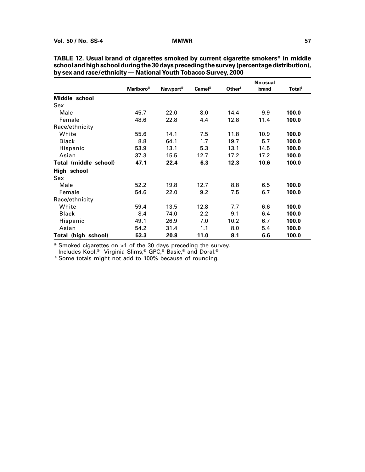|                       | <b>Marlboro</b> <sup>®</sup> | Newport <sup>®</sup> | <b>Camel®</b> | Other <sup>†</sup> | No usual<br>brand | <b>Total</b> <sup>s</sup> |
|-----------------------|------------------------------|----------------------|---------------|--------------------|-------------------|---------------------------|
| Middle school         |                              |                      |               |                    |                   |                           |
| Sex                   |                              |                      |               |                    |                   |                           |
| Male                  | 45.7                         | 22.0                 | 8.0           | 14.4               | 9.9               | 100.0                     |
| Female                | 48.6                         | 22.8                 | 4.4           | 12.8               | 11.4              | 100.0                     |
| Race/ethnicity        |                              |                      |               |                    |                   |                           |
| White                 | 55.6                         | 14.1                 | 7.5           | 11.8               | 10.9              | 100.0                     |
| <b>Black</b>          | 8.8                          | 64.1                 | 1.7           | 19.7               | 5.7               | 100.0                     |
| Hispanic              | 53.9                         | 13.1                 | 5.3           | 13.1               | 14.5              | 100.0                     |
| Asian                 | 37.3                         | 15.5                 | 12.7          | 17.2               | 17.2              | 100.0                     |
| Total (middle school) | 47.1                         | 22.4                 | 6.3           | 12.3               | 10.6              | 100.0                     |
| High school           |                              |                      |               |                    |                   |                           |
| Sex                   |                              |                      |               |                    |                   |                           |
| Male                  | 52.2                         | 19.8                 | 12.7          | 8.8                | 6.5               | 100.0                     |
| Female                | 54.6                         | 22.0                 | 9.2           | 7.5                | 6.7               | 100.0                     |
| Race/ethnicity        |                              |                      |               |                    |                   |                           |
| White                 | 59.4                         | 13.5                 | 12.8          | 7.7                | 6.6               | 100.0                     |
| <b>Black</b>          | 8.4                          | 74.0                 | 2.2           | 9.1                | 6.4               | 100.0                     |
| Hispanic              | 49.1                         | 26.9                 | 7.0           | 10.2               | 6.7               | 100.0                     |
| Asian                 | 54.2                         | 31.4                 | 1.1           | 8.0                | 5.4               | 100.0                     |
| Total (high school)   | 53.3                         | 20.8                 | 11.0          | 8.1                | 6.6               | 100.0                     |

| TABLE 12. Usual brand of cigarettes smoked by current cigarette smokers* in middle        |
|-------------------------------------------------------------------------------------------|
| school and high school during the 30 days preceding the survey (percentage distribution), |
| by sex and race/ethnicity — National Youth Tobacco Survey, 2000                           |

\* Smoked cigarettes on  $\geq 1$  of the 30 days preceding the survey.

† Includes Kool,® Virginia Slims,® GPC,® Basic,® and Doral.®

§ Some totals might not add to 100% because of rounding.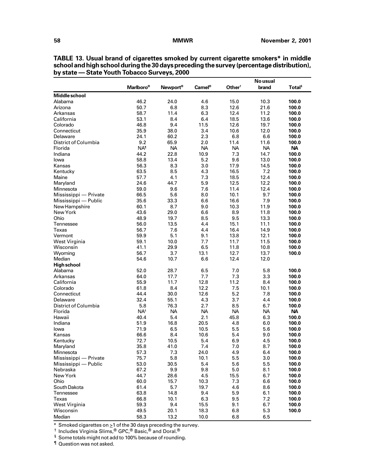|                       |                              |                      |                    | No usual           |           |                    |  |
|-----------------------|------------------------------|----------------------|--------------------|--------------------|-----------|--------------------|--|
|                       | <b>Marlboro</b> <sup>®</sup> | Newport <sup>®</sup> | Camel <sup>®</sup> | Other <sup>†</sup> | brand     | Total <sup>§</sup> |  |
| <b>Middle school</b>  |                              |                      |                    |                    |           |                    |  |
| Alabama               | 46.2                         | 24.0                 | 4.6                | 15.0               | 10.3      | 100.0              |  |
| Arizona               | 50.7                         | 6.8                  | 8.3                | 12.6               | 21.6      | 100.0              |  |
| Arkansas              | 58.7                         | 11.4                 | 6.3                | 12.4               | 11.2      | 100.0              |  |
| California            | 53.1                         | 8.4                  | 6.4                | 18.5               | 13.6      | 100.0              |  |
| Colorado              | 46.8                         | 9.4                  | 11.5               | 12.6               | 19.7      | 100.0              |  |
| Connecticut           | 35.9                         | 38.0                 | 3.4                | 10.6               | 12.0      | 100.0              |  |
| Delaware              | 24.1                         | 60.2                 | 2.3                | 6.8                | 6.6       | 100.0              |  |
| District of Columbia  | 9.2                          | 65.9                 | 2.0                | 11.4               | 11.6      | 100.0              |  |
| Florida               | NA <sup>1</sup>              | <b>NA</b>            | <b>NA</b>          | <b>NA</b>          | <b>NA</b> | <b>NA</b>          |  |
| Indiana               | 44.2                         | 22.8                 | 10.9               | 7.3                | 14.7      | 100.0              |  |
| lowa                  | 58.8                         | 13.4                 | 5.2                | 9.6                | 13.0      | 100.0              |  |
| Kansas                | 56.3                         | 8.3                  | 3.0                | 17.9               | 14.5      | 100.0              |  |
| Kentucky              | 63.5                         | 8.5                  | 4.3                | 16.5               | 7.2       | 100.0              |  |
| Maine                 | 57.7                         | 4.1                  | 7.3                | 18.5               | 12.4      | 100.0              |  |
| Maryland              | 24.6                         | 44.7                 | 5.9                | 12.5               | 12.2      | 100.0              |  |
| Minnesota             | 59.0                         | 9.6                  | 7.6                | 11.4               | 12.4      | 100.0              |  |
| Mississippi - Private | 66.5                         | 5.6                  | 8.0                | 10.1               | 9.7       | 100.0              |  |
| Mississippi — Public  | 35.6                         | 33.3                 | 6.6                | 16.6               | 7.9       | 100.0              |  |
| New Hampshire         | 60.1                         | 8.7                  | 9.0                | 10.3               | 11.9      | 100.0              |  |
| New York              | 43.6                         | 29.0                 | 6.6                | 8.9                | 11.8      | 100.0              |  |
| Ohio                  | 48.9                         | 19.7                 | 8.5                | 9.5                | 13.3      | 100.0              |  |
| Tennessee             | 56.0                         | 13.5                 | 4.4                | 15.1               | 11.1      | 100.0              |  |
| Texas                 | 56.7                         | 7.6                  | 4.4                | 16.4               | 14.9      | 100.0              |  |
| Vermont               | 59.9                         | 5.1                  | 9.1                | 13.8               | 12.1      | 100.0              |  |
| West Virginia         | 59.1                         | 10.0                 | 7.7                | 11.7               | 11.5      | 100.0              |  |
| Wisconsin             | 41.1                         | 29.9                 | 6.5                | 11.8               | 10.8      | 100.0              |  |
| Wyoming               | 56.7                         | 3.7                  | 13.1               | 12.7               | 13.7      | 100.0              |  |
| Median                | 54.6                         | 10.7                 | 6.6                | 12.4               | 12.0      |                    |  |
| <b>High school</b>    |                              |                      |                    |                    |           |                    |  |
| Alabama               | 52.0                         | 28.7                 | 6.5                | 7.0                | 5.8       | 100.0              |  |
| Arkansas              | 64.0                         | 17.7                 | 7.7                | 7.3                | 3.3       | 100.0              |  |
| California            | 55.9                         | 11.7                 | 12.8               | 11.2               | 8.4       | 100.0              |  |
| Colorado              | 61.8                         | 8.4                  | 12.2               | 7.5                | 10.1      | 100.0              |  |
| Connecticut           | 44.4                         | 30.0                 | 12.6               | 5.2                | 7.8       | 100.0              |  |
| Delaware              | 32.4                         | 55.1                 | 4.3                | 3.7                | 4.4       | 100.0              |  |
| District of Columbia  | 5.8                          | 76.3                 | 2.7                | 8.5                | 6.7       | 100.0              |  |
| Florida               | $NA^s$                       | NA.                  | <b>NA</b>          | <b>NA</b>          | <b>NA</b> | <b>NA</b>          |  |
| Hawaii                | 40.4                         | 5.4                  | 2.1                | 45.8               | 6.3       | 100.0              |  |
| Indiana               | 51.9                         | 16.8                 | 20.5               | 4.8                | 6.0       | 100.0              |  |
| lowa                  | 71.9                         | 6.5                  | 10.5               | 5.5                | 5.6       | 100.0              |  |
| Kansas                | 66.6                         | 8.4                  | 10.6               | 5.4                | 9.0       | 100.0              |  |
| Kentucky              | 72.7                         | 10.5                 | 5.4                | 6.9                | 4.5       | 100.0              |  |
| Maryland              | 35.8                         | 41.0                 | 7.4                | 7.0                | 8.7       | 100.0              |  |
| Minnesota             | 57.3                         | 7.3                  | 24.0               | 4.9                | 6.4       | 100.0              |  |
| Mississippi - Private | 75.7                         | 5.8                  | 10.1               | 5.5                | 3.0       | 100.0              |  |
| Mississippi — Public  | 53.0                         | 30.5                 | 5.4                | 5.6                | 5.5       | 100.0              |  |
| Nebraska              | 67.2                         | 9.9                  | 9.8                | 5.0                | 8.1       | 100.0              |  |
| New York              | 44.7                         | 28.6                 | 4.5                | 15.5               | 6.7       | 100.0              |  |
| Ohio                  | 60.0                         | 15.7                 | 10.3               | 7.3                | 6.6       | 100.0              |  |
| South Dakota          | 61.4                         | 5.7                  | 19.7               | 4.6                | 8.6       | 100.0              |  |
| Tennessee             | 63.8                         | 14.8                 | 9.4                | 5.9                | 6.1       | 100.0              |  |
| Texas                 | 66.8                         | 10.1                 | 6.3                | 9.5                | 7.2       | 100.0              |  |
| West Virginia         | 59.3                         | 9.4                  | 15.5               | 9.1                | 6.7       | 100.0              |  |
| Wisconsin             | 49.5                         | 20.1                 | 18.3               | 6.8                | 5.3       | 100.0              |  |
| Median                | 58.3                         | 13.2                 | 10.0               | 6.8                | 6.5       |                    |  |

**TABLE 13. Usual brand of cigarettes smoked by current cigarette smokers\* in middle school and high school during the 30 days preceding the survey (percentage distribution), by state — State Youth Tobacco Surveys, 2000**

 $*$  Smoked cigarettes on  $\geq$ 1 of the 30 days preceding the survey.

 $^\dagger$  Includes Virginia Slims, $^\circledR$  GPC, $^\circledR$  Basic, $^\circledR$  and Doral. $^\circledR$ 

 $§$  Some totals might not add to 100% because of rounding.

¶ Question was not asked.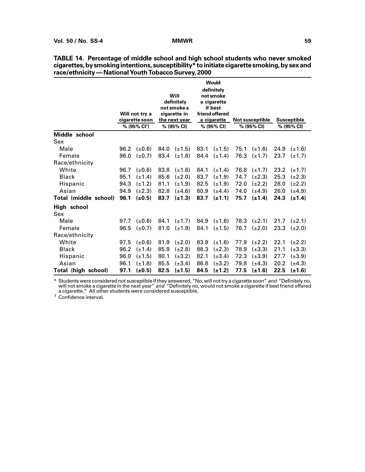|                       |      | Will not try a<br>cigarette soon<br>% (95% CI <sup>t</sup> ) |      | <b>Will</b><br>definitely<br>not smoke a<br>cigarette in<br>the next year<br>% (95% CI) |      | <b>Would</b><br>definitely<br>not smoke<br>a cigarette<br>if best<br>friend offered<br>a cigarette<br>% (95% CI) |      | <b>Not susceptible</b><br>% (95% CI) |      | <b>Susceptible</b><br>% (95% CI) |
|-----------------------|------|--------------------------------------------------------------|------|-----------------------------------------------------------------------------------------|------|------------------------------------------------------------------------------------------------------------------|------|--------------------------------------|------|----------------------------------|
| Middle school         |      |                                                              |      |                                                                                         |      |                                                                                                                  |      |                                      |      |                                  |
| Sex                   |      |                                                              |      |                                                                                         |      |                                                                                                                  |      |                                      |      |                                  |
| Male                  | 96.2 | $(\pm 0.6)$                                                  |      | 84.0 $(\pm 1.5)$                                                                        | 83.1 | $(\pm 1.5)$                                                                                                      | 75.1 | $(\pm 1.6)$                          | 24.9 | $(\pm 1.6)$                      |
| Female                | 96.0 | $(\pm 0.7)$                                                  | 83.4 | $(\pm 1.6)$                                                                             |      | 84.4 $(\pm 1.4)$                                                                                                 | 76.3 | $(\pm 1.7)$                          | 23.7 | $(\pm 1.7)$                      |
| Race/ethnicity        |      |                                                              |      |                                                                                         |      |                                                                                                                  |      |                                      |      |                                  |
| White                 | 96.7 | $(\pm 0.6)$                                                  | 83.8 | $(\pm 1.6)$                                                                             | 84.1 | $(\pm 1.4)$                                                                                                      | 76.8 | $(\pm 1.7)$                          | 23.2 | $(\pm 1.7)$                      |
| <b>Black</b>          | 95.1 | $(\pm 1.4)$                                                  | 85.6 | $(\pm 2.0)$                                                                             | 83.7 | $(\pm 1.9)$                                                                                                      | 74.7 | $(\pm 2.3)$                          | 25.3 | $(\pm 2.3)$                      |
| Hispanic              | 94.3 | $(\pm 1.2)$                                                  | 81.1 | $(\pm 1.9)$                                                                             | 82.5 | $(\pm 1.9)$                                                                                                      | 72.0 | $(\pm 2.2)$                          | 28.0 | $(\pm 2.2)$                      |
| Asian                 | 94.9 | $(\pm 2.3)$                                                  | 82.8 | $(\pm 4.6)$                                                                             | 80.9 | $(\pm 4.4)$                                                                                                      | 74.0 | $(\pm 4.9)$                          | 26.0 | $(\pm 4.9)$                      |
| Total (middle school) | 96.1 | $(\pm 0.5)$                                                  | 83.7 | $(\pm 1.3)$                                                                             | 83.7 | $(\pm 1.1)$                                                                                                      | 75.7 | $(\pm 1.4)$                          | 24.3 | $(\pm 1.4)$                      |
| High school           |      |                                                              |      |                                                                                         |      |                                                                                                                  |      |                                      |      |                                  |
| Sex                   |      |                                                              |      |                                                                                         |      |                                                                                                                  |      |                                      |      |                                  |
| Male                  | 97.7 | (±0.6)                                                       | 84.1 | $(\pm 1.7)$                                                                             | 84.9 | $(\pm 1.6)$                                                                                                      | 78.3 | $(\pm 2.1)$                          |      | $21.7$ ( $\pm 2.1$ )             |
| Female                | 96.5 | $(\pm 0.7)$                                                  | 81.0 | $(\pm 1.9)$                                                                             | 84.1 | $(\pm 1.5)$                                                                                                      | 76.7 | $(\pm 2.0)$                          | 23.3 | $(\pm 2.0)$                      |
| Race/ethnicity        |      |                                                              |      |                                                                                         |      |                                                                                                                  |      |                                      |      |                                  |
| White                 | 97.5 | (±0.6)                                                       | 81.9 | $(\pm 2.0)$                                                                             | 83.9 | $(\pm 1.6)$                                                                                                      | 77.9 | $(\pm 2.2)$                          | 22.1 | $(\pm 2.2)$                      |
| <b>Black</b>          | 96.2 | $(\pm 1.4)$                                                  | 85.9 | $(\pm 2.8)$                                                                             | 88.3 | $(\pm 2.3)$                                                                                                      | 78.9 | $(\pm 3.3)$                          | 21.1 | $(\pm 3.3)$                      |
| Hispanic              | 96.0 | $(\pm 1.5)$                                                  | 80.1 | $(\pm 3.2)$                                                                             | 82.1 | $(\pm 3.4)$                                                                                                      | 72.3 | $(\pm 3.9)$                          | 27.7 | $(\pm 3.9)$                      |
| Asian                 | 96.1 | $(\pm 1.8)$                                                  | 85.5 | $(\pm 3.4)$                                                                             | 86.8 | $(\pm 3.2)$                                                                                                      | 79.8 | $(\pm 4.3)$                          | 20.2 | $(\pm 4.3)$                      |
| Total (high school)   | 97.1 | (±0.5)                                                       | 82.5 | $(\pm 1.5)$                                                                             | 84.5 | $(\pm 1.2)$                                                                                                      | 77.5 | $(\pm 1.6)$                          | 22.5 | $(\pm 1.6)$                      |

| TABLE 14. Percentage of middle school and high school students who never smoked              |  |
|----------------------------------------------------------------------------------------------|--|
| cigarettes, by smoking intentions, susceptibility* to initiate cigarette smoking, by sex and |  |
| race/ethnicity — National Youth Tobacco Survey, 2000                                         |  |

\* Students were considered not susceptible if they answered, "No, will not try a cigarette soon" and "Definitely no, will not smoke a cigarette in the next year" *and "*Definitely no, would not smoke a cigarette if best friend offered a cigarette." All other students were considered susceptible.

† Confidence interval.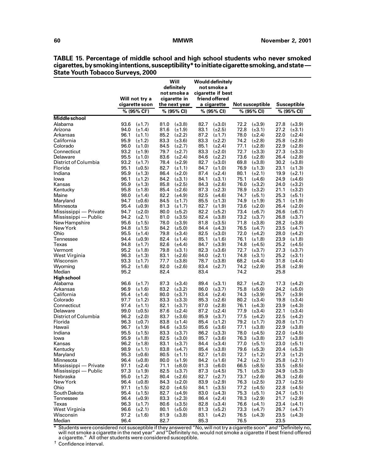|                         |                                            | Will<br>definitely<br>not smoke a          | <b>Would definitely</b><br>not smoke a<br>cigarette if best |                                            |                                            |
|-------------------------|--------------------------------------------|--------------------------------------------|-------------------------------------------------------------|--------------------------------------------|--------------------------------------------|
|                         | Will not try a<br>cigarette soon           | cigarette in<br>the next year              | friend offered<br>a cigarette                               | <b>Not susceptible</b>                     | Susceptible                                |
|                         | % (95% CI <sup>t</sup> )                   | % (95% CI)                                 | % (95% CI)                                                  | % (95% CI)                                 | % (95% CI)                                 |
| Middle school           |                                            |                                            |                                                             |                                            |                                            |
| Alabama                 | 93.6                                       | $(\pm 3.8)$                                | $(\pm 3.0)$                                                 | $(\pm 3.9)$                                | $(\pm 3.9)$                                |
|                         | $(\pm 1.7)$                                | 81.0                                       | 82.7                                                        | 72.2                                       | 27.8                                       |
| Arizona                 | 94.0                                       | 81.6                                       | 83.1                                                        | 72.8                                       | 27.2                                       |
|                         | $(\pm 1.4)$                                | $(\pm 1.9)$                                | $(\pm 2.5)$                                                 | $(\pm 3.1)$                                | $(\pm 3.1)$                                |
| Arkansas                | 96.1                                       | 85.2                                       | 87.2                                                        | 78.0                                       | 22.0                                       |
|                         | $(\pm 1.1)$                                | $(\pm 2.2)$                                | $(\pm 1.7)$                                                 | $(\pm 2.4)$                                | $(\pm 2.4)$                                |
| California              | 95.9                                       | 83.3                                       | 83.3                                                        | 74.2                                       | 25.8                                       |
|                         | $(\pm 1.2)$                                | $(\pm 3.6)$                                | $(\pm 2.2)$                                                 | $(\pm 2.8)$                                | $(\pm 2.8)$                                |
| Colorado<br>Connecticut | 96.0<br>$(\pm 1.0)$<br>93.2<br>$(\pm 1.9)$ | 84.5<br>$(\pm 2.7)$<br>79.7<br>$(\pm 2.7)$ | 85.1<br>$(\pm 2.4)$<br>83.3<br>$(\pm 2.0)$                  | 77.1<br>$(\pm 2.8)$<br>72.7<br>$(\pm 3.3)$ | 22.9<br>$(\pm 2.8)$<br>27.3<br>$(\pm 3.3)$ |
| Delaware                | 95.5                                       | 83.6                                       | 84.6                                                        | 73.6                                       | 26.4                                       |
|                         | $(\pm 1.0)$                                | $(\pm 2.4)$                                | $(\pm 2.2)$                                                 | $(\pm 2.8)$                                | $(\pm 2.8)$                                |
| District of Columbia    | 93.2                                       | 78.4                                       | 82.7                                                        | 69.8                                       | 30.2                                       |
|                         | $(\pm 1.7)$                                | $(\pm 2.9)$                                | $(\pm 3.0)$                                                 | $(\pm 3.8)$                                | $(\pm 3.8)$                                |
| Florida                 | 95.1                                       | 82.7                                       | 84.7                                                        | 76.9                                       | 23.1                                       |
|                         | $(\pm 0.5)$                                | $(\pm 1.1)$                                | $(\pm 1.0)$                                                 | $(\pm 1.3)$                                | $(\pm 1.3)$                                |
| Indiana                 | 95.9                                       | 86.4                                       | 87.4                                                        | 80.1                                       | 19.9                                       |
|                         | $(\pm 1.3)$                                | $(\pm 2.0)$                                | $(\pm 2.4)$                                                 | $(\pm 2.1)$                                | $(\pm 2.1)$                                |
| lowa                    | 96.1                                       | 84.2                                       | 84.1                                                        | 75.1                                       | 24.9                                       |
|                         | $(\pm 1.2)$                                | $(\pm 3.1)$                                | $(\pm 3.1)$                                                 | $(\pm 4.6)$                                | $(\pm 4.6)$                                |
| Kansas                  | 95.9                                       | 85.8                                       | 84.3                                                        | 76.0                                       | 24.0                                       |
|                         | $(\pm 1.3)$                                | $(\pm 2.5)$                                | $(\pm 2.6)$                                                 | $(\pm 3.2)$                                | $(\pm 3.2)$                                |
| Kentucky                | 95.8                                       | 85.4                                       | 87.3                                                        | 78.9                                       | 21.1                                       |
|                         | $(\pm 1.8)$                                | $(\pm 2.6)$                                | $(\pm 2.3)$                                                 | $(\pm 3.2)$                                | $(\pm 3.2)$                                |
| Maine                   | 98.0                                       | 82.2                                       | 82.5                                                        | 74.7                                       | 25.3                                       |
|                         | $(\pm 1.4)$                                | $(\pm 4.9)$                                | $(\pm 4.6)$                                                 | $(\pm 5.1)$                                | $(\pm 5.1)$                                |
| Maryland                | 94.7                                       | 84.5                                       | 85.5                                                        | 74.9                                       | 25.1                                       |
|                         | $(\pm 0.6)$                                | $(\pm 1.7)$                                | $(\pm 1.3)$                                                 | $(\pm 1.9)$                                | $(\pm 1.9)$                                |
| Minnesota               | 95.4                                       | 81.3                                       | 82.7                                                        | 73.6                                       | 26.4                                       |
|                         | $(\pm 0.9)$                                | $(\pm 1.7)$                                | $(\pm 1.9)$                                                 | $(\pm 2.0)$                                | $(\pm 2.0)$                                |
| Mississippi - Private   | 94.7                                       | 80.0                                       | 82.2                                                        | 73.4                                       | 26.6                                       |
|                         | $(\pm 2.0)$                                | $(\pm 5.2)$                                | $(\pm 5.2)$                                                 | $(\pm 6.7)$                                | $(\pm 6.7)$                                |
| Mississippi — Public    | 94.2                                       | 81.0                                       | 82.4                                                        | 73.2                                       | 26.8                                       |
|                         | $(\pm 2.1)$                                | $(\pm 3.5)$                                | $(\pm 3.8)$                                                 | $(\pm 3.7)$                                | $(\pm 3.7)$                                |
| New Hampshire           | 95.6                                       | 78.0                                       | 81.8                                                        | 71.8                                       | 28.2                                       |
|                         | $(\pm 1.5)$                                | $(\pm 3.9)$                                | $(\pm 3.5)$                                                 | $(\pm 3.8)$                                | $(\pm 3.8)$                                |
| New York<br>Ohio        | 94.8<br>$(\pm 1.5)$<br>95.5<br>$(\pm 1.4)$ | 84.2<br>$(\pm 5.0)$<br>79.8<br>$(\pm 3.4)$ | 84.4<br>$(\pm 4.3)$<br>82.5<br>$(\pm 3.0)$                  | 76.5<br>$(\pm 4.7)$<br>72.0<br>$(\pm 4.2)$ | 23.5<br>$(\pm 4.7)$<br>28.0<br>$(\pm 4.2)$ |
| Tennessee               | 94.4                                       | 82.4                                       | 85.1                                                        | 76.1                                       | 23.9                                       |
|                         | $(\pm 0.9)$                                | $(\pm 1.4)$                                | $(\pm 1.6)$                                                 | $(\pm 1.8)$                                | $(\pm 1.8)$                                |
| Texas                   | 94.8                                       | 82.6                                       | 84.7                                                        | 74.8                                       | 25.2                                       |
|                         | $(\pm 1.7)$                                | $(\pm 4.4)$                                | $(\pm 3.9)$                                                 | $(\pm 4.5)$                                | $(\pm 4.5)$                                |
| Vermont                 | 95.2                                       | 79.8                                       | 82.3                                                        | 72.7                                       | 27.3                                       |
|                         | $(\pm 1.8)$                                | $(\pm 3.1)$                                | $(\pm 3.6)$                                                 | $(\pm 3.7)$                                | $(\pm 3.7)$                                |
| West Virginia           | 96.3                                       | 83.1                                       | 84.0                                                        | 74.8                                       | 25.2                                       |
|                         | $(\pm 1.3)$                                | $(\pm 2.6)$                                | $(\pm 2.1)$                                                 | $(\pm 3.1)$                                | $(\pm 3.1)$                                |
| Wisconsin               | 93.3                                       | 77.7                                       | 78.7                                                        | 68.2                                       | 31.8                                       |
|                         | $(\pm 1.7)$                                | $(\pm 3.8)$                                | $(\pm 3.8)$                                                 | $(\pm 4.4)$                                | $(\pm 4.4)$                                |
| Wyoming                 | 95.2                                       | 82.0                                       | 83.4                                                        | 74.2                                       | 25.8                                       |
|                         | $(\pm 1.6)$                                | $(\pm 2.6)$                                | $(\pm 2.7)$                                                 | $(\pm 2.9)$                                | $(\pm 2.9)$                                |
| Median                  | 95.2                                       | 82.4                                       | 83.4                                                        | 74.2                                       | 25.8                                       |
| <b>High school</b>      |                                            |                                            |                                                             |                                            |                                            |
| Alabama                 | 96.6                                       | 87.3                                       | 89.4                                                        | 82.7                                       | 17.3                                       |
|                         | $(\pm 1.7)$                                | $(\pm 3.4)$                                | $(\pm 3.1)$                                                 | $(\pm 4.2)$                                | $(\pm 4.2)$                                |
| Arkansas                | 96.9                                       | 83.2                                       | 86.0                                                        | 75.8                                       | 24.2                                       |
|                         | $(\pm 1.6)$                                | $(\pm 3.2)$                                | $(\pm 3.7)$                                                 | $(\pm 5.0)$                                | $(\pm 5.0)$                                |
| California              | 95.4                                       | 80.0                                       | 83.4                                                        | 74.3                                       | 25.7                                       |
|                         | $(\pm 1.4)$                                | $(\pm 3.7)$                                | $(\pm 2.4)$                                                 | $(\pm 3.9)$                                | $(\pm 3.9)$                                |
| Colorado                | 97.7                                       | 83.3                                       | 85.3                                                        | 80.2                                       | 19.8                                       |
|                         | $(\pm 1.2)$                                | $(\pm 3.3)$                                | $(\pm 2.6)$                                                 | $(\pm 3.4)$                                | $(\pm 3.4)$                                |
| Connecticut<br>Delaware | 97.4<br>$(\pm 1.1)$<br>99.0<br>$(\pm 0.5)$ | 82.1<br>$(\pm 3.7)$<br>87.6<br>$(\pm 2.4)$ | 87.0<br>$(\pm 2.8)$<br>87.2<br>$(\pm 2.4)$                  | 76.1<br>$(\pm 4.3)$<br>77.9<br>$(\pm 3.4)$ | 23.9<br>$(\pm 4.3)$<br>22.1<br>$(\pm 3.4)$ |
| District of Columbia    | 96.2                                       | 83.7                                       | 85.9                                                        | 77.5                                       | 22.5                                       |
|                         | $(\pm 2.0)$                                | $(\pm 3.6)$                                | $(\pm 3.7)$                                                 | $(\pm 4.2)$                                | $(\pm 4.2)$                                |
| Florida                 | 96.3                                       | 83.8                                       | 85.4                                                        | 79.2                                       | 20.8                                       |
|                         | $(\pm 0.7)$                                | $(\pm 1.4)$                                | $(\pm 1.2)$                                                 | $(\pm 1.7)$                                | $(\pm 1.7)$                                |
| Hawaii                  | 96.7                                       | 84.6                                       | 85.6                                                        | 77.1                                       | 22.9                                       |
|                         | $(\pm 1.9)$                                | $(\pm 3.5)$                                | $(\pm 3.6)$                                                 | $(\pm 3.8)$                                | $(\pm 3.8)$                                |
| Indiana                 | 95.5                                       | 83.3                                       | 86.2                                                        | 78.0                                       | 22.0                                       |
|                         | $(\pm 1.5)$                                | $(\pm 3.7)$                                | $(\pm 3.3)$                                                 | $(\pm 4.5)$                                | $(\pm 4.5)$                                |
| lowa                    | 95.9                                       | 82.5                                       | 85.7                                                        | 76.3                                       | 23.7                                       |
|                         | $(\pm 1.8)$                                | $(\pm 3.0)$                                | $(\pm 3.6)$                                                 | $(\pm 3.8)$                                | $(\pm 3.8)$                                |
| Kansas                  | 96.2 $(\pm 1.8)$                           | 83.1 $(\pm 3.7)$                           | 84.4 $(\pm 3.4)$                                            | 77.0 $(\pm 5.1)$                           | 23.0 $(\pm 5.1)$                           |
| Kentucky                | 98.9<br>$(\pm 1.1)$                        | $(\pm 4.7)$<br>83.8                        | $(\pm 3.8)$<br>85.4                                         | 79.6 $(\pm 5.3)$                           | $(\pm 5.3)$<br>20.4                        |
| Maryland                | 95.3                                       | 80.5                                       | 82.7                                                        | 72.7                                       | 27.3                                       |
|                         | $(\pm 0.6)$                                | $(\pm 1.1)$                                | $(\pm 1.0)$                                                 | $(\pm 1.2)$                                | $(\pm 1.2)$                                |
| Minnesota               | 96.4                                       | 80.0                                       | 84.2                                                        | 74.2                                       | 25.8                                       |
|                         | $(\pm 0.8)$                                | $(\pm 1.9)$                                | $(\pm 1.6)$                                                 | $(\pm 2.1)$                                | $(\pm 2.1)$                                |
| Mississippi - Private   | 97.1                                       | 71.1                                       | 81.3                                                        | 66.5                                       | 33.5                                       |
|                         | $(\pm 2.4)$                                | $(\pm 8.0)$                                | $(\pm 6.0)$                                                 | $(\pm 8.5)$                                | $(\pm 8.5)$                                |
| Mississippi — Public    | 97.3                                       | 82.5                                       | 87.3                                                        | 75.1                                       | 24.9                                       |
|                         | $(\pm 1.9)$                                | $(\pm 3.7)$                                | $(\pm 4.5)$                                                 | $(\pm 5.3)$                                | $(\pm 5.3)$                                |
| Nebraska<br>New York    | 95.0<br>$(\pm 1.2)$                        | 80.4<br>$(\pm 2.6)$                        | 82.7<br>$(\pm 2.7)$                                         | 73.7<br>$(\pm 2.6)$                        | 26.3<br>$(\pm 2.6)$<br>23.7                |
| Ohio                    | 96.4<br>$(\pm 0.8)$<br>97.1<br>$(\pm 1.5)$ | 84.3<br>$(\pm 2.0)$<br>82.0<br>$(\pm 4.5)$ | 83.9<br>$(\pm 2.9)$<br>84.1<br>$(\pm 3.5)$                  | 76.3<br>$(\pm 2.5)$<br>77.2<br>$(\pm 4.5)$ | $(\pm 2.5)$<br>22.8<br>$(\pm 4.5)$         |
| South Dakota            | 95.4                                       | 82.7                                       | 83.0                                                        | 75.3                                       | 24.7                                       |
|                         | $(\pm 1.5)$                                | $(\pm 4.9)$                                | $(\pm 4.3)$                                                 | $(\pm 5.1)$                                | $(\pm 5.1)$                                |
| Tennessee               | 96.4                                       | 83.3                                       | 86.4                                                        | 78.3                                       | 21.7                                       |
|                         | $(\pm 0.9)$                                | $(\pm 2.3)$                                | $(\pm 2.4)$                                                 | $(\pm 2.9)$                                | $(\pm 2.9)$                                |
| Texas                   | 96.3                                       | 80.6                                       | 82.8                                                        | 76.6                                       | 23.4                                       |
|                         | $(\pm 1.7)$                                | $(\pm 3.5)$                                | $(\pm 3.4)$                                                 | $(\pm 4.1)$                                | $(\pm 4.1)$                                |
| West Virginia           | 96.6                                       | 80.1                                       | 81.3                                                        | 73.3                                       | 26.7                                       |
|                         | $(\pm 2.1)$                                | $(\pm 5.0)$                                | $(\pm 5.2)$                                                 | $(\pm 4.7)$                                | $(\pm 4.7)$                                |
| Wisconsin               | 97.2                                       | 81.9                                       | 83.1                                                        | 76.5                                       | 23.5                                       |
|                         | $(\pm 1.6)$                                | $(\pm 3.8)$                                | $(\pm 4.2)$                                                 | $(\pm 4.3)$                                | $(\pm 4.3)$                                |
| Median                  | 96.4                                       | 82.7                                       | 85.3                                                        | 76.5                                       | 23.5                                       |

**TABLE 15. Percentage of middle school and high school students who never smoked cigarettes, by smoking intentions, susceptibility\* to initiate cigarette smoking, and state — State Youth Tobacco Surveys, 2000**

\* Students were considered not susceptible if they answered "No, will not try a cigarette soon" and "Definitely no, will not smoke a cigarette in the next year" *and* "Definitely no, would not smoke a cigarette if best friend offered a cigarette." All other students were considered susceptible.

† Confidence interval.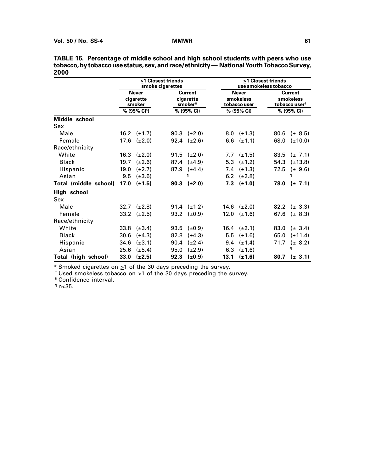|                            |                                     |                          | >1 Closest friends<br>smoke cigarettes |                                        |                                           | >1 Closest friends<br>use smokeless tobacco |      |                                                          |  |
|----------------------------|-------------------------------------|--------------------------|----------------------------------------|----------------------------------------|-------------------------------------------|---------------------------------------------|------|----------------------------------------------------------|--|
|                            | <b>Never</b><br>cigarette<br>smoker |                          |                                        | <b>Current</b><br>cigarette<br>smoker* | <b>Never</b><br>smokeless<br>tobacco user |                                             |      | <b>Current</b><br>smokeless<br>tobacco user <sup>†</sup> |  |
|                            |                                     | % (95% CI <sup>s</sup> ) |                                        | % (95% CI)                             |                                           | % (95% CI)                                  |      | % (95% CI)                                               |  |
| Middle school              |                                     |                          |                                        |                                        |                                           |                                             |      |                                                          |  |
| Sex                        |                                     |                          |                                        |                                        |                                           |                                             |      |                                                          |  |
| Male                       |                                     | 16.2 $(\pm 1.7)$         |                                        | 90.3 $(\pm 2.0)$                       |                                           | $8.0 \left( \pm 1.3 \right)$                | 80.6 | $(\pm 8.5)$                                              |  |
| Female                     | 17.6                                | $(\pm 2.0)$              | 92.4                                   | $(\pm 2.6)$                            | 6.6                                       | $(\pm 1.1)$                                 | 68.0 | $(\pm 10.0)$                                             |  |
| Race/ethnicity             |                                     |                          |                                        |                                        |                                           |                                             |      |                                                          |  |
| White                      | 16.3                                | $(\pm 2.0)$              | 91.5                                   | $(\pm 2.0)$                            | 7.7                                       | $(\pm 1.5)$                                 | 83.5 | $(\pm 7.1)$                                              |  |
| <b>Black</b>               | 19.7                                | $(\pm 2.6)$              | 87.4                                   | $(\pm 4.9)$                            | 5.3                                       | $(\pm 1.2)$                                 | 54.3 | $(\pm 13.8)$                                             |  |
| Hispanic                   | 19.0                                | $(\pm 2.7)$              | 87.9                                   | $(\pm 4.4)$                            | 7.4                                       | $(\pm 1.3)$                                 | 72.5 | $(\pm 9.6)$                                              |  |
| Asian                      | 9.5                                 | $(\pm 3.6)$              |                                        | ſ                                      | 6.2                                       | $(\pm 2.8)$                                 |      | ſ                                                        |  |
| Total (middle school)      | 17.0                                | $(\pm 1.5)$              |                                        | $90.3$ ( $\pm 2.0$ )                   | 7.3                                       | $(\pm 1.0)$                                 | 78.0 | $(\pm 7.1)$                                              |  |
| High school                |                                     |                          |                                        |                                        |                                           |                                             |      |                                                          |  |
| Sex                        |                                     |                          |                                        |                                        |                                           |                                             |      |                                                          |  |
| Male                       |                                     | 32.7 $(\pm 2.8)$         |                                        | 91.4 $(\pm 1.2)$                       |                                           | 14.6 $(\pm 2.0)$                            |      | 82.2 $(\pm 3.3)$                                         |  |
| Female                     |                                     | 33.2 $(\pm 2.5)$         |                                        | 93.2 $(\pm 0.9)$                       | 12.0                                      | $(\pm 1.6)$                                 | 67.6 | $(\pm 8.3)$                                              |  |
| Race/ethnicity             |                                     |                          |                                        |                                        |                                           |                                             |      |                                                          |  |
| White                      | 33.8                                | $(\pm 3.4)$              | 93.5                                   | $(\pm 0.9)$                            | 16.4                                      | $(\pm 2.1)$                                 | 83.0 | $(\pm 3.4)$                                              |  |
| <b>Black</b>               | 30.6                                | $(\pm 4.3)$              | 82.8                                   | $(\pm 4.3)$                            | 5.5                                       | $(\pm 1.6)$                                 | 65.0 | $(\pm 11.4)$                                             |  |
| Hispanic                   | 34.6                                | $(\pm 3.1)$              | 90.4                                   | $(\pm 2.4)$                            | 9.4                                       | $(\pm 1.4)$                                 | 71.7 | $(\pm 8.2)$                                              |  |
| Asian                      | 25.6                                | $(\pm 5.4)$              | 95.0                                   | $(\pm 2.9)$                            | 6.3                                       | $(\pm 1.6)$                                 |      | ſ                                                        |  |
| <b>Total (high school)</b> | 33.0                                | $(\pm 2.5)$              | 92.3                                   | $(\pm 0.9)$                            | 13.1                                      | $(\pm 1.6)$                                 | 80.7 | $(\pm 3.1)$                                              |  |

|      | TABLE 16. Percentage of middle school and high school students with peers who use        |  |
|------|------------------------------------------------------------------------------------------|--|
|      | tobacco, by tobacco use status, sex, and race/ethnicity — National Youth Tobacco Survey, |  |
| 2000 |                                                                                          |  |

\* Smoked cigarettes on  $\geq 1$  of the 30 days preceding the survey.

 $\dagger$  Used smokeless tobacco on  $\geq 1$  of the 30 days preceding the survey.

§ Confidence interval.

¶ n<35.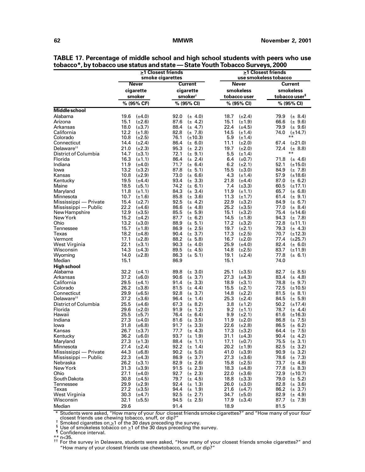|                                    |                                            | $\geq$ 1 Closest friends<br>smoke cigarettes | ≥1 Closest friends<br>use smokeless tobacco |                                             |  |  |
|------------------------------------|--------------------------------------------|----------------------------------------------|---------------------------------------------|---------------------------------------------|--|--|
|                                    | <b>Never</b>                               | <b>Current</b>                               | <b>Never</b>                                | <b>Current</b>                              |  |  |
|                                    | cigarette                                  | cigarette                                    | smokeless                                   | smokeless                                   |  |  |
|                                    | smoker                                     | smoker <sup>t</sup>                          | tobacco user                                | tobacco user <sup>§</sup>                   |  |  |
|                                    | % (95% CI <sup>1</sup> )                   | % (95% CI)                                   | % (95% CI)                                  | % (95% CI)                                  |  |  |
| <b>Middle school</b>               |                                            |                                              |                                             |                                             |  |  |
| Alabama                            | 19.6                                       | 92.0                                         | 18.7                                        | 79.9                                        |  |  |
|                                    | $(\pm 4.0)$                                | $(\pm 4.0)$                                  | $(\pm 2.4)$                                 | $(\pm 8.4)$                                 |  |  |
| Arizona                            | 15.1                                       | 87.6                                         | $(\pm 1.9)$                                 | 66.6                                        |  |  |
|                                    | $(\pm 2.6)$                                | $(\pm 4.2)$                                  | 15.1                                        | $(\pm 9.6)$                                 |  |  |
| Arkansas                           | 18.0                                       | 88.4                                         | 22.4                                        | 79.9                                        |  |  |
|                                    | $(\pm 3.7)$                                | $(\pm 4.7)$                                  | $(\pm 4.5)$                                 | $(\pm 9.6)$                                 |  |  |
| California                         | 12.2                                       | 82.8                                         | 14.5                                        | 74.0                                        |  |  |
|                                    | $(\pm 1.8)$                                | $(\pm 7.8)$                                  | $(\pm 1.4)$                                 | $(\pm 14.7)$                                |  |  |
| Colorado                           | 10.8<br>$(\pm 2.5)$                        | 76.1<br>$(\pm 10.3)$                         | 5.9<br>$(\pm 1.4)$                          | $***$                                       |  |  |
| Connecticut                        | 14.4                                       | 86.4                                         | 11.1                                        | 67.4                                        |  |  |
|                                    | $(\pm 2.4)$                                | $(\pm 6.0)$                                  | $(\pm 2.0)$                                 | $(\pm 21.0)$                                |  |  |
| Delaware <sup>tt</sup>             | 21.0                                       | 95.3                                         | 19.7                                        | 72.4                                        |  |  |
|                                    | $(\pm 2.3)$                                | $(\pm 2.2)$                                  | $(\pm 2.0)$                                 | $(\pm 8.8)$                                 |  |  |
| District of Columbia               | 14.7<br>$(\pm 3.1)$                        | 72.1<br>$(\pm 9.1)$                          | 5.5<br>$(\pm 1.4)$                          | $***$                                       |  |  |
| Florida                            | 16.3                                       | 86.4                                         | 6.4                                         | 71.8                                        |  |  |
|                                    | $(\pm 1.1)$                                | $(\pm 2.4)$                                  | $(\pm 0.7)$                                 | $(\pm 4.6)$                                 |  |  |
| Indiana                            | 11.9                                       | 71.7                                         | 6.2                                         | 52.1                                        |  |  |
|                                    | $(\pm 4.0)$                                | $(\pm 6.4)$                                  | $(\pm 2.1)$                                 | $(\pm 15.0)$                                |  |  |
| lowa                               | 13.2                                       | 87.8                                         | 15.5                                        | 84.9                                        |  |  |
|                                    | $(\pm 3.2)$                                | $(\pm 5.1)$                                  | $(\pm 3.0)$                                 | $(\pm 7.8)$                                 |  |  |
| Kansas                             | 10.8                                       | 73.0                                         | 4.3                                         | 57.9                                        |  |  |
|                                    | $(\pm 2.9)$                                | $(\pm 6.6)$                                  | $(\pm 1.4)$                                 | $(\pm 18.6)$                                |  |  |
| Kentucky                           | 19.5                                       | 93.4                                         | 21.8                                        | 87.0                                        |  |  |
|                                    | $(\pm 4.4)$                                | $(\pm 3.3)$                                  | $(\pm 4.4)$                                 | $(\pm 6.2)$                                 |  |  |
| Maine                              | 18.5                                       | 74.2                                         | 7.4                                         | 60.5                                        |  |  |
|                                    | $(\pm 5.1)$                                | $(\pm 6.1)$                                  | $(\pm 3.3)$                                 | $(\pm 17.1)$                                |  |  |
| Maryland                           | 11.8                                       | 84.3                                         | 11.9                                        | 65.7                                        |  |  |
|                                    | $(\pm 1.1)$                                | $(\pm 3.4)$                                  | $(\pm 1.1)$                                 | $(\pm 6.8)$                                 |  |  |
| Minnesota                          | 10.7                                       | 85.8                                         | 11.3                                        | 61.4                                        |  |  |
|                                    | $(\pm 1.6)$                                | $(\pm 3.6)$                                  | $(\pm 1.7)$                                 | $(\pm 9.1)$                                 |  |  |
| Mississippi — Private              | 15.4                                       | 92.5                                         | 22.9                                        | 84.9                                        |  |  |
|                                    | $(\pm 2.7)$                                | $(\pm 4.2)$                                  | $(\pm 3.2)$                                 | $(\pm 6.7)$                                 |  |  |
| Mississippi — Public               | 22.2                                       | 86.6                                         | 25.2                                        | 77.0                                        |  |  |
|                                    | $(\pm 4.6)$                                | $(\pm 4.8)$                                  | $(\pm 3.5)$                                 | $(\pm 8.4)$                                 |  |  |
| New Hampshire                      | 12.9                                       | 85.5                                         | 15.1                                        | 75.4                                        |  |  |
|                                    | $(\pm 3.5)$                                | $(\pm 5.9)$                                  | $(\pm 3.2)$                                 | $(\pm 14.6)$                                |  |  |
| New York<br>Ohio                   | 15.2<br>$(\pm 4.2)$<br>13.2<br>$(\pm 3.0)$ | 87.7<br>$(\pm 6.2)$<br>88.9<br>$(\pm 5.1)$   | 14.5<br>$(\pm 1.8)$<br>17.2<br>$(\pm 3.2)$  | 94.3<br>$(\pm 7.8)$<br>72.8<br>$(\pm 11.1)$ |  |  |
| Tennessee                          | 15.7                                       | 86.9                                         | 19.7                                        | 79.3                                        |  |  |
|                                    | $(\pm 1.8)$                                | $(\pm 2.5)$                                  | $(\pm 2.1)$                                 | $(\pm 4.3)$                                 |  |  |
| Texas                              | 18.2                                       | 90.4                                         | 17.3                                        | 70.7                                        |  |  |
|                                    | $(\pm 4.8)$                                | $(\pm 3.7)$                                  | $(\pm 2.5)$                                 | $(\pm 12.3)$                                |  |  |
| Vermont                            | 17.1                                       | 88.2                                         | 16.7                                        | 77.4                                        |  |  |
|                                    | $(\pm 2.8)$                                | $(\pm 5.8)$                                  | $(\pm 2.0)$                                 | $(\pm 25.7)$                                |  |  |
| West Virginia                      | 22.1                                       | 90.3                                         | 25.9                                        | 82.4                                        |  |  |
|                                    | $(\pm 3.1)$                                | $(\pm 4.0)$                                  | $(\pm 4.0)$                                 | $(\pm 6.0)$                                 |  |  |
| Wisconsin                          | 14.3                                       | 89.5                                         | 14.8                                        | 83.7                                        |  |  |
|                                    | $(\pm 4.3)$                                | $(\pm 4.5)$                                  | $(\pm 2.5)$                                 | $(\pm 11.9)$                                |  |  |
| Wyoming                            | 14.0                                       | 86.3                                         | 19.1                                        | 77.8                                        |  |  |
|                                    | $(\pm 2.8)$                                | $(\pm 5.1)$                                  | $(\pm 2.4)$                                 | $(\pm 6.1)$                                 |  |  |
| Median                             | 15.1                                       | 86.9                                         | 15.1                                        | 74.0                                        |  |  |
| <b>High school</b>                 |                                            |                                              |                                             |                                             |  |  |
| Alabama                            | 32.2                                       | $(\pm 3.0)$                                  | 25.1                                        | $(\pm 8.5)$                                 |  |  |
|                                    | $(\pm 4.1)$                                | 89.8                                         | $(\pm 3.5)$                                 | 82.7                                        |  |  |
| Arkansas                           | 37.2                                       | 90.6                                         | 27.3                                        | 83.4                                        |  |  |
|                                    | $(\pm 6.0)$                                | $(\pm 3.7)$                                  | $(\pm 4.3)$                                 | $(\pm 4.8)$                                 |  |  |
| California                         | 29.5                                       | 91.4                                         | 18.9                                        | 78.8                                        |  |  |
|                                    | $(\pm 4.1)$                                | $(\pm 3.3)$                                  | $(\pm 3.1)$                                 | $(\pm 9.7)$                                 |  |  |
| Colorado                           | 26.2                                       | 81.5                                         | 15.5                                        | 72.5                                        |  |  |
|                                    | $(\pm 3.8)$                                | $(\pm 4.4)$                                  | $(\pm 2.1)$                                 | $(\pm 10.5)$                                |  |  |
| Connecticut                        | 29.9                                       | 92.8                                         | 14.8                                        | 81.5                                        |  |  |
|                                    | $(\pm 6.5)$                                | $(\pm 3.7)$                                  | $(\pm 2.2)$                                 | $(\pm 8.1)$                                 |  |  |
| Delaware <sup>tt</sup>             | 37.2                                       | 96.4                                         | 25.3                                        | 84.5                                        |  |  |
|                                    | $(\pm 3.6)$                                | $(\pm 1.4)$                                  | $(\pm 2.4)$                                 | $(\pm 5.9)$                                 |  |  |
| District of Columbia               | 25.5                                       | 67.3                                         | 3.8                                         | 50.2                                        |  |  |
|                                    | $(\pm 4.6)$                                | $(\pm 8.2)$                                  | $(\pm 1.2)$                                 | $(\pm 17.4)$                                |  |  |
| Florida                            | 29.6                                       | 91.9                                         | 9.2                                         | 78.7                                        |  |  |
|                                    | $(\pm 2.0)$                                | $(\pm 1.2)$                                  | $(\pm 1.1)$                                 | $(\pm 4.4)$                                 |  |  |
| Hawaii                             | 25.5                                       | 76.4                                         | $(\pm 2.1)$                                 | 61.6                                        |  |  |
|                                    | $(\pm 5.7)$                                | $(\pm 6.4)$                                  | 9.9                                         | $(\pm 16.3)$                                |  |  |
| Indiana                            | 27.3                                       | 81.6                                         | $(\pm 2.0)$                                 | 86.8                                        |  |  |
|                                    | $(\pm 4.0)$                                | $(\pm 3.5)$                                  | 11.9                                        | $(\pm 7.5)$                                 |  |  |
| lowa                               | 31.8                                       | 91.7                                         | 22.6                                        | 86.5                                        |  |  |
|                                    | $(\pm 6.8)$                                | $(\pm 3.3)$                                  | $(\pm 2.8)$                                 | $(\pm 6.2)$                                 |  |  |
| Kansas                             | 26.7                                       | 77.7                                         | 17.3                                        | 64.4                                        |  |  |
|                                    | $(\pm 3.7)$                                | $(\pm 4.3)$                                  | $(\pm 3.2)$                                 | $(\pm 7.5)$                                 |  |  |
| Kentucky                           | 36.2 $(\pm 6.0)$                           | 93.7<br>$(\pm 1.9)$                          | 31.1<br>$(\pm 4.3)$                         | 90.4 $(\pm 4.2)$                            |  |  |
| Maryland                           | 27.3<br>$(\pm 1.3)$                        | 88.4<br>$(\pm 1.1)$<br>92.2<br>$(\pm 1.4)$   | $(\pm 0.7)$<br>17.1<br>20.2                 | 75.5<br>$(\pm 3.1)$<br>82.5                 |  |  |
| Minnesota<br>Mississippi — Private | $(\pm 2.4)$<br>27.4<br>44.3<br>$(\pm 6.8)$ | 90.2<br>$(\pm 5.0)$                          | $(\pm 1.9)$<br>41.0<br>$(\pm 3.9)$          | $(\pm 3.2)$<br>90.9                         |  |  |
| Mississippi — Public               | 22.3<br>$(\pm 4.3)$                        | 86.9<br>$(\pm 3.7)$                          | 27.3<br>$(\pm 3.6)$                         | $(\pm 3.2)$<br>78.6<br>$(\pm 7.3)$          |  |  |
| Nebraska                           | 26.2                                       | 82.9                                         | $(\pm 2.5)$                                 | 73.7                                        |  |  |
|                                    | $(\pm 3.1)$                                | $(\pm 2.6)$                                  | 15.8                                        | $(\pm 4.8)$                                 |  |  |
| New York                           | 31.3                                       | 91.5                                         | 18.3                                        | 77.8                                        |  |  |
|                                    | $(\pm 3.9)$                                | $(\pm 2.3)$                                  | $(\pm 4.8)$                                 | $(\pm 8.3)$                                 |  |  |
| Ohio                               | 27.1                                       | 92.7                                         | 22.0                                        | 72.9                                        |  |  |
|                                    | $(\pm 4.0)$                                | $(\pm 2.3)$                                  | $(\pm 3.6)$                                 | $(\pm 10.7)$                                |  |  |
| South Dakota                       | 30.8                                       | 79.7                                         | 18.8                                        | 79.0                                        |  |  |
|                                    | $(\pm 4.5)$                                | $(\pm 4.5)$                                  | $(\pm 3.3)$                                 | $(\pm 5.2)$                                 |  |  |
| Tennessee                          | 29.9                                       | 92.4                                         | 26.0                                        | 82.8                                        |  |  |
|                                    | $(\pm 2.9)$                                | $(\pm 1.3)$                                  | $(\pm 3.0)$                                 | $(\pm 3.6)$                                 |  |  |
| Texas                              | 27.2                                       | 94.4                                         | 21.6                                        | 86.2                                        |  |  |
|                                    | $(\pm 3.5)$                                | $(\pm 1.9)$                                  | $(\pm 4.7)$                                 | $(\pm 3.7)$                                 |  |  |
| West Virginia                      | 30.3                                       | 92.5                                         | 34.7                                        | 82.9                                        |  |  |
|                                    | $(\pm 4.7)$                                | $(\pm 2.7)$                                  | $(\pm 5.0)$                                 | $(\pm 4.9)$                                 |  |  |
| Wisconsin                          | 32.1                                       | 94.5                                         | 17.9                                        | 87.7                                        |  |  |
|                                    | $(\pm 5.5)$                                | $(\pm 2.5)$                                  | $(\pm 3.4)$                                 | $(\pm 7.9)$                                 |  |  |
| Median                             | 29.6                                       | 91.4                                         | 18.9                                        | 81.5                                        |  |  |

**TABLE 17. Percentage of middle school and high school students with peers who use tobacco\*, by tobacco use status and state — State Youth Tobacco Surveys, 2000**

\* Students were asked, "How many of your four closest friends smoke cigarettes?" and "How many of your four f Smoked cigarettes on  $\geq 1$  of the 30 days preceding the survey.<br><sup>§</sup> Use of smokeless tobacco on  $\geq 1$  of the 30 days preceding the survey.<br>¶ Confidence interval.

\*\* n<35. †† For the survey in Delaware, students were asked, "How many of your closest friends smoke cigarettes?" and "How many of your closest friends use chewtobacco, snuff, or dip?"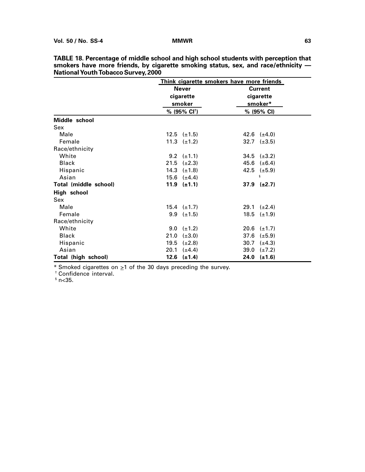|                            | Think cigarette smokers have more friends |                      |  |  |  |
|----------------------------|-------------------------------------------|----------------------|--|--|--|
|                            | <b>Never</b>                              | <b>Current</b>       |  |  |  |
|                            | cigarette                                 | cigarette            |  |  |  |
|                            | smoker                                    | smoker*              |  |  |  |
|                            | % (95% CI <sup>+</sup> )                  | % (95% CI)           |  |  |  |
| Middle school              |                                           |                      |  |  |  |
| Sex                        |                                           |                      |  |  |  |
| Male                       | $12.5 \quad (\pm 1.5)$                    | 42.6 $(\pm 4.0)$     |  |  |  |
| Female                     | 11.3 $(\pm 1.2)$                          | 32.7 $(\pm 3.5)$     |  |  |  |
| Race/ethnicity             |                                           |                      |  |  |  |
| White                      | 9.2 $(\pm 1.1)$                           | $34.5$ ( $\pm 3.2$ ) |  |  |  |
| <b>Black</b>               | $21.5$ ( $\pm 2.3$ )                      | 45.6 $(\pm 6.4)$     |  |  |  |
| Hispanic                   | 14.3 $(\pm 1.8)$                          | 42.5 $(\pm 5.9)$     |  |  |  |
| Asian                      | 15.6 $(\pm 4.4)$                          | ş                    |  |  |  |
| Total (middle school)      | 11.9 $(\pm 1.1)$                          | $37.9$ ( $\pm 2.7$ ) |  |  |  |
| High school                |                                           |                      |  |  |  |
| <b>Sex</b>                 |                                           |                      |  |  |  |
| Male                       | $15.4 \quad (\pm 1.7)$                    | 29.1 $(\pm 2.4)$     |  |  |  |
| Female                     | $9.9 \left( \pm 1.5 \right)$              | 18.5 $(\pm 1.9)$     |  |  |  |
| Race/ethnicity             |                                           |                      |  |  |  |
| White                      | 9.0 $(\pm 1.2)$                           | 20.6 $(\pm 1.7)$     |  |  |  |
| <b>Black</b>               | 21.0<br>$(\pm 3.0)$                       | 37.6<br>$(\pm 5.9)$  |  |  |  |
| Hispanic                   | 19.5<br>$(\pm 2.8)$                       | 30.7 $(\pm 4.3)$     |  |  |  |
| Asian                      | 20.1<br>$(\pm 4.4)$                       | 39.0<br>$(\pm 7.2)$  |  |  |  |
| <b>Total (high school)</b> | $12.6$ $(\pm 1.4)$                        | $24.0$ (±1.6)        |  |  |  |

**TABLE 18. Percentage of middle school and high school students with perception that smokers have more friends, by cigarette smoking status, sex, and race/ethnicity — National Youth Tobacco Survey, 2000**

 $*$  Smoked cigarettes on  $\geq 1$  of the 30 days preceding the survey.

† Confidence interval.

 $^{\circ}$  n<35.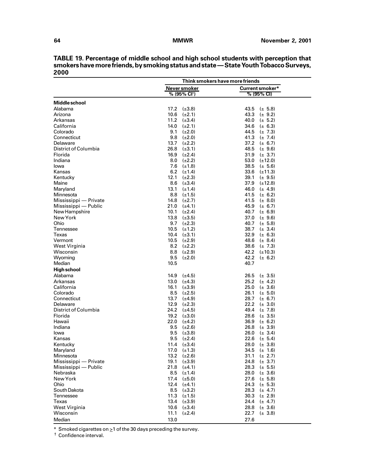|                       |                          | Think smokers have more friends |
|-----------------------|--------------------------|---------------------------------|
|                       | Never smoker             | Current smoker*                 |
|                       | % (95% CI <sup>†</sup> ) | % (95% CI)                      |
| Middle school         |                          |                                 |
| Alabama               | 17.2<br>$(\pm 3.8)$      | 43.5<br>$(\pm 5.8)$             |
| Arizona               | 10.6<br>$(\pm 2.1)$      | 43.3<br>$(\pm 9.2)$             |
| Arkansas              | 11.2<br>$(\pm 3.4)$      | 40.0<br>$(\pm 5.2)$             |
| California            | 14.0<br>$(\pm 2.1)$      | 34.6<br>$(\pm 6.3)$             |
| Colorado              | 9.1<br>$(\pm 2.0)$       | 44.5<br>$(\pm 7.3)$             |
| Connecticut           | 9.8<br>$(\pm 2.0)$       | 41.3<br>$(\pm 7.4)$             |
| Delaware              | 13.7<br>$(\pm 2.2)$      | 37.2<br>$(\pm 6.7)$             |
| District of Columbia  | 26.8<br>$(\pm 3.1)$      | 48.5<br>$(\pm 9.6)$             |
| Florida               | 16.9<br>$(\pm 2.4)$      | 31.9<br>$(\pm 3.7)$             |
| Indiana               | 8.0<br>$(\pm 2.2)$       | 53.0<br>$(\pm 12.0)$            |
| lowa                  | 7.6<br>$(\pm 1.8)$       | 38.5<br>$(\pm 5.6)$             |
| Kansas                | 6.2<br>$(\pm 1.4)$       | 33.6<br>$(\pm 11.3)$            |
| Kentucky              | 12.1<br>$(\pm 2.3)$      | 39.1<br>$(\pm 9.5)$             |
| Maine                 | 8.6<br>$(\pm 3.4)$       | 37.9<br>$(\pm 12.8)$            |
| Maryland              | 13.1<br>$(\pm 1.4)$      | 46.0<br>$(\pm 4.9)$             |
| Minnesota             | 8.8<br>$(\pm 1.5)$       | 41.5<br>$(\pm 6.2)$             |
| Mississippi - Private | 14.8<br>$(\pm 2.7)$      | 41.5<br>$(\pm 8.0)$             |
| Mississippi — Public  | 21.0<br>$(\pm 4.1)$      | 45.9<br>$(\pm 6.7)$             |
| New Hampshire         | 10.1<br>$(\pm 2.4)$      | 40.7<br>$(\pm 6.9)$             |
| New York              | 13.8<br>$(\pm 3.5)$      | 37.0<br>$(\pm 9.6)$             |
| Ohio                  | 9.7<br>$(\pm 2.3)$       | 40.7<br>$(\pm 5.8)$             |
| Tennessee             | 10.5<br>$(\pm 1.2)$      | 38.7<br>$(\pm 3.4)$             |
| Texas                 | 10.4<br>$(\pm 3.1)$      | 32.9<br>$(\pm 6.3)$             |
| Vermont               | 10.5<br>$(\pm 2.9)$      | 48.6<br>$(\pm 8.4)$             |
| West Virginia         | 8.2<br>$(\pm 2.2)$       | 38.6 $(\pm 7.3)$                |
| Wisconsin             | 8.8<br>$(\pm 2.9)$       | 42.2 $(\pm 10.3)$               |
| Wyoming               | 9.5<br>$(\pm 2.0)$       | 42.2<br>$(\pm 6.2)$             |
| Median                | 10.5                     | 40.7                            |
| <b>High school</b>    |                          |                                 |
| Alabama               | 14.9<br>$(\pm 4.5)$      | 26.5<br>$(\pm 3.5)$             |
| Arkansas              | 13.0<br>$(\pm 4.3)$      | 25.2<br>$(\pm 4.2)$             |
| California            | 16.1<br>$(\pm 3.9)$      | 25.0<br>$(\pm 3.6)$             |
| Colorado              | 8.5<br>$(\pm 2.5)$       | 26.1<br>$(\pm 5.0)$             |
| Connecticut           | 13.7<br>$(\pm 4.9)$      | 28.7<br>$(\pm 6.7)$             |
| Delaware              | 12.9<br>$(\pm 2.3)$      | 22.2<br>$(\pm 3.0)$             |
| District of Columbia  | 24.2<br>$(\pm 4.5)$      | 49.4<br>$(\pm 7.8)$             |
| Florida               | 19.2<br>$(\pm 3.0)$      | 28.6<br>$(\pm 3.5)$             |
| Hawaii                | 22.0<br>$(\pm 4.2)$      | 36.9<br>$(\pm 6.2)$             |
| Indiana               | 9.5<br>$(\pm 2.6)$       | 26.8<br>$(\pm 3.9)$             |
| lowa                  | 9.5<br>$(\pm 3.8)$       | 26.0<br>$(\pm 3.4)$             |
| Kansas                | 9.5<br>$(\pm 2.4)$       | 22.6<br>$(\pm 5.4)$             |
| Kentucky              | 11.4 $(\pm 3.4)$         | 28.0 $(\pm 3.8)$                |
| Maryland              | 17.0 $(\pm 1.3)$         | 34.5 $(\pm 1.6)$                |
| Minnesota             | 13.2<br>$(\pm 2.6)$      | 31.1<br>$(\pm 2.7)$             |
| Mississippi — Private | 19.1<br>$(\pm 3.9)$      | 24.8<br>$(\pm 3.7)$             |
| Mississippi — Public  | $21.8$ ( $\pm 4.1$ )     | 28.3<br>$(\pm 5.5)$             |
| Nebraska              | $8.5$ ( $\pm$ 1.4)       | 28.0 $(\pm 3.6)$                |
| New York              | 17.4 $(\pm 5.0)$         | 27.6<br>$(\pm 5.8)$             |
| Ohio                  | 12.4 $(\pm 4.1)$         | 24.3<br>$(\pm 5.3)$             |
| South Dakota          | $8.5$ ( $\pm 3.2$ )      | 28.3<br>$(\pm 4.7)$             |
| Tennessee             | 11.3 $(\pm 1.5)$         | 30.3<br>$(\pm 2.9)$             |
| Texas                 | 13.4 $(\pm 3.9)$         | 24.4<br>$(\pm 4.7)$             |
| West Virginia         | 10.6 $(\pm 3.4)$         | 28.8<br>$(\pm 3.6)$             |
| Wisconsin             | 11.1<br>$(\pm 2.4)$      | 22.7<br>$(\pm 3.8)$             |
| Median                | 13.0                     | 27.6                            |

**TABLE 19. Percentage of middle school and high school students with perception that smokers have more friends, by smoking status and state — State Youth Tobacco Surveys, 2000**

 $*$  Smoked cigarettes on  $\geq 1$  of the 30 days preceding the survey.

† Confidence interval.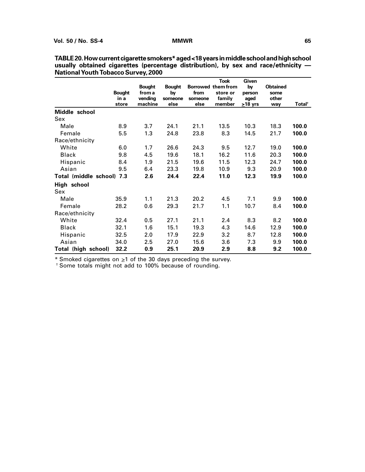|                           | <b>Bought</b><br>in a<br>store | <b>Bought</b><br>from a<br>vending<br>machine | <b>Bought</b><br>by<br>someone<br>else | from<br>someone<br>else | <b>Took</b><br>Borrowed them from<br>store or<br>family<br>member | Given<br>by<br>person<br>aged<br>$\geq$ 18 yrs | <b>Obtained</b><br>some<br>other<br>way | Total <sup>†</sup> |
|---------------------------|--------------------------------|-----------------------------------------------|----------------------------------------|-------------------------|-------------------------------------------------------------------|------------------------------------------------|-----------------------------------------|--------------------|
| Middle school             |                                |                                               |                                        |                         |                                                                   |                                                |                                         |                    |
| Sex                       |                                |                                               |                                        |                         |                                                                   |                                                |                                         |                    |
| Male                      | 8.9                            | 3.7                                           | 24.1                                   | 21.1                    | 13.5                                                              | 10.3                                           | 18.3                                    | 100.0              |
| Female                    | 5.5                            | 1.3                                           | 24.8                                   | 23.8                    | 8.3                                                               | 14.5                                           | 21.7                                    | 100.0              |
| Race/ethnicity            |                                |                                               |                                        |                         |                                                                   |                                                |                                         |                    |
| White                     | 6.0                            | 1.7                                           | 26.6                                   | 24.3                    | 9.5                                                               | 12.7                                           | 19.0                                    | 100.0              |
| Black                     | 9.8                            | 4.5                                           | 19.6                                   | 18.1                    | 16.2                                                              | 11.6                                           | 20.3                                    | 100.0              |
| Hispanic                  | 8.4                            | 1.9                                           | 21.5                                   | 19.6                    | 11.5                                                              | 12.3                                           | 24.7                                    | 100.0              |
| Asian                     | 9.5                            | 6.4                                           | 23.3                                   | 19.8                    | 10.9                                                              | 9.3                                            | 20.9                                    | 100.0              |
| Total (middle school) 7.3 |                                | 2.6                                           | 24.4                                   | 22.4                    | 11.0                                                              | 12.3                                           | 19.9                                    | 100.0              |
| High school<br>Sex        |                                |                                               |                                        |                         |                                                                   |                                                |                                         |                    |
| Male                      | 35.9                           | 1.1                                           | 21.3                                   | 20.2                    | 4.5                                                               | 7.1                                            | 9.9                                     | 100.0              |
| Female                    | 28.2                           | 0.6                                           | 29.3                                   | 21.7                    | 1.1                                                               | 10.7                                           | 8.4                                     | 100.0              |
| Race/ethnicity            |                                |                                               |                                        |                         |                                                                   |                                                |                                         |                    |
| White                     | 32.4                           | 0.5                                           | 27.1                                   | 21.1                    | 2.4                                                               | 8.3                                            | 8.2                                     | 100.0              |
| <b>Black</b>              | 32.1                           | 1.6                                           | 15.1                                   | 19.3                    | 4.3                                                               | 14.6                                           | 12.9                                    | 100.0              |
| Hispanic                  | 32.5                           | 2.0                                           | 17.9                                   | 22.9                    | 3.2                                                               | 8.7                                            | 12.8                                    | 100.0              |
| Asian                     | 34.0                           | 2.5                                           | 27.0                                   | 15.6                    | 3.6                                                               | 7.3                                            | 9.9                                     | 100.0              |
| Total (high school)       | 32.2                           | 0.9                                           | 25.1                                   | 20.9                    | 2.9                                                               | 8.8                                            | 9.2                                     | 100.0              |

**TABLE 20. How current cigarette smokers\* aged <18 years in middle school and high school usually obtained cigarettes (percentage distribution), by sex and race/ethnicity — National Youth Tobacco Survey, 2000**

\* Smoked cigarettes on  $\geq 1$  of the 30 days preceding the survey.

† Some totals might not add to 100% because of rounding.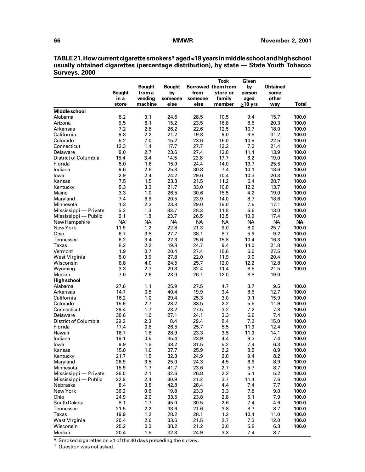**TABLE 21. How current cigarette smokers\* aged <18 years in middle school and high school usually obtained cigarettes (percentage distribution), by state — State Youth Tobacco Surveys, 2000**

|                          | <b>Bought</b>   | <b>Bought</b><br>from a | <b>Bought</b><br>by | from      | <b>Took</b><br>Borrowed them from<br>store or | Given<br>by<br>person | <b>Obtained</b><br>some |              |
|--------------------------|-----------------|-------------------------|---------------------|-----------|-----------------------------------------------|-----------------------|-------------------------|--------------|
|                          | in a            | vending                 | someone             | someone   | family                                        | aged                  | other                   |              |
|                          | store           | machine                 | else                | else      | member                                        | $\geq$ 18 yrs         | way                     | <b>Total</b> |
| Middle school<br>Alabama | 8.2             | 3.1                     | 24.6                | 28.5      | 10.5                                          | 9.4                   | 15.7                    | 100.0        |
| Arizona                  | 9.5             | 6.1                     | 15.2                | 23.5      | 16.8                                          | 8.5                   | 20.3                    | 100.0        |
| Arkansas                 | 7.2             | 2.8                     | 26.2                | 22.6      | 12.5                                          | 10.7                  | 18.0                    | 100.0        |
| California               | 9.8             | 2.2                     | 21.2                | 19.8      | 9.0                                           | 6.8                   | 31.2                    | 100.0        |
| Colorado                 | 5.2             | 7.0                     | 15.2                | 23.6      | 16.0                                          | 10.5                  | 22.5                    | 100.0        |
| Connecticut              | 12.3            | 1.4                     | 17.7                | 27.7      | 12.2                                          | 7.2                   | 21.4                    | 100.0        |
| Delaware                 | 9.0             | 2.7                     | 23.6                | 27.4      | 12.0                                          | 11.4                  | 13.9                    | 100.0        |
| District of Columbia     | 15.4            | 3.4                     | 14.5                | 23.8      | 17.7                                          | 6.2                   | 19.0                    | 100.0        |
| Florida                  | 5.0             | 1.6                     | 15.9                | 24.4      | 14.0                                          | 13.7                  | 25.5                    | 100.0        |
| Indiana                  | 9.6             | 2.6                     | 25.8                | 30.8      | 7.4                                           | 10.1                  | 13.6                    | 100.0        |
| lowa                     | 2.9             | 2.4                     | 24.2                | 29.6      | 10.4                                          | 10.3                  | 20.3                    | 100.0        |
| Kansas                   | 7.5             | 1.5                     | 23.3                | 21.5      | 11.2                                          | 6.4                   | 28.7                    | 100.0        |
| Kentucky                 | 5.3             | 3.3                     | 21.7                | 33.0      | 10.8                                          | 12.2                  | 13.7                    | 100.0        |
| Maine                    | 3.3             | 1.0                     | 26.5                | 30.6      | 15.5                                          | 4.2                   | 19.0                    | 100.0        |
| Maryland                 | 7.4             | 6.9                     | 20.5                | 23.9      | 14.0                                          | 8.7                   | 18.6                    | 100.0        |
| Minnesota                | 1.3             | 2.3                     | 23.8                | 29.0      | 19.0                                          | 7.5                   | 17.1                    | 100.0        |
| Mississippi — Private    | 5.3             | 1.3                     | 33.7                | 28.3      | 11.8                                          | 6.6                   | 13.0                    | 100.0        |
| Mississippi — Public     | 6.1             | 1.8                     | 23.7                | 26.5      | 13.5                                          | 10.9                  | 17.4                    | 100.0        |
| New Hampshire            | NA <sup>t</sup> | <b>NA</b>               | <b>NA</b>           | <b>NA</b> | <b>NA</b>                                     | <b>NA</b>             | <b>NA</b>               | <b>NA</b>    |
| New York                 | 11.9            | 1.2                     | 22.8                | 21.3      | 9.0                                           | 8.0                   | 25.7                    | 100.0        |
| Ohio                     | 6.7             | 3.8                     | 27.7                | 38.1      | 8.7                                           | 5.9                   | 9.2                     | 100.0        |
| Tennessee                | 6.2             | 3.4                     | 22.3                | 25.6      | 15.8                                          | 10.4                  | 16.3                    | 100.0        |
| Texas                    | 8.2             | 2.2                     | 19.8                | 24.7      | 9.4                                           | 14.0                  | 21.8                    | 100.0        |
| Vermont                  | 1.9             | 0.7                     | 20.4                | 27.4      | 15.6                                          | 6.5                   | 27.5                    | 100.0        |
| West Virginia            | 5.0             | 3.9                     | 27.8                | 22.0      | 11.9                                          | 9.0                   | 20.4                    | 100.0        |
| Wisconsin                | 8.8             | 4.0                     | 24.5                | 25.7      | 12.0                                          | 12.2                  | 12.8                    | 100.0        |
| Wyoming                  | 3.3             | 2.7                     | 20.3                | 32.4      | 11.4                                          | 8.5                   | 21.5                    | 100.0        |
| Median                   | 7.0             | 2.6                     | 23.0                | 26.1      | 12.0                                          | 8.8                   | 19.0                    |              |
| <b>High school</b>       |                 |                         |                     |           |                                               |                       |                         |              |
| Alabama                  | 27.6            | 1.1                     | 25.9                | 27.5      | 4.7                                           | 3.7                   | 9.5                     | 100.0        |
| Arkansas                 | 14.7            | 0.5                     | 40.4                | 19.9      | 3.4                                           | 8.5                   | 12.7                    | 100.0        |
| California               | 16.2            | 1.0                     | 29.4                | 25.3      | 3.0                                           | 9.1                   | 15.9                    | 100.0        |
| Colorado                 | 15.9            | 2.7                     | 28.2                | 33.5      | 2.2                                           | 5.5                   | 11.9                    | 100.0        |
| Connecticut              | 29.4            | 1.7                     | 23.2                | 27.5      | 3.2                                           | 7.2                   | 7.8                     | 100.0        |
| Delaware                 | 30.6            | 1.0                     | 27.1                | 24.1      | 3.3                                           | 6.6                   | 7.4                     | 100.0        |
| District of Columbia     | 29.2            | 2.3                     | 8.4                 | 29.4      | 8.4                                           | 7.2                   | 15.0                    | 100.0        |
| Florida                  | 17.4            | 0.8                     | 26.5                | 25.7      | 5.5                                           | 11.9                  | 12.4                    | 100.0        |
| Hawaii                   | 16.7            | 1.6                     | 28.9                | 23.3      | 3.5                                           | 11.9                  | 14.1                    | 100.0        |
| Indiana                  | 19.1            | 0.5                     | 35.4                | 23.9      | 4.4                                           | 9.3                   | 7.4                     | 100.0        |
| lowa                     | 9.9             | 1.5                     | 38.2                | 31.5      | 5.2                                           | 7.4                   | 6.3                     | 100.0        |
| Kansas                   | 15.8            | 1.0                     | 37.7                | 25.9      | 2.2                                           | 8.5                   | 8.9                     | 100.0        |
| Kentucky                 | 21.7            | 1.5                     | 32.3                | 24.9      | 2.0                                           | 9.4                   | 8.2                     | 100.0        |
| Maryland                 | 26.9            | 3.5                     | 25.0                | 24.3      | 4.5                                           | 6.9                   | 8.9                     | 100.0        |
| Minnesota                | 15.9            | 1.7                     | 41.7                | 23.6      | 2.7                                           | 5.7                   | 8.7                     | 100.0        |
| Mississippi - Private    | 26.0            | 2.1                     | 32.6                | 26.8      | 2.2                                           | 5.1                   | 5.2                     | 100.0        |
| Mississippi - Public     | 22.9            | 2.4                     | 30.9                | 21.2      | 3.7                                           | 11.4                  | 7.6                     | 100.0        |
| Nebraska                 | 8.4             | 0.8                     | 42.8                | 28.4      | 4.4                                           | 7.4                   | 7.7                     | 100.0        |
| New York                 | 36.2            | 0.6                     | 19.8                | 23.3      | 3.3                                           | 7.8                   | 9.0                     | 100.0        |
| Ohio                     | 24.9            | 2.0                     | 33.5                | 23.8      | 2.8                                           | 5.1                   | 7.9                     | 100.0        |
| South Dakota             | 8.1             | 1.7                     | 45.0                | 30.5      | 2.6                                           | 7.4                   | 4.6                     | 100.0        |
| Tennessee                | 21.5            | 2.2                     | 33.6                | 21.6      | 3.8                                           | 8.7                   | 8.7                     | 100.0        |
| Texas                    | 19.9            | 1.2                     | 28.2                | 28.1      | 1.2                                           | 10.4                  | 11.0                    | 100.0        |
| West Virginia            | 20.4            | 2.6                     | 33.6                | 21.5      | 2.7                                           | 7.3                   | 12.0                    | 100.0        |
| Wisconsin                | 25.2            | 0.3                     | 38.2                | 21.2      | 3.0                                           | 5.8                   | 6.3                     | 100.0        |
| Median                   | 20.4            | 1.5                     | 32.3                | 24.9      | 3.3                                           | 7.4                   | 8.7                     |              |

 $*$  Smoked cigarettes on  $\geq 1$  of the 30 days preceding the survey.

† Question was not asked.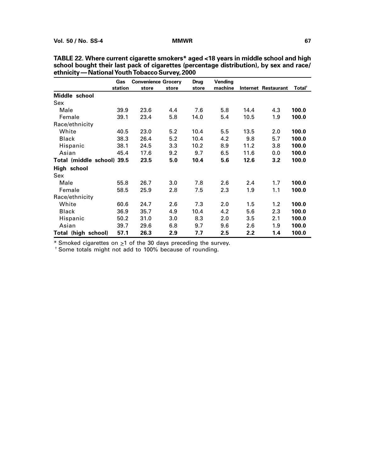|                            | Gas     | <b>Convenience Grocery</b> |       | Drug  | Vending |      |                            |                    |
|----------------------------|---------|----------------------------|-------|-------|---------|------|----------------------------|--------------------|
|                            | station | store                      | store | store | machine |      | <b>Internet Restaurant</b> | Total <sup>†</sup> |
| Middle school              |         |                            |       |       |         |      |                            |                    |
| Sex                        |         |                            |       |       |         |      |                            |                    |
| Male                       | 39.9    | 23.6                       | 4.4   | 7.6   | 5.8     | 14.4 | 4.3                        | 100.0              |
| Female                     | 39.1    | 23.4                       | 5.8   | 14.0  | 5.4     | 10.5 | 1.9                        | 100.0              |
| Race/ethnicity             |         |                            |       |       |         |      |                            |                    |
| White                      | 40.5    | 23.0                       | 5.2   | 10.4  | 5.5     | 13.5 | 2.0                        | 100.0              |
| <b>Black</b>               | 38.3    | 26.4                       | 5.2   | 10.4  | 4.2     | 9.8  | 5.7                        | 100.0              |
| Hispanic                   | 38.1    | 24.5                       | 3.3   | 10.2  | 8.9     | 11.2 | 3.8                        | 100.0              |
| Asian                      | 45.4    | 17.6                       | 9.2   | 9.7   | 6.5     | 11.6 | 0.0                        | 100.0              |
| Total (middle school) 39.5 |         | 23.5                       | 5.0   | 10.4  | 5.6     | 12.6 | 3.2                        | 100.0              |
| High school                |         |                            |       |       |         |      |                            |                    |
| Sex                        |         |                            |       |       |         |      |                            |                    |
| Male                       | 55.8    | 26.7                       | 3.0   | 7.8   | 2.6     | 2.4  | 1.7                        | 100.0              |
| Female                     | 58.5    | 25.9                       | 2.8   | 7.5   | 2.3     | 1.9  | 1.1                        | 100.0              |
| Race/ethnicity             |         |                            |       |       |         |      |                            |                    |
| White                      | 60.6    | 24.7                       | 2.6   | 7.3   | 2.0     | 1.5  | 1.2                        | 100.0              |
| <b>Black</b>               | 36.9    | 35.7                       | 4.9   | 10.4  | 4.2     | 5.6  | 2.3                        | 100.0              |
| Hispanic                   | 50.2    | 31.0                       | 3.0   | 8.3   | 2.0     | 3.5  | 2.1                        | 100.0              |
| Asian                      | 39.7    | 29.6                       | 6.8   | 9.7   | 9.6     | 2.6  | 1.9                        | 100.0              |
| Total (high school)        | 57.1    | 26.3                       | 2.9   | 7.7   | 2.5     | 2.2  | 1.4                        | 100.0              |

**TABLE 22. Where current cigarette smokers\* aged <18 years in middle school and high school bought their last pack of cigarettes (percentage distribution), by sex and race/ ethnicity — National Youth Tobacco Survey, 2000**

 $*$  Smoked cigarettes on  $\geq 1$  of the 30 days preceding the survey.

† Some totals might not add to 100% because of rounding.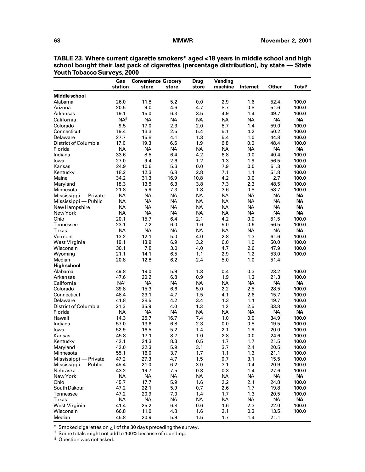|                       | Gas             | <b>Convenience Grocery</b> |           | <b>Drug</b> | Vending   |           |           |                    |
|-----------------------|-----------------|----------------------------|-----------|-------------|-----------|-----------|-----------|--------------------|
|                       | station         | store                      | store     | store       | machine   | Internet  | Other     | Total <sup>+</sup> |
| <b>Middle school</b>  |                 |                            |           |             |           |           |           |                    |
| Alabama               | 26.0            | 11.8                       | 5.2       | 0.0         | 2.9       | 1.6       | 52.4      | 100.0              |
| Arizona               | 20.5            | 9.0                        | 4.6       | 4.7         | 8.7       | 0.8       | 51.6      | 100.0              |
| Arkansas              | 19.1            | 15.0                       | 6.3       | 3.5         | 4.9       | 1.4       | 49.7      | 100.0              |
| California            | $NA^s$          | <b>NA</b>                  | <b>NA</b> | <b>NA</b>   | <b>NA</b> | <b>NA</b> | <b>NA</b> | <b>NA</b>          |
| Colorado              | 9.5             | 17.0                       | 2.3       | 2.0         | 8.7       | 1.4       | 59.0      | 100.0              |
| Connecticut           | 19.4            | 13.3                       | 2.5       | 5.4         | 5.1       | 4.2       | 50.2      | 100.0              |
| Delaware              | 27.7            | 15.8                       | 4.1       | 1.3         | 5.4       | 1.0       | 44.8      | 100.0              |
| District of Columbia  | 17.0            | 19.3                       | 6.6       | 1.9         | 6.8       | 0.0       | 48.4      | 100.0              |
| Florida               | <b>NA</b>       | <b>NA</b>                  | NA        | <b>NA</b>   | <b>NA</b> | <b>NA</b> | <b>NA</b> | <b>NA</b>          |
| Indiana               | 33.6            | 8.5                        | 6.4       | 4.2         | 6.8       | 0.0       | 40.4      | 100.0              |
| lowa                  | 27.0            | 9.4                        | 2.6       | 1.2         | 1.3       | 1.9       | 56.5      | 100.0              |
| Kansas                | 24.9            | 10.6                       | 5.3       | 0.0         | 7.9       | 0.0       | 51.3      | 100.0              |
| Kentucky              | 18.2            | 12.3                       | 6.8       | 2.8         | 7.1       | 1.1       | 51.8      | 100.0              |
| Maine                 | 34.2            | 31.3                       | 16.9      | 10.8        | 4.2       | 0.0       | 2.7       | 100.0              |
| Maryland              | 18.3            | 13.5                       | 6.3       | 3.8         | 7.3       | 2.3       | 48.5      | 100.0              |
| Minnesota             | 21.8            | 5.9                        | 7.3       | 1.8         | 3.6       | 0.8       | 58.7      | 100.0              |
| Mississippi - Private | <b>NA</b>       | <b>NA</b>                  | NA        | <b>NA</b>   | <b>NA</b> | <b>NA</b> | <b>NA</b> | <b>NA</b>          |
| Mississippi - Public  | <b>NA</b>       | <b>NA</b>                  | <b>NA</b> | <b>NA</b>   | <b>NA</b> | <b>NA</b> | <b>NA</b> | <b>NA</b>          |
| New Hampshire         | <b>NA</b>       | <b>NA</b>                  | <b>NA</b> | <b>NA</b>   | <b>NA</b> | <b>NA</b> | <b>NA</b> | <b>NA</b>          |
| New York              | <b>NA</b>       | <b>NA</b>                  | <b>NA</b> | <b>NA</b>   | <b>NA</b> | <b>NA</b> | <b>NA</b> | <b>NA</b>          |
| Ohio                  | 20.1            | 15.7                       | 6.4       | 2.1         | 4.2       | 0.0       | 51.5      | 100.0              |
| Tennessee             | 23.1            | 7.2                        | 6.0       | 1.6         | 5.0       | 0.6       | 56.5      | 100.0              |
| Texas                 | <b>NA</b>       | <b>NA</b>                  | <b>NA</b> | <b>NA</b>   | <b>NA</b> | <b>NA</b> | <b>NA</b> | <b>NA</b>          |
| Vermont               | 13.2            | 12.1                       | 5.0       | 4.0         | 2.8       | 1.3       | 61.6      | 100.0              |
| West Virginia         | 19.1            | 13.9                       | 6.9       | 3.2         | 6.0       | 1.0       | 50.0      | 100.0              |
| Wisconsin             | 30.1            | 7.8                        | 3.0       | 4.0         | 4.7       | 2.6       | 47.9      | 100.0              |
| Wyoming               | 21.1            | 14.1                       | 6.5       | 1.1         | 2.9       | 1.2       | 53.0      | 100.0              |
| Median                | 20.8            | 12.8                       | 6.2       | 2.4         | 5.0       | 1.0       | 51.4      |                    |
| <b>High school</b>    |                 |                            |           |             |           |           |           |                    |
| Alabama               | 49.8            | 19.0                       | 5.9       | 1.3         | 0.4       | 0.3       | 23.2      | 100.0              |
| Arkansas              | 47.6            | 20.2                       | 6.8       | 0.9         | 1.9       | 1.3       | 21.3      | 100.0              |
| California            | NA <sup>†</sup> | <b>NA</b>                  | <b>NA</b> | <b>NA</b>   | <b>NA</b> | <b>NA</b> | <b>NA</b> | <b>NA</b>          |
| Colorado              | 39.8            | 15.3                       | 6.6       | 5.0         | 2.2       | 2.5       | 28.5      | 100.0              |
| Connecticut           | 48.4            | 23.1                       | 4.7       | 1.5         | 4.1       | 2.6       | 15.7      | 100.0              |
| Delaware              | 41.8            | 28.5                       | 4.2       | 3.4         | 1.3       | 1.1       | 19.7      | 100.0              |
| District of Columbia  | 21.3            | 35.9                       | 4.0       | 1.3         | 1.2       | 2.5       | 33.8      | 100.0              |
| Florida               | <b>NA</b>       | <b>NA</b>                  | <b>NA</b> | <b>NA</b>   | <b>NA</b> | <b>NA</b> | <b>NA</b> | <b>NA</b>          |
| Hawaii                | 14.3            | 25.7                       | 16.7      | 7.4         | 1.0       | 0.0       | 34.9      | 100.0              |
| Indiana               | 57.0            | 13.6                       | 6.8       | 2.3         | 0.0       | 0.8       | 19.5      | 100.0              |
| lowa                  | 52.9            | 16.5                       | 5.2       | 1.4         | 2.1       | 1.9       | 20.0      | 100.0              |
| Kansas                | 45.8            | 17.1                       | 8.7       | 1.0         | 2.8       | 0.0       | 24.6      | 100.0              |
| Kentucky              | 42.1            | 24.3                       | 8.3       | 0.5         | 1.7       | 1.7       | 21.5      | 100.0              |
| Maryland              | 42.0            | 22.3                       | 5.9       | 3.1         | 3.7       | 2.4       | 20.5      | 100.0              |
| Minnesota             | 55.1            | 16.0                       | 3.7       | 1.7         | 1.1       | 1.3       | 21.1      | 100.0              |
| Mississippi - Private | 47.2            | 27.3                       | 4.7       | 1.5         | 0.7       | 3.1       | 15.5      | 100.0              |
| Mississippi — Public  | 45.4            | 21.0                       | 6.2       | 3.0         | 3.1       | 0.4       | 20.9      | 100.0              |
| Nebraska              | 43.2            | 19.7                       | 7.5       | 0.3         | 0.3       | 1.4       | 27.6      | 100.0              |
| New York              | <b>NA</b>       | <b>NA</b>                  | <b>NA</b> | <b>NA</b>   | <b>NA</b> | <b>NA</b> | <b>NA</b> | <b>NA</b>          |
| Ohio                  | 45.7            | 17.7                       | 5.9       | 1.6         | 2.2       | 2.1       | 24.8      | 100.0              |
| South Dakota          | 47.2            | 22.1                       | 5.9       | 0.7         | 2.6       | 1.7       | 19.8      | 100.0              |
| Tennessee             | 47.2            | 20.9                       | 7.0       | 1.4         | 1.7       | 1.3       | 20.5      | 100.0              |
| Texas                 | <b>NA</b>       | <b>NA</b>                  | NА.       | <b>NA</b>   | <b>NA</b> | <b>NA</b> | <b>NA</b> | <b>NA</b>          |
| West Virginia         | 41.4            | 25.2                       | 6.8       | 0.6         | 1.6       | 2.3       | 22.0      | 100.0              |
| Wisconsin             | 66.8            | 11.0                       | 4.8       | 1.6         | 2.1       | 0.3       | 13.5      | 100.0              |
| Median                | 45.8            | 20.9                       | 5.9       | 1.5         | 1.7       | 1.4       | 21.1      |                    |

**TABLE 23. Where current cigarette smokers\* aged <18 years in middle school and high school bought their last pack of cigarettes (percentage distribution), by state — State Youth Tobacco Surveys, 2000**

 $*$  Smoked cigarettes on  $\geq$ 1 of the 30 days preceding the survey.

 $\dagger$  Some totals might not add to 100% because of rounding.

§ Question was not asked.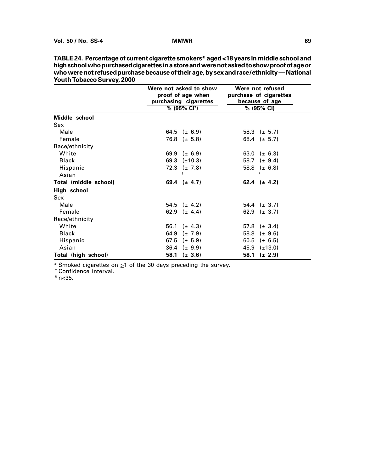| TUULII TUDAGGU SUI VEY, ZUUU |                                                                      |                                                              |
|------------------------------|----------------------------------------------------------------------|--------------------------------------------------------------|
|                              | Were not asked to show<br>proof of age when<br>purchasing cigarettes | Were not refused<br>purchase of cigarettes<br>because of age |
|                              | % (95% CI <sup>†</sup> )                                             | % (95% CI)                                                   |
| Middle school                |                                                                      |                                                              |
| Sex                          |                                                                      |                                                              |
| Male                         | 64.5 ( $\pm$ 6.9)                                                    | 58.3 $(\pm 5.7)$                                             |
| Female                       | 76.8 $(\pm 5.8)$                                                     | 68.4 $(\pm 5.7)$                                             |
| Race/ethnicity               |                                                                      |                                                              |
| White                        | 69.9 ( $\pm$ 6.9)                                                    | 63.0 ( $\pm$ 6.3)                                            |
| <b>Black</b>                 | 69.3 $(\pm 10.3)$                                                    | 58.7 ( $\pm$ 9.4)                                            |
| Hispanic                     | 72.3 ( $\pm$ 7.8)                                                    | 58.8 $(\pm 6.8)$                                             |
| Asian                        | ş                                                                    | ξ                                                            |
| Total (middle school)        | 69.4 $(\pm 4.7)$                                                     | 62.4 $(\pm 4.2)$                                             |
| High school                  |                                                                      |                                                              |
| <b>Sex</b>                   |                                                                      |                                                              |
| Male                         | 54.5 $(\pm 4.2)$                                                     | 54.4 $(\pm 3.7)$                                             |
| Female                       | 62.9 $(\pm 4.4)$                                                     | 62.9 ( $\pm$ 3.7)                                            |
| Race/ethnicity               |                                                                      |                                                              |
| White                        | 56.1<br>$(\pm 4.3)$                                                  | 57.8 $(\pm 3.4)$                                             |
| <b>Black</b>                 | 64.9<br>$(\pm 7.9)$                                                  | 58.8 $(\pm 9.6)$                                             |
| Hispanic                     | 67.5<br>$(\pm 5.9)$                                                  | 60.5<br>$(\pm 6.5)$                                          |
| Asian                        | 36.4 ( $\pm$ 9.9)                                                    | $45.9$ ( $\pm$ 13.0)                                         |
| Total (high school)          | 58.1<br>$(\pm 3.6)$                                                  | 58.1<br>$(\pm 2.9)$                                          |

**TABLE 24. Percentage of current cigarette smokers\* aged <18 years in middle school and high school who purchased cigarettes in a store and were not asked to show proof of age or who were not refused purchase because of their age, by sex and race/ethnicity — National Youth Tobacco Survey, 2000**

\* Smoked cigarettes on  $\geq 1$  of the 30 days preceding the survey.

† Confidence interval.

 $$n<$ 35.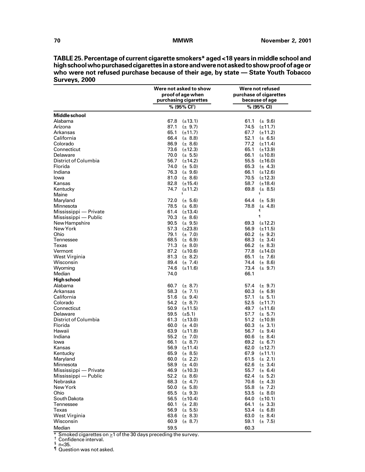**TABLE 25. Percentage of current cigarette smokers\* aged <18 years in middle school and high school who purchased cigarettes in a store and were not asked to show proof of age or who were not refused purchase because of their age, by state — State Youth Tobacco Surveys, 2000**

|                       | Were not asked to show   | Were not refused       |
|-----------------------|--------------------------|------------------------|
|                       | proof of age when        | purchase of cigarettes |
|                       | purchasing cigarettes    | because of age         |
|                       | % (95% CI <sup>t</sup> ) | % (95% CI)             |
| <b>Middle school</b>  |                          |                        |
| Alabama               | 67.8<br>$(\pm 13.1)$     | 61.1<br>$(\pm 9.6)$    |
| Arizona               | 87.1<br>$(\pm 9.7)$      | 74.5<br>$(\pm 11.7)$   |
| Arkansas              | 65.1<br>$(\pm 11.7)$     | 67.7<br>$(\pm 11.2)$   |
| California            | 66.4<br>$(\pm 8.8)$      | 52.1<br>$(\pm 6.5)$    |
| Colorado              | 86.9<br>$(\pm 8.6)$      | 77.2<br>$(\pm 11.4)$   |
| Connecticut           | $73.6$ ( $\pm$ 12.3)     | 65.1<br>$(\pm 13.9)$   |
| Delaware              | 70.0 ( $\pm$ 5.5)        | 66.1<br>$(\pm 10.8)$   |
| District of Columbia  | 56.7<br>$(\pm 14.2)$     | $55.5$ $(\pm 16.0)$    |
| Florida               | 74.0 $(\pm 5.0)$         | 65.3 $(\pm 4.3)$       |
| Indiana               | 76.3 $(\pm 9.6)$         | 66.1<br>$(\pm 12.6)$   |
| lowa                  | 81.0 $(\pm 8.6)$         | $70.5$ ( $\pm$ 12.3)   |
| Kansas                | 82.8 $(\pm 15.4)$        | 58.7<br>$(\pm 18.4)$   |
| Kentucky              | 74.7<br>$(\pm 11.2)$     | 69.8<br>$(\pm 8.5)$    |
| Maine                 | ş                        | ş                      |
| Maryland              | 72.0<br>$(\pm 5.6)$      | 64.4<br>$(\pm 5.9)$    |
| Minnesota             | 78.5<br>$(\pm 6.8)$      | 78.8<br>$(\pm 4.8)$    |
| Mississippi - Private | 61.4 $(\pm 13.4)$        | 1                      |
| Mississippi — Public  | 70.3<br>$(\pm 8.6)$      | $\P$                   |
| New Hampshire         | 90.5 $(\pm 9.5)$         | 69.3 $(\pm 12.2)$      |
| New York              | 57.3 $(\pm 23.8)$        | 56.9 $(\pm 11.5)$      |
| Ohio                  | 79.1<br>$(\pm 7.0)$      | 60.2 ( $\pm$ 9.2)      |
| Tennessee             | 68.5 ( $\pm$ 6.9)        | 68.3<br>$(\pm 3.4)$    |
| Texas                 | 71.3<br>$(\pm 8.0)$      | 66.2 $(\pm 8.3)$       |
| Vermont               | $87.2$ ( $\pm 10.6$ )    | 77.8 $(\pm 14.0)$      |
| West Virginia         | 81.3<br>$(\pm 8.2)$      | 65.1<br>$(\pm 7.6)$    |
| Wisconsin             | 89.4 $(\pm 7.4)$         | 74.4 ( $\pm$ 8.6)      |
| Wyoming               | 74.6<br>$(\pm 11.6)$     | 73.4 $(\pm 9.7)$       |
| Median                | 74.0                     | 66.1                   |
| <b>High school</b>    |                          |                        |
| Alabama               | 60.7<br>$(\pm 8.7)$      | 57.4<br>$(\pm 9.7)$    |
| Arkansas              | 58.3 $(\pm 7.1)$         | 60.3 ( $\pm$ 6.9)      |
| California            | 51.6 $(\pm 9.4)$         | 57.1<br>$(\pm 5.1)$    |
| Colorado              | 54.2 $(\pm 8.7)$         | 52.5<br>$(\pm 11.7)$   |
| Connecticut           | 50.9<br>$(\pm 11.5)$     | 49.7<br>$(\pm 11.6)$   |
| Delaware              | 59.5<br>$(\pm 5.1)$      | 57.7<br>$(\pm 5.7)$    |
| District of Columbia  | 61.3<br>$(\pm 13.0)$     | 51.2<br>$(\pm 10.9)$   |
| Florida               | 60.0<br>$(\pm 4.0)$      | 60.3<br>$(\pm 3.1)$    |
| Hawaii                | 63.9<br>(±11.8)          | 56.7 $(\pm 9.4)$       |
| Indiana               | 55.2<br>$(\pm 7.0)$      | 60.6<br>$(\pm 8.4)$    |
| lowa                  | 66.1<br>$(\pm 8.7)$      | 69.2<br>$(\pm 6.7)$    |
| Kansas                | 56.9<br>$(\pm 11.4)$     | 62.0<br>$(\pm 12.7)$   |
| Kentucky              | 65.9<br>$(\pm 8.5)$      | 67.9<br>$(\pm 11.1)$   |
| Maryland              | 60.0<br>$(\pm 2.2)$      | 61.5<br>$(\pm 2.1)$    |
| Minnesota             | 58.9<br>$(\pm 4.0)$      | 62.6<br>$(\pm 3.4)$    |
| Mississippi - Private | 46.9<br>$(\pm 10.3)$     | 55.7<br>$(\pm 6.4)$    |
| Mississippi — Public  | 52.2<br>$(\pm 8.6)$      | 62.4<br>$(\pm 5.2)$    |
| Nebraska              | 68.3<br>$(\pm 4.7)$      | 70.6<br>$(\pm 4.3)$    |
| New York              | 50.0<br>$(\pm 5.8)$      | 55.8<br>$(\pm 7.2)$    |
| Ohio                  | 65.5<br>$(\pm 9.3)$      | 53.5<br>$(\pm 8.0)$    |
| South Dakota          | 56.5<br>$(\pm 10.4)$     | 64.0<br>$(\pm 10.1)$   |
| Tennessee             | 60.1<br>$(\pm 2.8)$      | 64.1<br>$(\pm 3.3)$    |
| Texas                 | 56.9<br>$(\pm 5.5)$      | 53.4<br>$(\pm 6.8)$    |
| West Virginia         | 63.6<br>$(\pm 8.3)$      | 63.0<br>$(\pm 8.4)$    |
| Wisconsin             | 60.9<br>$(\pm 8.7)$      | 59.1<br>$(\pm 7.5)$    |
| Median                | 59.5                     | 60.3                   |

\* Smoked cigarettes on  $\geq$ 1 of the 30 days preceding the survey.<br>  $\frac{1}{5}$  Confidence interval.

 $\frac{6}{5}$  n<35.

¶ Question was not asked.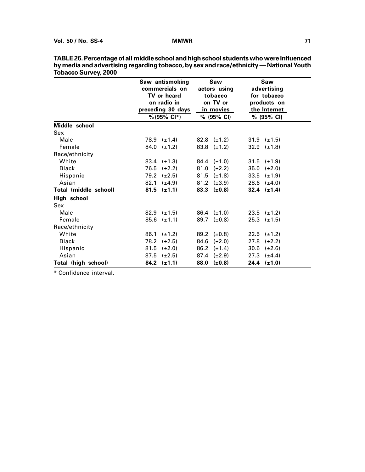|                       | Saw antismoking<br>commercials on<br>TV or heard<br>on radio in<br>preceding 30 days<br>$% (95\% \text{ Cl*})$ | Saw<br>actors using<br>tobacco<br>on TV or<br>in movies<br>% (95% CI) | Saw<br>advertising<br>for tobacco<br>products on<br>the Internet<br>% (95% CI) |
|-----------------------|----------------------------------------------------------------------------------------------------------------|-----------------------------------------------------------------------|--------------------------------------------------------------------------------|
| Middle school         |                                                                                                                |                                                                       |                                                                                |
| Sex                   |                                                                                                                |                                                                       |                                                                                |
| Male                  | 78.9 $(\pm 1.4)$                                                                                               | 82.8 $(\pm 1.2)$                                                      | $31.9 \left( \pm 1.5 \right)$                                                  |
| Female                | 84.0<br>$(\pm 1.2)$                                                                                            | 83.8 $(\pm 1.2)$                                                      | 32.9 $(\pm 1.8)$                                                               |
| Race/ethnicity        |                                                                                                                |                                                                       |                                                                                |
| White                 | $83.4 \pm 1.3$                                                                                                 | 84.4 $(\pm 1.0)$                                                      | 31.5 $(\pm 1.9)$                                                               |
| <b>Black</b>          | 76.5<br>$(\pm 2.2)$                                                                                            | 81.0<br>$(\pm 2.2)$                                                   | 35.0<br>$(\pm 2.0)$                                                            |
| Hispanic              | 79.2<br>$(\pm 2.5)$                                                                                            | $81.5 \left( \pm 1.8 \right)$                                         | $33.5 \left( \pm 1.9 \right)$                                                  |
| Asian                 | 82.1<br>$(\pm 4.9)$                                                                                            | 81.2 $(\pm 3.9)$                                                      | 28.6 $(\pm 4.0)$                                                               |
| Total (middle school) | $81.5$ (±1.1)                                                                                                  | 83.3 $(\pm 0.8)$                                                      | $32.4$ ( $\pm$ 1.4)                                                            |
| High school           |                                                                                                                |                                                                       |                                                                                |
| Sex                   |                                                                                                                |                                                                       |                                                                                |
| Male                  | 82.9 $(\pm 1.5)$                                                                                               | $86.4 \left( \pm 1.0 \right)$                                         | 23.5 $(\pm 1.2)$                                                               |
| Female                | $85.6 \left( \pm 1.1 \right)$                                                                                  | 89.7 $(\pm 0.8)$                                                      | $25.3 \left( \pm 1.5 \right)$                                                  |
| Race/ethnicity        |                                                                                                                |                                                                       |                                                                                |
| White                 | 86.1<br>$(\pm 1.2)$                                                                                            | 89.2 $(\pm 0.8)$                                                      | $22.5$ ( $\pm$ 1.2)                                                            |
| <b>Black</b>          | 78.2<br>$(\pm 2.5)$                                                                                            | 84.6<br>$(\pm 2.0)$                                                   | 27.8<br>$(\pm 2.2)$                                                            |
| Hispanic              | 81.5<br>$(\pm 2.0)$                                                                                            | 86.2<br>$(\pm 1.4)$                                                   | 30.6 $(\pm 2.6)$                                                               |
| Asian                 | 87.5<br>$(\pm 2.5)$                                                                                            | 87.4<br>$(\pm 2.9)$                                                   | 27.3 $(\pm 4.4)$                                                               |
| Total (high school)   | $84.2$ ( $\pm$ 1.1)                                                                                            | 88.0<br>$(\pm 0.8)$                                                   | $24.4$ ( $\pm$ 1.0)                                                            |

| TABLE 26. Percentage of all middle school and high school students who were influenced |
|----------------------------------------------------------------------------------------|
| by media and advertising regarding tobacco, by sex and race/ethnicity — National Youth |
| <b>Tobacco Survey, 2000</b>                                                            |

\* Confidence interval.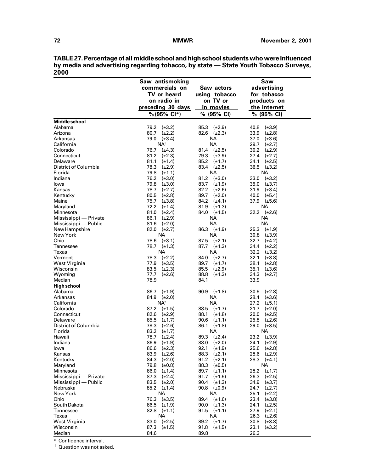| TABLE 27. Percentage of all middle school and high school students who were influenced |
|----------------------------------------------------------------------------------------|
| by media and advertising regarding tobacco, by state — State Youth Tobacco Surveys,    |
| 2000                                                                                   |

|                       | Saw antismoking        |                      | Saw                  |
|-----------------------|------------------------|----------------------|----------------------|
|                       | commercials on         | Saw actors           | advertising          |
|                       |                        |                      |                      |
|                       | TV or heard            | using tobacco        | for tobacco          |
|                       | on radio in            | on TV or             | products on          |
|                       | preceding 30 days      | in movies            | the Internet         |
|                       | % (95% Cl*)            | % (95% CI)           | % (95% CI)           |
| <b>Middle school</b>  |                        |                      |                      |
| Alabama               | 79.2<br>$(\pm 3.2)$    | 85.3 $(\pm 2.9)$     | 40.8<br>$(\pm 3.9)$  |
| Arizona               | 80.7<br>$(\pm 2.2)$    | 82.6 $(\pm 2.3)$     | 33.9<br>$(\pm 2.8)$  |
| Arkansas              | 79.0 $(\pm 3.4)$       | NA.                  | 37.0<br>$(\pm 3.6)$  |
| California            | NA <sup>+</sup>        | <b>NA</b>            | 29.7<br>$(\pm 2.7)$  |
| Colorado              | 76.7<br>$(\pm 4.3)$    | 81.4 $(\pm 2.5)$     | 30.2 $(\pm 2.9)$     |
| Connecticut           | 81.2<br>$(\pm 2.3)$    | 79.3<br>$(\pm 3.9)$  | 27.4<br>$(\pm 2.7)$  |
| Delaware              | 81.1<br>$(\pm 1.4)$    | 85.2<br>$(\pm 1.7)$  | 34.1 $(\pm 2.5)$     |
| District of Columbia  | 78.3<br>$(\pm 2.9)$    | 83.4<br>$(\pm 2.5)$  | 36.5 $(\pm 3.2)$     |
| Florida               | 79.8<br>$(\pm 1.1)$    | <b>NA</b>            | <b>NA</b>            |
| Indiana               | 76.2<br>$(\pm 3.0)$    | 81.2<br>$(\pm 3.0)$  | $33.0$ $(\pm 3.2)$   |
| lowa                  | 79.8<br>$(\pm 3.0)$    | 83.7<br>$(\pm 1.9)$  | 35.0 $(\pm 3.7)$     |
| Kansas                | 78.7<br>$(\pm 2.7)$    | 82.2<br>$(\pm 2.6)$  | 31.9 $(\pm 3.4)$     |
| Kentucky              | 80.5<br>$(\pm 2.8)$    | 89.7<br>$(\pm 2.0)$  | 40.0<br>$(\pm 5.4)$  |
| Maine                 | 75.7<br>$(\pm 3.8)$    | 84.2<br>$(\pm 4.1)$  | $37.9$ ( $\pm 5.6$ ) |
| Maryland              | 72.2<br>$(\pm 1.4)$    | 81.9<br>$(\pm 1.3)$  | NA                   |
| Minnesota             | 81.0<br>$(\pm 2.4)$    | 84.0 $(\pm 1.5)$     | 32.2 $(\pm 2.6)$     |
| Mississippi - Private | 86.1<br>$(\pm 2.9)$    | NA.                  | NА                   |
| Mississippi — Public  | 81.6<br>$(\pm 2.0)$    | NA.                  | <b>NA</b>            |
| New Hampshire         | $82.0 \quad (\pm 2.7)$ | $86.3$ ( $\pm 1.9$ ) | 25.3 $(\pm 1.9)$     |
| New York              | NA.                    | NA.                  | 30.8<br>$(\pm 3.9)$  |
| Ohio                  | 78.6 $(\pm 3.1)$       | 87.5<br>$(\pm 2.1)$  | 32.7 $(\pm 4.2)$     |
| Tennessee             | 78.7 $(\pm 1.3)$       | 87.7 $(\pm 1.3)$     | 34.4<br>$(\pm 2.2)$  |
| Texas                 | NA.                    | NA                   | 32.2<br>$(\pm 3.2)$  |
| Vermont               | 78.3<br>$(\pm 2.2)$    | 84.0<br>$(\pm 2.7)$  | 32.1<br>$(\pm 3.8)$  |
| West Virginia         | 77.9<br>$(\pm 3.5)$    | 89.7<br>$(\pm 1.7)$  | 38.1<br>$(\pm 2.8)$  |
| Wisconsin             | 83.5<br>$(\pm 2.3)$    | 85.5<br>$(\pm 2.9)$  | 35.1<br>$(\pm 3.6)$  |
| Wyoming               | 77.7<br>$(\pm 2.6)$    | 88.8<br>$(\pm 1.3)$  | 34.3<br>$(\pm 2.7)$  |
| Median                | 78.9                   | 84.1                 | 33.9                 |
| <b>High school</b>    |                        |                      |                      |
| Alabama               | 86.7<br>$(\pm 1.9)$    | 90.9 $(\pm 1.8)$     | 30.5<br>$(\pm 2.8)$  |
| Arkansas              | 84.9<br>$(\pm 2.0)$    | NA.                  | 28.4<br>$(\pm 3.6)$  |
| California            | NA <sup>†</sup>        | NA.                  | 27.2<br>$(\pm 5.1)$  |
| Colorado              | $87.2$ ( $\pm$ 1.5)    | 88.5<br>$(\pm 1.7)$  | 21.7<br>$(\pm 2.0)$  |
| Connecticut           | 82.6<br>$(\pm 2.9)$    | 88.1<br>$(\pm 1.8)$  | $20.0$ ( $\pm 2.5$ ) |
| Delaware              | 85.5<br>$(\pm 1.7)$    | 90.6<br>$(\pm 1.1)$  | $25.8$ $(\pm 2.6)$   |
| District of Columbia  | 78.3<br>$(\pm 2.6)$    | 86.1<br>$(\pm 1.8)$  | $29.0$ $(\pm 3.5)$   |
| Florida               | 83.2<br>$(\pm 1.7)$    | NA.                  | NA                   |
| Hawaii                | 78.7<br>$(\pm 2.4)$    | 89.3<br>$(\pm 2.4)$  | 23.2 $(\pm 3.9)$     |
| Indiana               | $86.9$ ( $\pm$ 1.9)    | 88.0 $(\pm 2.0)$     | $24.1$ ( $\pm 2.9$ ) |
| lowa                  | 86.6<br>$(\pm 2.3)$    | 92.1<br>$(\pm 1.9)$  | $25.6$ ( $\pm 2.8$ ) |
| Kansas                | 83.9<br>$(\pm 2.6)$    | 88.3<br>$(\pm 2.1)$  | 28.6 $(\pm 2.9)$     |
| Kentucky              | 84.3<br>$(\pm 2.0)$    | 91.2<br>$(\pm 2.1)$  | 28.3 $(\pm 4.1)$     |
| Maryland              | 79.8<br>$(\pm 0.8)$    | 88.3<br>$(\pm 0.5)$  | NA                   |
| Minnesota             | 86.0<br>$(\pm 1.4)$    | 89.7<br>$(\pm 1.1)$  | 28.2<br>$(\pm 1.7)$  |
| Mississippi - Private | 87.3<br>$(\pm 2.4)$    | 91.7<br>$(\pm 1.5)$  | 26.3<br>$(\pm 2.5)$  |
| Mississippi — Public  | 83.5 $(\pm 2.0)$       | 90.4<br>$(\pm 1.3)$  | 34.9<br>$(\pm 3.7)$  |
| Nebraska              | 85.2 $(\pm 1.4)$       | 90.8 $(\pm 0.9)$     | 24.7<br>$(\pm 2.7)$  |
| New York              | <b>NA</b>              | <b>NA</b>            | 25.1<br>$(\pm 2.2)$  |
| Ohio                  | 76.3<br>$(\pm 3.5)$    | 89.4<br>$(\pm 1.6)$  | 23.4<br>$(\pm 3.8)$  |
| South Dakota          | 86.5<br>$(\pm 1.9)$    | 90.0<br>$(\pm 1.3)$  | 24.1<br>$(\pm 2.5)$  |
| Tennessee             | 82.8<br>$(\pm 1.1)$    | 91.5<br>$(\pm 1.1)$  | 27.9<br>$(\pm 2.1)$  |
| Texas                 | <b>NA</b>              | <b>NA</b>            | 26.3<br>$(\pm 2.6)$  |
| West Virginia         | 83.0<br>$(\pm 2.5)$    | 89.2<br>$(\pm 1.7)$  | 30.8<br>$(\pm 3.8)$  |
| Wisconsin             | 87.3<br>$(\pm 1.5)$    | 91.8<br>$(\pm 1.5)$  | 23.1<br>$(\pm 3.2)$  |
| Median                | 84.6                   | 89.8                 | 26.3                 |
|                       |                        |                      |                      |

\* Confidence interval.

† Question was not asked.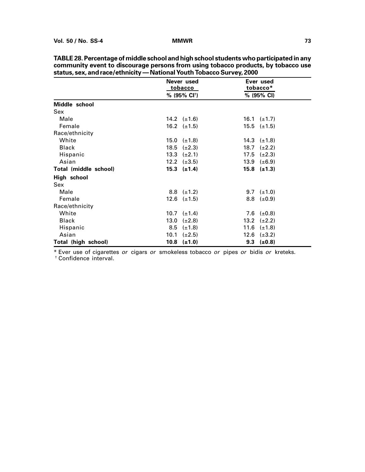|                       |      | Never used                    |      | Ever used                    |  |
|-----------------------|------|-------------------------------|------|------------------------------|--|
|                       |      | <u>tobacco</u>                |      | tobacco*                     |  |
|                       |      | % (95% CI <sup>+</sup> )      |      | % (95% CI)                   |  |
| Middle school         |      |                               |      |                              |  |
| Sex                   |      |                               |      |                              |  |
| Male                  |      | 14.2 $(\pm 1.6)$              |      | 16.1 $(\pm 1.7)$             |  |
| Female                |      | 16.2 $(\pm 1.5)$              |      | $15.5$ ( $\pm 1.5$ )         |  |
| Race/ethnicity        |      |                               |      |                              |  |
| White                 |      | $15.0 \left( \pm 1.8 \right)$ |      | 14.3 $(\pm 1.8)$             |  |
| <b>Black</b>          | 18.5 | $(\pm 2.3)$                   | 18.7 | $(\pm 2.2)$                  |  |
| Hispanic              | 13.3 | $(\pm 2.1)$                   | 17.5 | $(\pm 2.3)$                  |  |
| Asian                 |      | 12.2 $(\pm 3.5)$              | 13.9 | $(\pm 6.9)$                  |  |
| Total (middle school) |      | $15.3$ $(\pm 1.4)$            |      | $15.8$ ( $\pm 1.3$ )         |  |
| High school           |      |                               |      |                              |  |
| Sex                   |      |                               |      |                              |  |
| Male                  |      | $8.8$ ( $\pm$ 1.2)            |      | 9.7 $(\pm 1.0)$              |  |
| Female                |      | $12.6 \quad (\pm 1.5)$        |      | $8.8 \left( \pm 0.9 \right)$ |  |
| Race/ethnicity        |      |                               |      |                              |  |
| White                 | 10.7 | $(\pm 1.4)$                   |      | 7.6 $(\pm 0.8)$              |  |
| <b>Black</b>          | 13.0 | $(\pm 2.8)$                   | 13.2 | $(\pm 2.2)$                  |  |
| Hispanic              | 8.5  | $(\pm 1.8)$                   | 11.6 | $(\pm 1.8)$                  |  |
| Asian                 | 10.1 | $(\pm 2.5)$                   |      | 12.6 $(\pm 3.2)$             |  |
| Total (high school)   | 10.8 | $(\pm 1.0)$                   | 9.3  | $(\pm 0.8)$                  |  |

**TABLE 28. Percentage of middle school and high school students who participated in any community event to discourage persons from using tobacco products, by tobacco use status, sex, and race/ethnicity — National Youth Tobacco Survey, 2000**

\* Ever use of cigarettes or cigars or smokeless tobacco or pipes or bidis or kreteks.

† Confidence interval.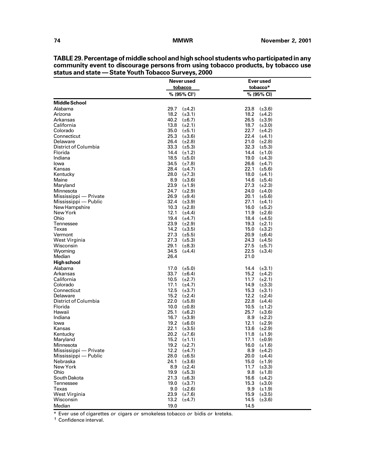|                           | Never used                             | Ever used                                  |
|---------------------------|----------------------------------------|--------------------------------------------|
|                           | tobacco                                | tobacco*                                   |
|                           | % (95% CI <sup>+</sup> )               | % (95% CI)                                 |
| <b>Middle School</b>      |                                        |                                            |
| Alabama                   | 29.7 $(\pm 4.2)$                       | 23.8<br>$(\pm 3.6)$                        |
| Arizona                   | 18.2<br>$(\pm 3.1)$                    | 18.2<br>$(\pm 4.2)$                        |
| Arkansas                  | 40.2 $(\pm 6.7)$                       | 26.5<br>$(\pm 3.9)$                        |
| California                | 13.8<br>$(\pm 2.1)$                    | 18.7<br>$(\pm 3.0)$                        |
| Colorado                  | 35.0<br>$(\pm 5.1)$                    | 22.7<br>$(\pm 4.2)$                        |
| Connecticut               | 25.3<br>$(\pm 3.6)$                    | 22.4<br>$(\pm 4.1)$                        |
| Delaware                  | 26.4 $(\pm 2.8)$                       | 21.0<br>$(\pm 2.8)$                        |
| District of Columbia      | 33.3 $(\pm 5.3)$                       | 32.3<br>$(\pm 5.3)$                        |
| Florida                   | 14.4 $(\pm 1.2)$                       | 14.4<br>$(\pm 1.0)$                        |
| Indiana                   | 18.5<br>$(\pm 5.0)$                    | 19.0<br>$(\pm 4.3)$                        |
| lowa                      | 34.5 $(\pm 7.8)$                       | 26.6<br>$(\pm 4.7)$                        |
| Kansas                    | 28.4 $(\pm 4.7)$                       | 22.1<br>$(\pm 5.6)$                        |
| Kentucky                  | 28.0<br>$(\pm 7.3)$                    | 18.0<br>$(\pm 4.1)$                        |
| Maine                     | 8.9<br>$(\pm 3.6)$                     | 14.6<br>$(\pm 5.4)$                        |
| Maryland                  | 23.9<br>$(\pm 1.9)$                    | 27.3<br>$(\pm 2.3)$                        |
| Minnesota                 | 24.7<br>$(\pm 2.9)$                    | 24.0<br>$(\pm 4.0)$                        |
| Mississippi — Private     | 26.9<br>$(\pm 9.4)$                    | 20.1<br>$(\pm 5.6)$                        |
| Mississippi — Public      | 32.4 $(\pm 3.9)$                       | 27.1<br>$(\pm 4.1)$                        |
| New Hampshire<br>New York | 10.3<br>$(\pm 2.8)$<br>12.1            | 16.0<br>$(\pm 5.2)$<br>11.9<br>$(\pm 2.6)$ |
| Ohio                      | $(\pm 4.4)$<br>19.4 $(\pm 4.7)$        | 18.4<br>$(\pm 4.5)$                        |
| Tennessee                 | 23.9 $(\pm 2.9)$                       | 19.3<br>$(\pm 2.1)$                        |
| Texas                     | 14.2<br>$(\pm 3.5)$                    | 15.0<br>$(\pm 3.2)$                        |
| Vermont                   | $27.3$ ( $\pm 5.5$ )                   | 20.9<br>$(\pm 6.4)$                        |
| West Virginia             | $27.3$ ( $\pm 5.3$ )                   | 24.3<br>$(\pm 4.5)$                        |
| Wisconsin                 | 29.1<br>$(\pm 8.3)$                    | 27.5<br>$(\pm 5.7)$                        |
| Wyoming                   | 34.5<br>$(\pm 4.4)$                    | 22.5<br>$(\pm 3.4)$                        |
| Median                    | 26.4                                   | 21.0                                       |
| High school               |                                        |                                            |
| Alabama                   | 17.0<br>$(\pm 5.0)$                    | 14.4<br>$(\pm 3.1)$                        |
| Arkansas                  | 33.7 $(\pm 6.4)$                       | 15.2 $(\pm 4.2)$                           |
| California                | 10.5<br>$(\pm 2.7)$                    | 11.7<br>$(\pm 2.1)$                        |
| Colorado                  | 17.1<br>$(\pm 4.7)$                    | 14.9<br>$(\pm 3.3)$                        |
| Connecticut               | 12.5<br>$(\pm 3.7)$                    | 15.3<br>$(\pm 3.1)$                        |
| Delaware                  | 15.2 $(\pm 2.4)$                       | 12.2<br>$(\pm 2.4)$                        |
| District of Columbia      | 22.0<br>$(\pm 5.8)$                    | 22.8<br>$(\pm 4.4)$                        |
| Florida                   | 10.0<br>$(\pm 0.8)$                    | 10.5<br>$(\pm 1.2)$                        |
| Hawaii                    | 25.1<br>$(\pm 6.2)$                    | 25.7<br>$(\pm 3.6)$                        |
| Indiana                   | 16.7 $(\pm 3.9)$                       | 8.9<br>$(\pm 2.2)$                         |
| lowa                      | 19.2 $(\pm 6.0)$                       | 12.1<br>$(\pm 2.9)$                        |
| Kansas                    | 22.1<br>$(\pm 3.5)$                    | 13.6<br>$(\pm 2.9)$                        |
| Kentucky                  | 20.2<br>$(\pm 7.6)$                    | 11.8<br>$(\pm 1.9)$                        |
| Maryland                  | 15.2<br>$(\pm 1.1)$                    | 17.1<br>$(\pm 0.9)$                        |
| Minnesota                 | 19.2 $(\pm 2.7)$                       | 16.0<br>$(\pm 1.6)$                        |
| Mississippi — Private     | 12.2<br>$(\pm 4.7)$                    | 8.9<br>$(\pm 4.2)$                         |
| Mississippi — Public      | 28.0<br>$(\pm 6.5)$                    | 20.0<br>$(\pm 4.4)$                        |
| Nebraska                  | 24.1<br>$(\pm 3.6)$<br>8.9 $(\pm 2.4)$ | 15.0<br>$(\pm 1.9)$                        |
| New York<br>Ohio          | 19.9 $(\pm 5.3)$                       | 11.7<br>$(\pm 3.3)$<br>9.8<br>$(\pm 1.8)$  |
| South Dakota              | 21.3 $(\pm 6.3)$                       | 16.6<br>$(\pm 4.2)$                        |
| Tennessee                 | 19.0<br>$(\pm 3.7)$                    | 15.3<br>$(\pm 3.0)$                        |
| Texas                     | $9.0$ ( $\pm 2.6$ )                    | 9.9<br>$(\pm 1.9)$                         |
| West Virginia             | 23.9<br>$(\pm 7.6)$                    | 15.9<br>$(\pm 3.5)$                        |
| Wisconsin                 | 13.2<br>$(\pm 4.7)$                    | 14.5<br>$(\pm 3.6)$                        |
| Median                    | 19.0                                   | 14.5                                       |
|                           |                                        |                                            |

**TABLE 29. Percentage of middle school and high school students who participated in any community event to discourage persons from using tobacco products, by tobacco use status and state — State Youth Tobacco Surveys, 2000**

\* Ever use of cigarettes or cigars or smokeless tobacco or bidis or kreteks.

† Confidence interval.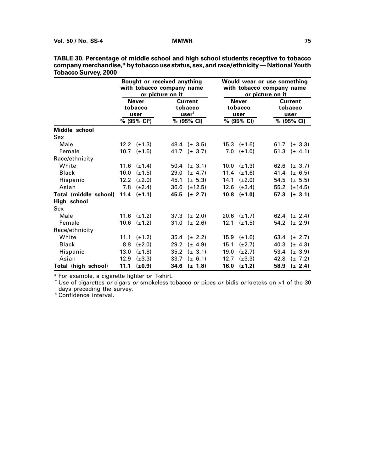|                       | Bought or received anything<br>with tobacco company name<br>or picture on it |                           |      |                                               | Would wear or use something<br>with tobacco company name<br>or picture on it |                                 |      |                                   |  |
|-----------------------|------------------------------------------------------------------------------|---------------------------|------|-----------------------------------------------|------------------------------------------------------------------------------|---------------------------------|------|-----------------------------------|--|
|                       | <b>Never</b><br>tobacco<br>user                                              |                           |      | <b>Current</b><br>tobacco<br>$user^{\dagger}$ |                                                                              | <b>Never</b><br>tobacco<br>user |      | <b>Current</b><br>tobacco<br>user |  |
|                       |                                                                              | $% (95\% \text{ Cl}^{s})$ |      | % (95% CI)                                    |                                                                              | % (95% CI)                      |      | % (95% CI)                        |  |
| Middle school         |                                                                              |                           |      |                                               |                                                                              |                                 |      |                                   |  |
| Sex                   |                                                                              |                           |      |                                               |                                                                              |                                 |      |                                   |  |
| Male                  |                                                                              | 12.2 $(\pm 1.3)$          |      | 48.4 ( $\pm$ 3.5)                             |                                                                              | 15.3 $(\pm 1.6)$                |      | 61.7 ( $\pm$ 3.3)                 |  |
| Female                |                                                                              | $10.7$ $(\pm 1.5)$        |      | 41.7 $(\pm 3.7)$                              | 7.0                                                                          | $(\pm 1.0)$                     |      | 51.3 $(\pm 4.1)$                  |  |
| Race/ethnicity        |                                                                              |                           |      |                                               |                                                                              |                                 |      |                                   |  |
| White                 |                                                                              | 11.6 $(\pm 1.4)$          |      | 50.4 $(\pm 3.1)$                              |                                                                              | 10.0 $(\pm 1.3)$                |      | 62.6 $(\pm 3.7)$                  |  |
| <b>Black</b>          | 10.0                                                                         | $(\pm 1.5)$               | 29.0 | $(\pm 4.7)$                                   | 11.4                                                                         | $(\pm 1.6)$                     | 41.4 | $(\pm 6.5)$                       |  |
| Hispanic              | 12.2                                                                         | $(\pm 2.0)$               | 45.1 | $(\pm 5.3)$                                   | 14.1                                                                         | $(\pm 2.0)$                     | 54.5 | $(\pm 5.5)$                       |  |
| Asian                 | 7.8                                                                          | $(\pm 2.4)$               | 36.6 | $(\pm 12.5)$                                  | 12.6                                                                         | $(\pm 3.4)$                     | 55.2 | $(\pm 14.5)$                      |  |
| Total (middle school) |                                                                              | 11.4 $(\pm 1.1)$          | 45.5 | $(\pm 2.7)$                                   | 10.8                                                                         | $(\pm 1.0)$                     | 57.3 | $(\pm 3.1)$                       |  |
| High school           |                                                                              |                           |      |                                               |                                                                              |                                 |      |                                   |  |
| Sex                   |                                                                              |                           |      |                                               |                                                                              |                                 |      |                                   |  |
| Male                  |                                                                              | 11.6 $(\pm 1.2)$          |      | 37.3 $(\pm 2.0)$                              |                                                                              | 20.6 $(\pm 1.7)$                |      | 62.4 ( $\pm$ 2.4)                 |  |
| Female                | 10.6                                                                         | $(\pm 1.2)$               | 31.0 | $(\pm 2.6)$                                   | 12.1                                                                         | $(\pm 1.5)$                     |      | 54.2 $(\pm 2.9)$                  |  |
| Race/ethnicity        |                                                                              |                           |      |                                               |                                                                              |                                 |      |                                   |  |
| White                 | 11.1                                                                         | $(\pm 1.2)$               | 35.4 | $(\pm 2.2)$                                   | 15.9                                                                         | $(\pm 1.6)$                     |      | 63.4 $(\pm 2.7)$                  |  |
| <b>Black</b>          | 8.8                                                                          | $(\pm 2.0)$               | 29.2 | $(\pm 4.9)$                                   | 15.1                                                                         | $(\pm 2.7)$                     | 40.3 | $(\pm 4.3)$                       |  |
| Hispanic              | 13.0                                                                         | $(\pm 1.8)$               | 35.2 | $(\pm 3.1)$                                   | 19.0                                                                         | $(\pm 2.7)$                     | 53.4 | $(\pm 3.9)$                       |  |
| Asian                 | 12.9                                                                         | $(\pm 3.3)$               | 33.7 | $(\pm 6.1)$                                   | 12.7                                                                         | $(\pm 3.3)$                     | 42.8 | $(\pm 7.2)$                       |  |
| Total (high school)   | 11.1                                                                         | $(\pm 0.9)$               | 34.6 | $(\pm 1.8)$                                   | 16.0                                                                         | $(\pm 1.2)$                     | 58.9 | $(\pm 2.4)$                       |  |

**TABLE 30. Percentage of middle school and high school students receptive to tobacco company merchandise,\* by tobacco use status, sex, and race/ethnicity — National Youth Tobacco Survey, 2000**

\* For example, a cigarette lighter or T-shirt.

<sup>†</sup> Use of cigarettes or cigars or smokeless tobacco or pipes or bidis or kreteks on  $\geq 1$  of the 30 days preceding the survey.

§ Confidence interval.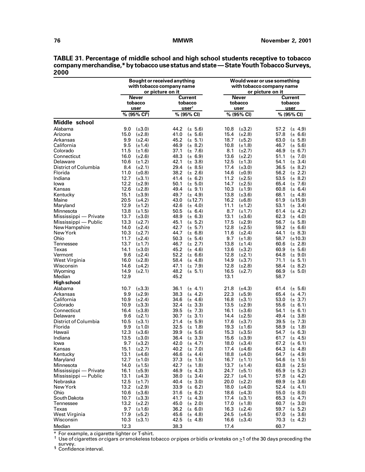|                             |                                    | Bought or received anything<br>with tobacco company name<br>or picture on it | Would wear or use something<br>with tobacco company name<br>or picture on it |                                            |  |  |
|-----------------------------|------------------------------------|------------------------------------------------------------------------------|------------------------------------------------------------------------------|--------------------------------------------|--|--|
|                             | <b>Never</b>                       | <b>Current</b>                                                               | <b>Never</b>                                                                 | Current                                    |  |  |
|                             | tobacco                            | tobacco                                                                      | tobacco                                                                      | tobacco                                    |  |  |
|                             | user                               | $\textbf{user}^{\text{t}}$                                                   | user                                                                         | user                                       |  |  |
|                             | % (95% CI <sup>§</sup> )           | % (95% CI)                                                                   | % (95% CI)                                                                   | % (95% CI)                                 |  |  |
| Middle school               |                                    |                                                                              |                                                                              |                                            |  |  |
| Alabama                     | $(\pm 3.0)$                        | $(\pm 5.6)$                                                                  | $(\pm 3.2)$                                                                  | 57.2                                       |  |  |
|                             | 9.0                                | 44.2                                                                         | 10.8                                                                         | $(\pm 4.9)$                                |  |  |
| Arizona                     | 15.0                               | 41.0                                                                         | 15.4                                                                         | 57.8                                       |  |  |
|                             | $(\pm 2.8)$                        | $(\pm 5.6)$                                                                  | $(\pm 2.8)$                                                                  | $(\pm 6.6)$                                |  |  |
| Arkansas                    | 9.9                                | 45.2                                                                         | 18.7                                                                         | 63.0                                       |  |  |
|                             | $(\pm 2.4)$                        | $(\pm 5.1)$                                                                  | $(\pm 5.2)$                                                                  | $(\pm 5.8)$                                |  |  |
| California                  | 9.5                                | 46.9                                                                         | 10.8                                                                         | 46.7                                       |  |  |
|                             | $(\pm 1.4)$                        | $(\pm 8.2)$                                                                  | $(\pm 1.8)$                                                                  | $(\pm 5.6)$                                |  |  |
| Colorado                    | 11.5                               | 37.1                                                                         | 8.1                                                                          | 46.9                                       |  |  |
|                             | $(\pm 1.6)$                        | $(\pm 7.6)$                                                                  | $(\pm 2.7)$                                                                  | $(\pm 6.7)$                                |  |  |
| Connecticut                 | 16.0                               | 48.3                                                                         | 13.6                                                                         | 51.1                                       |  |  |
|                             | $(\pm 2.6)$                        | $(\pm 6.9)$                                                                  | $(\pm 2.2)$                                                                  | $(\pm 7.0)$                                |  |  |
| Delaware                    | 10.6                               | 42.1                                                                         | 12.5                                                                         | 54.1                                       |  |  |
|                             | $(\pm 1.2)$                        | $(\pm 3.8)$                                                                  | $(\pm 1.3)$                                                                  | $(\pm 3.4)$                                |  |  |
| District of Columbia        | 8.4                                | 29.4                                                                         | 17.4                                                                         | 36.5                                       |  |  |
|                             | $(\pm 2.1)$                        | $(\pm 8.5)$                                                                  | $(\pm 3.0)$                                                                  | $(\pm 8.2)$                                |  |  |
| Florida                     | 11.0                               | 38.2                                                                         | 14.6                                                                         | 56.2                                       |  |  |
|                             | $(\pm 0.8)$                        | $(\pm 2.6)$                                                                  | $(\pm 0.9)$                                                                  | $(\pm 2.2)$                                |  |  |
| Indiana                     | 12.7                               | 41.4                                                                         | 11.2                                                                         | 53.5                                       |  |  |
|                             | $(\pm 3.1)$                        | $(\pm 6.2)$                                                                  | $(\pm 2.5)$                                                                  | $(\pm 8.2)$                                |  |  |
| lowa                        | 12.2                               | 50.1                                                                         | 14.7                                                                         | 65.4                                       |  |  |
|                             | $(\pm 2.9)$                        | $(\pm 5.0)$                                                                  | $(\pm 2.5)$                                                                  | $(\pm 7.6)$                                |  |  |
| Kansas                      | 12.6                               | 49.4                                                                         | 10.3                                                                         | 60.8                                       |  |  |
|                             | $(\pm 2.8)$                        | $(\pm 9.1)$                                                                  | $(\pm 1.9)$                                                                  | $(\pm 6.4)$                                |  |  |
| Kentucky                    | 15.1                               | 49.7                                                                         | 13.8                                                                         | 68.1                                       |  |  |
|                             | $(\pm 3.9)$                        | $(\pm 4.9)$                                                                  | $(\pm 3.6)$                                                                  | $(\pm 4.8)$                                |  |  |
|                             | 20.5                               | 43.0                                                                         | 16.2                                                                         | 61.9                                       |  |  |
|                             | $(\pm 4.2)$                        | $(\pm 12.7)$                                                                 | $(\pm 6.8)$                                                                  | $(\pm 15.9)$                               |  |  |
| Maine                       | 12.9                               | 42.6                                                                         | 11.1                                                                         | 53.1                                       |  |  |
| Maryland                    | $(\pm 1.2)$                        | $(\pm 4.0)$                                                                  | $(\pm 1.2)$                                                                  | $(\pm 3.4)$                                |  |  |
| Minnesota                   | 13.8                               | 50.5                                                                         | 8.7                                                                          | 61.4                                       |  |  |
|                             | $(\pm 1.5)$                        | $(\pm 6.4)$                                                                  | $(\pm 1.7)$                                                                  | $(\pm 4.2)$                                |  |  |
| Mississippi - Private       | 13.7                               | 48.9                                                                         | 13.1                                                                         | 62.3                                       |  |  |
|                             | $(\pm 3.0)$                        | $(\pm 6.3)$                                                                  | $(\pm 3.6)$                                                                  | $(\pm 4.0)$                                |  |  |
| Mississippi - Public        | 13.3                               | 45.1                                                                         | 17.5                                                                         | 56.7                                       |  |  |
|                             | $(\pm 2.7)$                        | $(\pm 5.2)$                                                                  | $(\pm 2.9)$                                                                  | $(\pm 5.8)$                                |  |  |
| New Hampshire               | 14.0                               | 42.7                                                                         | 12.8                                                                         | 59.2                                       |  |  |
|                             | $(\pm 2.4)$                        | $(\pm 5.7)$                                                                  | $(\pm 2.5)$                                                                  | $(\pm 6.6)$                                |  |  |
| New York                    | $(\pm 2.7)$                        | 44.7                                                                         | 11.6                                                                         | 44.1                                       |  |  |
|                             | 10.3                               | $(\pm 6.8)$                                                                  | $(\pm 2.4)$                                                                  | $(\pm 8.3)$                                |  |  |
| Ohio                        | 11.7                               | 50.3                                                                         | 9.7                                                                          | 58.7                                       |  |  |
|                             | $(\pm 2.4)$                        | $(\pm 5.4)$                                                                  | $(\pm 1.8)$                                                                  | $(\pm 10.3)$                               |  |  |
| Tennessee                   | 13.7                               | 46.7                                                                         | 13.8                                                                         | 60.6                                       |  |  |
|                             | $(\pm 1.7)$                        | $(\pm 2.7)$                                                                  | $(\pm 1.4)$                                                                  | $(\pm 2.8)$                                |  |  |
| Texas                       | 14.1                               | 45.2                                                                         | 13.6                                                                         | 60.9                                       |  |  |
|                             | $(\pm 3.0)$                        | $(\pm 4.6)$                                                                  | $(\pm 3.2)$                                                                  | $(\pm 5.6)$                                |  |  |
| Vermont                     | 9.6                                | 52.2                                                                         | 12.8                                                                         | 64.8                                       |  |  |
|                             | $(\pm 2.4)$                        | $(\pm 6.6)$                                                                  | $(\pm 2.1)$                                                                  | $(\pm 9.0)$                                |  |  |
| West Virginia               | 16.0                               | 58.4                                                                         | 14.9                                                                         | 71.1                                       |  |  |
|                             | $(\pm 2.8)$                        | $(\pm 4.8)$                                                                  | $(\pm 3.7)$                                                                  | $(\pm 5.1)$                                |  |  |
| Wisconsin                   | 14.6                               | 47.1                                                                         | 12.8                                                                         | 58.4                                       |  |  |
|                             | $(\pm 4.2)$                        | $(\pm 7.9)$                                                                  | $(\pm 2.8)$                                                                  | $(\pm 8.2)$                                |  |  |
| Wyoming                     | 14.9                               | 48.2                                                                         | 16.5                                                                         | 66.9                                       |  |  |
|                             | $(\pm 2.1)$                        | $(\pm 5.1)$                                                                  | $(\pm 2.7)$                                                                  | $(\pm 5.0)$                                |  |  |
| Median                      | 12.9                               | 45.2                                                                         | 13.1                                                                         | 58.7                                       |  |  |
| <b>High school</b>          |                                    |                                                                              |                                                                              |                                            |  |  |
| Alabama                     | 10.7                               | 36.1                                                                         | 21.8                                                                         | 61.4                                       |  |  |
|                             | $(\pm 3.3)$                        | $(\pm 4.1)$                                                                  | $(\pm 4.3)$                                                                  | $(\pm 5.6)$                                |  |  |
| Arkansas                    | 9.9                                | 38.3                                                                         | 22.3                                                                         | 65.4                                       |  |  |
|                             | $(\pm 2.9)$                        | $(\pm 4.2)$                                                                  | $(\pm 5.9)$                                                                  | $(\pm 4.7)$                                |  |  |
| California                  | 10.9                               | 34.6                                                                         | 16.8                                                                         | 53.0                                       |  |  |
|                             | $(\pm 2.4)$                        | $(\pm 4.6)$                                                                  | $(\pm 3.1)$                                                                  | $(\pm 3.7)$                                |  |  |
| Colorado                    | 10.9                               | 32.4                                                                         | 13.5                                                                         | 55.6                                       |  |  |
|                             | $(\pm 3.3)$                        | $(\pm 3.3)$                                                                  | $(\pm 2.9)$                                                                  | $(\pm 6.1)$                                |  |  |
| Connecticut                 | 16.4                               | 39.5                                                                         | 16.1                                                                         | 54.1                                       |  |  |
|                             | $(\pm 3.8)$                        | $(\pm 7.3)$                                                                  | $(\pm 3.6)$                                                                  | $(\pm 6.1)$                                |  |  |
| Delaware                    | 9.6                                | 30.7                                                                         | 14.4                                                                         | 49.4                                       |  |  |
| <b>District of Columbia</b> | $(\pm 2.1)$                        | $(\pm 3.1)$                                                                  | $(\pm 2.5)$                                                                  | $(\pm 3.8)$                                |  |  |
| Florida                     | 10.5<br>$(\pm 3.1)$<br>9.9         | 21.4<br>$(\pm 5.9)$<br>32.5<br>$(\pm 1.8)$                                   | 17.6<br>$(\pm 3.7)$<br>19.3<br>$(\pm 1.6)$                                   | 39.5<br>$(\pm 7.3)$<br>58.9<br>$(\pm 1.8)$ |  |  |
| Hawaii                      | $(\pm 1.0)$<br>12.3<br>$(\pm 3.6)$ | 39.9<br>$(\pm 5.6)$                                                          | 15.3<br>$(\pm 3.5)$                                                          | 54.7<br>$(\pm 6.3)$                        |  |  |
| Indiana                     | 13.5                               | 36.4                                                                         | 15.6                                                                         | 61.7                                       |  |  |
|                             | $(\pm 3.0)$                        | $(\pm 3.3)$                                                                  | $(\pm 3.9)$                                                                  | $(\pm 4.5)$                                |  |  |
| lowa                        | 9.7                                | 42.0                                                                         | 18.0                                                                         | 67.2                                       |  |  |
|                             | $(\pm 3.2)$                        | $(\pm 4.7)$                                                                  | $(\pm 3.4)$                                                                  | $(\pm 6.1)$                                |  |  |
| Kansas                      | 15.1                               | 40.2                                                                         | 17.4                                                                         | 64.3                                       |  |  |
|                             | $(\pm 2.7)$                        | $(\pm 7.0)$                                                                  | $(\pm 4.6)$                                                                  | $(\pm 4.8)$                                |  |  |
| Kentucky                    | 13.1                               | 46.6                                                                         | 18.8                                                                         | 64.7                                       |  |  |
|                             | $(\pm 4.6)$                        | $(\pm 4.4)$                                                                  | $(\pm 4.0)$                                                                  | $(\pm 4.9)$                                |  |  |
| Maryland                    | 12.7                               | 37.3                                                                         | 16.7                                                                         | 54.6                                       |  |  |
|                             | $(\pm 1.0)$                        | $(\pm 1.5)$                                                                  | $(\pm 1.1)$                                                                  | $(\pm 1.5)$                                |  |  |
| Minnesota                   | 14.0                               | 42.7                                                                         | 13.7                                                                         | 63.8                                       |  |  |
|                             | $(\pm 1.5)$                        | $(\pm 1.8)$                                                                  | $(\pm 1.4)$                                                                  | $(\pm 2.5)$                                |  |  |
| Mississippi - Private       | 16.1                               | 46.9                                                                         | 24.7                                                                         | 65.9                                       |  |  |
|                             | $(\pm 5.9)$                        | $(\pm 4.3)$                                                                  | $(\pm 5.1)$                                                                  | $(\pm 5.2)$                                |  |  |
| Mississippi — Public        | 13.1                               | 38.0                                                                         | 22.7                                                                         | 57.8                                       |  |  |
|                             | $(\pm 4.3)$                        | $(\pm 3.4)$                                                                  | $(\pm 4.1)$                                                                  | $(\pm 4.2)$                                |  |  |
| Nebraska                    | 12.5                               | 40.4                                                                         | 20.0                                                                         | 69.9                                       |  |  |
|                             | $(\pm 1.7)$                        | $(\pm 3.0)$                                                                  | $(\pm 2.2)$                                                                  | $(\pm 3.6)$                                |  |  |
| New York                    | 13.2                               | 33.9                                                                         | 18.0                                                                         | 52.4                                       |  |  |
|                             | $(\pm 2.9)$                        | $(\pm 6.2)$                                                                  | $(\pm 4.0)$                                                                  | $(\pm 4.1)$                                |  |  |
| Ohio                        | 10.6                               | 31.6                                                                         | 18.6                                                                         | 55.0                                       |  |  |
|                             | $(\pm 3.6)$                        | $(\pm 6.2)$                                                                  | $(\pm 4.3)$                                                                  | $(\pm 8.0)$                                |  |  |
| South Dakota                | 10.7                               | 41.7                                                                         | 17.4                                                                         | 65.3                                       |  |  |
|                             | $(\pm 3.3)$                        | $(\pm 4.3)$                                                                  | $(\pm 3.1)$                                                                  | $(\pm 4.7)$                                |  |  |
| Tennessee                   | 13.2                               | 45.0                                                                         | 17.0                                                                         | 60.7                                       |  |  |
|                             | $(\pm 2.2)$                        | $(\pm 2.0)$                                                                  | $(\pm 1.8)$                                                                  | $(\pm 3.0)$                                |  |  |
| Texas                       | 9.7                                | 36.2                                                                         | 16.3                                                                         | 59.7                                       |  |  |
|                             | $(\pm 1.6)$                        | $(\pm 6.0)$                                                                  | $(\pm 2.4)$                                                                  | $(\pm 5.2)$                                |  |  |
| West Virginia               | 17.9                               | 45.6                                                                         | 24.5                                                                         | 67.0                                       |  |  |
|                             | $(\pm 5.2)$                        | $(\pm 4.8)$                                                                  | $(\pm 4.5)$                                                                  | $(\pm 3.6)$                                |  |  |
| Wisconsin                   | 10.3                               | 42.5                                                                         | 16.6                                                                         | 70.3                                       |  |  |
|                             | $(\pm 3.1)$                        | $(\pm 4.8)$                                                                  | $(\pm 3.4)$                                                                  | $(\pm 4.2)$                                |  |  |
| Median                      | 12.3                               | 38.3                                                                         | 17.4                                                                         | 60.7                                       |  |  |

**TABLE 31. Percentage of middle school and high school students receptive to tobacco company merchandise,\* by tobacco use status and state — State Youth Tobacco Surveys, 2000**

\* For example, a cigarette lighter or T-shirt.<br><sup>†</sup> Use of cigarettes *or* cigars *or* smokeless tobacco *or* pipes *or* bidis *or* kreteks on ≥1 of the 30 days preceding the survey.<br>
§ Confidence interval.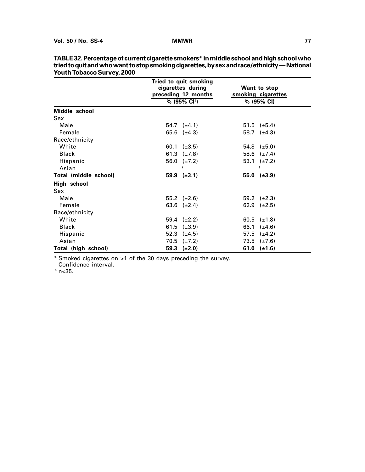|                            | Tried to quit smoking    |                      |
|----------------------------|--------------------------|----------------------|
|                            | cigarettes during        | Want to stop         |
|                            | preceding 12 months      | smoking cigarettes   |
|                            | % (95% CI <sup>t</sup> ) | % (95% CI)           |
| Middle school              |                          |                      |
| Sex                        |                          |                      |
| Male                       | $54.7$ $(\pm 4.1)$       | $51.5$ ( $\pm 5.4$ ) |
| Female                     | 65.6 $(\pm 4.3)$         | 58.7 $(\pm 4.3)$     |
| Race/ethnicity             |                          |                      |
| White                      | 60.1 $(\pm 3.5)$         | 54.8 $(\pm 5.0)$     |
| <b>Black</b>               | 61.3 $(\pm 7.8)$         | 58.6 $(\pm 7.4)$     |
| Hispanic                   | 56.0 $(\pm 7.2)$         | 53.1 $(\pm 7.2)$     |
| Asian                      | ş                        | ş                    |
| Total (middle school)      | $59.9$ $(\pm 3.1)$       | $55.0$ ( $\pm 3.9$ ) |
| High school                |                          |                      |
| Sex                        |                          |                      |
| Male                       | 55.2 $(\pm 2.6)$         | 59.2 $(\pm 2.3)$     |
| Female                     | 63.6 $(\pm 2.4)$         | 62.9 $(\pm 2.5)$     |
| Race/ethnicity             |                          |                      |
| White                      | 59.4 $(\pm 2.2)$         | 60.5 $(\pm 1.8)$     |
| <b>Black</b>               | 61.5<br>$(\pm 3.9)$      | 66.1<br>$(\pm 4.6)$  |
| Hispanic                   | 52.3 $(\pm 4.5)$         | 57.5 $(\pm 4.2)$     |
| Asian                      | 70.5<br>$(\pm 7.2)$      | 73.5 $(\pm 7.6)$     |
| <b>Total (high school)</b> | $59.3$ ( $\pm 2.0$ )     | 61.0 $(\pm 1.6)$     |

**TABLE 32. Percentage of current cigarette smokers\* in middle school and high school who tried to quit and who want to stop smoking cigarettes, by sex and race/ethnicity — National Youth Tobacco Survey, 2000**

 $*$  Smoked cigarettes on  $\geq 1$  of the 30 days preceding the survey.

† Confidence interval.

 $^{\mathsf{s}}$  n<35.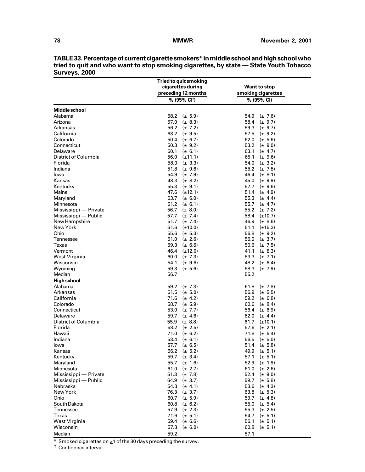|                             | <b>Tried to quit smoking</b> |                      |
|-----------------------------|------------------------------|----------------------|
|                             | cigarettes during            | <b>Want to stop</b>  |
|                             | preceding 12 months          | smoking cigarettes   |
|                             | % (95% CI <sup>t</sup> )     | % (95% CI)           |
| Middle school               |                              |                      |
| Alabama                     | 58.2<br>$(\pm 5.9)$          | 54.9<br>$(\pm 7.6)$  |
| Arizona                     | 57.0<br>$(\pm 8.3)$          | 58.4<br>$(\pm 9.7)$  |
| Arkansas                    | 56.2 $(\pm 7.2)$             | 59.3<br>$(\pm 9.7)$  |
| California                  | 63.2 $(\pm 9.5)$             | 57.5<br>$(\pm 9.2)$  |
| Colorado                    | 50.4 $(\pm 6.7)$             | 62.0<br>$(\pm 5.6)$  |
| Connecticut                 | 50.3 $(\pm 9.2)$             | 53.2<br>$(\pm 9.0)$  |
| Delaware                    | 60.1 ( $\pm$ 6.1)            | 63.1<br>$(\pm 4.7)$  |
| District of Columbia        | 56.0 $(\pm 11.1)$            | 65.1<br>$(\pm 9.6)$  |
| Florida                     | 58.0 $(\pm 3.3)$             | 54.0<br>$(\pm 3.2)$  |
| Indiana                     | 51.8 $(\pm 9.6)$             | 55.2<br>$(\pm 7.8)$  |
| lowa                        | 54.9 $(\pm 7.9)$             | 46.4<br>$(\pm 8.1)$  |
| Kansas                      | 48.3 $(\pm 8.2)$             | 45.0<br>$(\pm 9.9)$  |
| Kentucky                    | 55.3 $(\pm 9.1)$             | 57.7<br>$(\pm 9.6)$  |
| Maine                       | 47.6 $(\pm 12.1)$            | 51.4 $(\pm 4.9)$     |
| Maryland                    | 63.7 $(\pm 6.0)$             | 55.3<br>$(\pm 4.4)$  |
| Minnesota                   | 61.2<br>$(\pm 6.1)$          | 55.7<br>$(\pm 4.7)$  |
| Mississippi - Private       | 56.7<br>$(\pm 8.0)$          | 55.2<br>$(\pm 7.2)$  |
| Mississippi — Public        | 57.7<br>$(\pm 7.4)$          | 58.4<br>$(\pm 10.7)$ |
| New Hampshire               | 51.7<br>$(\pm 7.4)$          | 46.9<br>$(\pm 8.6)$  |
| New York                    | 61.6 $(\pm 10.0)$            | 51.1<br>$(\pm 15.3)$ |
| Ohio                        | 55.6 $(\pm 5.3)$             | 56.8<br>$(\pm 9.2)$  |
| Tennessee                   | 61.0 $(\pm 2.6)$             | 56.0 $(\pm 3.7)$     |
| Texas                       | 59.3<br>$(\pm 6.6)$          | 50.6<br>$(\pm 7.5)$  |
| Vermont                     | 46.4 (±12.0)                 | 41.1<br>$(\pm 8.3)$  |
| West Virginia               | 60.0 $(\pm 7.3)$             | 53.3<br>$(\pm 7.1)$  |
| Wisconsin                   | 54.1<br>$(\pm 9.6)$          | 48.2 $(\pm 6.4)$     |
| Wyoming                     | 59.3<br>$(\pm 5.6)$          | 58.3<br>$(\pm 7.9)$  |
| Median                      | 56.7                         | 55.2                 |
| <b>High school</b>          |                              |                      |
| Alabama                     | 59.2<br>$(\pm 7.3)$          | 61.8<br>$(\pm 7.8)$  |
| Arkansas                    | 61.5 ( $\pm$ 5.0)            | 56.9<br>$(\pm 5.5)$  |
| California                  | 71.6 $(\pm 4.2)$             | 59.2<br>$(\pm 6.8)$  |
| Colorado                    | 58.7<br>$(\pm 5.9)$          | 60.6<br>$(\pm 8.4)$  |
| Connecticut                 | 53.0<br>$(\pm 7.7)$          | 56.4<br>$(\pm 6.9)$  |
| Delaware                    | 59.7 $(\pm 4.6)$             | 62.0<br>$(\pm 4.4)$  |
| <b>District of Columbia</b> | 55.9<br>$(\pm 8.8)$          | 61.7<br>$(\pm 10.1)$ |
| Florida                     | 58.2<br>$(\pm 2.5)$          | 57.6<br>$(\pm 2.1)$  |
| Hawaii                      | 71.0<br>$(\pm 6.2)$          | 71.8<br>$(\pm 6.4)$  |
| Indiana                     | 53.4 $(\pm 6.1)$             | 56.5<br>$(\pm 5.0)$  |
| lowa                        | 57.7 ( $\pm$ 6.5)            | 51.4 $(\pm 5.8)$     |
| Kansas                      | 56.2 $(\pm 5.2)$             | 49.9 $(\pm 5.1)$     |
| Kentucky                    | 59.7<br>$(\pm 3.4)$          | 57.1<br>$(\pm 5.1)$  |
| Maryland                    | 55.7<br>$(\pm 1.6)$          | 52.9<br>$(\pm 1.9)$  |
| Minnesota                   | 61.0<br>$(\pm 2.7)$          | 61.0<br>$(\pm 2.6)$  |
| Mississippi — Private       | 51.3 $(\pm 7.8)$             | 52.4<br>$(\pm 9.0)$  |
| Mississippi — Public        | 64.9 $(\pm 3.7)$             | 59.7<br>$(\pm 5.8)$  |
| Nebraska                    | 54.3 $(\pm 4.1)$             | 53.6<br>$(\pm 4.3)$  |
| New York                    | 76.3 $(\pm 3.7)$             | 63.8<br>$(\pm 5.3)$  |
| Ohio                        | 60.7 $(\pm 5.9)$             | 59.7<br>$(\pm 4.8)$  |
| South Dakota                | 60.8 $(\pm 6.2)$             | 55.0<br>$(\pm 5.4)$  |
| Tennessee                   | 57.9 $(\pm 2.3)$             | 55.3<br>$(\pm 2.5)$  |
| Texas                       | 71.6 $(\pm 5.1)$             | 54.7<br>$(\pm 5.1)$  |
| West Virginia               | 59.4<br>$(\pm 6.6)$          | 56.1<br>$(\pm 5.1)$  |
| Wisconsin                   | 57.3<br>$(\pm 6.0)$          | 60.8<br>$(\pm 5.1)$  |
| Median                      | 59.2                         | 57.1                 |

**TABLE 33. Percentage of current cigarette smokers\* in middle school and high school who tried to quit and who want to stop smoking cigarettes, by state — State Youth Tobacco Surveys, 2000**

 $*$  Smoked cigarettes on  $\geq 1$  of the 30 days preceding the survey.

† Confidence interval.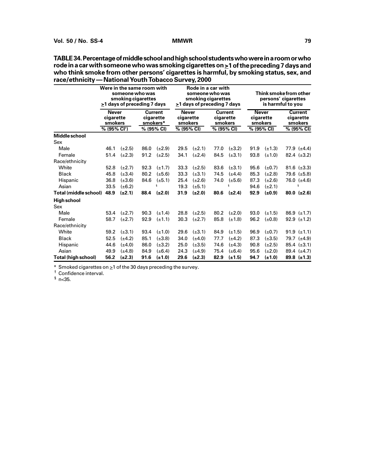| race/ethnicity — National Youth Topacco Survey, 2000 | Were in the same room with<br>someone who was<br>smoking cigarettes<br>>1 days of preceding 7 days |             |                                         | Rode in a car with<br>someone who was<br>smoking cigarettes<br>>1 days of preceding 7 days |                                      |             |                                        | Think smoke from other<br>persons' cigarettes<br>is harmful to you |                                      |             |                                               |                               |
|------------------------------------------------------|----------------------------------------------------------------------------------------------------|-------------|-----------------------------------------|--------------------------------------------------------------------------------------------|--------------------------------------|-------------|----------------------------------------|--------------------------------------------------------------------|--------------------------------------|-------------|-----------------------------------------------|-------------------------------|
|                                                      | Never<br>cigarette<br>smokers                                                                      |             | <b>Current</b><br>cigarette<br>smokers* |                                                                                            | <b>Never</b><br>cigarette<br>smokers |             | <b>Current</b><br>cigarette<br>smokers |                                                                    | <b>Never</b><br>cigarette<br>smokers |             | <b>Current</b><br>cigarette<br><b>smokers</b> |                               |
|                                                      | $% (95\% CI†)$                                                                                     |             |                                         | % (95% CI)                                                                                 | % (95% CI)                           |             | % (95% CI)                             |                                                                    | % (95% CI)                           |             |                                               | % (95% CI)                    |
| <b>Middle school</b>                                 |                                                                                                    |             |                                         |                                                                                            |                                      |             |                                        |                                                                    |                                      |             |                                               |                               |
| Sex                                                  |                                                                                                    |             |                                         |                                                                                            |                                      |             |                                        |                                                                    |                                      |             |                                               |                               |
| Male                                                 | 46.1                                                                                               | $(\pm 2.5)$ | 86.0                                    | $(\pm 2.9)$                                                                                | 29.5                                 | $(\pm 2.1)$ | 77.0                                   | $(\pm 3.2)$                                                        | 91.9                                 | $(\pm 1.3)$ |                                               | 77.9 $(\pm 4.4)$              |
| Female                                               | 51.4                                                                                               | $(\pm 2.3)$ | 91.2                                    | $(\pm 2.5)$                                                                                | 34.1                                 | $(\pm 2.4)$ | 84.5                                   | $(\pm 3.1)$                                                        | 93.8                                 | $(\pm 1.0)$ |                                               | 82.4 $(\pm 3.2)$              |
| Race/ethnicity                                       |                                                                                                    |             |                                         |                                                                                            |                                      |             |                                        |                                                                    |                                      |             |                                               |                               |
| White                                                | 52.8                                                                                               | $(\pm 2.7)$ | 92.3                                    | $(\pm 1.7)$                                                                                | 33.3                                 | $(\pm 2.5)$ | 83.6                                   | $(\pm 3.1)$                                                        | 95.6                                 | $(\pm 0.7)$ |                                               | 81.6 $(\pm 3.3)$              |
| <b>Black</b>                                         | 45.8                                                                                               | $(\pm 3.4)$ | 80.2                                    | $(\pm 5.6)$                                                                                | 33.3                                 | $(\pm 3.1)$ | 74.5                                   | $(\pm 4.4)$                                                        | 85.3                                 | $(\pm 2.8)$ |                                               | 79.6 (±5.8)                   |
| Hispanic                                             | 36.8                                                                                               | $(\pm 3.6)$ | 84.6                                    | $(\pm 5.1)$                                                                                | 25.4                                 | $(\pm 2.6)$ | 74.0                                   | $(\pm 5.6)$                                                        | 87.3                                 | $(\pm 2.6)$ |                                               | 76.0 $(\pm 4.6)$              |
| Asian                                                | 33.5                                                                                               | $(\pm 6.2)$ |                                         | ş                                                                                          | 19.3                                 | $(\pm 5.1)$ |                                        | ξ                                                                  | 94.6                                 | $(\pm 2.1)$ |                                               | ξ                             |
| Total (middle school)                                | 48.9                                                                                               | $(\pm 2.1)$ | 88.4                                    | $(\pm 2.0)$                                                                                | 31.9                                 | $(\pm 2.0)$ | 80.6                                   | $(\pm 2.4)$                                                        | 92.9                                 | $(\pm 0.9)$ |                                               | $80.0$ ( $\pm 2.6$ )          |
| <b>High school</b>                                   |                                                                                                    |             |                                         |                                                                                            |                                      |             |                                        |                                                                    |                                      |             |                                               |                               |
| Sex                                                  |                                                                                                    |             |                                         |                                                                                            |                                      |             |                                        |                                                                    |                                      |             |                                               |                               |
| Male                                                 | 53.4                                                                                               | $(\pm 2.7)$ | 90.3                                    | $(\pm 1.4)$                                                                                | 28.8                                 | $(\pm 2.5)$ | 80.2                                   | $(\pm 2.0)$                                                        | 93.0                                 | $(\pm 1.5)$ |                                               | 86.9 $(\pm 1.7)$              |
| Female                                               | 58.7                                                                                               | $(\pm 2.7)$ | 92.9                                    | $(\pm 1.1)$                                                                                | 30.3                                 | $(\pm 2.7)$ | 85.8                                   | $(\pm 1.8)$                                                        | 96.2                                 | (±0.8)      |                                               | 92.9 $(\pm 1.2)$              |
| Race/ethnicity                                       |                                                                                                    |             |                                         |                                                                                            |                                      |             |                                        |                                                                    |                                      |             |                                               |                               |
| White                                                | 59.2                                                                                               | $(\pm 3.1)$ | 93.4                                    | $(\pm 1.0)$                                                                                | 29.6                                 | $(\pm 3.1)$ | 84.9                                   | $(\pm 1.5)$                                                        | 96.9                                 | $(\pm 0.7)$ |                                               | 91.9 $(\pm 1.1)$              |
| <b>Black</b>                                         | 52.5                                                                                               | $(\pm 4.2)$ | 85.1                                    | $(\pm 3.8)$                                                                                | 34.0                                 | $(\pm 4.0)$ | 77.7                                   | $(\pm 4.2)$                                                        | 87.3                                 | $(\pm 3.5)$ |                                               | 79.7 $(\pm 4.9)$              |
| Hispanic                                             | 44.6                                                                                               | $(\pm 4.0)$ | 86.0                                    | $(\pm 3.2)$                                                                                | 25.0                                 | $(\pm 3.5)$ | 74.6                                   | $(\pm 4.3)$                                                        | 90.8                                 | $(\pm 2.5)$ |                                               | 85.4 $(\pm 3.1)$              |
| Asian                                                | 49.9                                                                                               | $(\pm 4.8)$ | 84.9                                    | $(\pm 6.4)$                                                                                | 24.3                                 | $(\pm 4.9)$ | 75.4                                   | $(\pm 6.4)$                                                        | 95.6                                 | $(\pm 2.0)$ |                                               | 89.4 $(\pm 4.7)$              |
| Total (high school)                                  | 56.2                                                                                               | $(\pm 2.3)$ | 91.6                                    | $(\pm 1.0)$                                                                                | 29.6                                 | $(\pm 2.3)$ | 82.9                                   | $(\pm 1.5)$                                                        | 94.7                                 | $(\pm 1.0)$ |                                               | $89.8 \left( \pm 1.3 \right)$ |

**TABLE 34. Percentage of middle school and high school students who were in a room or who rode in a car with someone who was smoking cigarettes on >1 of the preceding 7 days and who think smoke from other persons' cigarettes is harmful, by smoking status, sex, and race/ethnicity — National Youth Tobacco Survey, 2000**

\* Smoked cigarettes on  $\geq 1$  of the 30 days preceding the survey.

† Confidence interval.

 $\frac{1}{2}$  n < 35.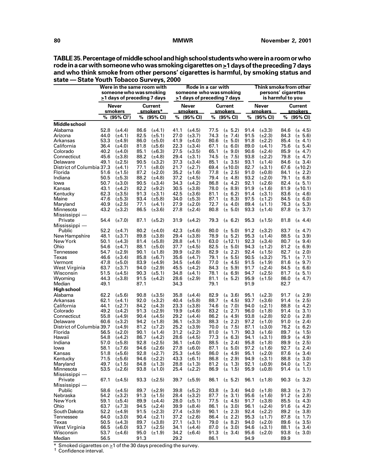| state - State Youth Tobacco Surveys, 2000 |              |                                                              |              |                            |                                               |                                   |              |                                               |              |                              |                   |                            |
|-------------------------------------------|--------------|--------------------------------------------------------------|--------------|----------------------------|-----------------------------------------------|-----------------------------------|--------------|-----------------------------------------------|--------------|------------------------------|-------------------|----------------------------|
|                                           |              | Were in the same room with                                   |              |                            | Rode in a car with<br>someone who was smoking |                                   |              | Think smoke from other<br>persons' cigarettes |              |                              |                   |                            |
|                                           |              | someone who was smoking<br>$\geq$ 1 days of preceding 7 days |              |                            |                                               | $\geq$ 1 days of preceding 7 days |              |                                               |              |                              | is harmful to you |                            |
|                                           |              | Never                                                        |              | Current                    |                                               | <b>Never</b>                      |              | <b>Current</b>                                |              | Never                        |                   | Current                    |
|                                           |              | smokers<br>% (95% CI <sup>+</sup> )                          |              | smokers*<br>% (95% CI)     |                                               | <u>smokers</u><br>% (95% CI)      |              | <u>smokers</u><br>% (95% CI)                  |              | <u>smokers</u><br>% (95% CI) |                   | smokers<br>% (95% CI)      |
| Middle school                             |              |                                                              |              |                            |                                               |                                   |              |                                               |              |                              |                   |                            |
| Alabama                                   | 52.8         | $(\pm 4.4)$                                                  | 86.6         | $(\pm 4.1)$                | 41.1                                          | $(\pm 4.5)$                       | 77.5         | $(\pm 5.2)$                                   | 91.4         | $(\pm 3.3)$                  | 84.6              | $(\pm 4.5)$                |
| Arizona                                   | 44.0         | $(\pm 4.1)$                                                  | 82.5         | $(\pm 5.1)$                | 27.0                                          | $(\pm 3.7)$                       | 74.3         | $(\pm 7.4)$                                   | 91.5         | $(\pm 2.3)$                  | 84.3              | $(\pm 5.6)$                |
| Arkansas                                  | 53.3         | $(\pm 4.9)$                                                  | 86.0         | $(\pm 5.0)$                | 41.9                                          | $(\pm 4.0)$                       | 80.6         | $(\pm 5.0)$                                   | 91.8         | $(\pm 2.2)$                  | 85.4              | $(\pm 4.1)$                |
| California                                | 36.4         | $(\pm 4.0)$                                                  | 81.8         | $(\pm 5.6)$                | 22.3                                          | $(\pm 3.4)$                       | 67.1         | $(\pm 6.0)$                                   | 89.0         | $(\pm 4.1)$                  | 75.6              | $(\pm 5.4)$                |
| Colorado                                  | 40.2         | $(\pm 4.0)$                                                  | 85.1         | $(\pm 6.3)$                | 27.5                                          | $(\pm 3.5)$                       | 65.1         | $(\pm 9.0)$                                   | 90.6         | $(\pm 2.4)$                  | 85.9              | $(\pm 4.7)$                |
| Connecticut                               | 45.6         | $(\pm 3.8)$                                                  | 88.2         | $(\pm 4.8)$                | 29.4                                          | $(\pm 3.1)$                       | 74.5         | $(\pm 7.5)$                                   | 93.8         | $(\pm 2.2)$                  | 79.8              | $(\pm 4.7)$                |
| Delaware                                  | 49.1         | $(\pm 2.5)$                                                  | 90.5         | $(\pm 3.2)$                | 37.3                                          | $(\pm 3.4)$                       | 85.1         | $(\pm 3.5)$                                   | 93.1         | $(\pm 1.4)$                  | 84.6              | $(\pm 3.4)$                |
| District of Columbia 37.3<br>Florida      |              | $(\pm 4.1)$                                                  | 77.1         | $(\pm 8.0)$                | 21.7                                          | $(\pm 2.7)$                       | 69.4         | $(\pm 10.0)$                                  | 82.7         | $(\pm 3.1)$                  | 67.6              | $(\pm 10.2)$               |
| Indiana                                   | 51.6         | $(\pm 1.5)$                                                  | 87.2<br>88.2 | $(\pm 2.0)$                | 35.2<br>37.2                                  | $(\pm 1.6)$                       | 77.8         | $(\pm 2.5)$                                   | 91.0<br>93.2 | $(\pm 0.8)$                  | 84.1<br>79.1      | $(\pm 2.2)$<br>$(\pm 6.8)$ |
| lowa                                      | 50.5<br>50.7 | $(\pm 5.3)$<br>$(\pm 3.0)$                                   | 90.5         | $(\pm 4.8)$<br>$(\pm 3.4)$ | 34.3                                          | $(\pm 4.5)$<br>$(\pm 4.2)$        | 79.4<br>86.8 | $(\pm 4.8)$<br>$(\pm 4.2)$                    | 92.1         | $(\pm 2.0)$<br>$(\pm 2.6)$   | 82.4              | $(\pm 5.1)$                |
| Kansas                                    | 43.1         | $(\pm 4.2)$                                                  | 82.2         | $(\pm 9.2)$                | 30.5                                          | $(\pm 3.8)$                       | 78.0         | $(\pm 8.9)$                                   | 91.9         | $(\pm 1.6)$                  | 81.9              | $(\pm 10.1)$               |
| Kentucky                                  | 62.3         | $(\pm 3.5)$                                                  | 91.3         | $(\pm 3.1)$                | 42.5                                          | $(\pm 3.6)$                       | 81.1         | $(\pm 6.2)$                                   | 91.4         | $(\pm 3.1)$                  | 83.6              | $(\pm 4.6)$                |
| Maine                                     | 47.6         | $(\pm 5.3)$                                                  | 93.4         | $(\pm 5.8)$                | 34.0                                          | $(\pm 5.3)$                       | 87.1         | $(\pm 8.3)$                                   | 97.5         | $(\pm 1.2)$                  | 84.5              | $(\pm 6.0)$                |
| Maryland                                  | 40.9         | $(\pm 2.5)$                                                  | 77.1         | $(\pm 4.1)$                | 27.9                                          | $(\pm 2.0)$                       | 72.7         | $(\pm 4.0)$                                   | 89.4         | $(\pm 1.1)$                  | 76.3              | $(\pm 5.3)$                |
| Minnesota                                 | 43.2         | $(\pm 3.2)$                                                  | 86.5         | $(\pm 3.6)$                | 27.8                                          | $(\pm 2.4)$                       | 80.8         | $(\pm 5.0)$                                   | 93.3         | $(\pm 1.4)$                  | 87.8              | $(\pm 3.7)$                |
| Mississippi -<br>Private                  | 54.4         | $(\pm 7.0)$                                                  | 87.1         | $(\pm 5.2)$                | 31.9                                          | $(\pm 4.2)$                       | 79.3         | $(\pm 6.2)$                                   | 95.3         | $(\pm 1.5)$                  | 81.8              | $(\pm 4.4)$                |
| Mississippi —                             |              |                                                              |              |                            |                                               |                                   |              |                                               |              |                              |                   |                            |
| Public                                    | 52.2         | $(\pm 4.7)$                                                  | 80.2         | $(\pm 4.0)$                | 42.3                                          | $(\pm 4.6)$                       | 80.0         | $(\pm 5.0)$                                   | 91.2         | $(\pm 3.2)$                  | 83.7              | $(\pm 4.7)$                |
| New Hampshire                             | 48.1         | $(\pm 3.7)$                                                  | 89.8         | $(\pm 3.8)$                | 29.4                                          | $(\pm 3.8)$                       | 78.9         | $(\pm 5.2)$                                   | 95.3         | $(\pm 1.4)$                  | 88.5              | $(\pm 3.9)$                |
| New York                                  | 50.1         | $(\pm 4.3)$                                                  | 81.4         | $(\pm 5.8)$                | 28.8                                          | $(\pm 4.1)$                       | 63.0         | $(\pm 12.1)$                                  | 92.3         | $(\pm 3.4)$                  | 80.7              | $(\pm 9.4)$                |
| Ohio                                      | 54.6         | $(\pm 4.7)$                                                  | 88.1         | $(\pm 5.0)$                | 37.7                                          | $(\pm 4.5)$                       | 82.5         | $(\pm 5.0)$                                   | 94.3         | $(\pm 1.2)$                  | 81.2              | $(\pm 6.9)$                |
| <b>Tennessee</b>                          | 54.7         | $(\pm 2.9)$                                                  | 90.1         | $(\pm 1.8)$                | 39.9                                          | $(\pm 2.8)$                       | 82.9         | $(\pm 2.2)$                                   | 92.4         | $(\pm 1.5)$                  | 82.7              | $(\pm 2.0)$                |
| Texas<br>Vermont                          | 46.6<br>47.8 | $(\pm 3.4)$                                                  | 85.8<br>83.9 | $(\pm 6.7)$                | 35.6                                          | $(\pm 4.7)$                       | 79.1<br>77.0 | $(\pm 5.5)$<br>$(\pm 4.5)$                    | 90.5         | $(\pm 3.2)$<br>$(\pm 1.9)$   | 75.1<br>81.6      | $(\pm 7.1)$<br>$(\pm 9.7)$ |
| West Virginia                             | 63.7         | $(\pm 5.0)$<br>$(\pm 3.7)$                                   | 94.0         | $(\pm 4.9)$<br>$(\pm 2.9)$ | 34.5<br>45.5                                  | $(\pm 4.6)$<br>$(\pm 4.2)$        | 84.3         | $(\pm 5.9)$                                   | 91.5<br>91.7 | $(\pm 2.4)$                  | 84.5              | $(\pm 6.6)$                |
| Wisconsin                                 | 51.5         | $(\pm 4.5)$                                                  | 90.3         | $(\pm 5.1)$                | 34.8                                          | $(\pm 4.1)$                       | 78.1         | $(\pm 6.9)$                                   | 94.7         | $(\pm 2.5)$                  | 81.7              | $(\pm 5.1)$                |
| Wyoming                                   | 44.3         | $(\pm 3.8)$                                                  | 91.5         | $(\pm 4.2)$                | 28.6                                          | $(\pm 2.9)$                       | 81.1         | $(\pm 5.2)$                                   | 95.9         | $(\pm 1.5)$                  | 86.0              | $(\pm 4.7)$                |
| Median                                    | 49.1         |                                                              | 87.1         |                            | 34.3                                          |                                   | 79.1         |                                               | 91.9         |                              | 82.7              |                            |
| <b>High school</b>                        |              |                                                              |              |                            |                                               |                                   |              |                                               |              |                              |                   |                            |
| Alabama                                   | 62.2         | $(\pm 5.6)$                                                  | 90.8         | $(\pm 3.5)$                | 35.8                                          | $(\pm 4.4)$                       | 82.9         | $(\pm 3.6)$                                   | 95.1         | $(\pm 2.3)$                  | 91.7              | $(\pm 2.9)$                |
| Arkansas                                  | 62.1         | $(\pm 4.1)$                                                  | 92.0         | $(\pm 3.2)$                | 40.4                                          | $(\pm 5.8)$                       | 88.7         | $(\pm 4.5)$                                   | 93.7         | $(\pm 3.6)$                  | 91.4              | $(\pm 2.5)$                |
| California                                | 44.1         | $(\pm 2.7)$                                                  | 84.2         | $(\pm 4.3)$                | 23.3                                          | $(\pm 3.8)$                       | 74.6         | $(\pm 7.0)$                                   | 94.0         | $(\pm 2.1)$                  | 88.8              | $(\pm 4.2)$                |
| Colorado                                  | 49.2         | $(\pm 4.2)$                                                  | 91.3         | $(\pm 2.9)$                | 19.9                                          | $(\pm 4.6)$                       | 83.2         | $(\pm 2.7)$                                   | 96.0         | $(\pm 1.8)$                  | 91.4              | 3.1)<br>$(\pm$             |
| Connecticut                               | 55.8         | $(\pm 4.9)$                                                  | 90.4         | $(\pm 4.5)$                | 29.2                                          | $(\pm 4.4)$                       | 86.2         | $(\pm 4.9)$                                   | 93.8         | $(\pm 2.8)$                  | 92.0              | $(\pm 2.8)$                |
| Delaware                                  | 60.6         | $(\pm 3.2)$                                                  | 94.2         | $(\pm 1.8)$                | 36.1                                          | $(\pm 3.3)$                       | 88.3         | $(\pm 2.2)$                                   | 97.2         | $(\pm 1.0)$                  | 91.0              | $(\pm 2.4)$                |
| District of Columbia 39.7                 |              | $(\pm 4.9)$                                                  | 81.2         | $(\pm 7.2)$                | 25.2                                          | $(\pm 3.9)$                       | 70.0         | $(\pm 7.5)$                                   | 87.1         | $(\pm 3.0)$                  | 76.2              | $(\pm 6.2)$                |
| Florida                                   | 56.5         | $(\pm 2.0)$                                                  | 90.1         | $(\pm 1.4)$                | 31.2                                          | $(\pm 2.2)$                       | 81.0         | $(\pm 1.7)$                                   | 90.3         | $(\pm 1.6)$                  | 89.7              | $(\pm 1.5)$                |
| Hawaii                                    | 54.8         | $(\pm 4.2)$                                                  | 86.7         | $(\pm 4.2)$                | 28.6                                          | $(\pm 4.5)$                       | 77.3         | $(\pm 6.3)$                                   | 94.1         | $(\pm 3.1)$                  | 89.9              | $(\pm 4.9)$                |
| Indiana                                   | 57.0         | $(\pm 5.8)$                                                  | 92.8         | $(\pm 2.5)$                |                                               | 36.1 $(\pm 4.0)$                  |              | 88.5 ( $\pm$ 2.4)                             | 95.8         | $(\pm 1.8)$                  | 89.9              | $(\pm 2.5)$                |
| lowa                                      | 58.1         | $(\pm 7.6)$                                                  | 94.6         | $(\pm 2.6)$                | 27.8                                          | $(\pm 6.0)$                       | 87.1         | $(\pm 5.0)$                                   | 97.2         | $(\pm 1.6)$                  | 92.7              | $(\pm 2.4)$                |
| Kansas<br>Kentucky                        | 51.8<br>71.5 | $(\pm 5.6)$<br>$(\pm 5.6)$                                   | 92.8<br>94.6 | $(\pm 2.7)$<br>$(\pm 2.2)$ | 25.3<br>43.3                                  | $(\pm 4.5)$<br>$(\pm 6.1)$        | 86.0<br>86.8 | $(\pm 4.9)$<br>$(\pm 2.9)$                    | 95.1<br>94.9 | $(\pm 2.0)$<br>$(\pm 3.1)$   | 87.6<br>88.8      | $(\pm 3.4)$<br>$(\pm 3.0)$ |
| Maryland                                  | 49.7         | $(\pm 1.5)$                                                  | 84.8         | $(\pm 1.3)$                | 28.8                                          | $(\pm 1.3)$                       | 81.2         | $(\pm 1.3)$                                   | 92.1         | $(\pm 0.9)$                  | 84.0              | $(\pm 1.2)$                |
| Minnesota                                 | 53.5         | $(\pm 2.6)$                                                  | 93.8         | $(\pm 1.0)$                | 25.4                                          | $(\pm 2.2)$                       | 86.9         | $(\pm 1.5)$                                   | 95.9         | $(\pm 0.8)$                  | 91.4              | $(\pm 1.1)$                |
| $Mississippi$ —                           |              |                                                              |              |                            |                                               |                                   |              |                                               |              |                              |                   |                            |
| Private                                   | 67.1         | $(\pm 4.5)$                                                  | 93.3         | $(\pm 2.5)$                | 39.7                                          | $(\pm 5.9)$                       | 86.1         | $(\pm 5.2)$                                   | 96.1         | $(\pm 1.8)$                  | 90.3              | $(\pm 3.2)$                |
| Mississippi -                             |              |                                                              |              |                            |                                               |                                   |              |                                               |              |                              |                   |                            |
| Public                                    | 58.6         | $(\pm 4.5)$                                                  | 89.7         | $(\pm 2.9)$                | 39.8                                          | $(\pm 5.2)$                       | 83.8         | $(\pm 3.4)$                                   | 94.0         | $(\pm 1.8)$                  | 88.3              | $(\pm 3.7)$                |
| Nebraska                                  | 54.2         | $(\pm 3.2)$                                                  | 91.3         | $(\pm 1.5)$                | 28.4                                          | $(\pm 3.2)$                       | 87.7         | $(\pm 3.1)$                                   | 95.6         | $(\pm 1.6)$                  | 91.2              | $(\pm 2.8)$                |
| New York                                  | 59.1         | $(\pm 5.4)$                                                  | 89.9         | $(\pm 4.4)$                | 28.0                                          | $(\pm 5.1)$                       | 77.5         | $(\pm 4.5)$                                   | 91.7         | $(\pm 3.8)$                  | 85.5              | $(\pm 4.3)$                |
| Ohio                                      | 63.7         | $(\pm 7.3)$                                                  | 94.5         | $(\pm 2.4)$                | 39.9                                          | $(\pm 8.4)$                       | 86.1         | $(\pm 3.0)$                                   | 96.1         | $(\pm 2.4)$                  | 91.6              | $(\pm 4.2)$                |
| South Dakota                              | 52.2         | $(\pm 4.9)$                                                  | 91.5         | $(\pm 2.3)$                | 27.4                                          | $(\pm 3.9)$                       | 90.1         | $(\pm 2.3)$                                   | 92.4         | $(\pm 2.2)$                  | 89.2              | $(\pm 3.8)$                |
| Tennessee                                 | 64.0         | $(\pm 3.0)$                                                  | 90.4         | $(\pm 2.1)$                | 37.2                                          | $(\pm 2.6)$                       | 86.4         | $(\pm 2.2)$                                   | 95.3         | $(\pm 1.7)$                  | 87.8              | $(\pm 1.7)$                |
| Texas                                     | 50.5         | $(\pm 4.3)$                                                  | 89.7         | $(\pm 3.8)$                | 27.1                                          | $(\pm 3.1)$                       | 79.0         | $(\pm 8.2)$                                   | 94.0         | $(\pm 2.0)$                  | 89.6              | $(\pm 3.5)$                |
| West Virginia                             | 66.5         | $(\pm 6.0)$                                                  | 93.7         | $(\pm 2.5)$                | 34.1                                          | $(\pm 4.4)$                       | 87.0         | $(\pm 3.0)$                                   | 94.6         | $(\pm 3.1)$                  | 88.1              | $(\pm 3.4)$                |
| Wisconsin                                 | 53.7         | $(\pm 4.6)$                                                  | 95.0         | $(\pm 1.9)$                | 34.2                                          | $(\pm 6.4)$                       | 91.3         | $(\pm 3.4)$                                   | 95.6         | $(\pm 2.0)$                  | 93.8              | $(\pm 3.0)$                |
| Median                                    | 56.5         |                                                              | 91.3         |                            | 29.2                                          |                                   | 86.1         |                                               | 94.9         |                              | 89.9              |                            |

**TABLE 35. Percentage of middle school and high school students who were in a room or who rode in a car with someone who was smoking cigarettes on >1 days of the preceding 7 days and who think smoke from other persons' cigarettes is harmful, by smoking status and**

 $*$  Smoked cigarettes on  $\geq$ 1 of the 30 days preceding the survey.<br>
<sup>†</sup> Confidence interval.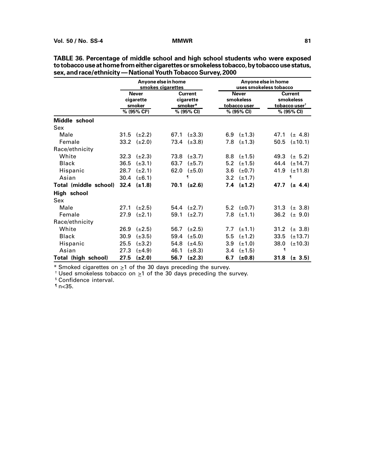|                              | Anyone else in home<br>smokes cigarettes |                   |      |                                        |     |                                           | Anyone else in home<br>uses smokeless tobacco |                                                          |  |  |
|------------------------------|------------------------------------------|-------------------|------|----------------------------------------|-----|-------------------------------------------|-----------------------------------------------|----------------------------------------------------------|--|--|
|                              | <b>Never</b><br>cigarette<br>smoker      |                   |      | <b>Current</b><br>cigarette<br>smoker* |     | <b>Never</b><br>smokeless<br>tobacco user |                                               | <b>Current</b><br>smokeless<br>tobacco user <sup>†</sup> |  |  |
|                              |                                          | $% (95\% CI^{s})$ |      | % (95% CI)                             |     | % (95% CI)                                |                                               | % (95% CI)                                               |  |  |
| Middle school                |                                          |                   |      |                                        |     |                                           |                                               |                                                          |  |  |
| Sex                          |                                          |                   |      |                                        |     |                                           |                                               |                                                          |  |  |
| Male                         | 31.5                                     | $(\pm 2.2)$       | 67.1 | $(\pm 3.3)$                            | 6.9 | $(\pm 1.3)$                               | 47.1                                          | $(\pm 4.8)$                                              |  |  |
| Female                       | 33.2                                     | $(\pm 2.0)$       | 73.4 | $(\pm 3.8)$                            | 7.8 | $(\pm 1.3)$                               | 50.5                                          | $(\pm 10.1)$                                             |  |  |
| Race/ethnicity               |                                          |                   |      |                                        |     |                                           |                                               |                                                          |  |  |
| White                        | 32.3                                     | $(\pm 2.3)$       | 73.8 | $(\pm 3.7)$                            | 8.8 | $(\pm 1.5)$                               | 49.3                                          | $(\pm 5.2)$                                              |  |  |
| <b>Black</b>                 | 36.5                                     | $(\pm 3.1)$       | 63.7 | $(\pm 5.7)$                            | 5.2 | $(\pm 1.5)$                               | 44.4                                          | $(\pm 14.7)$                                             |  |  |
| Hispanic                     | 28.7                                     | $(\pm 2.1)$       | 62.0 | $(\pm 5.0)$                            | 3.6 | $(\pm 0.7)$                               | 41.9                                          | $(\pm 11.8)$                                             |  |  |
| Asian                        | 30.4                                     | $(\pm 6.1)$       |      | ſ                                      | 3.2 | $(\pm 1.7)$                               |                                               |                                                          |  |  |
| <b>Total (middle school)</b> | 32.4                                     | $(\pm 1.8)$       | 70.1 | $(\pm 2.6)$                            | 7.4 | $(\pm 1.2)$                               | 47.7                                          | $(\pm 4.4)$                                              |  |  |
| High school                  |                                          |                   |      |                                        |     |                                           |                                               |                                                          |  |  |
| Sex                          |                                          |                   |      |                                        |     |                                           |                                               |                                                          |  |  |
| Male                         | 27.1                                     | $(\pm 2.5)$       | 54.4 | $(\pm 2.7)$                            |     | 5.2 $(\pm 0.7)$                           |                                               | 31.3 ( $\pm$ 3.8)                                        |  |  |
| Female                       | 27.9                                     | $(\pm 2.1)$       | 59.1 | $(\pm 2.7)$                            | 7.8 | $(\pm 1.1)$                               | 36.2                                          | $(\pm 9.0)$                                              |  |  |
| Race/ethnicity               |                                          |                   |      |                                        |     |                                           |                                               |                                                          |  |  |
| White                        | 26.9                                     | $(\pm 2.5)$       | 56.7 | $(\pm 2.5)$                            | 7.7 | $(\pm 1.1)$                               | 31.2                                          | $(\pm 3.8)$                                              |  |  |
| <b>Black</b>                 | 30.9                                     | $(\pm 3.5)$       | 59.4 | $(\pm 5.0)$                            | 5.5 | $(\pm 1.2)$                               | 33.5                                          | $(\pm 13.7)$                                             |  |  |
| Hispanic                     | 25.5                                     | $(\pm 3.2)$       | 54.8 | $(\pm 4.5)$                            | 3.9 | $(\pm 1.0)$                               | 38.0                                          | $(\pm 10.3)$                                             |  |  |
| Asian                        | 27.3                                     | $(\pm 4.9)$       | 46.1 | $(\pm 8.3)$                            | 3.4 | $(\pm 1.5)$                               | ſ                                             |                                                          |  |  |
| <b>Total (high school)</b>   | 27.5                                     | $(\pm 2.0)$       | 56.7 | $(\pm 2.3)$                            | 6.7 | (±0.8)                                    | 31.8                                          | $(\pm 3.5)$                                              |  |  |

**TABLE 36. Percentage of middle school and high school students who were exposed to tobacco use at home from either cigarettes or smokeless tobacco, by tobacco use status, sex, and race/ethnicity — National Youth Tobacco Survey, 2000**

\* Smoked cigarettes on  $\geq 1$  of the 30 days preceding the survey.

<sup>†</sup> Used smokeless tobacco on  $\geq 1$  of the 30 days preceding the survey.

§ Confidence interval.

 $n < 35$ .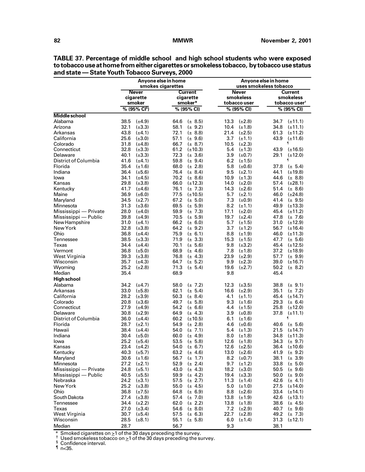|                       |                                            | Anyone else in home<br>smokes cigarettes   | Anyone else in home<br>uses smokeless tobacco |                                             |  |  |
|-----------------------|--------------------------------------------|--------------------------------------------|-----------------------------------------------|---------------------------------------------|--|--|
|                       | <b>Never</b>                               | <b>Current</b>                             | <b>Never</b>                                  | <b>Current</b>                              |  |  |
|                       | cigarette                                  | cigarette                                  | smokeless                                     | smokeless                                   |  |  |
|                       | smoker                                     | smoker*                                    | tobacco user                                  | tobacco user <sup>†</sup>                   |  |  |
|                       | % (95% CI <sup>s</sup> )                   | % (95% CI)                                 | % (95% CI)                                    | % (95% CI)                                  |  |  |
| <b>Middle school</b>  |                                            |                                            |                                               |                                             |  |  |
| Alabama               | 38.5                                       | 64.6                                       | 13.3                                          | 34.7                                        |  |  |
|                       | $(\pm 4.9)$                                | $(\pm 8.5)$                                | $(\pm 2.8)$                                   | $(\pm 11.1)$                                |  |  |
| Arizona               | 32.1                                       | 58.1                                       | 10.4                                          | 34.8                                        |  |  |
|                       | $(\pm 3.3)$                                | $(\pm 9.2)$                                | $(\pm 1.8)$                                   | $(\pm 11.1)$                                |  |  |
| Arkansas              | 43.8                                       | 72.1                                       | 21.4                                          | 61.3                                        |  |  |
|                       | $(\pm 4.1)$                                | $(\pm 8.8)$                                | $(\pm 2.5)$                                   | $(\pm 11.2)$                                |  |  |
| California            | 25.6<br>$(\pm 3.0)$                        | 57.1<br>$(\pm 9.6)$                        | 3.7<br>$(\pm 1.1)$                            | 43.9<br>$(\pm 11.6)$<br>ſ                   |  |  |
| Colorado              | 31.8                                       | 66.7                                       | 10.5                                          |                                             |  |  |
| Connecticut           | $(\pm 4.8)$                                | $(\pm 8.7)$                                | $(\pm 2.3)$                                   |                                             |  |  |
| Delaware              | 32.8                                       | 61.2                                       | 5.4                                           | 43.9                                        |  |  |
|                       | $(\pm 3.3)$                                | $(\pm 10.3)$                               | $(\pm 1.3)$                                   | $(\pm 16.5)$                                |  |  |
|                       | 40.1                                       | 72.3                                       | 3.9                                           | 29.1                                        |  |  |
|                       | $(\pm 3.3)$                                | $(\pm 3.6)$                                | $(\pm 0.7)$                                   | $(\pm 12.0)$                                |  |  |
| District of Columbia  | 41.6<br>$(\pm 4.1)$                        | 59.8<br>$(\pm 9.4)$                        | 6.2<br>$(\pm 1.5)$                            | 1                                           |  |  |
| Florida               | 35.4                                       | 68.0                                       | 5.8                                           | 37.8                                        |  |  |
|                       | $(\pm 1.6)$                                | $(\pm 2.8)$                                | $(\pm 0.6)$                                   | $(\pm 5.4)$                                 |  |  |
| Indiana               | 36.4                                       | 76.4                                       | 9.5                                           | 44.1                                        |  |  |
|                       | $(\pm 5.6)$                                | $(\pm 8.4)$                                | $(\pm 2.1)$                                   | $(\pm 19.8)$                                |  |  |
| lowa                  | 34.1                                       | 70.2                                       | 10.9                                          | 44.6                                        |  |  |
|                       | $(\pm 4.5)$                                | $(\pm 8.6)$                                | $(\pm 1.3)$                                   | $(\pm 8.8)$                                 |  |  |
| Kansas                | 29.8                                       | 66.0                                       | 14.0                                          | 57.4                                        |  |  |
|                       | $(\pm 3.8)$                                | $(\pm 12.3)$                               | $(\pm 2.0)$                                   | $(\pm 28.1)$                                |  |  |
| Kentucky              | 41.7                                       | 76.1                                       | 14.3                                          | 51.4                                        |  |  |
|                       | $(\pm 4.6)$                                | $(\pm 7.3)$                                | $(\pm 2.6)$                                   | $(\pm 8.6)$                                 |  |  |
| Maine                 | 36.9                                       | 77.5                                       | 5.7                                           | 46.0                                        |  |  |
|                       | $(\pm 6.0)$                                | $(\pm 10.5)$                               | $(\pm 2.1)$                                   | $(\pm 24.8)$                                |  |  |
| Maryland              | 34.5                                       | 67.2                                       | 7.3                                           | 41.4                                        |  |  |
|                       | $(\pm 2.7)$                                | $(\pm 5.0)$                                | $(\pm 0.9)$                                   | $(\pm 9.5)$                                 |  |  |
| Minnesota             | 31.3                                       | 69.5                                       | 8.2                                           | 49.9                                        |  |  |
|                       | $(\pm 3.6)$                                | $(\pm 5.9)$                                | $(\pm 1.1)$                                   | $(\pm 13.3)$                                |  |  |
| Mississippi - Private | 28.0                                       | 59.9                                       | 17.1                                          | 45.4                                        |  |  |
|                       | $(\pm 4.0)$                                | $(\pm 7.3)$                                | $(\pm 2.0)$                                   | $(\pm 11.2)$                                |  |  |
| Mississippi — Public  | 39.8                                       | 70.5                                       | 19.7                                          | 47.8                                        |  |  |
|                       | $(\pm 4.9)$                                | $(\pm 5.9)$                                | $(\pm 2.4)$                                   | $(\pm 7.6)$                                 |  |  |
| New Hampshire         | 31.0                                       | 66.2                                       | 5.7                                           | 31.0                                        |  |  |
|                       | $(\pm 4.1)$                                | $(\pm 6.0)$                                | $(\pm 1.5)$                                   | $(\pm 12.9)$                                |  |  |
| New York              | 32.8                                       | 64.2                                       | 3.7                                           | 56.7                                        |  |  |
|                       | $(\pm 3.8)$                                | $(\pm 9.2)$                                | $(\pm 1.2)$                                   | $(\pm 16.4)$                                |  |  |
| Ohio                  | 36.8                                       | 75.9                                       | 8.8                                           | 46.0                                        |  |  |
|                       | $(\pm 4.4)$                                | $(\pm 6.1)$                                | $(\pm 1.9)$                                   | $(\pm 11.3)$                                |  |  |
| Tennessee<br>Texas    | 38.5<br>$(\pm 3.3)$<br>34.4                | 71.9<br>$(\pm 3.3)$<br>70.1                | 15.3<br>$(\pm 1.5)$<br>9.8                    | 47.7<br>$(\pm 5.6)$<br>45.4<br>$(\pm 12.5)$ |  |  |
| Vermont               | $(\pm 4.4)$<br>36.8<br>$(\pm 5.0)$         | $(\pm 5.6)$<br>68.9<br>$(\pm 4.6)$         | $(\pm 3.2)$<br>7.8<br>$(\pm 1.8)$             | 37.2<br>$(\pm 18.9)$                        |  |  |
| West Virginia         | 39.3                                       | 76.8                                       | 23.9                                          | 57.7                                        |  |  |
|                       | $(\pm 3.8)$                                | $(\pm 4.3)$                                | $(\pm 2.9)$                                   | $(\pm 9.9)$                                 |  |  |
| Wisconsin             | 35.7                                       | 64.7                                       | 9.9                                           | 39.0                                        |  |  |
|                       | $(\pm 4.3)$                                | $(\pm 5.2)$                                | $(\pm 2.3)$                                   | $(\pm 16.7)$                                |  |  |
| Wyoming               | 25.2                                       | 71.3                                       | 19.6                                          | 50.2                                        |  |  |
|                       | $(\pm 2.8)$                                | $(\pm 5.4)$                                | $(\pm 2.7)$                                   | $(\pm 8.2)$                                 |  |  |
| Median                | 35.4                                       | 68.9                                       | 9.8                                           | 45.4                                        |  |  |
| <b>High school</b>    |                                            |                                            |                                               |                                             |  |  |
| Alabama               | 34.2                                       | 58.0                                       | 12.3                                          | 38.8                                        |  |  |
|                       | $(\pm 4.7)$                                | $(\pm 7.2)$                                | $(\pm 3.5)$                                   | $(\pm 9.1)$                                 |  |  |
| Arkansas              | 33.0                                       | 62.1                                       | 16.6                                          | 35.1                                        |  |  |
|                       | $(\pm 5.8)$                                | $(\pm 5.4)$                                | $(\pm 2.9)$                                   | $(\pm 7.2)$                                 |  |  |
| California            | 28.2                                       | 50.3                                       | 4.1                                           | 45.4                                        |  |  |
|                       | $(\pm 3.9)$                                | $(\pm 8.4)$                                | $(\pm 1.1)$                                   | $(\pm 14.7)$                                |  |  |
| Colorado              | 20.8                                       | 49.7                                       | 9.3                                           | 29.3                                        |  |  |
|                       | $(\pm 3.6)$                                | $(\pm 5.8)$                                | $(\pm 1.6)$                                   | $(\pm 6.4)$                                 |  |  |
| Connecticut           | 27.9                                       | 54.2                                       | 4.4                                           | 25.8                                        |  |  |
|                       | $(\pm 4.9)$                                | $(\pm 6.6)$                                | $(\pm 1.5)$                                   | $(\pm 12.0)$                                |  |  |
| Delaware              | 30.8                                       | 64.9                                       | 3.9                                           | 37.8                                        |  |  |
|                       | $(\pm 2.9)$                                | $(\pm 4.3)$                                | $(\pm 0.8)$                                   | $(\pm 11.1)$                                |  |  |
| District of Columbia  | 36.0<br>$(\pm 4.4)$                        | 60.2<br>$(\pm 10.5)$                       | 6.1<br>$(\pm 1.6)$                            | ſ                                           |  |  |
| Florida               | 28.7                                       | 54.9                                       | 4.6                                           | 40.6                                        |  |  |
|                       | $(\pm 2.1)$                                | $(\pm 2.8)$                                | $(\pm 0.6)$                                   | $(\pm 5.6)$                                 |  |  |
| Hawaii                | 38.4                                       | 54.0                                       | 5.4                                           | 21.5                                        |  |  |
|                       | $(\pm 4.4)$                                | $(\pm 7.1)$                                | $(\pm 1.3)$                                   | $(\pm 14.7)$                                |  |  |
| Indiana               | 30.4<br>$(\pm 5.0)$<br>25.2<br>$(\pm 5.4)$ | 60.0<br>$(\pm 4.9)$                        | 8.0<br>$(\pm 1.8)$<br>12.6                    | 34.8<br>$(\pm 11.3)$<br>34.3                |  |  |
| lowa<br>Kansas        | 23.4<br>$(\pm 4.2)$                        | 53.5<br>$(\pm 5.8)$<br>$(\pm 6.7)$<br>54.0 | $(\pm 1.8)$<br>$(\pm 2.5)$<br>12.6            | $(\pm 9.7)$<br>36.4<br>$(\pm 10.6)$         |  |  |
| Kentucky              | 40.3                                       | 63.2                                       | 13.0                                          | 41.9                                        |  |  |
|                       | $(\pm 5.7)$                                | $(\pm 4.6)$                                | $(\pm 2.6)$                                   | $(\pm 9.2)$                                 |  |  |
| Maryland              | 30.6                                       | 56.7                                       | 8.2                                           | 38.1                                        |  |  |
|                       | $(\pm 1.6)$                                | $(\pm 1.7)$                                | $(\pm 0.7)$                                   | $(\pm 3.9)$                                 |  |  |
| Minnesota             | 27.2                                       | 52.9                                       | 9.7                                           | 33.8                                        |  |  |
|                       | $(\pm 2.1)$                                | $(\pm 2.4)$                                | $(\pm 1.2)$                                   | $(\pm 5.0)$                                 |  |  |
| Mississippi - Private | 24.8                                       | 43.0                                       | 18.2                                          | 50.5                                        |  |  |
|                       | $(\pm 5.1)$                                | $(\pm 4.3)$                                | $(\pm 3.0)$                                   | $(\pm 9.6)$                                 |  |  |
| Mississippi — Public  | 40.5                                       | 59.9                                       | 19.4                                          | 50.0                                        |  |  |
|                       | $(\pm 5.5)$                                | $(\pm 4.2)$                                | $(\pm 3.3)$                                   | $(\pm 9.0)$                                 |  |  |
| Nebraska              | 24.2                                       | 57.5                                       | 11.3                                          | 42.6                                        |  |  |
|                       | $(\pm 3.1)$                                | $(\pm 2.7)$                                | $(\pm 1.4)$                                   | $(\pm 4.1)$                                 |  |  |
| New York              | 25.2                                       | 55.0                                       | 5.0                                           | 27.5                                        |  |  |
|                       | $(\pm 3.8)$                                | $(\pm 4.5)$                                | $(\pm 1.0)$                                   | $(\pm 14.0)$                                |  |  |
| Ohio                  | 36.8                                       | 64.8                                       | 8.8                                           | 33.4                                        |  |  |
|                       | $(\pm 7.5)$                                | $(\pm 6.9)$                                | $(\pm 2.6)$                                   | $(\pm 14.1)$                                |  |  |
| South Dakota          | 27.4                                       | 57.4                                       | $(\pm 1.9)$                                   | 42.6                                        |  |  |
|                       | $(\pm 3.8)$                                | $(\pm 7.0)$                                | 13.8                                          | $(\pm 13.1)$                                |  |  |
| Tennessee             | 34.4                                       | 62.0                                       | 13.8                                          | 38.6                                        |  |  |
|                       | $(\pm 2.2)$                                | $(\pm 2.2)$                                | $(\pm 1.8)$                                   | $(\pm 4.5)$                                 |  |  |
| Texas                 | 27.0                                       | 54.6                                       | 7.2                                           | 40.7                                        |  |  |
|                       | $(\pm 3.4)$                                | $(\pm 8.0)$                                | $(\pm 2.9)$                                   | $(\pm 9.6)$                                 |  |  |
| West Virginia         | 30.7                                       | 57.5                                       | 22.7                                          | 49.2                                        |  |  |
|                       | $(\pm 5.4)$                                | $(\pm 6.3)$                                | $(\pm 2.8)$                                   | $(\pm 7.3)$                                 |  |  |
| Wisconsin             | 28.5                                       | 55.1                                       | 6.0                                           | 31.3                                        |  |  |
|                       | $(\pm 8.1)$                                | $(\pm 5.8)$                                | $(\pm 1.4)$                                   | $(\pm 12.1)$                                |  |  |
| Median                | 28.7                                       | 56.7                                       | 9.3                                           | 38.1                                        |  |  |

**TABLE 37. Percentage of middle school and high school students who were exposed to tobacco use at home from either cigarettes or smokeless tobacco, by tobacco use status and state — State Youth Tobacco Surveys, 2000**

\* Smoked cigarettes on  $\geq 1$  of the 30 days preceding the survey.<br><sup>†</sup> Used smokeless tobacco on  $\geq 1$  of the 30 days preceding the survey.<br>§ Confidence interval.

 $\sqrt[n]{n}$  n<35.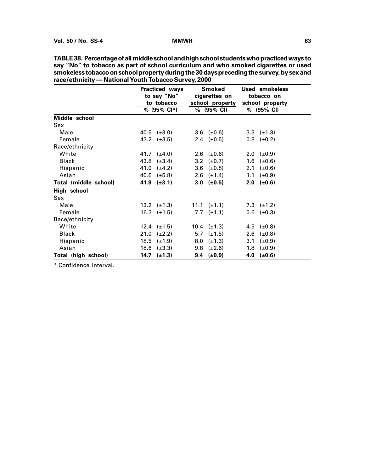|                       | <b>Practiced ways</b><br>to tobacco | Smoked<br>to say "No" cigarettes on | Used smokeless<br>tobacco on<br>school property school property |
|-----------------------|-------------------------------------|-------------------------------------|-----------------------------------------------------------------|
|                       | % (95% CI*)                         | $\frac{9}{6}$ (95% CI)              | % (95% CI)                                                      |
| Middle school         |                                     |                                     |                                                                 |
| Sex                   |                                     |                                     |                                                                 |
| Male                  | 40.5 $(\pm 3.0)$                    | 3.6 $(\pm 0.6)$                     | 3.3 $(\pm 1.3)$                                                 |
| Female                | 43.2 $(\pm 3.5)$                    | 2.4 $(\pm 0.5)$                     | $0.8$ ( $\pm 0.2$ )                                             |
| Race/ethnicity        |                                     |                                     |                                                                 |
| White                 | 41.7 $(\pm 4.0)$                    | 2.6 $(\pm 0.6)$                     | 2.0 $(\pm 0.9)$                                                 |
| <b>Black</b>          | 43.8 $(\pm 3.4)$                    | 3.2 $(\pm 0.7)$                     | 1.6 $(\pm 0.6)$                                                 |
| Hispanic              | 41.0 $(\pm 4.2)$                    | $3.6 \left( \pm 0.8 \right)$        | 2.1 $(\pm 0.6)$                                                 |
| Asian                 | 40.6 $(\pm 5.8)$                    | 2.6 $(\pm 1.4)$                     | 1.1 $(\pm 0.9)$                                                 |
| Total (middle school) | 41.9 $(\pm 3.1)$                    | $3.0 \left( \pm 0.5 \right)$        | $2.0$ (±0.6)                                                    |
| High school           |                                     |                                     |                                                                 |
| Sex                   |                                     |                                     |                                                                 |
| Male                  | 13.2 $(\pm 1.3)$                    | 11.1 $(\pm 1.1)$                    | 7.3 $(\pm 1.2)$                                                 |
| Female                | 16.3 $(\pm 1.5)$                    | 7.7 ( $\pm$ 1.1)                    | $0.6$ ( $\pm 0.3$ )                                             |
| Race/ethnicity        |                                     |                                     |                                                                 |
| White                 | 12.4 $(\pm 1.5)$                    | 10.4 $(\pm 1.3)$                    | 4.5 $(\pm 0.8)$                                                 |
| <b>Black</b>          | $21.0 \left( \pm 2.2 \right)$       | 5.7 $(\pm 1.5)$                     | 2.6 $(\pm 0.8)$                                                 |
| Hispanic              | 18.5 $(\pm 1.9)$                    | 8.0 $(\pm 1.3)$                     | 3.1 $(\pm 0.9)$                                                 |
| Asian                 | 18.6 $(\pm 3.3)$                    | $9.8$ ( $\pm 2.6$ )                 | 1.8 $(\pm 0.9)$                                                 |
| Total (high school)   | 14.7 $(\pm 1.3)$                    | $9.4$ (±0.9)                        | 4.0 $(\pm 0.6)$                                                 |

**TABLE 38. Percentage of all middle school and high school students who practiced ways to say "No" to tobacco as part of school curriculum and who smoked cigarettes or used smokeless tobacco on school property during the 30 days preceding the survey, by sex and race/ethnicity — National Youth Tobacco Survey, 2000**

\* Confidence interval.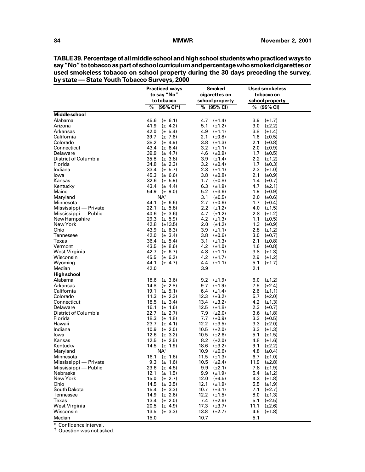|                       | <b>Practiced ways</b>                   | <b>Smoked</b>                          | <b>Used smokeless</b>                 |
|-----------------------|-----------------------------------------|----------------------------------------|---------------------------------------|
|                       | to say "No"                             | cigarettes on                          | tobacco on                            |
|                       | to tobacco                              | school property                        | school property                       |
|                       | %<br>$(95\% \text{ Cl*})$               | % (95% CI)                             | % (95% CI)                            |
| Middle school         |                                         |                                        |                                       |
| Alabama               | 45.6                                    | 4.7                                    | 3.9                                   |
|                       | $(\pm 6.1)$                             | $(\pm 1.4)$                            | $(\pm 1.7)$                           |
| Arizona               | 41.9                                    | 5.1                                    | 3.0                                   |
|                       | $(\pm 4.2)$                             | $(\pm 1.2)$                            | $(\pm 2.2)$                           |
| Arkansas              | 42.0                                    | 4.9                                    | 3.8                                   |
|                       | $(\pm 5.4)$                             | $(\pm 1.1)$                            | $(\pm 1.4)$                           |
| California            | 39.7                                    | 2.1                                    | 1.6                                   |
|                       | $(\pm 7.6)$                             | $(\pm 0.8)$                            | (±0.5)                                |
| Colorado              | 38.2                                    | 3.8                                    | 2.1                                   |
|                       | $(\pm 4.9)$                             | $(\pm 1.3)$                            | $(\pm 0.8)$                           |
| Connecticut           | 43.4                                    | 3.2                                    | 2.0                                   |
|                       | $(\pm 6.4)$                             | $(\pm 1.1)$                            | $(\pm 0.9)$                           |
| Delaware              | 39.9                                    | 4.6                                    | 1.7                                   |
|                       | $(\pm 4.7)$                             | $(\pm 0.9)$                            | $(\pm 0.5)$                           |
| District of Columbia  | 35.8                                    | 3.9                                    | 2.2                                   |
|                       | $(\pm 3.8)$                             | $(\pm 1.4)$                            | $(\pm 1.2)$                           |
| Florida               | 34.8                                    | 3.2                                    | 1.7                                   |
|                       | $(\pm 2.3)$                             | $(\pm 0.4)$                            | $(\pm 0.3)$                           |
| Indiana               | 33.4                                    | 2.3                                    | 2.3                                   |
|                       | $(\pm 5.7)$                             | $(\pm 1.1)$                            | $(\pm 1.0)$                           |
| lowa                  | 45.3                                    | 3.8                                    | 2.1                                   |
|                       | $(\pm 6.6)$                             | $(\pm 0.8)$                            | $(\pm 0.9)$                           |
| Kansas                | 32.6                                    | 1.7                                    | 1.4                                   |
|                       | $(\pm 5.9)$                             | $(\pm 0.8)$                            | $(\pm 0.7)$                           |
| Kentucky              | 43.4 $(\pm 4.4)$                        | 6.3<br>$(\pm 1.9)$                     | 4.7<br>$(\pm 2.1)$                    |
| Maine                 | 54.9 $(\pm 9.0)$                        | 5.2<br>$(\pm 3.6)$                     | 1.9<br>$(\pm 0.9)$                    |
| Maryland              | NA <sup>+</sup>                         | 3.1<br>$(\pm 0.5)$                     | 2.0<br>$(\pm 0.6)$                    |
| Minnesota             | 44.1                                    | 2.7                                    | 1.7 <sub>z</sub>                      |
|                       | $(\pm 6.6)$                             | $(\pm 0.6)$                            | $(\pm 0.4)$                           |
| Mississippi — Private | 22.1                                    | 2.2                                    | 4.0                                   |
|                       | $(\pm 5.8)$                             | $(\pm 1.2)$                            | $(\pm 1.5)$                           |
| Mississippi — Public  | 40.6                                    | 4.7                                    | 2.8                                   |
|                       | $(\pm 3.6)$                             | $(\pm 1.2)$                            | $(\pm 1.2)$                           |
| New Hampshire         | 29.3                                    | 4.2                                    | 1.1                                   |
|                       | $(\pm 5.9)$                             | $(\pm 1.3)$                            | $(\pm 0.5)$                           |
| New York              | 42.8                                    | 2.0                                    | 1.3                                   |
|                       | $(\pm 13.5)$                            | $(\pm 1.2)$                            | (±0.9)                                |
| Ohio                  | 43.9                                    | 3.9                                    | 2.8                                   |
|                       | $(\pm 6.3)$                             | $(\pm 1.1)$                            | $(\pm 1.2)$                           |
| Tennessee             | 42.0<br>$(\pm 3.4)$                     | 3.8<br>$(\pm 0.6)$                     | 3.0 $(\pm 0.7)$                       |
| Texas                 | 36.4                                    | 3.1                                    | 2.1                                   |
|                       | $(\pm 5.4)$                             | $(\pm 1.3)$                            | $(\pm 0.8)$                           |
| Vermont               | 43.5                                    | 4.2                                    | 1.6                                   |
|                       | $(\pm 8.6)$                             | $(\pm 1.0)$                            | $(\pm 0.8)$                           |
| West Virginia         | 42.7                                    | 4.8                                    | 3.8                                   |
|                       | $(\pm 6.7)$                             | $(\pm 1.1)$                            | $(\pm 1.3)$                           |
| Wisconsin             | 45.5<br>$(\pm 6.2)$                     | 4.2<br>$(\pm 1.7)$                     | 2.9 $(\pm 1.2)$                       |
| Wyoming               | 44.1                                    | 4.4                                    | 5.1                                   |
|                       | $(\pm 4.7)$                             | $(\pm 1.1)$                            | $(\pm 1.7)$                           |
| Median                | 42.0                                    | 3.9                                    | 2.1                                   |
| High school           |                                         |                                        |                                       |
| Alabama               | 18.6                                    | 9.2                                    | 6.0                                   |
|                       | $(\pm 3.6)$                             | $(\pm 1.9)$                            | $(\pm 1.2)$                           |
| Arkansas              | 14.8                                    | 9.7                                    | 7.5                                   |
|                       | $(\pm 2.8)$                             | $(\pm 1.9)$                            | $(\pm 2.4)$                           |
| California            | 19.1                                    | 6.4                                    | 2.6                                   |
|                       | $(\pm 5.1)$                             | $(\pm 1.4)$                            | $(\pm 1.1)$                           |
| Colorado              | 11.3                                    | $(\pm 3.2)$                            | 5.7                                   |
|                       | $(\pm 2.3)$                             | 12.3                                   | $(\pm 2.0)$                           |
| Connecticut           | 18.5                                    | 13.4                                   | 4.2                                   |
|                       | $(\pm 3.4)$                             | $(\pm 3.2)$                            | $(\pm 1.3)$                           |
| Delaware              | 16.1                                    | 12.5                                   | 2.3                                   |
|                       | $(\pm 1.6)$                             | $(\pm 1.8)$                            | $(\pm 0.7)$                           |
| District of Columbia  | 22.7<br>$(\pm 2.7)$                     | 7.9<br>$(\pm 2.0)$                     | 3.6 $(\pm 1.8)$                       |
| Florida               | 18.3                                    | 7.7                                    | 3.3                                   |
|                       | $(\pm 1.8)$                             | $(\pm 0.9)$                            | $(\pm 0.5)$                           |
| Hawaii                | 23.7                                    | 12.2                                   | 3.3                                   |
|                       | $(\pm 4.1)$                             | $(\pm 3.5)$                            | $(\pm 2.0)$                           |
| Indiana<br>lowa       | 10.9<br>$(\pm 2.0)$<br>12.6             | 10.5<br>$(\pm 2.0)$<br>10.5            | 3.3<br>$(\pm 1.3)$                    |
| Kansas                | $(\pm 3.2)$                             | $(\pm 2.6)$                            | $5.1$ ( $\pm$ 1.5)                    |
| Kentucky              | 12.5<br>$(\pm 2.5)$<br>14.5 $(\pm 1.9)$ | 8.2<br>$(\pm 2.0)$<br>18.6 $(\pm 3.2)$ | 4.8<br>$(\pm 1.6)$                    |
| Maryland              | NA <sup>+</sup>                         | 10.9 $(\pm 0.6)$                       | $9.1$ ( $\pm 2.2$ )                   |
| Minnesota             | 16.1 $(\pm 1.6)$                        | 11.5<br>$(\pm 1.3)$                    | 4.8 $(\pm 0.4)$<br>6.7<br>$(\pm 1.0)$ |
| Mississippi — Private | 9.3 ( $\pm$ 1.6)                        | 10.5<br>$(\pm 2.4)$                    | 11.9<br>$(\pm 2.8)$                   |
| Mississippi — Public  | 23.6                                    | 9.9                                    | 7.8                                   |
|                       | $(\pm 4.5)$                             | $(\pm 2.1)$                            | $(\pm 1.9)$                           |
| Nebraska              | 12.1                                    | 9.9                                    | 5.4                                   |
|                       | $(\pm 1.5)$                             | $(\pm 1.9)$                            | $(\pm 1.2)$                           |
| New York              | 15.0                                    | 12.0                                   | 4.3                                   |
|                       | $(\pm 2.7)$                             | $(\pm 4.5)$                            | $(\pm 1.8)$                           |
| Ohio                  | 14.5                                    | 12.1                                   | 5.5                                   |
|                       | $(\pm 3.5)$                             | $(\pm 1.9)$                            | $(\pm 1.9)$                           |
| South Dakota          | 15.4                                    | 10.7                                   | 7.1                                   |
|                       | $(\pm 3.3)$                             | $(\pm 3.1)$                            | $(\pm 2.7)$                           |
| Tennessee             | 14.9                                    | 12.2                                   | 8.0                                   |
|                       | $(\pm 2.6)$                             | $(\pm 1.5)$                            | $(\pm 1.3)$                           |
| Texas                 | 13.4                                    | 7.4                                    | 5.1                                   |
|                       | $(\pm 2.0)$                             | $(\pm 2.6)$                            | $(\pm 2.5)$                           |
| West Virginia         | 20.5                                    | 17.3                                   | 11.1                                  |
|                       | $(\pm 4.9)$                             | $(\pm 3.7)$                            | $(\pm 2.6)$                           |
| Wisconsin             | 13.5                                    | 13.8                                   | 4.6                                   |
|                       | $(\pm 3.3)$                             | $(\pm 2.7)$                            | $(\pm 1.8)$                           |
| Median                | 15.0                                    | 10.7                                   | 5.1                                   |
|                       |                                         |                                        |                                       |

**TABLE 39. Percentage of all middle school and high school students who practiced ways to say "No" to tobacco as part of school curriculum and percentage who smoked cigarettes or used smokeless tobacco on school property during the 30 days preceding the survey, by state — State Youth Tobacco Surveys, 2000**

\* Confidence interval. † Question was not asked.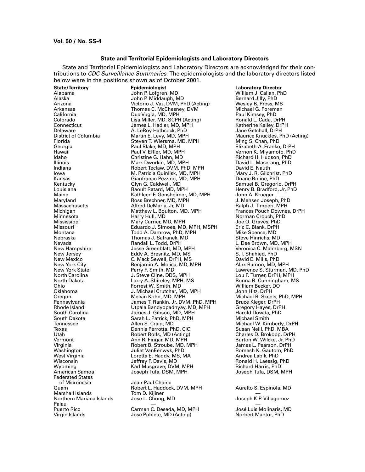# **State and Territorial Epidemiologists and Laboratory Directors**

State and Territorial Epidemiologists and Laboratory Directors are acknowledged for their contributions to *CDC Surveillance Summaries*. The epidemiologists and the laboratory directors listed below were in the positions shown as of October 2001.

Federated States Marshall Islands Tom D. Kijiner — Northern Mariana Islands Jose L. Chong, MD Joseph K.P. Villagomez Palau — —

**State/Territory Epidemiologist Exercise State/Territory Director Epidemiologist Exercise State/Territory Director**<br>Alabama Bohn P. Lofgren, MD Alabama Bohn Philiam J. Callan, Ph Alabama John P. Lofgren, MD William J. Callan, PhD Alaska John P. Middaugh, MD Bernard Jilly, PhD Arizona Victorio J. Vaz, DVM, PhD (Acting) Wesley B. Press, MS Arkansas Thomas C. McChesney, DVM Michael G. Foreman California Duc Vugia, MD, MPH Paul Kimsey, PhD Colorado Lisa Miller, MD, SCPH (Acting) Ronald L. Cada, DrPH Connecticut James L. Hadler, MD, MPH Katherine Kelley, DrPH Delaware **A. LeRoy Hathcock, PhD**<br>District of Columbia **A. Le. Martin E. Levy, MD, MPH** District of Columbia Martin E. Levy, MD, MPH Maurice Knuckles, PhD (Acting)<br>Florida Steven T. Wiersma, MD, MPH Ming S. Chan, PhD Florida Steven T. Wiersma, MD, MPH Ming S. Chan, PhD Georgia Paul Blake, MD, MPH Elizabeth A. Franko, DrPH Hawaii Paul V. Effler, MD, MPH Vernon K. Miyamoto, PhD Idaho Christine G. Hahn, MD Richard H. Hudson, PhD Illinois Mark Dworkin, MD, MPH David L. Maserang, PhD Indiana Robert Teclaw, DVM, PhD, MPH David E. Nauth M. Patricia Quinlisk, MD, MPH Mary J. R. Gilchrist<br>Gianfranco Pezzino, MD, MPH Duane Boline, PhD Kansas Gianfranco Pezzino, MD, MPH الكلمة Gianfranco Pezzino, MD, MPH<br>Glyn G. Caldwell, MD Kentucky Glyn G. Caldwell, MD Samuel B. Gregorio, DrPH Louisiana **Raoult Ratard, MD, MPH** Henry B. Bradford, Jr, PhD<br>Maine **Rathleen F. Gensheimer, MD, MPH** John A. Krueger Maine Kathleen F. Gensheimer, MD, MPH John A. Krueger Maryland Ross Brechner, MD, MPH J. Mehsen Joseph, PhD Massachusetts Alfred DeMaria, Jr, MD Ralph J. Timperi, MPH Michigan Matthew L. Boulton, MD, MPH Frances Pouch Downes, DrPH Minnesota Harry Hull, MD Norman Crouch, PhD Mississippi Mary Currier, MD, MPH Joe O. Graves, PhD Missouri Eduardo J. Simoes, MD, MPH, MSPH Eric C. Blank, DrPH Montana Todd A. Damrow, PhD, MPH Mike Spence, MD Thomas J. Safranek, MD<br>Randall L. Todd, DrPH Nevada Randall L. Todd, DrPH L. Dee Brown, MD, MPH New Hampshire Jesse Greenblatt, MD, MPH Veronica C. Malmberg, MSN New Jersey Eddy A. Bresnitz, MD, MS S. I. Shahied, PhD New Mexico C. Mack Sewell, DrPH, MS David E. Mills, PhD New York City **Benjamin A. Mojica, MD, MPH**<br>New York State **Alex Ramon, Mark Perry F. Smith, MD** New York State Perry F. Smith, MD Lawrence S. Sturman, MD, PhD North Carolina J. Steve Cline, DDS, MPH Lou F. Turner, DrPH, MPH North Dakota Larry A. Shireley, MPH, MS Bonna R. Cunningham, MS Ohio Forrest W. Smith, MD (Duit and Milliam Becker, I)<br>Oklahoma M. D. Michael Crutcher, MD. MPH (Duit and Miltz, DrPH) J. Michael Crutcher, MD, MPH<br>Melvin Kohn, MD, MPH Oregon Melvin Kohn, MD, MPH Michael R. Skeels, PhD, MPH Pennsylvania James T. Rankin, Jr, DVM, PhD, MPH Bruce Kleger, DrPH Rhode Island Utpala Bandyopadhyay, MD, MPH Gregory Hayes, DrPH South Carolina James J. Gibson, MD, MPH Harold Dowda, PhD South Dakota Sarah L. Patrick, PhD, MPH<br>Tennessee Sarah Allen S. Craig, MD Tennessee Allen S. Craig, MD Michael W. Kimberly, DrPH Texas Dennis Perrotta, PhD, CIC Susan Neill, PhD, MBA Utah Robert Rolfs, MD (Acting)<br>19 Mermont Charles D. Brokopp, Ann R. Fingar, MD, MPH Vermont Ann R. Fingar, MD, MPH Burton W. Wilcke, Jr, PhD Virginia Robert B. Stroube, MD, MPH James L. Pearson, DrPH Washington Juliet VanEenwyk, PhD Romesh K. Gautom, PhD West Virginia Loretta E. Haddy, MS, MA Andrea Labik, PhD Wisconsin Jeffrey P. Davis, MD Ronald H. Laessig, PhD Wyoming Karl Musgrave, DVM, MPH Richard Harris, PhD Joseph Tufa, DSM, MPH

of Micronesia Jean-Paul Chaine — Robert L. Haddock, DVM, MPH<br>Tom D. Kijiner

Puerto Rico **Carmen C. Deseda, MD, MPH** José Luis Molinaris, MD Virgin Islands **No. 2018** Jose Poblete, MD (Acting) **Noting** Norbert Mantor, PhD